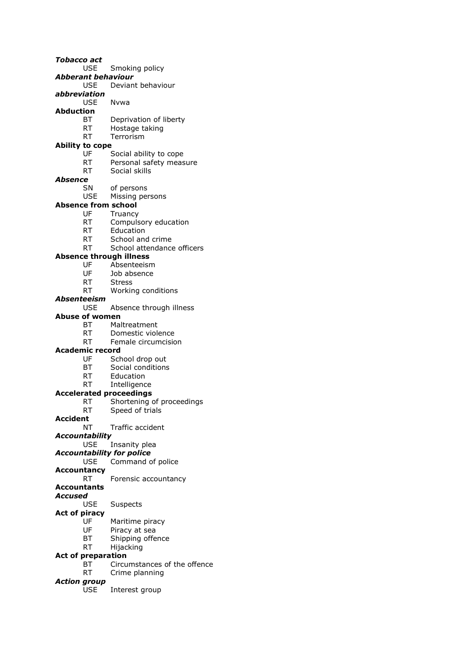*Tobacco act* USE Smoking policy *Abberant behaviour* USE Deviant behaviour *abbreviation* USE Nvwa **Abduction** Deprivation of liberty RT Hostage taking RT Terrorism **Ability to cope** UF Social ability to cope RT Personal safety measure RT Social skills *Absence* SN of persons USE Missing persons **Absence from school** UF Truancy RT Compulsory education RT Education RT School and crime RT School attendance officers **Absence through illness** UF Absenteeism UF Job absence RT Stress RT Working conditions *Absenteeism* USE Absence through illness **Abuse of women** BT Maltreatment RT Domestic violence RT Female circumcision **Academic record** UF School drop out<br>BT Social conditions Social conditions RT Education RT Intelligence **Accelerated proceedings** RT Shortening of proceedings RT Speed of trials **Accident** NT Traffic accident *Accountability* USE Insanity plea *Accountability for police* USE Command of police **Accountancy** RT Forensic accountancy **Accountants** *Accused* USE Suspects **Act of piracy** UF Maritime piracy UF Piracy at sea<br>BT Shipping offe Shipping offence RT Hijacking **Act of preparation** BT Circumstances of the offence RT Crime planning

- *Action group*
	- USE Interest group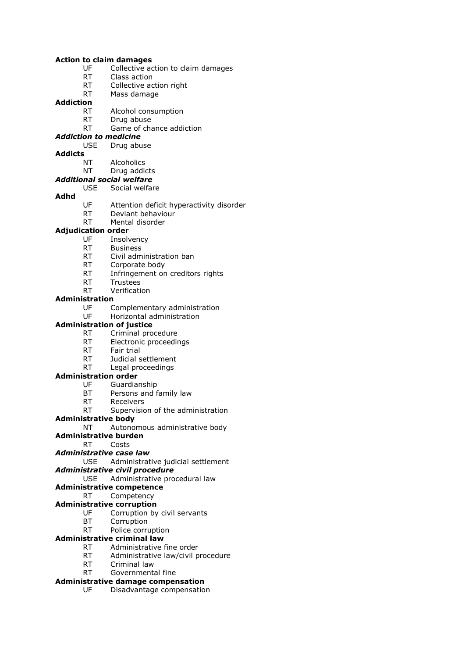#### **Action to claim damages**

- UF Collective action to claim damages
- RT Class action
- RT Collective action right
- RT Mass damage

## **Addiction**

- RT Alcohol consumption<br>RT Drug abuse
- Drug abuse
- RT Game of chance addiction

### *Addiction to medicine*

### USE Drug abuse

### **Addicts**

- NT Alcoholics
- NT Drug addicts

#### *Additional social welfare* USE Social welfare

### **Adhd**

- UF Attention deficit hyperactivity disorder
- RT Deviant behaviour
- RT Mental disorder

### **Adjudication order**

- UF Insolvency
- RT Business
- RT Civil administration ban
- RT Corporate body
- RT Infringement on creditors rights
- RT Trustees
- RT Verification

### **Administration**

- UF Complementary administration
- UF Horizontal administration
- **Administration of justice**
	- RT Criminal procedure
	- RT Electronic proceedings
	- RT Fair trial
	- RT Judicial settlement
	- RT Legal proceedings

### **Administration order**

- UF Guardianship
- BT Persons and family law
- RT Receivers

### RT Supervision of the administration

### **Administrative body**

NT Autonomous administrative body

- **Administrative burden**
	- RT Costs

### *Administrative case law*

USE Administrative judicial settlement

### *Administrative civil procedure*

USE Administrative procedural law

### **Administrative competence**

### RT Competency

### **Administrative corruption**

- UF Corruption by civil servants
- BT Corruption
- RT Police corruption
- **Administrative criminal law**
	- RT Administrative fine order
	- RT Administrative law/civil procedure
	- RT Criminal law
	- RT Governmental fine

### **Administrative damage compensation**

UF Disadvantage compensation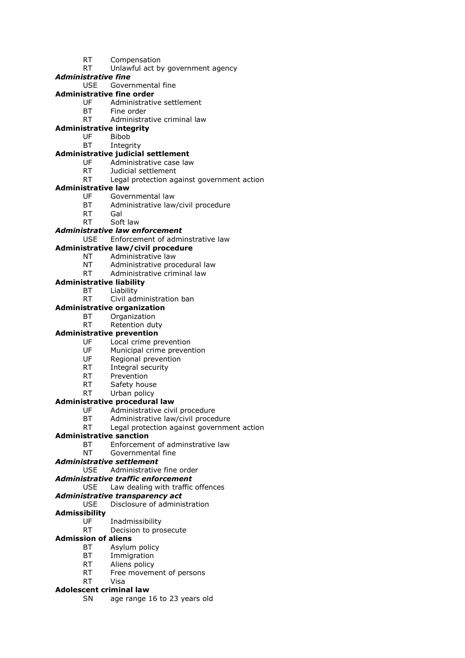- RT Compensation
- RT Unlawful act by government agency

### *Administrative fine*

USE Governmental fine

### **Administrative fine order**

- UF Administrative settlement
- BT Fine order<br>RT Administra
- Administrative criminal law

### **Administrative integrity**

- UF Bibob
- BT Integrity

### **Administrative judicial settlement**

- UF Administrative case law
- RT Judicial settlement
- RT Legal protection against government action

### **Administrative law**

- UF Governmental law
- BT Administrative law/civil procedure
- RT Gal
- RT Soft law

### *Administrative law enforcement*

USE Enforcement of adminstrative law

### **Administrative law/civil procedure**

- NT Administrative law
- NT Administrative procedural law
- RT Administrative criminal law
- **Administrative liability**
	- BT Liability
	- RT Civil administration ban

### **Administrative organization**

- BT Organization
- RT Retention duty

### **Administrative prevention**

- UF Local crime prevention
- UF Municipal crime prevention
- UF Regional prevention
- RT Integral security
- RT Prevention
- RT Safety house
- RT Urban policy

### **Administrative procedural law**

- UF Administrative civil procedure
- BT Administrative law/civil procedure
- RT Legal protection against government action

### **Administrative sanction**

- BT Enforcement of adminstrative law
- NT Governmental fine

### *Administrative settlement*

### USE Administrative fine order

### *Administrative traffic enforcement*

USE Law dealing with traffic offences

### *Administrative transparency act*

#### USE Disclosure of administration

### **Admissibility**

- UF Inadmissibility
- RT Decision to prosecute

### **Admission of aliens**

- BT Asylum policy
- BT Immigration
- RT Aliens policy
- RT Free movement of persons

### RT Visa

#### **Adolescent criminal law**

SN age range 16 to 23 years old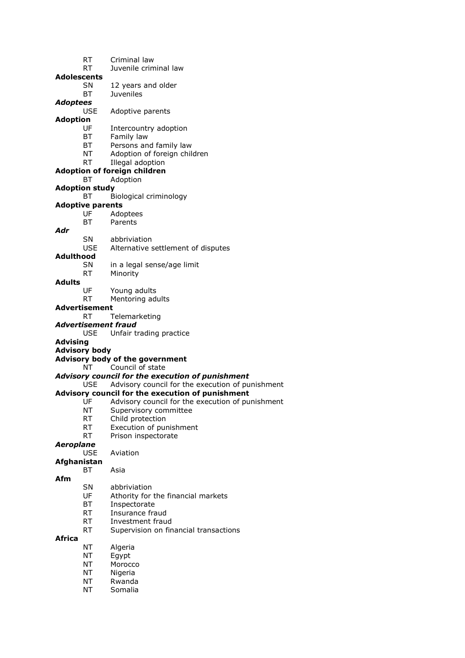- RT Criminal law RT Juvenile criminal law **Adolescents** SN 12 years and older BT Juveniles *Adoptees* USE Adoptive parents **Adoption** UF Intercountry adoption BT Family law BT Persons and family law NT Adoption of foreign children RT Illegal adoption **Adoption of foreign children** BT Adoption **Adoption study** BT Biological criminology **Adoptive parents** UF Adoptees BT Parents *Adr* SN abbriviation USE Alternative settlement of disputes **Adulthood** SN in a legal sense/age limit RT Minority **Adults** UF Young adults RT Mentoring adults **Advertisement** RT Telemarketing *Advertisement fraud* USE Unfair trading practice **Advising Advisory body Advisory body of the government** NT Council of state *Advisory council for the execution of punishment* USE Advisory council for the execution of punishment **Advisory council for the execution of punishment** UF Advisory council for the execution of punishment NT Supervisory committee RT Child protection RT Execution of punishment RT Prison inspectorate *Aeroplane* USE Aviation **Afghanistan** BT Asia **Afm** SN abbriviation UF Athority for the financial markets BT Inspectorate RT Insurance fraud RT Investment fraud RT Supervision on financial transactions **Africa** NT Algeria NT Egypt
	- NT Morocco
	- NT Nigeria
	- NT Rwanda
	- NT Somalia
		-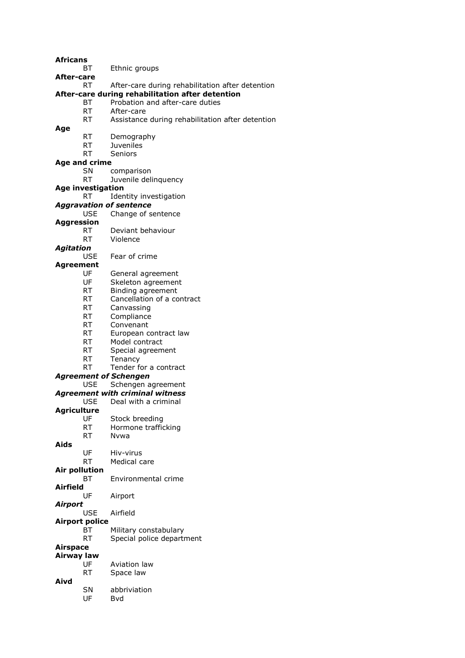**Africans**

BT Ethnic groups

**After-care**

#### RT After-care during rehabilitation after detention

### **After-care during rehabilitation after detention**

- BT Probation and after-care duties
- RT After-care<br>RT Assistance
- Assistance during rehabilitation after detention

**Age**

- RT Demography
- RT Juveniles
- RT Seniors

## **Age and crime**

- SN comparison
- RT Juvenile delinquency
- **Age investigation**
	- RT Identity investigation

#### *Aggravation of sentence* USE Change of sentence

- **Aggression**
	- RT Deviant behaviour
	- RT Violence
- *Agitation*
	- USE Fear of crime
- **Agreement**
	- UF General agreement<br>UF Skeleton agreement
	- Skeleton agreement
	- RT Binding agreement
	- RT Cancellation of a contract
	- RT Canvassing
	- RT Compliance
	- RT Convenant
	- RT European contract law
	- RT Model contract
	- RT Special agreement
	- RT Tenancy
		- RT Tender for a contract

#### *Agreement of Schengen*

- USE Schengen agreement *Agreement with criminal witness* USE Deal with a criminal **Agriculture**
	- UF Stock breeding
	- RT Hormone trafficking
	- RT Nvwa
- **Aids**
	- UF Hiv-virus
	- RT Medical care
- **Air pollution** BT Environmental crime
- **Airfield**
	- UF Airport
- *Airport*
	- USE Airfield
- **Airport police**
	- BT Military constabulary
		- RT Special police department
- **Airspace Airway law**
	- UF Aviation law RT Space law
- **Aivd**
	- SN abbriviation
		- UF Bvd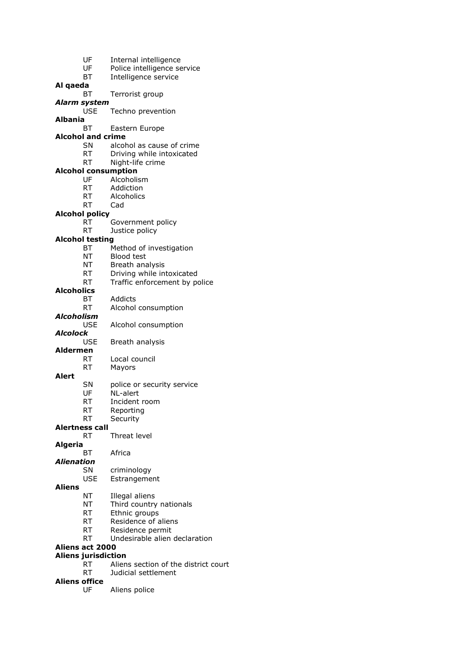| UF                                                   | Internal intelligence                |  |
|------------------------------------------------------|--------------------------------------|--|
| UF                                                   | Police intelligence service          |  |
| <b>BT</b>                                            | Intelligence service                 |  |
| Al qaeda                                             |                                      |  |
| ВT                                                   | Terrorist group                      |  |
| <b>Alarm system</b>                                  |                                      |  |
| <b>USE</b>                                           | Techno prevention                    |  |
| Albania                                              |                                      |  |
| ВT                                                   | Eastern Europe                       |  |
| <b>Alcohol and crime</b>                             |                                      |  |
| SN                                                   | alcohol as cause of crime            |  |
| RT                                                   | Driving while intoxicated            |  |
| <b>RT</b><br><b>Alcohol consumption</b>              | Night-life crime                     |  |
| UF                                                   | Alcoholism                           |  |
| RT                                                   | Addiction                            |  |
| RT                                                   | Alcoholics                           |  |
| <b>RT</b>                                            | Cad                                  |  |
| <b>Alcohol policy</b>                                |                                      |  |
| <b>RT</b>                                            | Government policy                    |  |
| <b>RT</b>                                            | Justice policy                       |  |
| <b>Alcohol testing</b>                               |                                      |  |
| ВT                                                   | Method of investigation              |  |
| NT                                                   | <b>Blood test</b>                    |  |
| NΤ                                                   | Breath analysis                      |  |
| RT                                                   | Driving while intoxicated            |  |
| <b>RT</b>                                            | Traffic enforcement by police        |  |
| <b>Alcoholics</b>                                    |                                      |  |
| BT                                                   | Addicts                              |  |
| RT<br>Alcoholism                                     | Alcohol consumption                  |  |
| <b>USE</b>                                           | Alcohol consumption                  |  |
| Alcolock                                             |                                      |  |
| USE                                                  | Breath analysis                      |  |
| <b>Aldermen</b>                                      |                                      |  |
| <b>RT</b>                                            | Local council                        |  |
| RT                                                   | Mayors                               |  |
| Alert                                                |                                      |  |
| SN                                                   | police or security service           |  |
| UF                                                   | NL-alert                             |  |
| RT                                                   | Incident room                        |  |
| RT                                                   | Reporting                            |  |
| RT<br><b>Alertness call</b>                          | Security                             |  |
| RT                                                   | Threat level                         |  |
| <b>Algeria</b>                                       |                                      |  |
| ВT                                                   | Africa                               |  |
| <b>Alienation</b>                                    |                                      |  |
| SN                                                   | criminology                          |  |
| USE                                                  | Estrangement                         |  |
| <b>Aliens</b>                                        |                                      |  |
| ΝT                                                   | Illegal aliens                       |  |
| NΤ                                                   | Third country nationals              |  |
| RT                                                   | Ethnic groups                        |  |
| RT                                                   | Residence of aliens                  |  |
| RT                                                   | Residence permit                     |  |
| RT                                                   | Undesirable alien declaration        |  |
| <b>Aliens act 2000</b><br><b>Aliens jurisdiction</b> |                                      |  |
| RT                                                   | Aliens section of the district court |  |
| RT                                                   | Judicial settlement                  |  |
| <b>Aliens office</b>                                 |                                      |  |
| UF                                                   | Aliens police                        |  |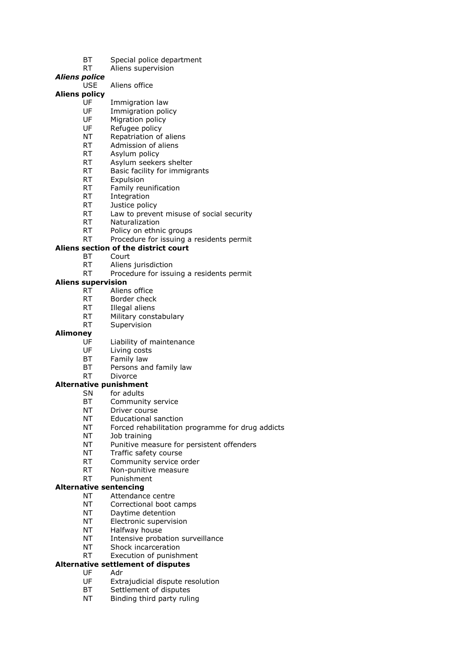- BT Special police department
- RT Aliens supervision

### *Aliens police*

USE Aliens office

### **Aliens policy**

- UF Immigration law
- UF Immigration policy<br>UF Migration policy
- Migration policy
- UF Refugee policy
- NT Repatriation of aliens RT Admission of aliens
- 
- RT Asylum policy
- RT Asylum seekers shelter RT Basic facility for immigrants
- 
- RT Expulsion<br>RT Family ret
- Family reunification
- RT Integration
- RT Justice policy
- RT Law to prevent misuse of social security
- RT Naturalization
- RT Policy on ethnic groups
- RT Procedure for issuing a residents permit

### **Aliens section of the district court**

- BT Court
- RT Aliens jurisdiction
- RT Procedure for issuing a residents permit

### **Aliens supervision**

- RT Aliens office
- RT Border check
- RT Illegal aliens
- RT Military constabulary
- RT Supervision

### **Alimoney**

- UF Liability of maintenance
- UF Living costs
- BT Family law
- BT Persons and family law
- RT Divorce

### **Alternative punishment**

- SN for adults
	- BT Community service
	- NT Driver course
	- NT Educational sanction
	- NT Forced rehabilitation programme for drug addicts
	- NT Job training
	- NT Punitive measure for persistent offenders
- NT Traffic safety course
- RT Community service order
- RT Non-punitive measure
- RT Punishment

### **Alternative sentencing**

- NT Attendance centre
- NT Correctional boot camps
- NT Daytime detention
- NT Electronic supervision
- NT Halfway house
- NT Intensive probation surveillance
- NT Shock incarceration
- RT Execution of punishment

### **Alternative settlement of disputes**

- UF Adr
- UF Extrajudicial dispute resolution
- BT Settlement of disputes
- NT Binding third party ruling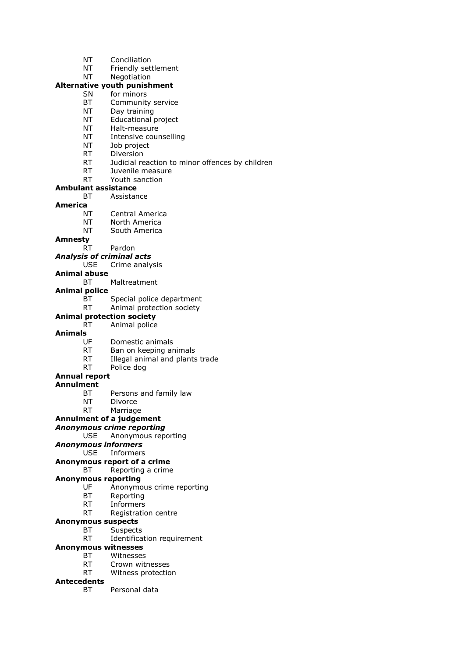- NT Conciliation
- NT Friendly settlement
- NT Negotiation

## **Alternative youth punishment**

- SN for minors
- BT Community service
- NT Day training<br>NT Educational I
- Educational project
- NT Halt-measure
- NT Intensive counselling
- NT Job project
- RT Diversion
- RT Judicial reaction to minor offences by children
- RT Juvenile measure
- RT Youth sanction

#### **Ambulant assistance**

BT Assistance

### **America**

- NT Central America
- NT North America
- NT South America

### **Amnesty**

RT Pardon

### *Analysis of criminal acts*

- USE Crime analysis
- **Animal abuse**
	- BT Maltreatment

## **Animal police**

- BT Special police department
- RT Animal protection society

#### **Animal protection society** RT Animal police

### **Animals**

- UF Domestic animals
- RT Ban on keeping animals
- RT Illegal animal and plants trade
- RT Police dog

#### **Annual report**

#### **Annulment**

- BT Persons and family law
- NT Divorce
- RT Marriage

### **Annulment of a judgement**

#### *Anonymous crime reporting*

## USE Anonymous reporting

*Anonymous informers*

#### USE Informers

- **Anonymous report of a crime**
	- BT Reporting a crime

#### **Anonymous reporting**

- UF Anonymous crime reporting
- BT Reporting
- RT Informers
- RT Registration centre

### **Anonymous suspects**

- BT Suspects
	- RT Identification requirement

## **Anonymous witnesses**

- BT Witnesses
	- RT Crown witnesses
- RT Witness protection

### **Antecedents**

BT Personal data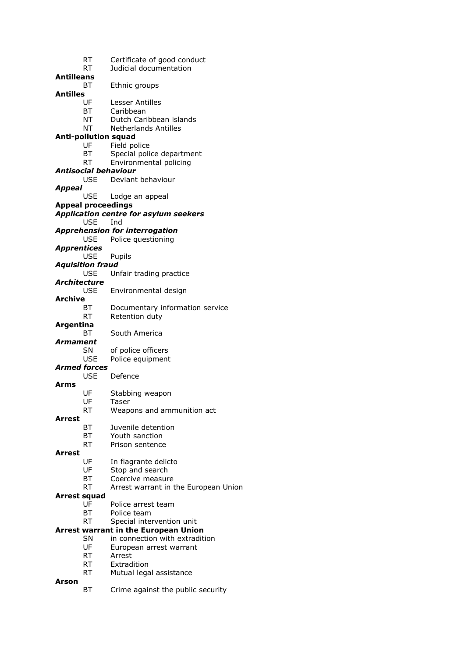|                    | RT                        | Certificate of good conduct                 |
|--------------------|---------------------------|---------------------------------------------|
|                    | RT                        | Judicial documentation                      |
| <b>Antilleans</b>  |                           |                                             |
|                    | ВT                        | Ethnic groups                               |
| <b>Antilles</b>    |                           |                                             |
|                    | UF                        | Lesser Antilles                             |
|                    | BT                        | Caribbean                                   |
|                    | NT                        | Dutch Caribbean islands                     |
|                    | NT                        | <b>Netherlands Antilles</b>                 |
|                    |                           | <b>Anti-pollution squad</b>                 |
|                    | UF                        | Field police                                |
|                    | BT                        | Special police department                   |
|                    | RT                        | Environmental policing                      |
|                    |                           | <b>Antisocial behaviour</b>                 |
|                    |                           | USE Deviant behaviour                       |
| <b>Appeal</b>      |                           |                                             |
|                    | USE                       | Lodge an appeal                             |
|                    | <b>Appeal proceedings</b> |                                             |
|                    |                           | Application centre for asylum seekers       |
|                    | USE                       | Ind                                         |
|                    |                           | <b>Apprehension for interrogation</b>       |
|                    | <b>USE</b>                | Police questioning                          |
| <b>Apprentices</b> |                           |                                             |
|                    | <b>USE</b>                | Pupils                                      |
|                    | <b>Aquisition fraud</b>   |                                             |
|                    | <b>USE</b>                | Unfair trading practice                     |
| Architecture       |                           |                                             |
| <b>Archive</b>     | USE                       | Environmental design                        |
|                    |                           |                                             |
|                    | BT                        | Documentary information service             |
|                    | <b>RT</b>                 | Retention duty                              |
| Argentina          | ВT                        | South America                               |
| Armament           |                           |                                             |
|                    | <b>SN</b>                 | of police officers                          |
|                    | <b>USE</b>                | Police equipment                            |
|                    | <b>Armed forces</b>       |                                             |
|                    | <b>USE</b>                | Defence                                     |
| Arms               |                           |                                             |
|                    | UF                        | Stabbing weapon                             |
|                    | UF                        | Taser                                       |
|                    | RT                        | Weapons and ammunition act                  |
| <b>Arrest</b>      |                           |                                             |
|                    | ВT                        | Juvenile detention                          |
|                    | BT                        | Youth sanction                              |
|                    | <b>RT</b>                 | Prison sentence                             |
| Arrest             |                           |                                             |
|                    | UF                        | In flagrante delicto                        |
|                    | UF                        | Stop and search                             |
|                    | BT                        | Coercive measure                            |
|                    | <b>RT</b>                 | Arrest warrant in the European Union        |
| Arrest squad       |                           |                                             |
|                    | UF                        | Police arrest team                          |
|                    | BT                        | Police team                                 |
|                    | <b>RT</b>                 | Special intervention unit                   |
|                    |                           | <b>Arrest warrant in the European Union</b> |
|                    | <b>SN</b>                 | in connection with extradition              |
|                    | UF                        | European arrest warrant                     |
|                    | <b>RT</b><br>RT.          | Arrest                                      |
|                    | <b>RT</b>                 | Extradition<br>Mutual legal assistance      |
| Arson              |                           |                                             |
|                    | ВT                        | Crime against the public security           |
|                    |                           |                                             |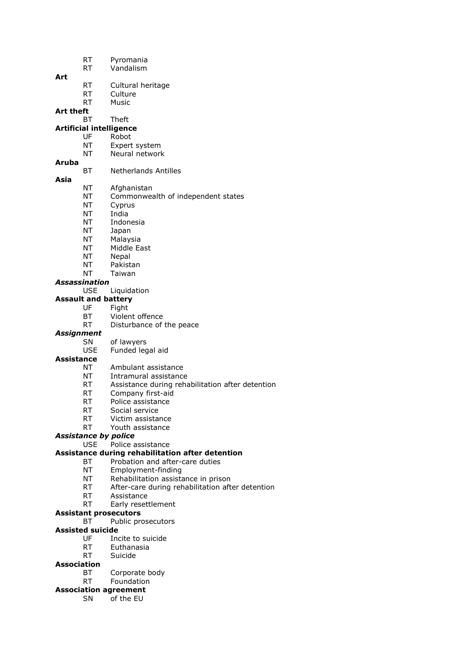- RT Pyromania
- RT Vandalism

### **Art**

- RT Cultural heritage
- RT Culture
- RT Music

**Art theft**

## BT Theft

## **Artificial intelligence**

- UF Robot
- NT Expert system
- NT Neural network

## **Aruba**

- BT Netherlands Antilles
- **Asia**
- 
- NT Afghanistan
	- NT Commonwealth of independent states
- NT Cyprus
- NT India
- NT Indonesia
- NT Japan
- NT Malaysia
- NT Middle East
- NT Nepal
- NT Pakistan
- NT Taiwan

### *Assassination*

USE Liquidation

### **Assault and battery**

- UF Fight
- BT Violent offence
- RT Disturbance of the peace

### *Assignment*

- SN of lawyers
- USE Funded legal aid

#### **Assistance**

- NT Ambulant assistance
- NT Intramural assistance
- RT Assistance during rehabilitation after detention
- RT Company first-aid
- RT Police assistance
- RT Social service
- RT Victim assistance
- RT Youth assistance

### *Assistance by police*

USE Police assistance

### **Assistance during rehabilitation after detention**

- BT Probation and after-care duties
- NT Employment-finding
- NT Rehabilitation assistance in prison
- RT After-care during rehabilitation after detention
- RT Assistance
- RT Early resettlement

#### **Assistant prosecutors**

BT Public prosecutors

#### **Assisted suicide**

- UF Incite to suicide
- RT Euthanasia
- RT Suicide

### **Association**

- BT Corporate body
- RT Foundation
- **Association agreement**
	- SN of the EU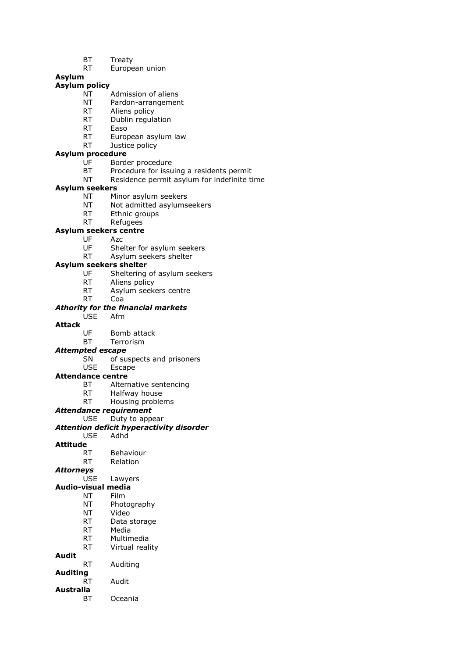- BT Treaty
- RT European union

### **Asylum**

### **Asylum policy**

- NT Admission of aliens
- NT Pardon-arrangement
- RT Aliens policy<br>RT Dublin requise
- Dublin regulation
- RT Easo
- RT European asylum law
- RT Justice policy

### **Asylum procedure**

- UF Border procedure
- BT Procedure for issuing a residents permit
- NT Residence permit asylum for indefinite time

#### **Asylum seekers**

- NT Minor asylum seekers
- NT Not admitted asylumseekers
- RT Ethnic groups
- RT Refugees

#### **Asylum seekers centre**

- UF Azc
	- UF Shelter for asylum seekers
	- RT Asylum seekers shelter

#### **Asylum seekers shelter**

- UF Sheltering of asylum seekers
- RT Aliens policy
- RT Asylum seekers centre
- RT Coa

#### *Athority for the financial markets*

USE Afm

### **Attack**

- UF Bomb attack
- BT Terrorism

#### *Attempted escape*

SN of suspects and prisoners

#### USE Escape

#### **Attendance centre**

- BT Alternative sentencing
- RT Halfway house
- RT Housing problems

#### *Attendance requirement*

USE Duty to appear

#### *Attention deficit hyperactivity disorder* USE Adhd

## **Attitude**

- RT Behaviour
- RT Relation

### *Attorneys*

USE Lawyers

### **Audio-visual media**

- NT Film
- NT Photography
- NT Video
- RT Data storage
- RT Media
- RT Multimedia RT Virtual reality

## **Audit**

RT Auditing

#### **Auditing**

- RT Audit
- **Australia**
	- BT Oceania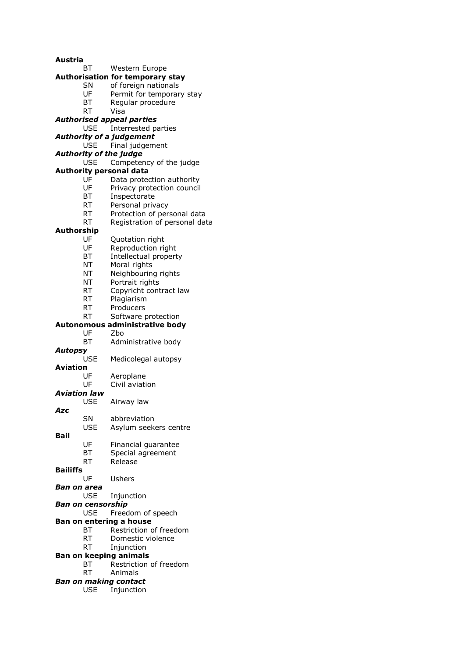| Austria                  |            |                                         |
|--------------------------|------------|-----------------------------------------|
|                          | ВT         | Western Europe                          |
|                          |            | <b>Authorisation for temporary stay</b> |
|                          | SN         | of foreign nationals                    |
|                          | UF         | Permit for temporary stay               |
|                          | BT         | Regular procedure                       |
|                          | RT         | Visa                                    |
|                          |            | <b>Authorised appeal parties</b>        |
|                          | USE.       | Interrested parties                     |
|                          |            | <b>Authority of a judgement</b>         |
|                          | <b>USE</b> | Final judgement                         |
|                          |            | <b>Authority of the judge</b>           |
|                          | <b>USE</b> | Competency of the judge                 |
|                          |            | <b>Authority personal data</b>          |
|                          | UF<br>UF   | Data protection authority               |
|                          |            | Privacy protection council              |
|                          | ВT<br>RT   | Inspectorate<br>Personal privacy        |
|                          | <b>RT</b>  | Protection of personal data             |
|                          | RT         | Registration of personal data           |
| Authorship               |            |                                         |
|                          | UF         | Quotation right                         |
|                          | UF         | Reproduction right                      |
|                          | ВT         | Intellectual property                   |
|                          | <b>NT</b>  | Moral rights                            |
|                          | NT         | Neighbouring rights                     |
|                          | NT         | Portrait rights                         |
|                          | RT         | Copyricht contract law                  |
|                          | RT         | Plagiarism                              |
|                          | RT         | Producers                               |
|                          | RT         | Software protection                     |
|                          |            | Autonomous administrative body          |
|                          | UF         | Zbo                                     |
|                          | BТ         | Administrative body                     |
| <b>Autopsy</b>           |            |                                         |
|                          | USE        | Medicolegal autopsy                     |
| Aviation                 |            |                                         |
|                          | UF         | Aeroplane                               |
|                          | UF         | Civil aviation                          |
| <b>Aviation law</b>      |            |                                         |
|                          | USE        | Airway law                              |
| Azc                      | SN         | abbreviation                            |
|                          | <b>USE</b> | Asylum seekers centre                   |
| Bail                     |            |                                         |
|                          | UF         | Financial guarantee                     |
|                          | ВT         | Special agreement                       |
|                          | RT         | Release                                 |
| <b>Bailiffs</b>          |            |                                         |
|                          | UF         | Ushers                                  |
| Ban on area              |            |                                         |
|                          | <b>USE</b> | Injunction                              |
| <b>Ban on censorship</b> |            |                                         |
|                          | <b>USE</b> | Freedom of speech                       |
|                          |            | Ban on entering a house                 |
|                          | ВT         | Restriction of freedom                  |
|                          | RT         | Domestic violence                       |
|                          | RT         | Injunction                              |
|                          |            | <b>Ban on keeping animals</b>           |
|                          | BT         | Restriction of freedom                  |
|                          | RT –       | Animals                                 |
|                          |            | <b>Ban on making contact</b>            |
|                          | <b>USE</b> | Injunction                              |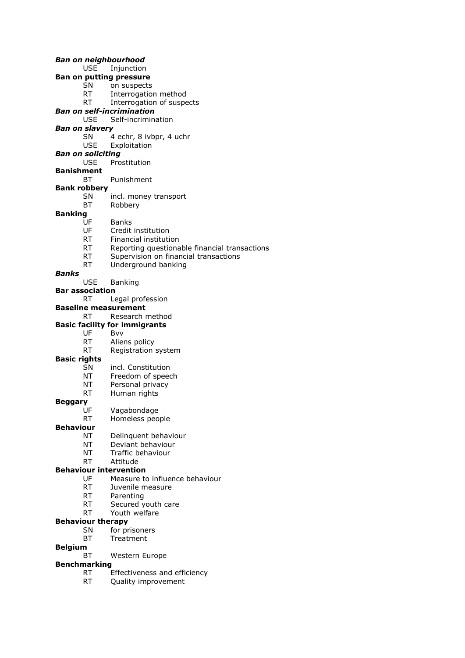*Ban on neighbourhood* USE Injunction **Ban on putting pressure** SN on suspects RT Interrogation method RT Interrogation of suspects *Ban on self-incrimination* Self-incrimination *Ban on slavery* SN 4 echr, 8 ivbpr, 4 uchr USE Exploitation *Ban on soliciting* USE Prostitution **Banishment** BT Punishment **Bank robbery** SN incl. money transport BT Robbery **Banking** UF Banks UF Credit institution RT Financial institution RT Reporting questionable financial transactions RT Supervision on financial transactions RT Underground banking *Banks* USE Banking **Bar association** RT Legal profession **Baseline measurement** RT Research method **Basic facility for immigrants** UF Bvv RT Aliens policy RT Registration system **Basic rights** SN incl. Constitution NT Freedom of speech NT Personal privacy<br>RT Human rights Human rights **Beggary** UF Vagabondage RT Homeless people **Behaviour** NT Delinquent behaviour NT Deviant behaviour NT Traffic behaviour RT Attitude **Behaviour intervention** UF Measure to influence behaviour RT Juvenile measure RT Parenting RT Secured youth care RT Youth welfare **Behaviour therapy** SN for prisoners BT Treatment

- **Belgium**
	- BT Western Europe

#### **Benchmarking**

- RT Effectiveness and efficiency
- RT Quality improvement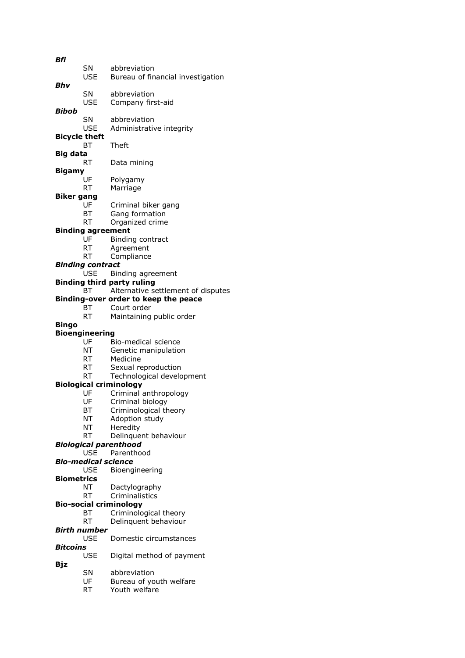| Bfi                  |                          |                                          |
|----------------------|--------------------------|------------------------------------------|
|                      | SN                       | abbreviation                             |
|                      | <b>USE</b>               | Bureau of financial investigation        |
|                      |                          |                                          |
| Bhv                  |                          |                                          |
|                      | SN                       | abbreviation                             |
|                      | USE                      | Company first-aid                        |
| Bibob                |                          |                                          |
|                      | SN                       | abbreviation                             |
|                      |                          |                                          |
|                      | USE                      | Administrative integrity                 |
| <b>Bicycle theft</b> |                          |                                          |
|                      | BТ                       | <b>Theft</b>                             |
| Big data             |                          |                                          |
|                      | RT                       | Data mining                              |
|                      |                          |                                          |
| Bigamy               |                          |                                          |
|                      | UF                       | Polygamy                                 |
|                      | <b>RT</b>                | Marriage                                 |
| Biker gang           |                          |                                          |
|                      | UF                       | Criminal biker gang                      |
|                      |                          |                                          |
|                      | BT                       | Gang formation                           |
|                      | <b>RT</b>                | Organized crime                          |
|                      | <b>Binding agreement</b> |                                          |
|                      | UF                       | Binding contract                         |
|                      | RT                       | Agreement                                |
|                      | RT                       |                                          |
|                      |                          | Compliance                               |
|                      | <b>Binding contract</b>  |                                          |
|                      | <b>USE</b>               | Binding agreement                        |
|                      |                          | <b>Binding third party ruling</b>        |
|                      | BT                       | Alternative settlement of disputes       |
|                      |                          | Binding-over order to keep the peace     |
|                      |                          |                                          |
|                      | BT                       | Court order                              |
|                      | <b>RT</b>                | Maintaining public order                 |
| Bingo                |                          |                                          |
|                      |                          |                                          |
|                      |                          |                                          |
|                      | <b>Bioengineering</b>    |                                          |
|                      | UF                       | Bio-medical science                      |
|                      | <b>NT</b>                | Genetic manipulation                     |
|                      | <b>RT</b>                | Medicine                                 |
|                      | RT                       | Sexual reproduction                      |
|                      | RT L                     |                                          |
|                      |                          | Technological development                |
|                      |                          | <b>Biological criminology</b>            |
|                      | UF                       | Criminal anthropology                    |
|                      | UF                       | Criminal biology                         |
|                      | ВT                       | Criminological theory                    |
|                      | NΤ                       | Adoption study                           |
|                      |                          |                                          |
|                      | NΤ                       | Heredity                                 |
|                      | RT                       | Delinquent behaviour                     |
|                      |                          | Biological parenthood                    |
|                      | <b>USE</b>               | Parenthood                               |
|                      | Bio-medical science      |                                          |
|                      | <b>USE</b>               | Bioengineering                           |
|                      |                          |                                          |
| Biometrics           |                          |                                          |
|                      | NΤ                       | Dactylography                            |
|                      | RT                       | Criminalistics                           |
|                      |                          | <b>Bio-social criminology</b>            |
|                      | ВT                       | Criminological theory                    |
|                      | RT                       |                                          |
|                      |                          | Delinquent behaviour                     |
|                      | Birth number             |                                          |
|                      | <b>USE</b>               | Domestic circumstances                   |
| Bitcoins             |                          |                                          |
|                      | USE                      | Digital method of payment                |
| Bjz                  |                          |                                          |
|                      |                          |                                          |
|                      | SN                       | abbreviation                             |
|                      | UF<br>RT                 | Bureau of youth welfare<br>Youth welfare |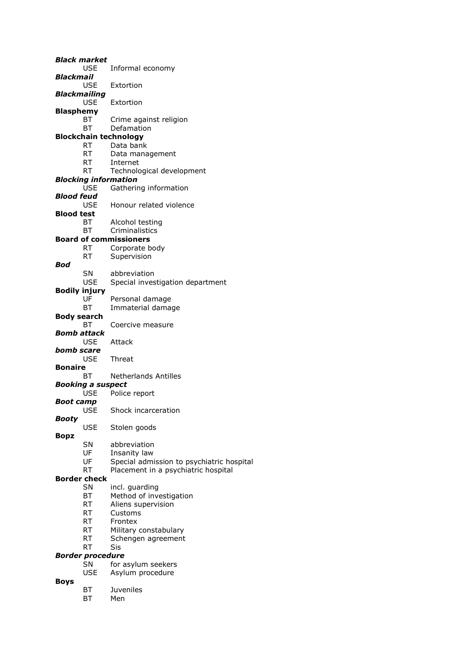|                      | <b>Black market</b>                  |                                           |
|----------------------|--------------------------------------|-------------------------------------------|
|                      | USE.                                 | Informal economy                          |
| Blackmail            |                                      |                                           |
|                      | <b>USE</b>                           | Extortion                                 |
| Blackmailing         |                                      |                                           |
|                      | <b>USE</b>                           | Extortion                                 |
| Blasphemy            |                                      |                                           |
|                      | ВT                                   | Crime against religion                    |
|                      | ВT                                   | Defamation                                |
|                      |                                      |                                           |
|                      |                                      | <b>Blockchain technology</b>              |
|                      | <b>RT</b>                            | Data bank                                 |
|                      | RT                                   | Data management                           |
|                      | <b>RT</b>                            | Internet                                  |
|                      | RT                                   | Technological development                 |
|                      |                                      | <b>Blocking information</b>               |
|                      | <b>USE</b>                           | Gathering information                     |
| Blood feud           |                                      |                                           |
|                      | <b>USE</b>                           | Honour related violence                   |
| Blood test           |                                      |                                           |
|                      | BT                                   | Alcohol testing                           |
|                      | ВT                                   | Criminalistics                            |
|                      |                                      | <b>Board of commissioners</b>             |
|                      | RT.                                  | Corporate body                            |
|                      |                                      |                                           |
|                      | RT                                   | Supervision                               |
| Bod                  |                                      |                                           |
|                      | <b>SN</b>                            | abbreviation                              |
|                      | <b>USE</b>                           | Special investigation department          |
| <b>Bodily injury</b> |                                      |                                           |
|                      | UF                                   | Personal damage                           |
|                      | BТ                                   | Immaterial damage                         |
| <b>Body search</b>   |                                      |                                           |
|                      | BТ                                   | Coercive measure                          |
| Bomb attack          |                                      |                                           |
|                      | <b>USE</b>                           | Attack                                    |
| bomb scare           |                                      |                                           |
|                      | <b>USE</b>                           | Threat                                    |
| <b>Bonaire</b>       |                                      |                                           |
|                      | BТ                                   | <b>Netherlands Antilles</b>               |
|                      | <b>Booking a suspect</b>             |                                           |
|                      | <b>USE</b>                           | Police report                             |
|                      |                                      |                                           |
| Boot camp            |                                      |                                           |
|                      | USE                                  | Shock incarceration                       |
| Booty                |                                      |                                           |
|                      | <b>USE</b>                           | Stolen goods                              |
| <b>Bopz</b>          |                                      |                                           |
|                      | SN                                   | abbreviation                              |
|                      | UF                                   | Insanity law                              |
|                      | UF                                   | Special admission to psychiatric hospital |
|                      | <b>RT</b>                            | Placement in a psychiatric hospital       |
|                      | <b>Border check</b>                  |                                           |
|                      | <b>SN</b>                            | incl. guarding                            |
|                      | ВT                                   | Method of investigation                   |
|                      | RT                                   | Aliens supervision                        |
|                      | <b>RT</b>                            | Customs                                   |
|                      | <b>RT</b>                            | Frontex                                   |
|                      | <b>RT</b>                            | Military constabulary                     |
|                      | RT                                   | Schengen agreement                        |
|                      | RT                                   | Sis                                       |
|                      |                                      |                                           |
|                      | <b>Border procedure</b><br><b>SN</b> |                                           |
|                      |                                      | for asylum seekers                        |
|                      | USE                                  | Asylum procedure                          |
| <b>Boys</b>          |                                      |                                           |
|                      | BТ                                   | Juveniles                                 |
|                      | BT                                   | Men                                       |
|                      |                                      |                                           |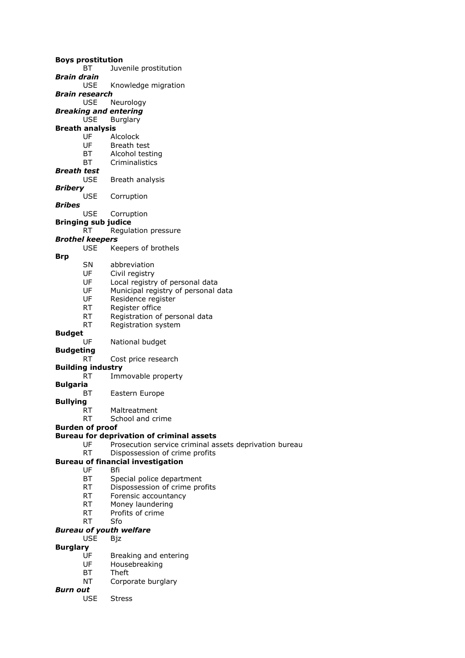**Boys prostitution** BT Juvenile prostitution *Brain drain* USE Knowledge migration *Brain research* USE Neurology *Breaking and entering* USE Burglary **Breath analysis** UF Alcolock UF Breath test BT Alcohol testing BT Criminalistics *Breath test* USE Breath analysis *Bribery* USE Corruption *Bribes* USE Corruption **Bringing sub judice** RT Regulation pressure *Brothel keepers* USE Keepers of brothels **Brp** SN abbreviation UF Civil registry UF Local registry of personal data UF Municipal registry of personal data UF Residence register RT Register office RT Registration of personal data RT Registration system **Budget** UF National budget **Budgeting** RT Cost price research **Building industry** RT Immovable property **Bulgaria** BT Eastern Europe **Bullying** RT Maltreatment RT School and crime **Burden of proof Bureau for deprivation of criminal assets** UF Prosecution service criminal assets deprivation bureau RT Dispossession of crime profits **Bureau of financial investigation** UF Bfi BT Special police department RT Dispossession of crime profits RT Forensic accountancy RT Money laundering RT Profits of crime RT Sfo *Bureau of youth welfare* USE Bjz **Burglary** UF Breaking and entering UF Housebreaking BT Theft NT Corporate burglary

- *Burn out*
	- USE Stress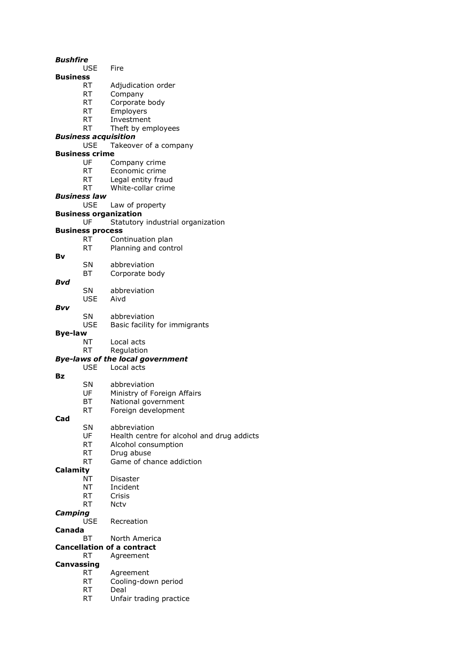#### *Bushfire*

- USE Fire
- **Business**
	- RT Adjudication order
	- RT Company
	- RT Corporate body
	- RT Employers<br>RT Investment
	- Investment
	- RT Theft by employees

### *Business acquisition*

### USE Takeover of a company

- **Business crime**
	- UF Company crime
	- RT Economic crime
	- RT Legal entity fraud
	- RT White-collar crime

#### *Business law*

- USE Law of property
- **Business organization**

#### UF Statutory industrial organization

### **Business process**

- RT Continuation plan
- RT Planning and control
- **Bv**
- SN abbreviation
- BT Corporate body

#### *Bvd*

SN abbreviation USE Aivd

#### *Bvv*

- SN abbreviation
- USE Basic facility for immigrants

### **Bye-law**

- NT Local acts
- RT Regulation

### *Bye-laws of the local government*

- USE Local acts
- **Bz**
- SN abbreviation<br>UF Ministry of Fo
- Ministry of Foreign Affairs
- BT National government
- RT Foreign development

#### **Cad**

- SN abbreviation
	- UF Health centre for alcohol and drug addicts
	- RT Alcohol consumption
	- RT Drug abuse
- RT Game of chance addiction

## **Calamity**

- NT Disaster
- NT Incident
- RT Crisis
- RT Nctv

## *Camping*

USE Recreation

#### **Canada**

- BT North America
- **Cancellation of a contract**
	- RT Agreement

## **Canvassing**

- RT Agreement
- RT Cooling-down period
- RT Deal
- RT Unfair trading practice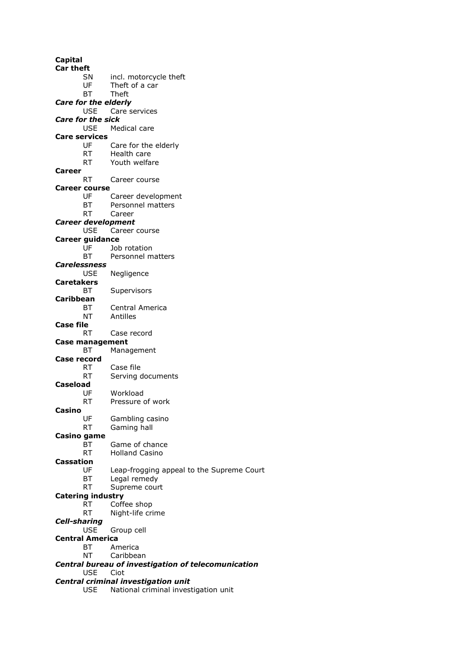**Capital Car theft** SN incl. motorcycle theft UF Theft of a car BT Theft *Care for the elderly* USE Care services *Care for the sick* USE Medical care **Care services** UF Care for the elderly RT Health care RT Youth welfare **Career** RT Career course **Career course** UF Career development BT Personnel matters RT Career *Career development* USE Career course **Career guidance** UF Job rotation BT Personnel matters *Carelessness* USE Negligence **Caretakers** BT Supervisors **Caribbean** BT Central America NT Antilles **Case file** RT Case record **Case management** BT Management **Case record** RT Case file RT Serving documents **Caseload** UF Workload RT Pressure of work **Casino** UF Gambling casino RT Gaming hall **Casino game** BT Game of chance RT Holland Casino **Cassation** UF Leap-frogging appeal to the Supreme Court BT Legal remedy RT Supreme court **Catering industry** RT Coffee shop RT Night-life crime *Cell-sharing* USE Group cell **Central America** BT America NT Caribbean *Central bureau of investigation of telecomunication* USE Ciot *Central criminal investigation unit* USE National criminal investigation unit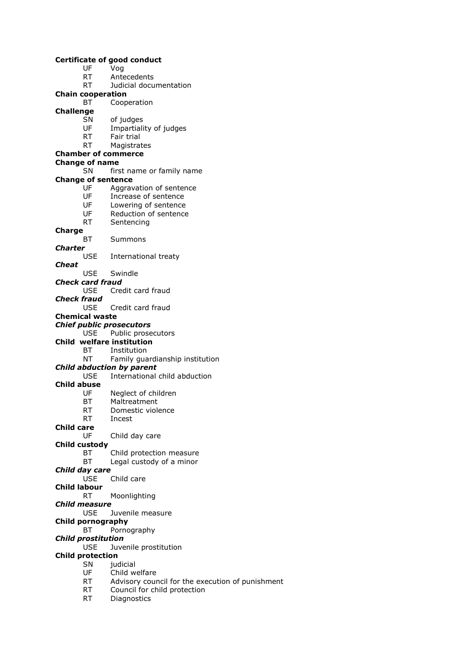|              |                           | <b>Certificate of good conduct</b>               |
|--------------|---------------------------|--------------------------------------------------|
|              | UF                        | Vog                                              |
|              | <b>RT</b>                 | Antecedents                                      |
|              | RT                        | Judicial documentation                           |
|              | <b>Chain cooperation</b>  |                                                  |
|              | BT                        | Cooperation                                      |
| Challenge    |                           |                                                  |
|              | SN.                       | of judges                                        |
|              | UF                        | Impartiality of judges                           |
|              | RT                        | Fair trial                                       |
|              | <b>RT</b>                 | Magistrates                                      |
|              |                           |                                                  |
|              |                           | <b>Chamber of commerce</b>                       |
|              | <b>Change of name</b>     |                                                  |
|              | SN.                       | first name or family name                        |
|              | <b>Change of sentence</b> |                                                  |
|              | UF                        | Aggravation of sentence                          |
|              | <b>UF</b>                 | Increase of sentence                             |
|              | UF <sub>1</sub>           | Lowering of sentence                             |
|              | <b>UF</b>                 | Reduction of sentence                            |
|              | <b>RT</b>                 | Sentencing                                       |
| Charge       |                           |                                                  |
|              | ВT                        | Summons                                          |
| Charter      |                           |                                                  |
|              | <b>USE</b>                | International treaty                             |
| Cheat        |                           |                                                  |
|              | USE                       | Swindle                                          |
|              | Check card fraud          |                                                  |
|              |                           | USE Credit card fraud                            |
| Check fraud  |                           |                                                  |
|              |                           |                                                  |
|              |                           | USE Credit card fraud                            |
|              | <b>Chemical waste</b>     |                                                  |
|              |                           | <b>Chief public prosecutors</b>                  |
|              | <b>USE</b>                | Public prosecutors                               |
|              |                           | Child welfare institution                        |
|              | BT F                      | Institution                                      |
|              | NT <sub>1</sub>           | Family guardianship institution                  |
|              |                           | <b>Child abduction by parent</b>                 |
|              | USE.                      | International child abduction                    |
| Child abuse  |                           |                                                  |
|              | UF                        | Neglect of children                              |
|              | ВT                        | Maltreatment                                     |
|              | RT                        | Domestic violence                                |
|              | RT                        | Incest                                           |
| Child care   |                           |                                                  |
|              | UF                        | Child day care                                   |
|              | Child custody             |                                                  |
|              | BT                        | Child protection measure                         |
|              | <b>BT</b>                 | Legal custody of a minor                         |
|              |                           |                                                  |
|              | Child day care            | Child care                                       |
|              | <b>USE</b>                |                                                  |
| Child labour |                           |                                                  |
|              | RT                        | Moonlighting                                     |
|              | Child measure             |                                                  |
|              | <b>USE</b>                | Juvenile measure                                 |
|              | <b>Child pornography</b>  |                                                  |
|              | BТ                        | Pornography                                      |
|              | <b>Child prostitution</b> |                                                  |
|              | <b>USE</b>                | Juvenile prostitution                            |
|              | <b>Child protection</b>   |                                                  |
|              | SN                        | judicial                                         |
|              | UF                        | Child welfare                                    |
|              | RT                        | Advisory council for the execution of punishment |
|              | RT                        | Council for child protection                     |
|              |                           |                                                  |

RT Diagnostics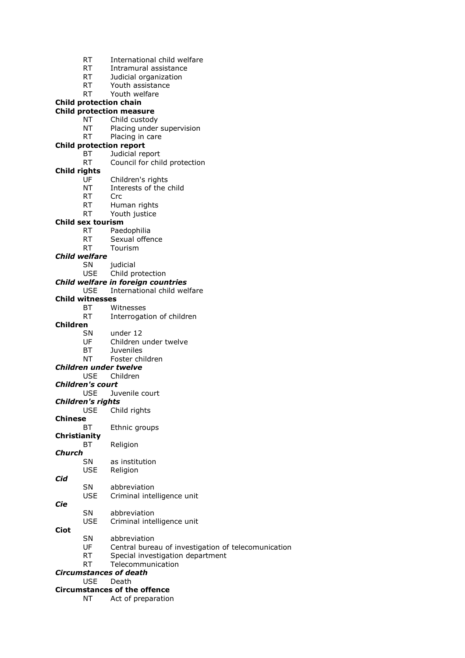|                 | RT.                                   | International child welfare                         |
|-----------------|---------------------------------------|-----------------------------------------------------|
|                 | RT                                    | Intramural assistance                               |
|                 | RT <sub>N</sub>                       | Judicial organization                               |
|                 | RT a                                  | Youth assistance                                    |
|                 | RT                                    | Youth welfare                                       |
|                 |                                       | <b>Child protection chain</b>                       |
|                 |                                       | <b>Child protection measure</b>                     |
|                 | NΤ                                    | Child custody                                       |
|                 | ΝT                                    | Placing under supervision                           |
|                 | RT                                    | Placing in care                                     |
|                 |                                       | <b>Child protection report</b>                      |
|                 | ВT<br><b>RT</b>                       | Judicial report                                     |
| Child rights    |                                       | Council for child protection                        |
|                 | UF                                    | Children's rights                                   |
|                 | <b>NT</b>                             | Interests of the child                              |
|                 | <b>RT</b>                             | Crc                                                 |
|                 | RT                                    | Human rights                                        |
|                 | <b>RT</b>                             | Youth justice                                       |
|                 | Child sex tourism                     |                                                     |
|                 | RT.                                   | Paedophilia                                         |
|                 | RT                                    | Sexual offence                                      |
|                 | <b>RT</b>                             | Tourism                                             |
|                 | <b>Child welfare</b>                  |                                                     |
|                 | SN                                    | judicial                                            |
|                 | <b>USE</b>                            | Child protection                                    |
|                 |                                       | Child welfare in foreign countries                  |
|                 | <b>USE</b>                            | International child welfare                         |
|                 | <b>Child witnesses</b>                |                                                     |
|                 | BT                                    | Witnesses                                           |
|                 | RT                                    | Interrogation of children                           |
| <b>Children</b> |                                       |                                                     |
|                 | SN.                                   | under 12                                            |
|                 | UF                                    | Children under twelve                               |
|                 | BT                                    | Juveniles                                           |
|                 | ΝT                                    | Foster children                                     |
|                 |                                       | <b>Children under twelve</b>                        |
|                 | <b>USE</b><br><b>Children's court</b> | Children                                            |
|                 | <b>USE</b>                            | Juvenile court                                      |
|                 | <b>Children's rights</b>              |                                                     |
|                 | <b>USE</b>                            | Child rights                                        |
| <b>Chinese</b>  |                                       |                                                     |
|                 | ВT                                    | Ethnic groups                                       |
| Christianity    |                                       |                                                     |
|                 | ВT                                    | Religion                                            |
| <b>Church</b>   |                                       |                                                     |
|                 | <b>SN</b>                             | as institution                                      |
|                 | <b>USE</b>                            | Religion                                            |
| Cid             |                                       |                                                     |
|                 | SN                                    | abbreviation                                        |
|                 | <b>USE</b>                            | Criminal intelligence unit                          |
| Cie             |                                       |                                                     |
|                 | SN                                    | abbreviation                                        |
|                 | <b>USE</b>                            | Criminal intelligence unit                          |
| Ciot            |                                       |                                                     |
|                 | SN                                    | abbreviation                                        |
|                 | UF                                    | Central bureau of investigation of telecomunication |
|                 | <b>RT</b>                             | Special investigation department                    |
|                 | <b>RT</b>                             | Telecommunication                                   |
|                 | <b>USE</b>                            | <b>Circumstances of death</b>                       |
|                 |                                       | Death<br><b>Circumstances of the offence</b>        |
|                 | ΝT                                    | Act of preparation                                  |
|                 |                                       |                                                     |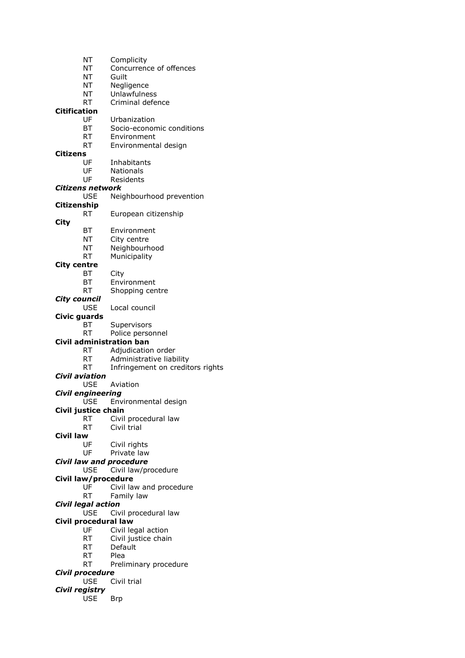- NT Complicity NT Concurrence of offences
- NT Guilt
- NT Negligence
- NT Unlawfulness
- RT Criminal defence

# **Citification**

- Urbanization
- BT Socio-economic conditions
- RT Environment
- RT Environmental design

## **Citizens**

- UF Inhabitants
- UF Nationals
- UF Residents

## *Citizens network*

USE Neighbourhood prevention

### **Citizenship**

RT European citizenship

### **City**

- BT Environment
- NT City centre
- NT Neighbourhood
- RT Municipality

### **City centre**

- BT City
	- BT Environment
	- RT Shopping centre

### *City council*

USE Local council

### **Civic guards**

- BT Supervisors
- RT Police personnel

### **Civil administration ban**

- RT Adjudication order
- RT Administrative liability
- RT Infringement on creditors rights

### *Civil aviation*

- USE Aviation
- *Civil engineering*
	- USE Environmental design

### **Civil justice chain**

- RT Civil procedural law
- RT Civil trial
- **Civil law**
	- Civil rights

### UF Private law

- *Civil law and procedure*
	- USE Civil law/procedure

### **Civil law/procedure**

- UF Civil law and procedure
- RT Family law

### *Civil legal action*

USE Civil procedural law

### **Civil procedural law**

- UF Civil legal action
- RT Civil justice chain
- RT Default
- RT Plea
- RT Preliminary procedure

### *Civil procedure*

USE Civil trial

## *Civil registry*

USE Brp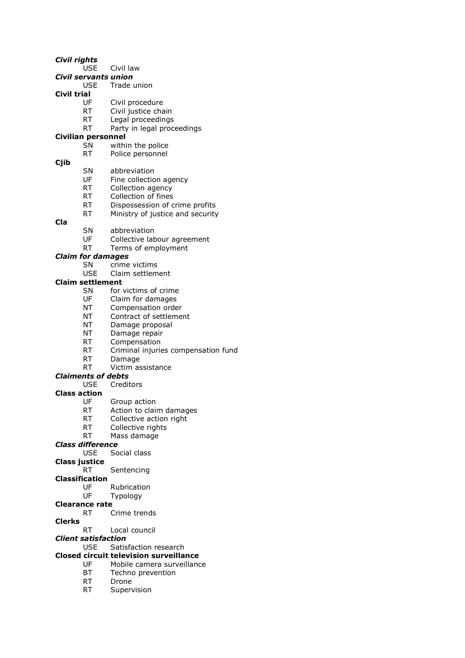*Civil rights*

- USE Civil law
- *Civil servants union*
	- USE Trade union
- **Civil trial**
	- UF Civil procedure
	- RT Civil justice chain<br>RT Legal proceedings
	- Legal proceedings
	- RT Party in legal proceedings

### **Civilian personnel**

- SN within the police
- RT Police personnel
- **Cjib**

### SN abbreviation

- UF Fine collection agency
- RT Collection agency
- RT Collection of fines
- 
- RT Dispossession of crime profits RT Ministry of justice and security
- **Cla**
- SN abbreviation
- UF Collective labour agreement
- RT Terms of employment

#### *Claim for damages*

- SN crime victims
- USE Claim settlement

#### **Claim settlement**

- SN for victims of crime
- UF Claim for damages
- NT Compensation order
- NT Contract of settlement
- NT Damage proposal
- NT Damage repair
- RT Compensation
- RT Criminal injuries compensation fund
- RT Damage
- RT Victim assistance

#### *Claiments of debts*

USE Creditors

#### **Class action**

- UF Group action
- RT Action to claim damages
- RT Collective action right
- RT Collective rights
- RT Mass damage
- *Class difference*
	- USE Social class
- **Class justice**
	- RT Sentencing
- **Classification**
	- UF Rubrication
	- UF Typology
- **Clearance rate**
	- RT Crime trends
- **Clerks**
	- RT Local council
- *Client satisfaction*
- USE Satisfaction research

#### **Closed circuit television surveillance**

- UF Mobile camera surveillance
- BT Techno prevention
- RT Drone
- RT Supervision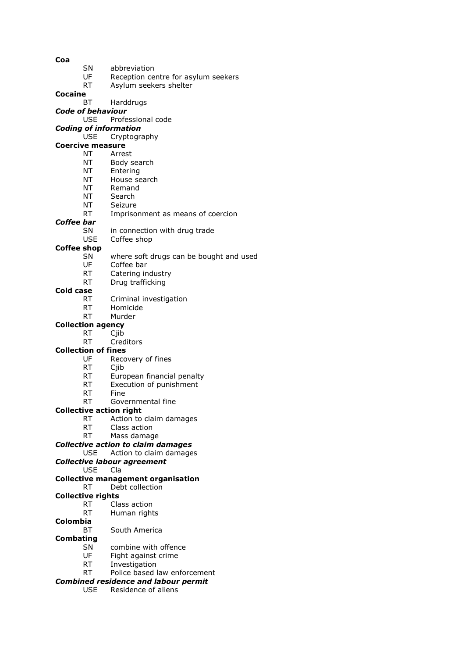- **Coa**
- SN abbreviation
- UF Reception centre for asylum seekers
- RT Asylum seekers shelter
- **Cocaine**
	- BT Harddrugs
- *Code of behaviour*
	- Professional code
- *Coding of information*

USE Cryptography

## **Coercive measure**

- NT Arrest
- NT Body search
- NT Entering
- NT House search
- NT Remand
- NT Search
- NT Seizure
- RT Imprisonment as means of coercion

#### *Coffee bar*

- SN in connection with drug trade
- USE Coffee shop

#### **Coffee shop**

- SN where soft drugs can be bought and used
- UF Coffee bar
- RT Catering industry
- RT Drug trafficking

### **Cold case**

- RT Criminal investigation
- RT Homicide
- RT Murder

### **Collection agency**

- RT Cjib
- RT Creditors

#### **Collection of fines**

- UF Recovery of fines
- RT Cjib
- RT European financial penalty
- RT Execution of punishment<br>RT Fine
- **Fine**
- RT Governmental fine

#### **Collective action right**

- RT Action to claim damages
- RT Class action
- RT Mass damage
- *Collective action to claim damages*
	- USE Action to claim damages
- *Collective labour agreement*
	- USE Cla

#### **Collective management organisation**

RT Debt collection

#### **Collective rights**

- RT Class action
- RT Human rights
- **Colombia**
	- BT South America
- **Combating**
	- SN combine with offence
	- UF Fight against crime
	- RT Investigation
	- RT Police based law enforcement

### *Combined residence and labour permit*

USE Residence of aliens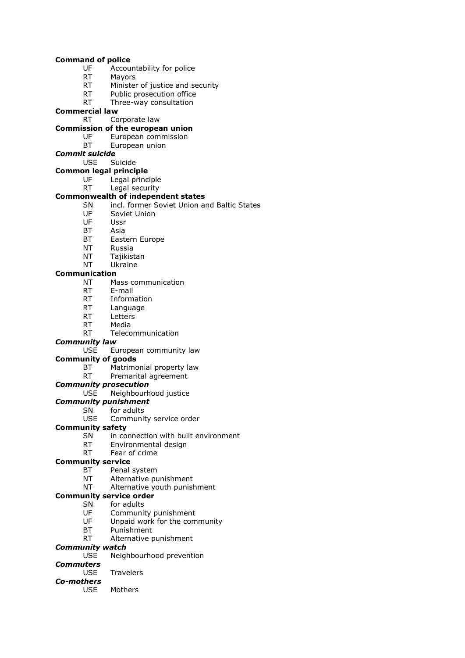#### **Command of police**

- UF Accountability for police
- RT Mayors
- RT Minister of justice and security
- RT Public prosecution office
- RT Three-way consultation

### **Commercial law**

### RT Corporate law

### **Commission of the european union**

- UF European commission
- BT European union

### *Commit suicide*

## USE Suicide

- **Common legal principle**
	- UF Legal principle
	- RT Legal security

### **Commonwealth of independent states**

- SN incl. former Soviet Union and Baltic States
- UF Soviet Union
- UF Ussr
- BT Asia
- BT Eastern Europe
- NT Russia
- NT Tajikistan
- NT Ukraine

#### **Communication**

- NT Mass communication
- RT E-mail
- RT Information
- RT Language
- RT Letters
- RT Media
- RT Telecommunication

#### *Community law*

USE European community law

#### **Community of goods**

- BT Matrimonial property law
- RT Premarital agreement
- *Community prosecution*
	- USE Neighbourhood justice

### *Community punishment*

- SN for adults
	- USE Community service order
- **Community safety**
	- SN in connection with built environment
	- RT Environmental design
	- RT Fear of crime

#### **Community service**

- BT Penal system
- NT Alternative punishment
- NT Alternative youth punishment

#### **Community service order**

- SN for adults
- UF Community punishment
- UF Unpaid work for the community
- BT Punishment
- RT Alternative punishment

### *Community watch*

- USE Neighbourhood prevention
- *Commuters*
	- USE Travelers

### *Co-mothers*

USE Mothers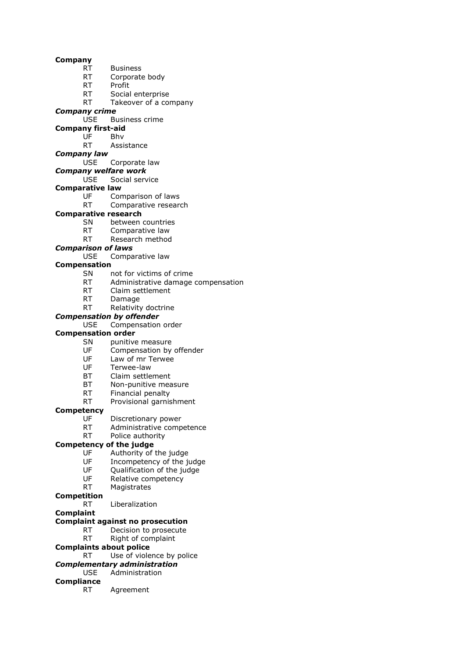#### **Company**

- RT Business
- RT Corporate body
- RT Profit
- RT Social enterprise
- RT Takeover of a company

### *Company crime*

- USE Business crime
- **Company first-aid**
	- UF Bhv
		- RT Assistance
- *Company law*

#### USE Corporate law

- *Company welfare work*
	- USE Social service
- **Comparative law**
	- UF Comparison of laws
	- RT Comparative research

### **Comparative research**

- SN between countries
- RT Comparative law
- RT Research method
- *Comparison of laws*
	- USE Comparative law

### **Compensation**

- SN not for victims of crime
- RT Administrative damage compensation
- RT Claim settlement
- RT Damage
- RT Relativity doctrine

#### *Compensation by offender*

USE Compensation order

### **Compensation order**

- SN punitive measure
- UF Compensation by offender
- UF Law of mr Terwee<br>UF Terwee-law
- Terwee-law
- BT Claim settlement
- BT Non-punitive measure<br>RT Financial penalty
- Financial penalty
- RT Provisional garnishment

#### **Competency**

- UF Discretionary power
- RT Administrative competence
- RT Police authority

### **Competency of the judge**

- UF Authority of the judge
- UF Incompetency of the judge
- UF Qualification of the judge
- UF Relative competency
- RT Magistrates
- **Competition**
	- RT Liberalization
- **Complaint**

#### **Complaint against no prosecution**

- RT Decision to prosecute
- RT Right of complaint
- **Complaints about police**
	- RT Use of violence by police
- *Complementary administration*

#### USE Administration

- **Compliance**
	- RT Agreement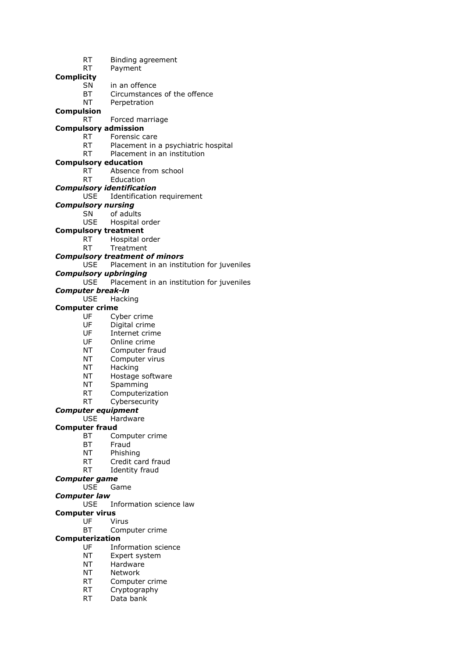- RT Binding agreement
- RT Payment

**Complicity**

- SN in an offence
- BT Circumstances of the offence
- NT Perpetration

### **Compulsion**

RT Forced marriage

## **Compulsory admission**

- RT Forensic care
- RT Placement in a psychiatric hospital
- RT Placement in an institution

### **Compulsory education**

- RT Absence from school
- RT Education
- *Compulsory identification*

### USE Identification requirement

- *Compulsory nursing*
	- SN of adults
	- USE Hospital order

#### **Compulsory treatment**

- RT Hospital order
- RT Treatment

#### *Compulsory treatment of minors*

USE Placement in an institution for juveniles

- *Compulsory upbringing*
	- Placement in an institution for juveniles

### *Computer break-in*

USE Hacking

#### **Computer crime**

- UF Cyber crime
- UF Digital crime
- UF Internet crime
- UF Online crime
- NT Computer fraud
- NT Computer virus
- NT Hacking
- NT Hostage software
- NT Spamming
- RT Computerization
- RT Cybersecurity
- *Computer equipment*
	- USE Hardware

#### **Computer fraud**

- BT Computer crime
- BT Fraud
- NT Phishing
- RT Credit card fraud
- RT Identity fraud

#### *Computer game*

- USE Game
- *Computer law*
	- USE Information science law

#### **Computer virus**

- UF Virus
	- BT Computer crime

#### **Computerization**

- UF Information science
- NT Expert system
- NT Hardware
- NT Network
- RT Computer crime
- RT Cryptography
- RT Data bank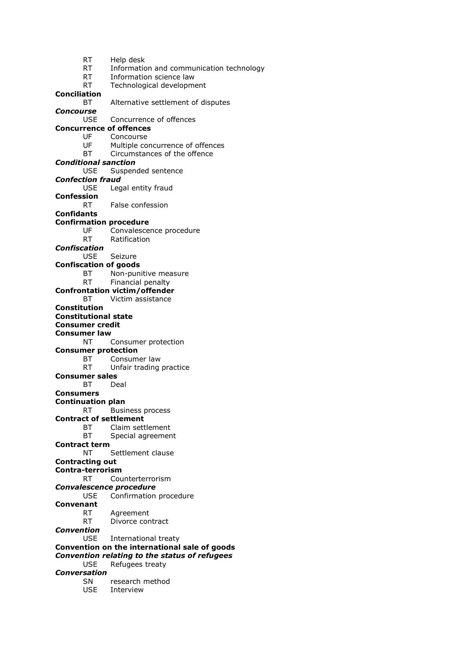RT Help desk RT Information and communication technology RT Information science law RT Technological development **Conciliation** BT Alternative settlement of disputes *Concourse* Concurrence of offences **Concurrence of offences** UF Concourse UF Multiple concurrence of offences BT Circumstances of the offence *Conditional sanction* USE Suspended sentence *Confection fraud* USE Legal entity fraud **Confession** RT False confession **Confidants Confirmation procedure** UF Convalescence procedure RT Ratification *Confiscation* USE Seizure **Confiscation of goods** BT Non-punitive measure RT Financial penalty **Confrontation victim/offender** BT Victim assistance **Constitution Constitutional state Consumer credit Consumer law** NT Consumer protection **Consumer protection** BT Consumer law RT Unfair trading practice **Consumer sales** BT Deal **Consumers Continuation plan** RT Business process **Contract of settlement** BT Claim settlement BT Special agreement **Contract term** NT Settlement clause **Contracting out Contra-terrorism** RT Counterterrorism *Convalescence procedure* USE Confirmation procedure **Convenant** RT Agreement RT Divorce contract *Convention* USE International treaty **Convention on the international sale of goods** *Convention relating to the status of refugees* USE Refugees treaty *Conversation* SN research method USE Interview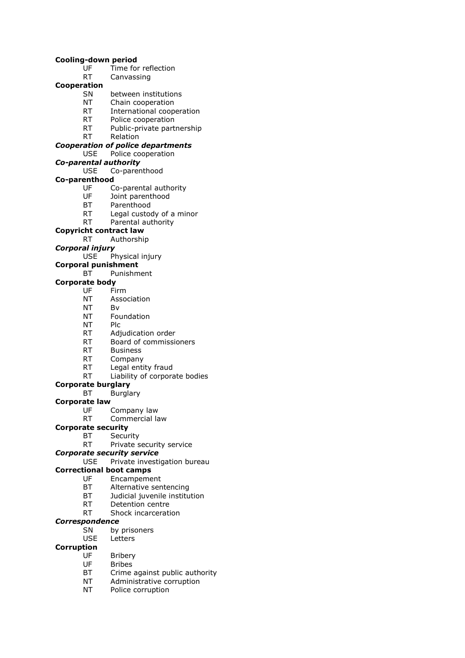#### **Cooling-down period**

- UF Time for reflection
- RT Canvassing

### **Cooperation**

- SN between institutions
- NT Chain cooperation
- RT International cooperation<br>RT Police cooperation
- Police cooperation
- RT Public-private partnership
- RT Relation

#### *Cooperation of police departments*

- USE Police cooperation
- *Co-parental authority*
	- USE Co-parenthood
- **Co-parenthood**
	- UF Co-parental authority<br>UF Joint parenthood
	- Joint parenthood
	- BT Parenthood
	- RT Legal custody of a minor
	- RT Parental authority

### **Copyricht contract law**

RT Authorship

### *Corporal injury*

USE Physical injury

### **Corporal punishment**

### BT Punishment

#### **Corporate body**

- UF Firm
- NT Association
- NT Bv
- NT Foundation
- NT Plc
- RT Adjudication order
- RT Board of commissioners
- RT Business
- RT Company
- RT Legal entity fraud
- RT Liability of corporate bodies
- **Corporate burglary**
	- BT Burglary
- **Corporate law**
	- UF Company law
	- RT Commercial law

#### **Corporate security**

- BT Security
	- RT Private security service

#### *Corporate security service*

USE Private investigation bureau

#### **Correctional boot camps**

- UF Encampement
- BT Alternative sentencing
- BT Judicial juvenile institution
- RT Detention centre
- RT Shock incarceration

#### *Correspondence*

- SN by prisoners<br>USE Letters
	- Letters

### **Corruption**

- UF Bribery
- UF Bribes
- BT Crime against public authority
- NT Administrative corruption
- NT Police corruption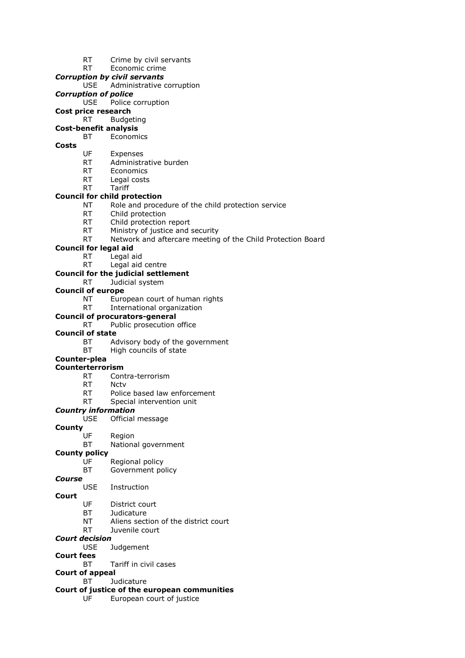RT Crime by civil servants

## RT Economic crime

- *Corruption by civil servants*
	- USE Administrative corruption
- *Corruption of police*
	- USE Police corruption
- **Cost price research**
	- RT Budgeting
- **Cost-benefit analysis**

## BT Economics

### **Costs**

- UF Expenses
- RT Administrative burden
- RT Economics
- RT Legal costs RT Tariff
- **Council for child protection**
	- NT Role and procedure of the child protection service
	- RT Child protection
	- RT Child protection report
	- RT Ministry of justice and security
	- RT Network and aftercare meeting of the Child Protection Board

### **Council for legal aid**

- RT Legal aid
- RT Legal aid centre

### **Council for the judicial settlement**

RT Judicial system

### **Council of europe**

- NT European court of human rights
- RT International organization

### **Council of procurators-general**

### RT Public prosecution office

#### **Council of state**

- BT Advisory body of the government
- BT High councils of state

## **Counter-plea**

#### **Counterterrorism**

- RT Contra-terrorism
- RT Nctv
- RT Police based law enforcement
- RT Special intervention unit

#### *Country information*

USE Official message

# **County**

- Region
	- BT National government

#### **County policy**

- UF Regional policy
- BT Government policy

#### *Course*

### USE Instruction

- **Court**
- UF District court
- BT Judicature
- NT Aliens section of the district court
- RT Juvenile court

### *Court decision*

USE Judgement

### **Court fees**

- BT Tariff in civil cases
- **Court of appeal**

## BT Judicature

### **Court of justice of the european communities**

UF European court of justice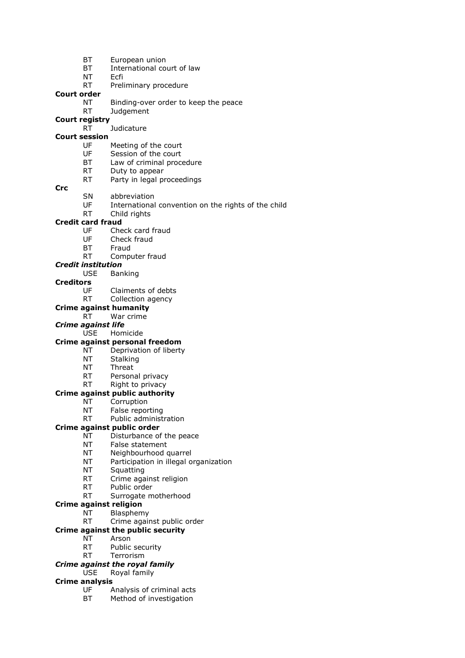- BT European union
- BT International court of law
- NT Ecfi
- RT Preliminary procedure

#### **Court order**

- NT Binding-over order to keep the peace
- RT Judgement
- **Court registry**
	- RT Judicature

### **Court session**

- UF Meeting of the court
- UF Session of the court
- BT Law of criminal procedure
- RT Duty to appear
- RT Party in legal proceedings
- **Crc**
- SN abbreviation
- UF International convention on the rights of the child
- RT Child rights

### **Credit card fraud**

- UF Check card fraud
- UF Check fraud
- BT Fraud
- RT Computer fraud

### *Credit institution*

USE Banking

### **Creditors**

- UF Claiments of debts
- RT Collection agency

## **Crime against humanity**

- RT War crime
- *Crime against life*
	- USE Homicide

## **Crime against personal freedom**

- NT Deprivation of liberty
- NT Stalking
- NT Threat
- RT Personal privacy

#### RT Right to privacy **Crime against public authority**

- NT Corruption
- NT False reporting
- RT Public administration

### **Crime against public order**

- NT Disturbance of the peace
- NT False statement
- NT Neighbourhood quarrel
- NT Participation in illegal organization
- NT Squatting
- RT Crime against religion
- RT Public order
- RT Surrogate motherhood

#### **Crime against religion**

NT Blasphemy

### RT Crime against public order

- **Crime against the public security**
	- NT Arson
	- RT Public security
	- RT Terrorism

### *Crime against the royal family*

USE Royal family

### **Crime analysis**

- UF Analysis of criminal acts
- BT Method of investigation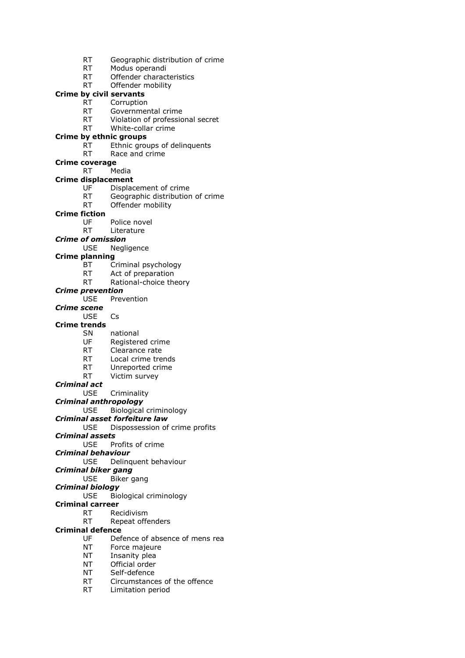- RT Geographic distribution of crime
- RT Modus operandi
- RT Offender characteristics
- RT Offender mobility

## **Crime by civil servants**

- RT Corruption
- RT Governmental crime<br>RT Violation of profession
- Violation of professional secret
- RT White-collar crime

### **Crime by ethnic groups**

- RT Ethnic groups of delinquents
- RT Race and crime
- **Crime coverage**
	- RT Media

### **Crime displacement**

- UF Displacement of crime
- RT Geographic distribution of crime
- RT Offender mobility

### **Crime fiction**

- UF Police novel
- RT Literature

### *Crime of omission*

USE Negligence

#### **Crime planning**

- BT Criminal psychology
- RT Act of preparation
- RT Rational-choice theory

#### *Crime prevention*

- USE Prevention
- *Crime scene*
	- USE Cs

#### **Crime trends**

- SN national
- UF Registered crime
- RT Clearance rate
- 
- RT Local crime trends<br>RT Unreported crime Unreported crime
- RT Victim survey
- *Criminal act*
	- USE Criminality

### *Criminal anthropology*

USE Biological criminology

*Criminal asset forfeiture law*

#### USE Dispossession of crime profits

- *Criminal assets*
	- USE Profits of crime
- *Criminal behaviour*

USE Delinquent behaviour

### *Criminal biker gang*

- USE Biker gang
- *Criminal biology*
	- USE Biological criminology

### **Criminal carreer**

- RT Recidivism
- RT Repeat offenders

### **Criminal defence**

- UF Defence of absence of mens rea
- NT Force majeure
- NT Insanity plea
- NT Official order
- NT Self-defence
- RT Circumstances of the offence
- RT Limitation period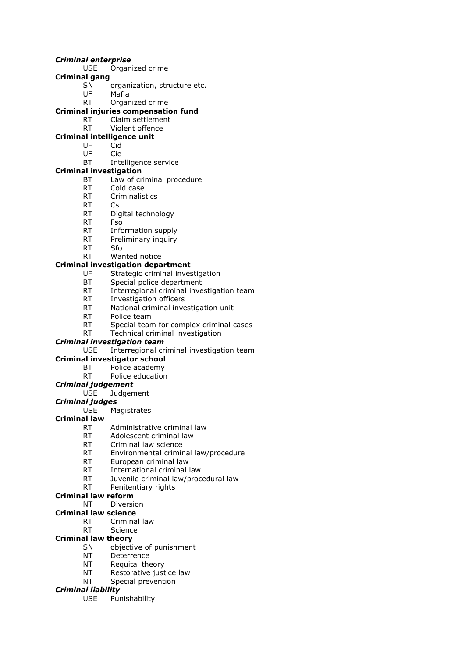#### *Criminal enterprise*

- USE Organized crime
- **Criminal gang**
	- SN organization, structure etc.
	- UF Mafia
	- RT Organized crime

### **Criminal injuries compensation fund**

- RT Claim settlement
- RT Violent offence

### **Criminal intelligence unit**

- UF Cid
- UF Cie
- BT Intelligence service

### **Criminal investigation**

- BT Law of criminal procedure
- RT Cold case
- RT Criminalistics
- RT Cs
- RT Digital technology
- RT Fso
- RT Information supply
- RT Preliminary inquiry
- RT Sfo
- RT Wanted notice

### **Criminal investigation department**

- UF Strategic criminal investigation
- BT Special police department
- RT Interregional criminal investigation team
- RT Investigation officers
- RT National criminal investigation unit
- RT Police team
- RT Special team for complex criminal cases
- RT Technical criminal investigation

### *Criminal investigation team*

USE Interregional criminal investigation team

### **Criminal investigator school**

- BT Police academy
- RT Police education

### *Criminal judgement*

USE Judgement

#### *Criminal judges*

USE Magistrates

### **Criminal law**

- RT Administrative criminal law
- RT Adolescent criminal law
- RT Criminal law science
- RT Environmental criminal law/procedure
- RT European criminal law
- RT International criminal law
- RT Juvenile criminal law/procedural law
- RT Penitentiary rights
- **Criminal law reform**

### NT Diversion

- **Criminal law science**
	- RT Criminal law
	- RT Science

### **Criminal law theory**

- SN objective of punishment
- NT Deterrence
- NT Requital theory
- NT Restorative justice law
- NT Special prevention

#### *Criminal liability*

USE Punishability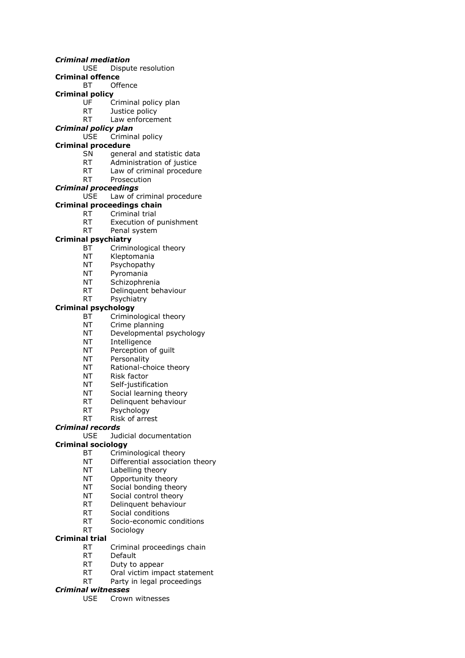#### *Criminal mediation*

- USE Dispute resolution
- **Criminal offence**
	- BT Offence

### **Criminal policy**

- UF Criminal policy plan
- RT Justice policy<br>RT Law enforcem
- Law enforcement

### *Criminal policy plan*

USE Criminal policy

### **Criminal procedure**

- SN general and statistic data
- RT Administration of justice
- RT Law of criminal procedure
- RT Prosecution

### *Criminal proceedings*

USE Law of criminal procedure

## **Criminal proceedings chain**

- RT Criminal trial
	- RT Execution of punishment
	- RT Penal system

### **Criminal psychiatry**

- BT Criminological theory
- NT Kleptomania
- NT Psychopathy
- NT Pyromania
- NT Schizophrenia
- RT Delinquent behaviour
- RT Psychiatry

### **Criminal psychology**

- BT Criminological theory
- NT Crime planning
- NT Developmental psychology
- NT Intelligence
- NT Perception of guilt
- NT Personality
- NT Rational-choice theory
- NT Risk factor
- NT Self-justification<br>NT Social learning the
- Social learning theory
- RT Delinquent behaviour
- RT Psychology
- RT Risk of arrest

### *Criminal records*

USE Judicial documentation

### **Criminal sociology**

- BT Criminological theory
- NT Differential association theory
- NT Labelling theory
- NT Opportunity theory
- NT Social bonding theory
- NT Social control theory
- RT Delinquent behaviour
- RT Social conditions
- RT Socio-economic conditions
- RT Sociology

### **Criminal trial**

- RT Criminal proceedings chain
- RT Default
- RT Duty to appear
- RT Oral victim impact statement
- RT Party in legal proceedings

#### *Criminal witnesses*

USE Crown witnesses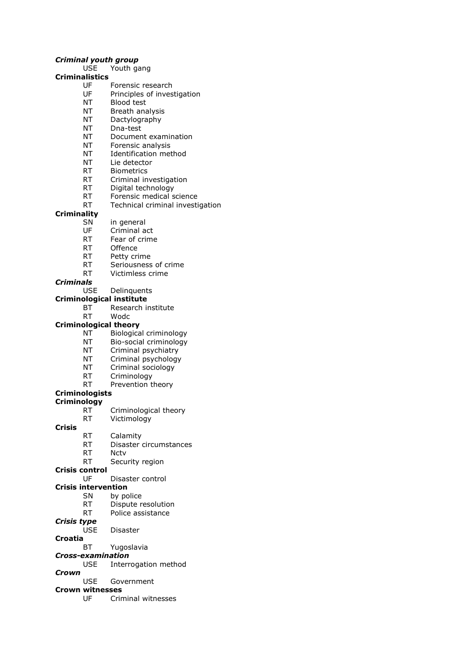#### *Criminal youth group*

USE Youth gang

### **Criminalistics**

- UF Forensic research
- UF Principles of investigation
- NT Blood test
- NT Breath analysis<br>NT Dactylography
- Dactylography
- NT Dna-test
- NT Document examination
- NT Forensic analysis
- NT Identification method
- NT Lie detector
- RT Biometrics
- RT Criminal investigation
- RT Digital technology
- RT Forensic medical science
- RT Technical criminal investigation

#### **Criminality**

- SN in general
- UF Criminal act
- RT Fear of crime
- RT Offence
- RT Petty crime
- RT Seriousness of crime
- RT Victimless crime

#### *Criminals*

USE Delinquents

#### **Criminological institute**

BT Research institute

## RT Wodc

- **Criminological theory**
	- NT Biological criminology
	- NT Bio-social criminology
	- NT Criminal psychiatry
	- NT Criminal psychology
	- NT Criminal sociology
	- RT Criminology
	- RT Prevention theory

### **Criminologists**

#### **Criminology**

- RT Criminological theory
- RT Victimology

#### **Crisis**

- RT Calamity
- RT Disaster circumstances
- RT Nctv
- RT Security region

#### **Crisis control**

- UF Disaster control
- **Crisis intervention**
	- SN by police
	- RT Dispute resolution
	- RT Police assistance
- *Crisis type*
	- USE Disaster

#### **Croatia**

- BT Yugoslavia
- *Cross-examination*
- USE Interrogation method
- *Crown*
	- USE Government

### **Crown witnesses**

UF Criminal witnesses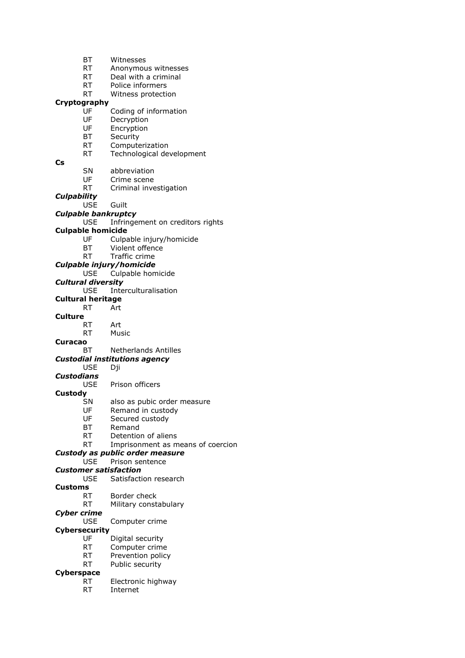- BT Witnesses
- RT Anonymous witnesses
- RT Deal with a criminal
- RT Police informers
- RT Witness protection

### **Cryptography**

- UF Coding of information<br>UF Decryption
- UF Decryption<br>UF Encryption
- Encryption
- BT Security
- RT Computerization
- RT Technological development
- **Cs**

SN abbreviation

- UF Crime scene
- RT Criminal investigation

*Culpability*

### USE Guilt

### *Culpable bankruptcy*

USE Infringement on creditors rights

#### **Culpable homicide**

- UF Culpable injury/homicide
- BT Violent offence
- RT Traffic crime

#### *Culpable injury/homicide*

USE Culpable homicide

#### *Cultural diversity*

USE Interculturalisation

- **Cultural heritage**
	- RT Art

### **Culture**

- RT Art
	- RT Music
- **Curacao**

#### BT Netherlands Antilles

### *Custodial institutions agency*

- USE Dji
- *Custodians*

#### USE Prison officers

#### **Custody**

- SN also as pubic order measure
- UF Remand in custody
- UF Secured custody
- BT Remand
- RT Detention of aliens
- RT Imprisonment as means of coercion

### *Custody as public order measure*

### USE Prison sentence

### *Customer satisfaction*

- USE Satisfaction research
- **Customs**
	- RT Border check
	- RT Military constabulary

### *Cyber crime*

USE Computer crime

### **Cybersecurity**

- UF Digital security
- RT Computer crime
- RT Prevention policy
- RT Public security

### **Cyberspace**

- RT Electronic highway
- RT Internet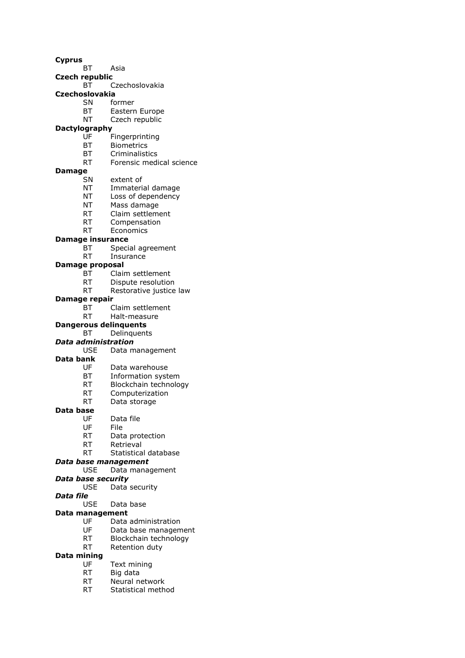**Cyprus**

- BT Asia
- **Czech republic**
	- BT Czechoslovakia

### **Czechoslovakia**

- SN former
	- BT Eastern Europe<br>NT Czech republic
	- Czech republic

## **Dactylography**

- UF Fingerprinting
- BT Biometrics
- BT Criminalistics
- RT Forensic medical science

#### **Damage**

- SN extent of
- NT Immaterial damage
- NT Loss of dependency
- NT Mass damage
- RT Claim settlement
- RT Compensation
- RT Economics

#### **Damage insurance**

- BT Special agreement
- RT Insurance

#### **Damage proposal**

- BT Claim settlement
- RT Dispute resolution
- RT Restorative justice law

#### **Damage repair**

- BT Claim settlement
- RT Halt-measure

#### **Dangerous delinquents**

BT Delinquents

#### *Data administration*

USE Data management

#### **Data bank**

- UF Data warehouse
- BT Information system
- 
- RT Blockchain technology<br>RT Computerization Computerization
- RT Data storage

#### **Data base**

- UF Data file
- UF File
- RT Data protection
- RT Retrieval
- 
- RT Statistical database
- *Data base management*
	- USE Data management

## *Data base security*

- USE Data security
- *Data file*
	- USE Data base

#### **Data management**

- UF Data administration
- UF Data base management
- RT Blockchain technology
- RT Retention duty

### **Data mining**

- UF Text mining
- RT Big data
- RT Neural network
- RT Statistical method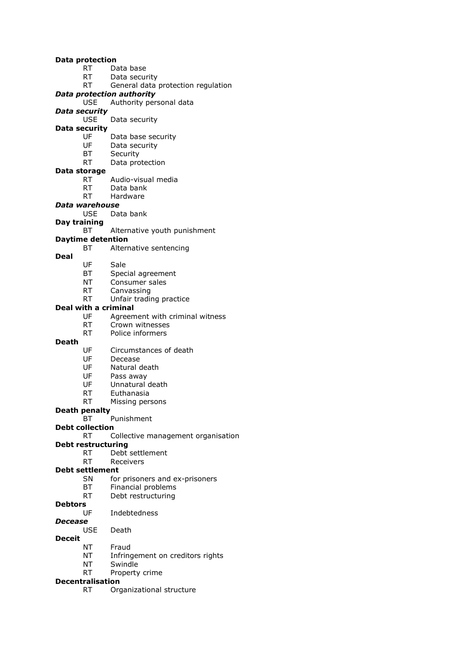#### **Data protection**

- RT Data base
- RT Data security
- RT General data protection regulation

#### *Data protection authority*

USE Authority personal data

# *Data security*

Data security

# **Data security**

- UF Data base security
- UF Data security
- BT Security
- RT Data protection

#### **Data storage**

- RT Audio-visual media<br>RT Data bank
- Data bank
- RT Hardware

### *Data warehouse*

USE Data bank

# **Day training**

BT Alternative youth punishment

## **Daytime detention**

- BT Alternative sentencing
- **Deal**

### UF Sale

- BT Special agreement
- NT Consumer sales
- RT Canvassing
- RT Unfair trading practice

### **Deal with a criminal**

- UF Agreement with criminal witness
- RT Crown witnesses
- RT Police informers

#### **Death**

- UF Circumstances of death
- UF Decease
- UF Natural death
- UF Pass away
- UF Unnatural death
- RT Euthanasia
- RT Missing persons
- **Death penalty**
	- BT Punishment

# **Debt collection**

# RT Collective management organisation

# **Debt restructuring**

- RT Debt settlement
- RT Receivers

## **Debt settlement**

- SN for prisoners and ex-prisoners
- BT Financial problems
- RT Debt restructuring

# **Debtors**

UF Indebtedness

#### *Decease*

USE Death

# **Deceit**

- NT Fraud
- NT Infringement on creditors rights
- NT Swindle
- RT Property crime

# **Decentralisation**

RT Organizational structure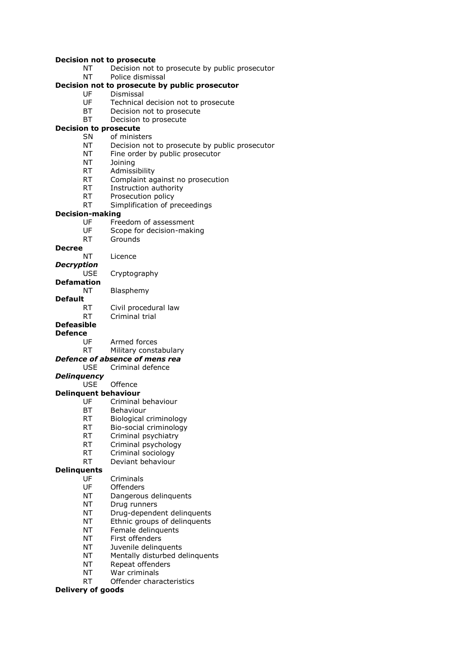#### **Decision not to prosecute**

- NT Decision not to prosecute by public prosecutor
- NT Police dismissal

# **Decision not to prosecute by public prosecutor**

- UF Dismissal
- UF Technical decision not to prosecute
- BT Decision not to prosecute<br>BT Decision to prosecute
- Decision to prosecute

# **Decision to prosecute**

- SN of ministers
- NT Decision not to prosecute by public prosecutor
- NT Fine order by public prosecutor
- NT Joining
- RT Admissibility
- RT Complaint against no prosecution<br>RT Instruction authority
- Instruction authority
- RT Prosecution policy
- RT Simplification of preceedings

#### **Decision-making**

- UF Freedom of assessment
- UF Scope for decision-making
- RT Grounds

#### **Decree**

- NT Licence
- *Decryption*

USE Cryptography

# **Defamation**

NT Blasphemy

- **Default**
	- RT Civil procedural law RT Criminal trial

#### **Defeasible**

# **Defence**

- Armed forces
- RT Military constabulary

#### *Defence of absence of mens rea*

- USE Criminal defence
- *Delinquency*

## USE Offence

# **Delinquent behaviour**

- UF Criminal behaviour
- BT Behaviour
- RT Biological criminology
- RT Bio-social criminology
- RT Criminal psychiatry
- 
- RT Criminal psychology<br>RT Criminal sociology Criminal sociology
- RT Deviant behaviour

#### **Delinquents**

- UF Criminals
- UF Offenders
- NT Dangerous delinquents
- NT Drug runners
- NT Drug-dependent delinquents
- NT Ethnic groups of delinquents
- NT Female delinquents
- NT First offenders
- NT Juvenile delinquents
- NT Mentally disturbed delinquents
- NT Repeat offenders
- NT War criminals
- RT Offender characteristics

#### **Delivery of goods**

- 
- 
- 
- 
- 
- 
- 
-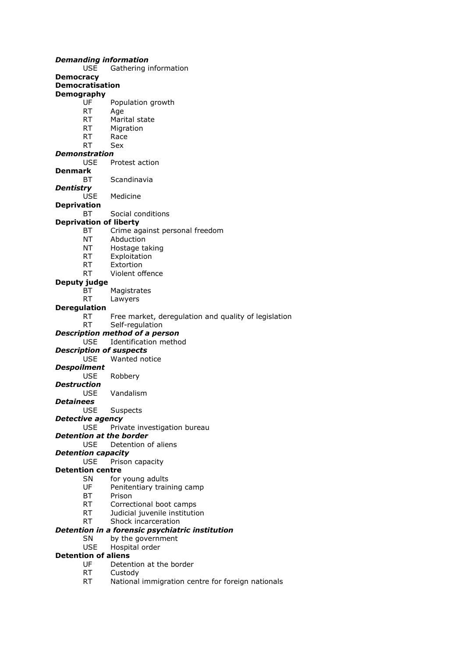|                            |            | Demanding information                                |
|----------------------------|------------|------------------------------------------------------|
|                            | USE        | Gathering information                                |
| Democracy                  |            |                                                      |
| <b>Democratisation</b>     |            |                                                      |
| Demography                 |            |                                                      |
|                            | UF         | Population growth                                    |
|                            | <b>RT</b>  | Age                                                  |
|                            | <b>RT</b>  | Marital state                                        |
|                            | RT.        | Migration                                            |
|                            | <b>RT</b>  | Race                                                 |
|                            | <b>RT</b>  | Sex                                                  |
| Demonstration              |            |                                                      |
|                            | USE        | Protest action                                       |
| Denmark                    |            |                                                      |
|                            | ВT         | Scandinavia                                          |
| Dentistry                  |            |                                                      |
|                            | <b>USE</b> | Medicine                                             |
| <b>Deprivation</b>         |            |                                                      |
|                            | ВT         | Social conditions                                    |
|                            |            | <b>Deprivation of liberty</b>                        |
|                            | BT         | Crime against personal freedom                       |
|                            | NT         | Abduction                                            |
|                            | NT         | Hostage taking                                       |
|                            | RT.        | Exploitation                                         |
|                            | RT.        | Extortion                                            |
|                            | RT         | Violent offence                                      |
| Deputy judge               |            |                                                      |
|                            | ВT         | Magistrates                                          |
|                            | <b>RT</b>  | Lawyers                                              |
| Deregulation               |            |                                                      |
|                            | RT         | Free market, deregulation and quality of legislation |
|                            | <b>RT</b>  | Self-regulation                                      |
|                            |            | Description method of a person                       |
|                            | <b>USE</b> | Identification method                                |
|                            |            | <b>Description of suspects</b>                       |
|                            | <b>USE</b> | Wanted notice                                        |
| Despoilment                |            |                                                      |
|                            | <b>USE</b> | Robbery                                              |
| Destruction                |            |                                                      |
|                            | <b>USE</b> | Vandalism                                            |
| Detainees                  |            |                                                      |
|                            | USE        | Suspects                                             |
| Detective agency           |            |                                                      |
|                            | <b>USE</b> | Private investigation bureau                         |
|                            |            | Detention at the border                              |
|                            | <b>USE</b> | Detention of aliens                                  |
| Detention capacity         |            |                                                      |
|                            | <b>USE</b> | Prison capacity                                      |
| <b>Detention centre</b>    |            |                                                      |
|                            | SN         | for young adults                                     |
|                            | UF         | Penitentiary training camp                           |
|                            | BT         | Prison                                               |
|                            | RT a       | Correctional boot camps                              |
|                            | RT —       | Judicial juvenile institution                        |
|                            | <b>RT</b>  | Shock incarceration                                  |
|                            |            | Detention in a forensic psychiatric institution      |
|                            | <b>SN</b>  | by the government                                    |
|                            | <b>USE</b> | Hospital order                                       |
| <b>Detention of aliens</b> |            |                                                      |
|                            | UF         |                                                      |
|                            | <b>RT</b>  | Detention at the border                              |
|                            |            | Custody                                              |

RT National immigration centre for foreign nationals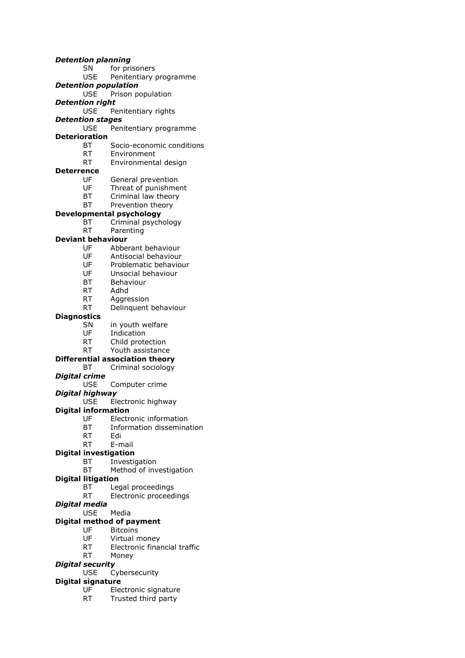*Detention planning* SN for prisoners USE Penitentiary programme *Detention population* USE Prison population *Detention right* USE Penitentiary rights *Detention stages* USE Penitentiary programme **Deterioration** BT Socio-economic conditions RT Environment RT Environmental design **Deterrence** UF General prevention<br>UF Threat of punishme Threat of punishment BT Criminal law theory BT Prevention theory **Developmental psychology** BT Criminal psychology RT Parenting **Deviant behaviour** UF Abberant behaviour UF Antisocial behaviour UF Problematic behaviour UF Unsocial behaviour BT Behaviour RT Adhd RT Aggression RT Delinquent behaviour **Diagnostics** SN in youth welfare UF Indication RT Child protection RT Youth assistance **Differential association theory** BT Criminal sociology *Digital crime* USE Computer crime *Digital highway* USE Electronic highway **Digital information** UF Electronic information BT Information dissemination RT Edi RT E-mail **Digital investigation** BT Investigation BT Method of investigation **Digital litigation** BT Legal proceedings RT Electronic proceedings *Digital media* USE Media **Digital method of payment**<br>UF Bitcoins UF Bitcoins<br>UF Virtual n Virtual money

- - RT Electronic financial traffic
- RT Money

# *Digital security*

USE Cybersecurity

# **Digital signature**

- UF Electronic signature
- RT Trusted third party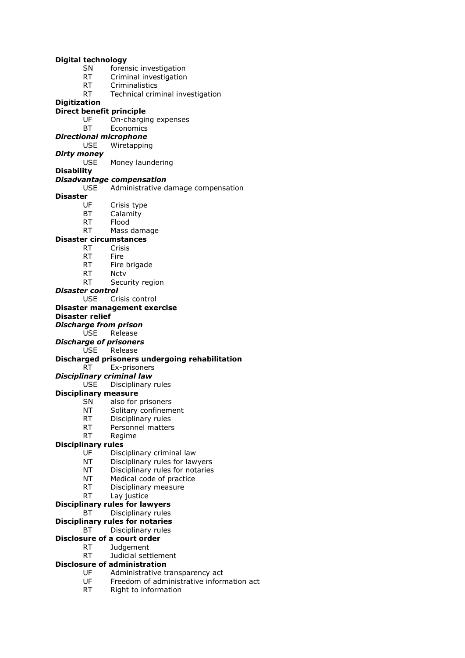| <b>Digital technology</b> |                                                                                                                                                                                                                                |                                                                |  |
|---------------------------|--------------------------------------------------------------------------------------------------------------------------------------------------------------------------------------------------------------------------------|----------------------------------------------------------------|--|
|                           | SN                                                                                                                                                                                                                             | forensic investigation                                         |  |
|                           | <b>RT</b>                                                                                                                                                                                                                      | Criminal investigation                                         |  |
|                           |                                                                                                                                                                                                                                | RT Criminalistics                                              |  |
|                           | RT and the set of the set of the set of the set of the set of the set of the set of the set of the set of the set of the set of the set of the set of the set of the set of the set of the set of the set of the set of the se | Technical criminal investigation                               |  |
| <b>Digitization</b>       |                                                                                                                                                                                                                                |                                                                |  |
|                           |                                                                                                                                                                                                                                | Direct benefit principle                                       |  |
|                           |                                                                                                                                                                                                                                | UF On-charging expenses                                        |  |
|                           | BT                                                                                                                                                                                                                             | Economics                                                      |  |
|                           |                                                                                                                                                                                                                                | <b>Directional microphone</b>                                  |  |
|                           | USE.                                                                                                                                                                                                                           | Wiretapping                                                    |  |
| Dirty money               |                                                                                                                                                                                                                                |                                                                |  |
|                           | <b>USE</b>                                                                                                                                                                                                                     | Money laundering                                               |  |
| <b>Disability</b>         |                                                                                                                                                                                                                                |                                                                |  |
|                           |                                                                                                                                                                                                                                | <b>Disadvantage compensation</b>                               |  |
|                           |                                                                                                                                                                                                                                | USE Administrative damage compensation                         |  |
| <b>Disaster</b>           |                                                                                                                                                                                                                                |                                                                |  |
|                           | $UF_1$                                                                                                                                                                                                                         | Crisis type                                                    |  |
|                           | BT<br>RT Flood                                                                                                                                                                                                                 | Calamity                                                       |  |
|                           | <b>RT</b>                                                                                                                                                                                                                      |                                                                |  |
|                           |                                                                                                                                                                                                                                | Mass damage                                                    |  |
|                           |                                                                                                                                                                                                                                | <b>Disaster circumstances</b>                                  |  |
|                           | RT Crisis                                                                                                                                                                                                                      |                                                                |  |
|                           |                                                                                                                                                                                                                                | RT Fire<br>RT Fire brigade                                     |  |
|                           | RT Nctv                                                                                                                                                                                                                        |                                                                |  |
|                           | RT <sub>N</sub>                                                                                                                                                                                                                | Security region                                                |  |
| Disaster control          |                                                                                                                                                                                                                                |                                                                |  |
|                           |                                                                                                                                                                                                                                | USE Crisis control                                             |  |
|                           |                                                                                                                                                                                                                                |                                                                |  |
|                           |                                                                                                                                                                                                                                |                                                                |  |
|                           |                                                                                                                                                                                                                                | Disaster management exercise                                   |  |
| <b>Disaster relief</b>    |                                                                                                                                                                                                                                |                                                                |  |
|                           |                                                                                                                                                                                                                                | <b>Discharge from prison</b>                                   |  |
|                           |                                                                                                                                                                                                                                | USE Release                                                    |  |
|                           |                                                                                                                                                                                                                                | <b>Discharge of prisoners</b>                                  |  |
|                           |                                                                                                                                                                                                                                | USE Release                                                    |  |
|                           | RT                                                                                                                                                                                                                             | Discharged prisoners undergoing rehabilitation<br>Ex-prisoners |  |
|                           |                                                                                                                                                                                                                                |                                                                |  |
|                           | USE                                                                                                                                                                                                                            | Disciplinary criminal law<br>Disciplinary rules                |  |
|                           |                                                                                                                                                                                                                                | <b>Disciplinary measure</b>                                    |  |
|                           | SN                                                                                                                                                                                                                             | also for prisoners                                             |  |
|                           | NΤ                                                                                                                                                                                                                             | Solitary confinement                                           |  |
|                           | RT                                                                                                                                                                                                                             | Disciplinary rules                                             |  |
|                           | <b>RT</b>                                                                                                                                                                                                                      | Personnel matters                                              |  |
|                           | <b>RT</b>                                                                                                                                                                                                                      | Regime                                                         |  |
| <b>Disciplinary rules</b> |                                                                                                                                                                                                                                |                                                                |  |
|                           | UF                                                                                                                                                                                                                             | Disciplinary criminal law                                      |  |
|                           | NT                                                                                                                                                                                                                             | Disciplinary rules for lawyers                                 |  |
|                           | NT                                                                                                                                                                                                                             | Disciplinary rules for notaries                                |  |
|                           | ΝT                                                                                                                                                                                                                             | Medical code of practice                                       |  |
|                           | <b>RT</b>                                                                                                                                                                                                                      | Disciplinary measure                                           |  |
|                           | <b>RT</b>                                                                                                                                                                                                                      | Lay justice                                                    |  |
|                           |                                                                                                                                                                                                                                | <b>Disciplinary rules for lawyers</b>                          |  |
|                           | ВT                                                                                                                                                                                                                             | Disciplinary rules                                             |  |
|                           |                                                                                                                                                                                                                                | <b>Disciplinary rules for notaries</b>                         |  |
|                           | BТ                                                                                                                                                                                                                             | Disciplinary rules                                             |  |
|                           |                                                                                                                                                                                                                                | Disclosure of a court order                                    |  |
|                           | <b>RT</b><br>RT                                                                                                                                                                                                                | Judgement<br>Judicial settlement                               |  |

- **Disclosure of administration**<br>UF Administrative to<br>UF Freedom of adm<br>RT Right to informa
	- UF Administrative transparency act
	- UF Freedom of administrative information act
	- RT Right to information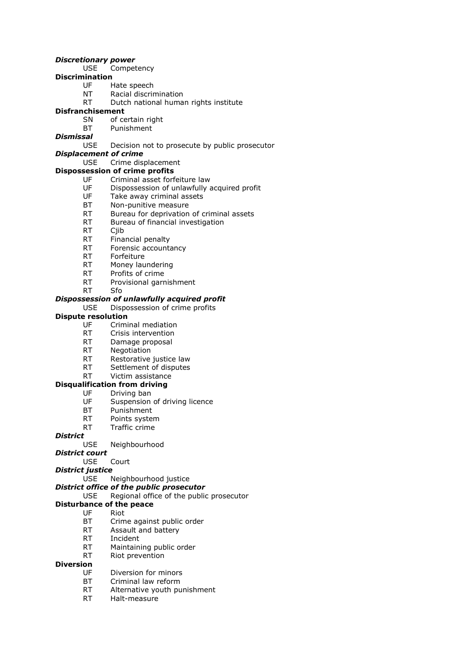# *Discretionary power*

- USE Competency
- **Discrimination**
	- UF Hate speech
	- NT Racial discrimination
	- RT Dutch national human rights institute

# **Disfranchisement**

- SN of certain right
- BT Punishment

## *Dismissal*

USE Decision not to prosecute by public prosecutor

# *Displacement of crime*

#### USE Crime displacement

### **Dispossession of crime profits**

- UF Criminal asset forfeiture law
- UF Dispossession of unlawfully acquired profit<br>UF Take away criminal assets
- Take away criminal assets
- BT Non-punitive measure
- RT Bureau for deprivation of criminal assets
- RT Bureau of financial investigation
- RT Ciib
- RT Financial penalty
- RT Forensic accountancy
- RT Forfeiture
- RT Money laundering
- RT Profits of crime
- RT Provisional garnishment
- RT Sfo

# *Dispossession of unlawfully acquired profit*

USE Dispossession of crime profits

### **Dispute resolution**

- UF Criminal mediation
- RT Crisis intervention
- RT Damage proposal
- RT Negotiation
- RT Restorative justice law
- RT Settlement of disputes
- RT Victim assistance

#### **Disqualification from driving**

- UF Driving ban
	- UF Suspension of driving licence
	- BT Punishment
	- RT Points system
- RT Traffic crime

## *District*

USE Neighbourhood

#### *District court*

- USE Court
- *District justice*

#### USE Neighbourhood justice

# *District office of the public prosecutor*

USE Regional office of the public prosecutor

#### **Disturbance of the peace**

- UF Riot
	- BT Crime against public order
- RT Assault and battery
- RT Incident
- RT Maintaining public order
- RT Riot prevention

# **Diversion**

- UF Diversion for minors
- BT Criminal law reform
- RT Alternative youth punishment
- RT Halt-measure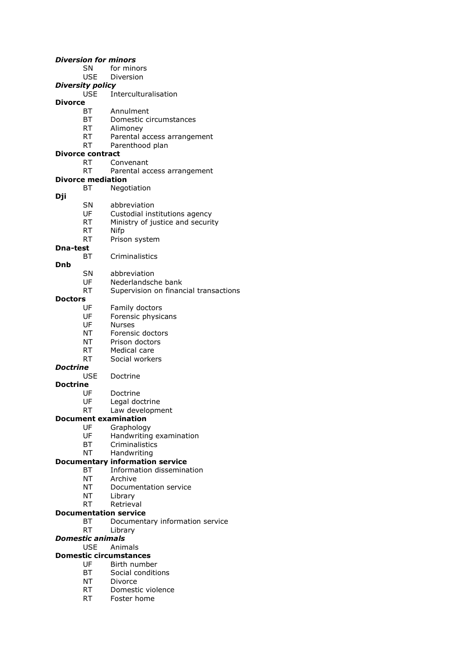#### *Diversion for minors*

- SN for minors
- USE Diversion

# *Diversity policy*

- USE Interculturalisation
- **Divorce**
	- BT Annulment<br>BT Domestic ci
	- Domestic circumstances
	- RT Alimoney
	- RT Parental access arrangement
	- RT Parenthood plan

# **Divorce contract**

- RT Convenant
- RT Parental access arrangement

# **Divorce mediation**

- BT Negotiation
- **Dji**
- SN abbreviation
- UF Custodial institutions agency
- RT Ministry of justice and security
- RT Nifp
- RT Prison system
- **Dna-test**
	- BT Criminalistics
- **Dnb**
- SN abbreviation<br>UF Nederlandscl
- Nederlandsche bank
- RT Supervision on financial transactions

# **Doctors**

- UF Family doctors
- UF Forensic physicans
- UF Nurses
- NT Forensic doctors
- NT Prison doctors
- RT Medical care
- RT Social workers

# *Doctrine*

USE Doctrine

# **Doctrine**

- Doctrine
- UF Legal doctrine
- RT Law development

# **Document examination**

- UF Graphology<br>UF Handwriting
	- Handwriting examination
	- BT Criminalistics
	- NT Handwriting

# **Documentary information service**

- BT Information dissemination
- NT Archive
- NT Documentation service
- NT Library
- RT Retrieval

# **Documentation service**

- BT Documentary information service
- RT Library

# *Domestic animals*

# USE Animals

# **Domestic circumstances**

- UF Birth number
- BT Social conditions
- NT Divorce
- RT Domestic violence
- RT Foster home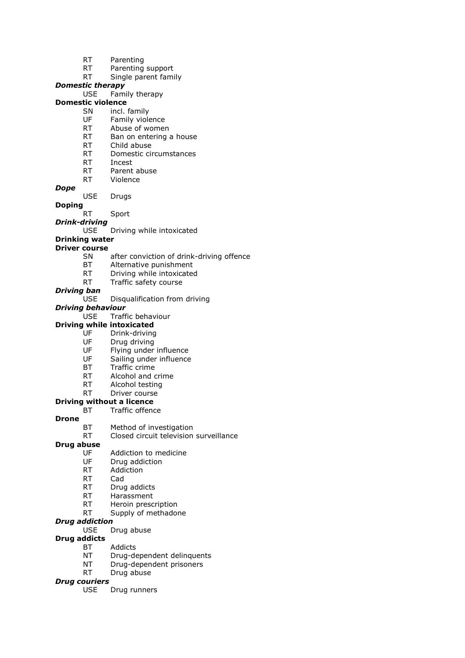- RT Parenting
- RT Parenting support
- RT Single parent family

# *Domestic therapy*

USE Family therapy

# **Domestic violence**

- SN incl. family<br>UE Family viole
- Family violence
- RT Abuse of women
- RT Ban on entering a house
- RT Child abuse
- RT Domestic circumstances
- RT Incest
- RT Parent abuse
- RT Violence

#### *Dope*

USE Drugs

#### **Doping**

- RT Sport
- *Drink-driving*
	- USE Driving while intoxicated

## **Drinking water**

#### **Driver course**

- SN after conviction of drink-driving offence
- BT Alternative punishment
- RT Driving while intoxicated
- RT Traffic safety course

#### *Driving ban*

#### USE Disqualification from driving

#### *Driving behaviour*

- USE Traffic behaviour
- **Driving while intoxicated**
	-
	- UF Drink-driving<br>UF Drug driving Drug driving
	- UF Flying under influence
	- UF Sailing under influence
	- BT Traffic crime
	- RT Alcohol and crime
	-
	- RT Alcohol testing<br>RT Driver course Driver course

#### **Driving without a licence**

**Drone**

# BT Traffic offence

BT Method of investigation

### RT Closed circuit television surveillance

# **Drug abuse**

- Addiction to medicine
- UF Drug addiction
- RT Addiction
- RT Cad
- RT Drug addicts
- RT Harassment
- RT Heroin prescription
- RT Supply of methadone

### *Drug addiction*

USE Drug abuse

## **Drug addicts**

- BT Addicts
- NT Drug-dependent delinquents
- NT Drug-dependent prisoners
- RT Drug abuse

#### *Drug couriers*

USE Drug runners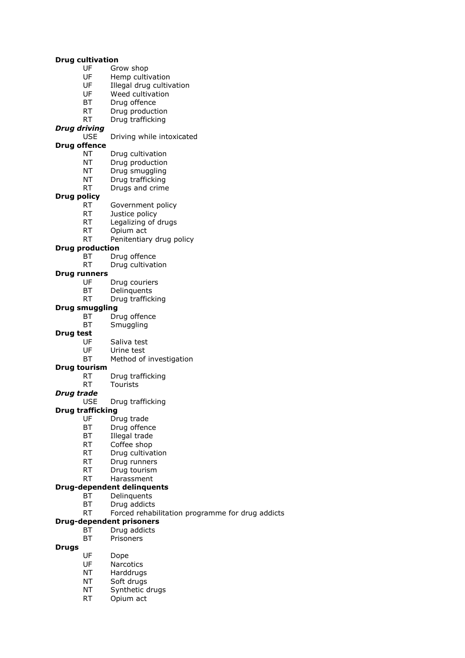#### **Drug cultivation**

- UF Grow shop
- UF Hemp cultivation
- UF Illegal drug cultivation
- UF Weed cultivation
- BT Drug offence
- RT Drug production<br>RT Drug trafficking
- Drug trafficking

#### *Drug driving*

USE Driving while intoxicated

#### **Drug offence**

- NT Drug cultivation
- NT Drug production
- NT Drug smuggling
- NT Drug trafficking
- RT Drugs and crime

#### **Drug policy**

- RT Government policy
- RT Justice policy
- RT Legalizing of drugs
- RT Opium act
- RT Penitentiary drug policy

## **Drug production**

- BT Drug offence
- RT Drug cultivation

# **Drug runners**

- Drug couriers
- BT Delinquents
- RT Drug trafficking

#### **Drug smuggling**

- BT Drug offence
- BT Smuggling

#### **Drug test**

- 
- UF Saliva test<br>UF Urine test Urine test
- BT Method of investigation

#### **Drug tourism**

- RT Drug trafficking
- RT Tourists
- *Drug trade*
	- USE Drug trafficking

#### **Drug trafficking**

- UF Drug trade
- BT Drug offence
- BT Illegal trade
- RT Coffee shop
- RT Drug cultivation
- RT Drug runners
- RT Drug tourism
- RT Harassment

#### **Drug-dependent delinquents**

- BT Delinquents
- BT Drug addicts
- RT Forced rehabilitation programme for drug addicts

#### **Drug-dependent prisoners**

- BT Drug addicts
- BT Prisoners

# **Drugs**

- UF Dope
- UF Narcotics
- NT Harddrugs
- NT Soft drugs
- NT Synthetic drugs
- RT Opium act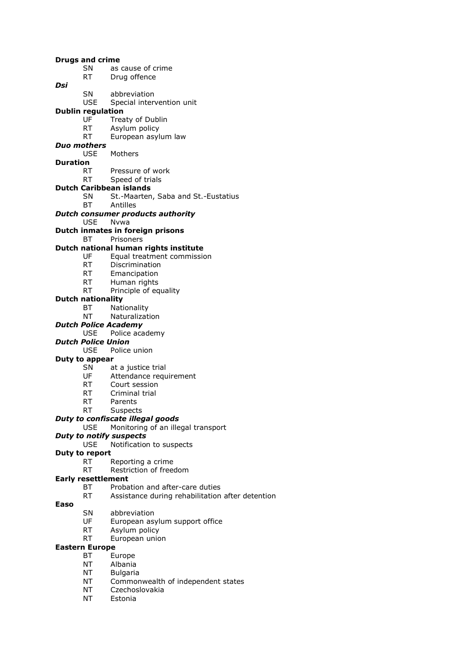|          | <b>Drugs and crime</b>                                                                                                                                                                                                         |                                                      |
|----------|--------------------------------------------------------------------------------------------------------------------------------------------------------------------------------------------------------------------------------|------------------------------------------------------|
|          | SN -                                                                                                                                                                                                                           | as cause of crime                                    |
|          | RT                                                                                                                                                                                                                             | Drug offence                                         |
| Dsi      |                                                                                                                                                                                                                                |                                                      |
|          | SN                                                                                                                                                                                                                             | abbreviation                                         |
|          | <b>USE</b>                                                                                                                                                                                                                     | Special intervention unit                            |
|          | <b>Dublin regulation</b>                                                                                                                                                                                                       |                                                      |
|          | UF                                                                                                                                                                                                                             | Treaty of Dublin                                     |
|          | RT                                                                                                                                                                                                                             | Asylum policy                                        |
|          | RT                                                                                                                                                                                                                             | European asylum law                                  |
|          | Duo mothers                                                                                                                                                                                                                    |                                                      |
|          |                                                                                                                                                                                                                                | USE Mothers                                          |
| Duration |                                                                                                                                                                                                                                |                                                      |
|          | RT.                                                                                                                                                                                                                            | Pressure of work                                     |
|          | RT                                                                                                                                                                                                                             | Speed of trials                                      |
|          |                                                                                                                                                                                                                                | <b>Dutch Caribbean islands</b>                       |
|          | SN                                                                                                                                                                                                                             | St.-Maarten, Saba and St.-Eustatius                  |
|          | BТ                                                                                                                                                                                                                             | Antilles                                             |
|          |                                                                                                                                                                                                                                | <b>Dutch consumer products authority</b>             |
|          | USE Nywa                                                                                                                                                                                                                       |                                                      |
|          |                                                                                                                                                                                                                                | Dutch inmates in foreign prisons                     |
|          | BТ                                                                                                                                                                                                                             | Prisoners                                            |
|          |                                                                                                                                                                                                                                | Dutch national human rights institute                |
|          | UF                                                                                                                                                                                                                             | Equal treatment commission                           |
|          | RT.                                                                                                                                                                                                                            | Discrimination                                       |
|          | <b>RT</b>                                                                                                                                                                                                                      | Emancipation                                         |
|          |                                                                                                                                                                                                                                | RT Human rights                                      |
|          | <b>RT</b>                                                                                                                                                                                                                      | Principle of equality                                |
|          | <b>Dutch nationality</b>                                                                                                                                                                                                       |                                                      |
|          | BT                                                                                                                                                                                                                             | Nationality                                          |
|          | NΤ                                                                                                                                                                                                                             | Naturalization                                       |
|          |                                                                                                                                                                                                                                | <b>Dutch Police Academy</b>                          |
|          |                                                                                                                                                                                                                                |                                                      |
|          |                                                                                                                                                                                                                                |                                                      |
|          | USE                                                                                                                                                                                                                            | Police academy                                       |
|          | <b>Dutch Police Union</b>                                                                                                                                                                                                      |                                                      |
|          | <b>USE</b>                                                                                                                                                                                                                     | Police union                                         |
|          | Duty to appear                                                                                                                                                                                                                 |                                                      |
|          | SN                                                                                                                                                                                                                             | at a justice trial                                   |
|          | UF                                                                                                                                                                                                                             | Attendance requirement                               |
|          | RT and the set of the set of the set of the set of the set of the set of the set of the set of the set of the set of the set of the set of the set of the set of the set of the set of the set of the set of the set of the se | Court session                                        |
|          | RT                                                                                                                                                                                                                             | Criminal trial                                       |
|          | RT                                                                                                                                                                                                                             | Parents                                              |
|          | RT                                                                                                                                                                                                                             | Suspects                                             |
|          |                                                                                                                                                                                                                                | Duty to confiscate illegal goods                     |
|          | <b>USE</b>                                                                                                                                                                                                                     | Monitoring of an illegal transport                   |
|          |                                                                                                                                                                                                                                | <b>Duty to notify suspects</b>                       |
|          | <b>USE</b>                                                                                                                                                                                                                     | Notification to suspects                             |
|          | Duty to report                                                                                                                                                                                                                 |                                                      |
|          | <b>RT</b>                                                                                                                                                                                                                      | Reporting a crime                                    |
|          | RT                                                                                                                                                                                                                             | Restriction of freedom                               |
|          | <b>Early resettlement</b>                                                                                                                                                                                                      |                                                      |
|          | ВT                                                                                                                                                                                                                             | Probation and after-care duties                      |
|          | <b>RT</b>                                                                                                                                                                                                                      | Assistance during rehabilitation after detention     |
| Easo     |                                                                                                                                                                                                                                |                                                      |
|          | SN                                                                                                                                                                                                                             | abbreviation                                         |
|          | UF                                                                                                                                                                                                                             | European asylum support office                       |
|          | <b>RT</b>                                                                                                                                                                                                                      | Asylum policy                                        |
|          | <b>RT</b>                                                                                                                                                                                                                      | European union                                       |
|          | <b>Eastern Europe</b>                                                                                                                                                                                                          |                                                      |
|          | ВT                                                                                                                                                                                                                             | Europe                                               |
|          | NT                                                                                                                                                                                                                             | Albania                                              |
|          | ΝT                                                                                                                                                                                                                             | <b>Bulgaria</b>                                      |
|          | ΝT<br>ΝT                                                                                                                                                                                                                       | Commonwealth of independent states<br>Czechoslovakia |

NT Czechos<br>NT Estonia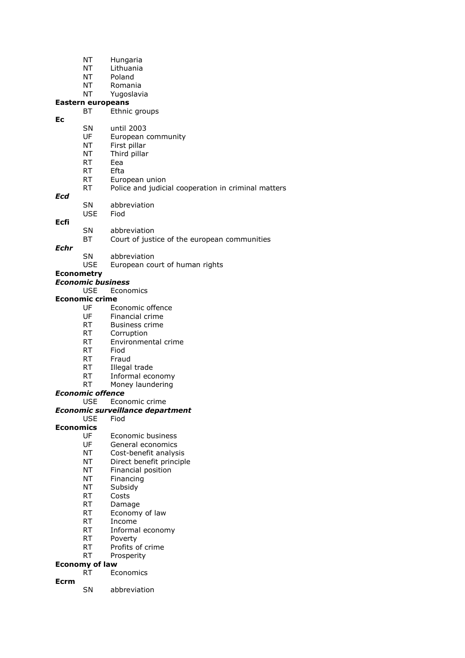- NT Hungaria
- NT Lithuania
- NT Poland
- NT Romania
- NT Yugoslavia

# **Eastern europeans**

- BT Ethnic groups **Ec**
	- SN until 2003
		- UF European community
		- NT First pillar
		- NT Third pillar
		- RT Eea
		-
		- RT Efta<br>RT Euro European union
		- RT Police and judicial cooperation in criminal matters

#### *Ecd*

SN abbreviation USE Fiod

# **Ecfi**

- SN abbreviation
- BT Court of justice of the european communities
- *Echr*
- SN abbreviation
	- USE European court of human rights

# **Econometry**

- *Economic business*
	- USE Economics

## **Economic crime**

- UF Economic offence
- UF Financial crime
- RT Business crime
- RT Corruption
- RT Environmental crime
- RT Fiod
- RT Fraud
- RT Illegal trade
- RT Informal economy
- RT Money laundering

#### *Economic offence*

USE Economic crime

#### *Economic surveillance department*

#### USE Fiod

#### **Economics**

- UF Economic business
- UF General economics
- NT Cost-benefit analysis
- NT Direct benefit principle
- NT Financial position
- NT Financing
- NT Subsidy
- RT Costs
- RT Damage
- RT Economy of law
- RT Income
- RT Informal economy
- RT Poverty
- RT Profits of crime
- RT Prosperity

#### **Economy of law**

- RT Economics
- **Ecrm**
- SN abbreviation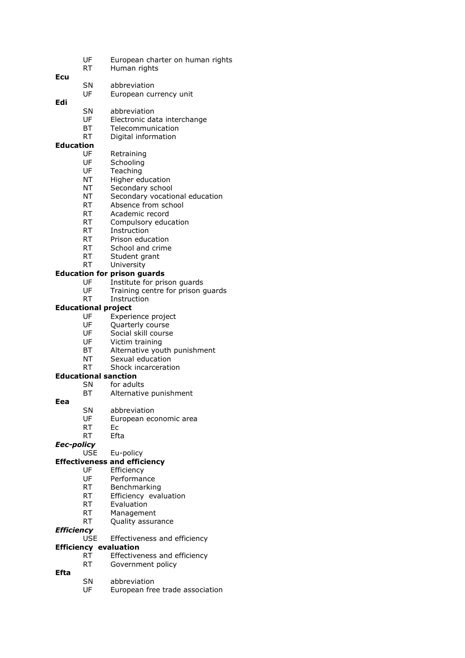- UF European charter on human rights
- RT Human rights

| Ecu |    |              |
|-----|----|--------------|
|     | SΝ | abbreviation |

- UF European currency unit
- **Edi**
	- SN abbreviation<br>UE Electronic da Electronic data interchange
	- BT Telecommunication
	- RT Digital information

#### **Education**

- UF Retraining
- 
- UF Schooling<br>UF Teaching **Teaching**
- NT Higher education
- NT Secondary school
- NT Secondary vocational education
- RT Absence from school
- RT Academic record
- RT Compulsory education
- RT Instruction
- RT Prison education
- RT School and crime
- RT Student grant
- RT University

## **Education for prison guards**

- UF Institute for prison guards
- UF Training centre for prison guards
- RT Instruction

#### **Educational project**

- UF Experience project
- UF Quarterly course
- UF Social skill course
- UF Victim training
- BT Alternative youth punishment
- NT Sexual education
- RT Shock incarceration

# **Educational sanction**

- SN for adults<br>BT Alternative
- Alternative punishment

#### **Eea**

- SN abbreviation
- UF European economic area
- RT Ec
- RT Efta

# *Eec-policy*

#### Eu-policy

# **Effectiveness and efficiency**

- UF Efficiency
- UF Performance
- RT Benchmarking
- RT Efficiency evaluation
- RT Evaluation
- RT Management
- RT Quality assurance

# *Efficiency*

Effectiveness and efficiency

## **Efficiency evaluation**

- RT Effectiveness and efficiency
- RT Government policy
- **Efta** SN abbreviation
	- UF European free trade association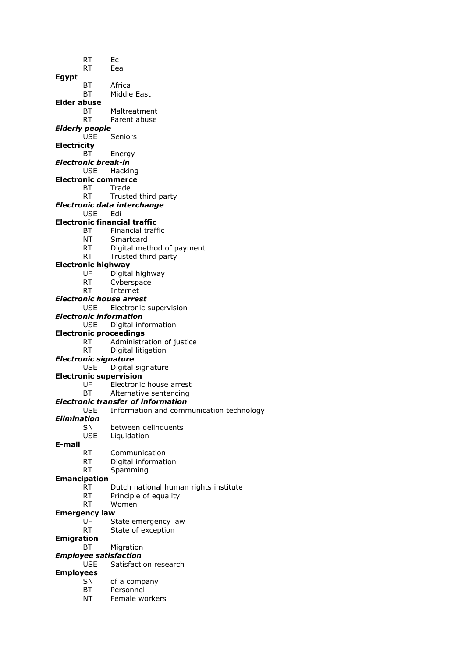- RT Ec RT Eea **Egypt** BT Africa BT Middle East
- **Elder abuse**
	- **BT** Maltreatment<br>RT Parent abuse
	- Parent abuse
- *Elderly people*
	- USE Seniors
- **Electricity**
	- BT Energy
- *Electronic break-in*
	- USE Hacking
- **Electronic commerce**
	- BT Trade
		- RT Trusted third party
- *Electronic data interchange*
	- USE Edi

# **Electronic financial traffic**

- BT Financial traffic
- NT Smartcard
- RT Digital method of payment
- RT Trusted third party

### **Electronic highway**

- UF Digital highway
- RT Cyberspace
- RT Internet
- *Electronic house arrest*
	- USE Electronic supervision

#### *Electronic information*

USE Digital information

#### **Electronic proceedings**

- RT Administration of justice
- RT Digital litigation
- *Electronic signature*
	- USE Digital signature
- **Electronic supervision**
	- UF Electronic house arrest<br>BT Alternative sentencing
	- Alternative sentencing

#### *Electronic transfer of information*

USE Information and communication technology

#### *Elimination*

- SN between delinquents
- USE Liquidation

#### **E-mail**

- RT Communication
- RT Digital information
- RT Spamming

#### **Emancipation**

- RT Dutch national human rights institute
- RT Principle of equality
- RT Women

#### **Emergency law**

- 
- UF State emergency law<br>RT State of exception State of exception
- **Emigration**
	- BT Migration

## *Employee satisfaction*

USE Satisfaction research

## **Employees**

- SN of a company
- BT Personnel
- NT Female workers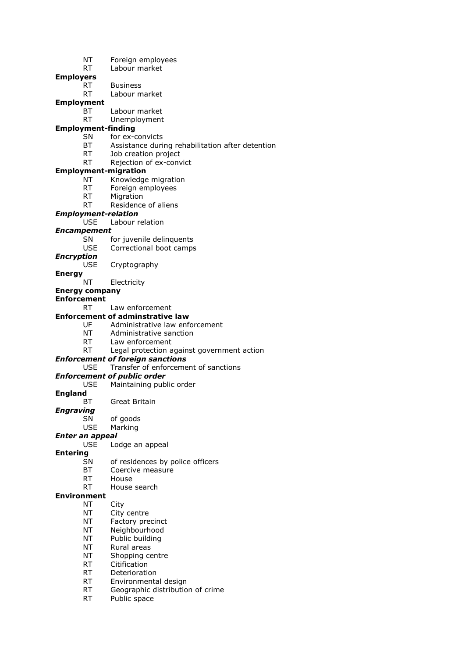- NT Foreign employees
- RT Labour market

**Employers**

- RT Business
- RT Labour market

**Employment**

- BT Labour market<br>RT Unemployment
- Unemployment

# **Employment-finding**

- SN for ex-convicts
- BT Assistance during rehabilitation after detention
- RT Job creation project
- RT Rejection of ex-convict

#### **Employment-migration**

- NT Knowledge migration
- RT Foreign employees
- RT Migration
- RT Residence of aliens

#### *Employment-relation*

USE Labour relation

#### *Encampement*

- SN for juvenile delinquents
- USE Correctional boot camps

#### *Encryption*

- USE Cryptography
- **Energy**
	- NT Electricity

# **Energy company**

# **Enforcement**

- RT Law enforcement
- **Enforcement of adminstrative law**
	- UF Administrative law enforcement
	- NT Administrative sanction
	- RT Law enforcement
	- RT Legal protection against government action

## *Enforcement of foreign sanctions*

# USE Transfer of enforcement of sanctions

- *Enforcement of public order*
	- USE Maintaining public order

### **England**

- BT Great Britain
- *Engraving*
	- SN of goods
	- USE Marking

#### *Enter an appeal*

USE Lodge an appeal

#### **Entering**

- SN of residences by police officers
- BT Coercive measure
- RT House
- RT House search

#### **Environment**

- NT City
- NT City centre
- NT Factory precinct
- NT Neighbourhood
- NT Public building
- NT Rural areas
- NT Shopping centre
- RT Citification
- RT Deterioration
- RT Environmental design
- RT Geographic distribution of crime
- RT Public space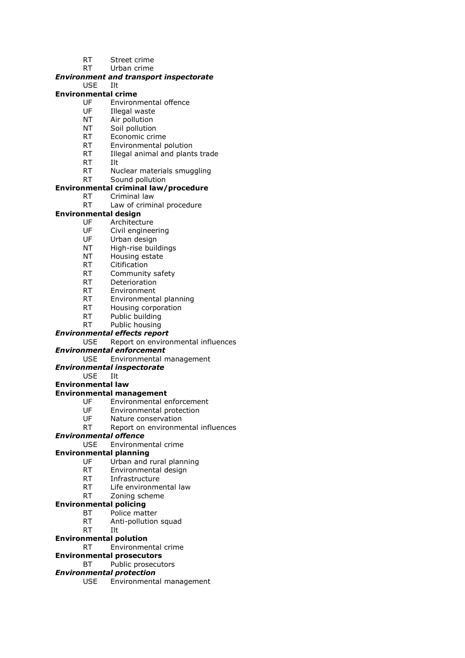- RT Street crime
- RT Urban crime

## *Environment and transport inspectorate*

# USE Ilt

# **Environmental crime**

- UF Environmental offence
- UF Illegal waste<br>NT Air pollution
- Air pollution
- NT Soil pollution
- RT Economic crime
- RT Environmental polution
- RT Illegal animal and plants trade
- RT Ilt
- RT Nuclear materials smuggling
- RT Sound pollution

# **Environmental criminal law/procedure**

- RT Criminal law
- RT Law of criminal procedure

# **Environmental design**

- UF Architecture
- UF Civil engineering
- UF Urban design
- NT High-rise buildings
- NT Housing estate
- RT Citification
- RT Community safety
- RT Deterioration
- RT Environment
- RT Environmental planning
- RT Housing corporation
- RT Public building
- RT Public housing

# *Environmental effects report*

USE Report on environmental influences

#### *Environmental enforcement*

USE Environmental management

# *Environmental inspectorate*

USE Ilt

# **Environmental law**

# **Environmental management**

- UF Environmental enforcement
- UF Environmental protection
- UF Nature conservation
- RT Report on environmental influences

#### *Environmental offence*

USE Environmental crime

# **Environmental planning**

- UF Urban and rural planning
- RT Environmental design
- RT Infrastructure
- RT Life environmental law
- RT Zoning scheme

## **Environmental policing**

- BT Police matter
- RT Anti-pollution squad
- RT Ilt
- **Environmental polution**
	- RT Environmental crime

# **Environmental prosecutors**

BT Public prosecutors

# *Environmental protection*

USE Environmental management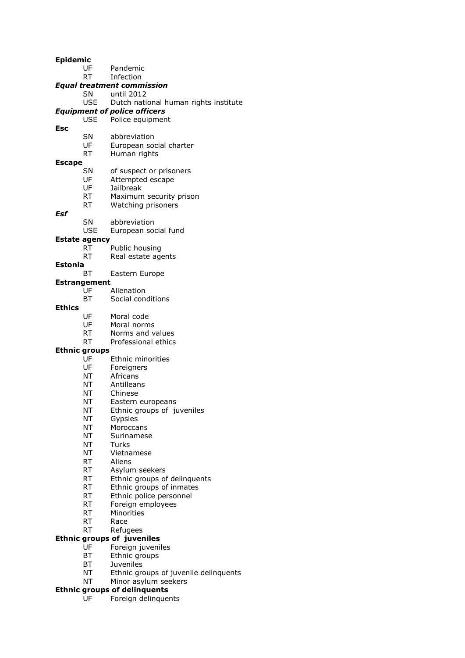#### **Epidemic**

- UF Pandemic
- RT Infection

# *Equal treatment commission*

- SN until 2012
- USE Dutch national human rights institute

# *Equipment of police officers*

# Police equipment

- **Esc**
- SN abbreviation
- UF European social charter
- RT Human rights

#### **Escape**

- SN of suspect or prisoners
- UF Attempted escape<br>UF Jailbreak
- **Jailbreak**
- RT Maximum security prison
- RT Watching prisoners

# *Esf*

- SN abbreviation
- USE European social fund

# **Estate agency**

- RT Public housing
- RT Real estate agents

### **Estonia**

BT Eastern Europe

# **Estrangement**

- Alienation
- BT Social conditions

## **Ethics**

- UF Moral code
- UF Moral norms
- RT Norms and values
- RT Professional ethics

#### **Ethnic groups**

- UF Ethnic minorities<br>UF Foreigners
- Foreigners
- NT Africans
- NT Antilleans<br>NT Chinese
- Chinese
- NT Eastern europeans
- NT Ethnic groups of juveniles
- NT Gypsies
- NT Moroccans
- NT Surinamese
- NT Turks
- NT Vietnamese
- RT Aliens
- RT Asylum seekers
- RT Ethnic groups of delinquents
- RT Ethnic groups of inmates
- RT Ethnic police personnel
- RT Foreign employees
- RT Minorities
- RT Race
- RT Refugees

# **Ethnic groups of juveniles**

- UF Foreign juveniles
- BT Ethnic groups
- BT Juveniles
- NT Ethnic groups of juvenile delinquents
- NT Minor asylum seekers

#### **Ethnic groups of delinquents**

UF Foreign delinquents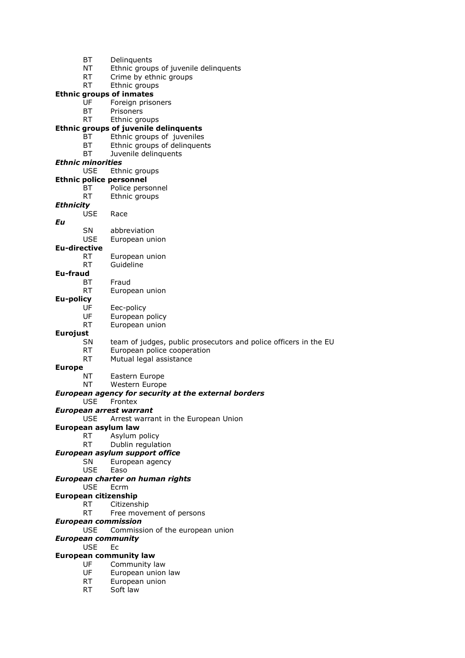- BT Delinquents
- NT Ethnic groups of juvenile delinquents
- RT Crime by ethnic groups
- RT Ethnic groups

#### **Ethnic groups of inmates**

- UF Foreign prisoners
- BT Prisoners<br>RT Fthnic arc
- Ethnic groups

# **Ethnic groups of juvenile delinquents**

- BT Ethnic groups of juveniles
- BT Ethnic groups of delinquents
- BT Juvenile delinquents

#### *Ethnic minorities*

- USE Ethnic groups
- **Ethnic police personnel**
	- BT Police personnel
	- RT Ethnic groups

# *Ethnicity*

- USE Race
- *Eu*
- SN abbreviation
- USE European union

#### **Eu-directive**

- RT European union RT Guideline
- **Eu-fraud**
	- BT Fraud
	- RT European union

# **Eu-policy**

- UF Eec-policy
- UF European policy
- RT European union

# **Eurojust**

- SN team of judges, public prosecutors and police officers in the EU
- RT European police cooperation
- RT Mutual legal assistance

#### **Europe**

- NT Eastern Europe
- NT Western Europe

#### *European agency for security at the external borders*

- USE Frontex
- *European arrest warrant*
	- USE Arrest warrant in the European Union

#### **European asylum law**

- RT Asylum policy<br>RT Dublin regulat
	- Dublin regulation

#### *European asylum support office*

- SN European agency
- USE Easo

#### *European charter on human rights*

USE Ecrm

# **European citizenship**

- RT Citizenship
	- RT Free movement of persons
- *European commission*

# USE Commission of the european union

# *European community*

USE Ec

### **European community law**

- UF Community law
- UF European union law
- RT European union
- RT Soft law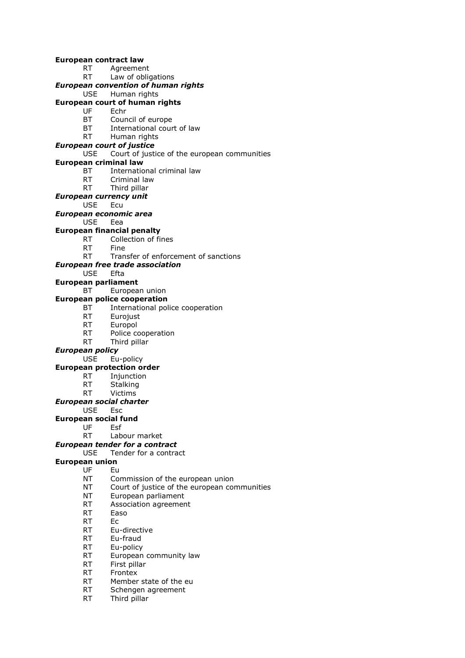#### **European contract law**

- RT Agreement
- RT Law of obligations

# *European convention of human rights*

USE Human rights

# **European court of human rights**

- UF Echr<br>BT Coun
	- Council of europe
- BT International court of law
- RT Human rights

### *European court of justice*

USE Court of justice of the european communities

## **European criminal law**

- BT International criminal law
- RT Criminal law
- RT Third pillar

#### *European currency unit*

USE Ecu

# *European economic area*

USE Eea

# **European financial penalty**

- RT Collection of fines
- RT Fine
- RT Transfer of enforcement of sanctions

## *European free trade association*

USE Efta

# **European parliament**

# BT European union

# **European police cooperation**<br>BT **International pol**

- International police cooperation
- RT Eurojust
- RT Europol
- RT Police cooperation
- RT Third pillar

#### *European policy*

USE Eu-policy

#### **European protection order**

- RT Injunction
- RT Stalking
- RT Victims

# *European social charter*

USE Esc

#### **European social fund**

- UF Esf
- RT Labour market

# *European tender for a contract*

USE Tender for a contract

# **European union**

- UF Eu
	- NT Commission of the european union
	- NT Court of justice of the european communities
	- NT European parliament
	- RT Association agreement
	- RT Easo
	- RT Ec
	- RT Eu-directive
	- RT Eu-fraud
	- RT Eu-policy
	- RT European community law
	- RT First pillar
	- RT Frontex
	- RT Member state of the eu
	- RT Schengen agreement
	- RT Third pillar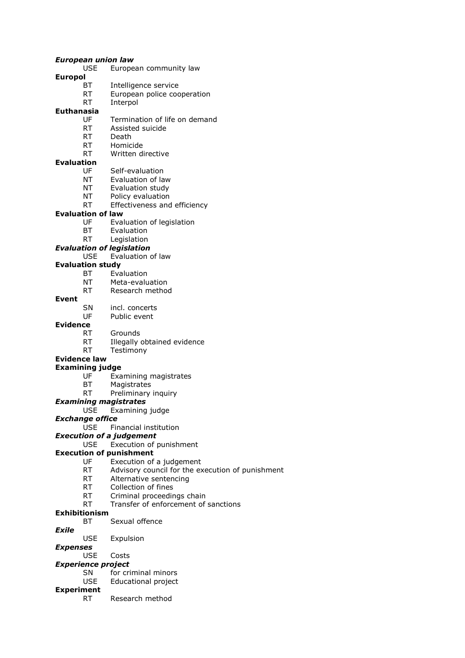#### *European union law*

- USE European community law
- **Europol**
	- BT Intelligence service
	- RT European police cooperation
	- RT Interpol

# **Euthanasia**

- Termination of life on demand
- RT Assisted suicide
- RT Death
- RT Homicide
- RT Written directive

## **Evaluation**

- UF Self-evaluation
- NT Evaluation of law
- NT Evaluation study
- NT Policy evaluation
- RT Effectiveness and efficiency

#### **Evaluation of law**

- UF Evaluation of legislation
- BT Evaluation
- RT Legislation
- *Evaluation of legislation*

## USE Evaluation of law

#### **Evaluation study**

- BT Evaluation
- NT Meta-evaluation
- RT Research method

## **Event**

- SN incl. concerts
- UF Public event

#### **Evidence**

- RT Grounds
- RT Illegally obtained evidence
- RT Testimony

#### **Evidence law**

#### **Examining judge**

- UF Examining magistrates
- BT Magistrates
- RT Preliminary inquiry

#### *Examining magistrates*

USE Examining judge

#### *Exchange office*

USE Financial institution

#### *Execution of a judgement*

USE Execution of punishment

#### **Execution of punishment**

- UF Execution of a judgement
- RT Advisory council for the execution of punishment
- RT Alternative sentencing
- RT Collection of fines
- RT Criminal proceedings chain
- RT Transfer of enforcement of sanctions

### **Exhibitionism**

BT Sexual offence

#### *Exile*

USE Expulsion

# *Expenses*

USE Costs

# *Experience project*

- SN for criminal minors
	- USE Educational project

# **Experiment**

RT Research method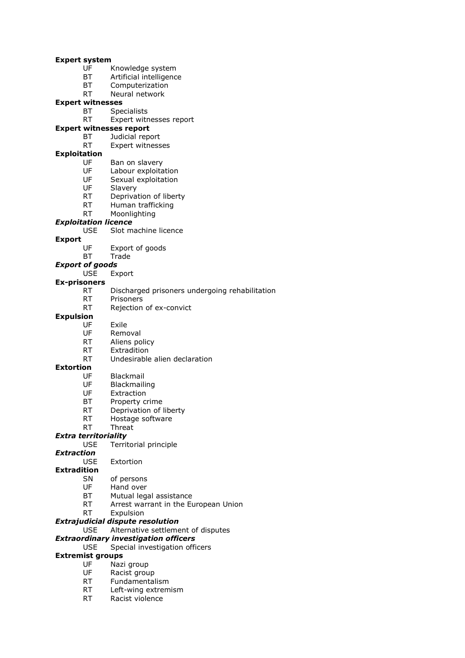#### **Expert system**

- UF Knowledge system
- BT Artificial intelligence
- BT Computerization
- RT Neural network

#### **Expert witnesses**

- BT Specialists<br>RT Expert witr
- Expert witnesses report

#### **Expert witnesses report**

- BT Judicial report
- RT Expert witnesses

#### **Exploitation**

- UF Ban on slavery
- UF Labour exploitation
- UF Sexual exploitation
- UF Slavery
- RT Deprivation of liberty
- RT Human trafficking
- RT Moonlighting

# *Exploitation licence*

- USE Slot machine licence
- **Export**
	- UF Export of goods
	- BT Trade

#### *Export of goods*

USE Export

#### **Ex-prisoners**

- RT Discharged prisoners undergoing rehabilitation
- RT Prisoners
	- RT Rejection of ex-convict

# **Expulsion**

- UF Exile
- UF Removal
- RT Aliens policy
- RT Extradition
- RT Undesirable alien declaration

## **Extortion**

- UF Blackmail
- UF Blackmailing<br>UF Extraction
- Extraction
- BT Property crime
- RT Deprivation of liberty
- RT Hostage software
- RT Threat

# *Extra territoriality*

- USE Territorial principle
- *Extraction*

#### USE Extortion

#### **Extradition**

- SN of persons
- UF Hand over
- BT Mutual legal assistance
- RT Arrest warrant in the European Union
- RT Expulsion

#### *Extrajudicial dispute resolution*

USE Alternative settlement of disputes

#### *Extraordinary investigation officers*

USE Special investigation officers

### **Extremist groups**

- UF Nazi group
- UF Racist group
- RT Fundamentalism
- RT Left-wing extremism
- RT Racist violence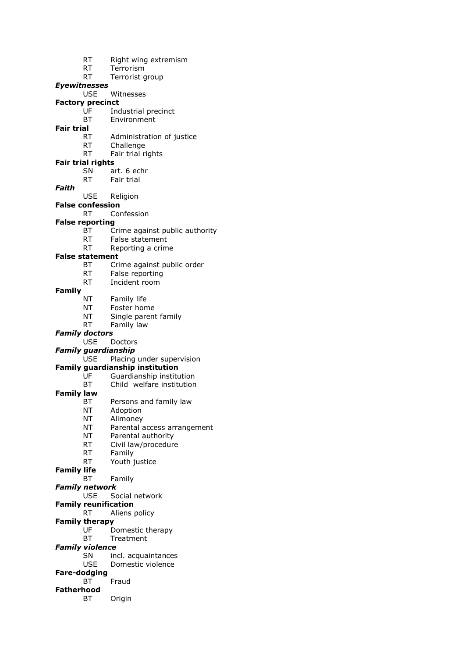- RT Right wing extremism
- RT Terrorism
- RT Terrorist group

# *Eyewitnesses*

# USE Witnesses

- **Factory precinct**
	- UF Industrial precinct<br>BT Fnvironment
	- **Environment**

# **Fair trial**

- RT Administration of justice
- RT Challenge
- RT Fair trial rights

# **Fair trial rights**

- SN art. 6 echr
- RT Fair trial
- *Faith*
- USE Religion
- **False confession**
	- RT Confession

## **False reporting**

- BT Crime against public authority
- RT False statement
- RT Reporting a crime

#### **False statement**

- BT Crime against public order
- RT False reporting
- RT Incident room

# **Family**

- NT Family life
- NT Foster home
- NT Single parent family
- RT Family law

#### *Family doctors*

#### USE Doctors

*Family guardianship*

USE Placing under supervision

#### **Family guardianship institution**

- UF Guardianship institution
- BT Child welfare institution

### **Family law**

- BT Persons and family law
- NT Adoption
- NT Alimoney
- NT Parental access arrangement
- NT Parental authority
- RT Civil law/procedure
- RT Family
- RT Youth justice

# **Family life**

BT Family

## *Family network*

USE Social network

# **Family reunification**

RT Aliens policy

# **Family therapy**

- UF Domestic therapy
- BT Treatment
- *Family violence*
	- SN incl. acquaintances
	- USE Domestic violence
- **Fare-dodging** BT Fraud
- **Fatherhood**
- BT Origin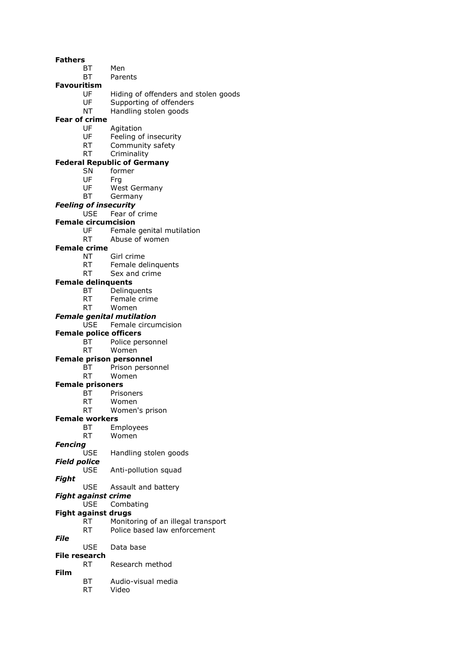#### **Fathers**

- BT Men
- BT Parents

#### **Favouritism**

- UF Hiding of offenders and stolen goods
- UF Supporting of offenders
- NT Handling stolen goods

# **Fear of crime**

- UF Agitation
- UF Feeling of insecurity
- RT Community safety
- RT Criminality

## **Federal Republic of Germany**

- SN former
- UF Frg<br>UF We
- UF West Germany<br>BT Germany
- Germany

#### *Feeling of insecurity*

USE Fear of crime

#### **Female circumcision**

- UF Female genital mutilation
- RT Abuse of women

#### **Female crime**

- NT Girl crime
- RT Female delinquents
- RT Sex and crime

## **Female delinquents**

- BT Delinquents
- RT Female crime
- RT Women

#### *Female genital mutilation*

#### USE Female circumcision

- **Female police officers**
	- BT Police personnel
	- RT Women

#### **Female prison personnel**

- BT Prison personnel
- RT Women

# **Female prisoners**<br>BT Prison

- Prisoners
- RT Women
- RT Women's prison

#### **Female workers**

- BT Employees
- RT Women
- *Fencing*
	- Handling stolen goods
- *Field police*
	- USE Anti-pollution squad
- *Fight*
	- USE Assault and battery
- *Fight against crime*
- USE Combating
- **Fight against drugs**
	- RT Monitoring of an illegal transport RT Police based law enforcement
	-
- *File* USE Data base

# **File research**

- RT Research method
- **Film**
	- BT Audio-visual media
		- RT Video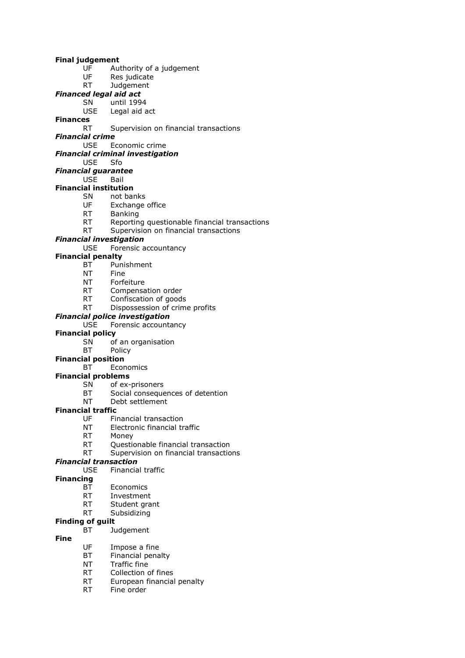#### **Final judgement**

- UF Authority of a judgement
- UF Res judicate
- RT Judgement

# *Financed legal aid act*

- SN until 1994
- USE Legal aid act
- **Finances**

## RT Supervision on financial transactions

*Financial crime*

USE Economic crime

## *Financial criminal investigation*

USE Sfo

# *Financial guarantee*

USE Bail

# **Financial institution**

- SN not banks<br>UF Exchange
- Exchange office
- RT Banking
- RT Reporting questionable financial transactions
- RT Supervision on financial transactions

# *Financial investigation*

USE Forensic accountancy

### **Financial penalty**

- BT Punishment
- NT Fine
- NT Forfeiture
- RT Compensation order
- RT Confiscation of goods
- RT Dispossession of crime profits

### *Financial police investigation*

#### USE Forensic accountancy

### **Financial policy**

- SN of an organisation
- BT Policy

#### **Financial position**

- BT Economics
- **Financial problems**
	- SN of ex-prisoners<br>BT Social conseque
	- Social consequences of detention
	- NT Debt settlement

# **Financial traffic**

- UF Financial transaction
- NT Electronic financial traffic
- RT Money
	- RT Questionable financial transaction
	- RT Supervision on financial transactions

# *Financial transaction*

USE Financial traffic

## **Financing**

- BT Economics
- RT Investment
- RT Student grant
- RT Subsidizing

# **Finding of guilt**

BT Judgement

# **Fine**

- UF Impose a fine
- BT Financial penalty
- NT Traffic fine
- RT Collection of fines
- RT European financial penalty
- RT Fine order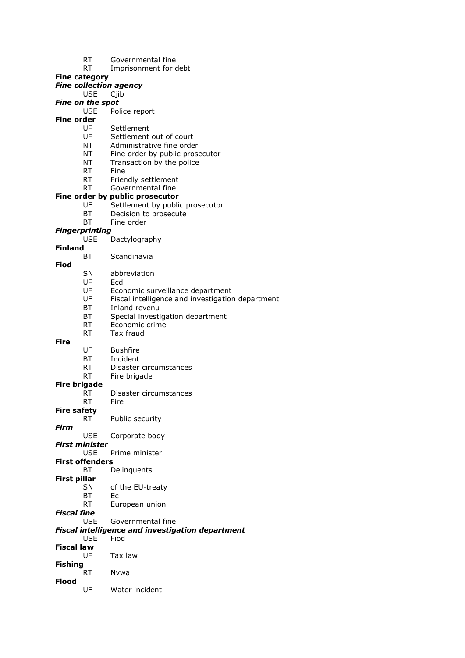| RT | Governmental fine |  |
|----|-------------------|--|
|    |                   |  |

RT Imprisonment for debt

#### **Fine category**

| ic cutegoi y                        | <b>Fine collection agency</b>                           |
|-------------------------------------|---------------------------------------------------------|
| <b>USE</b>                          | Cjib                                                    |
| <b>Fine on the spot</b>             |                                                         |
| <b>USE</b>                          | Police report                                           |
| Fine order                          |                                                         |
| UF                                  | Settlement                                              |
| UF                                  | Settlement out of court                                 |
| NT                                  | Administrative fine order                               |
| NT                                  | Fine order by public prosecutor                         |
| NT                                  | Transaction by the police                               |
| RT.                                 | Fine                                                    |
| RT<br>RT                            | Friendly settlement<br>Governmental fine                |
|                                     | Fine order by public prosecutor                         |
| UF                                  | Settlement by public prosecutor                         |
| BT                                  | Decision to prosecute                                   |
| BT                                  | Fine order                                              |
| <b>Fingerprinting</b>               |                                                         |
| <b>USE</b>                          | Dactylography                                           |
| <b>Finland</b>                      |                                                         |
| ВT                                  | Scandinavia                                             |
| Fiod                                |                                                         |
| SN                                  | abbreviation                                            |
| UF                                  | Ecd                                                     |
| UF                                  | Economic surveillance department                        |
| UF                                  | Fiscal intelligence and investigation department        |
| BT<br>BT                            | Inland revenu                                           |
| RT.                                 | Special investigation department<br>Economic crime      |
| <b>RT</b>                           | Tax fraud                                               |
| <b>Fire</b>                         |                                                         |
| UF                                  | <b>Bushfire</b>                                         |
| BT                                  | Incident                                                |
| <b>RT</b>                           | Disaster circumstances                                  |
| <b>RT</b>                           | Fire brigade                                            |
| <b>Fire brigade</b>                 |                                                         |
| RT                                  | Disaster circumstances                                  |
| <b>RT</b>                           | <b>Fire</b>                                             |
| <b>Fire safety</b>                  |                                                         |
| RT                                  | Public security                                         |
| Firm                                |                                                         |
| <b>USE</b><br><b>First minister</b> | Corporate body                                          |
| <b>USE</b>                          | Prime minister                                          |
| <b>First offenders</b>              |                                                         |
| BT                                  | Delinquents                                             |
| First pillar                        |                                                         |
| SN.                                 | of the EU-treaty                                        |
| BT                                  | Ec                                                      |
| RT.                                 | European union                                          |
| Fiscal fine                         |                                                         |
| <b>USE</b>                          | Governmental fine                                       |
|                                     | <b>Fiscal intelligence and investigation department</b> |
| <b>USE</b>                          | Fiod                                                    |
| <b>Fiscal law</b>                   |                                                         |
| UF                                  | Tax law                                                 |
| <b>Fishing</b>                      |                                                         |
| <b>RT</b><br><b>Flood</b>           | Nvwa                                                    |
| UF                                  | Water incident                                          |
|                                     |                                                         |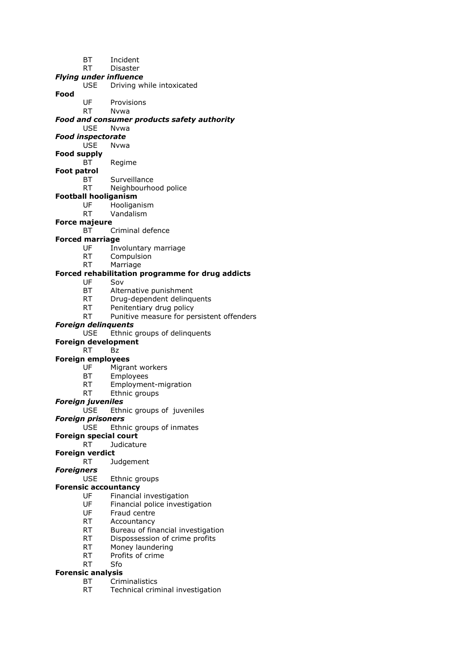- BT Incident
- RT Disaster
- *Flying under influence*
	- USE Driving while intoxicated
- **Food**
	- UF Provisions RT Nvwa

# *Food and consumer products safety authority*

- USE Nvwa
- *Food inspectorate*
	- USE Nvwa

#### **Food supply**

- BT Regime
- **Foot patrol**
	- BT Surveillance
	- RT Neighbourhood police

## **Football hooliganism**

- UF Hooliganism
- RT Vandalism

### **Force majeure**

BT Criminal defence

#### **Forced marriage**

- UF Involuntary marriage
- RT Compulsion
- RT Marriage

# **Forced rehabilitation programme for drug addicts**

- UF Sov
- BT Alternative punishment
- RT Drug-dependent delinquents
- RT Penitentiary drug policy
- RT Punitive measure for persistent offenders

# *Foreign delinquents*

- USE Ethnic groups of delinquents
- **Foreign development**

#### RT Bz

#### **Foreign employees**

- UF Migrant workers
- BT Employees
- RT Employment-migration
- RT Ethnic groups

#### *Foreign juveniles*

#### USE Ethnic groups of juveniles

*Foreign prisoners*

- USE Ethnic groups of inmates
- **Foreign special court**
	- RT Judicature

### **Foreign verdict**

RT Judgement

## *Foreigners*

USE Ethnic groups

# **Forensic accountancy**

- UF Financial investigation
- UF Financial police investigation
- UF Fraud centre
- RT Accountancy
- RT Bureau of financial investigation
- RT Dispossession of crime profits
- RT Money laundering
- RT Profits of crime

# RT Sfo

# **Forensic analysis**

- BT Criminalistics
- RT Technical criminal investigation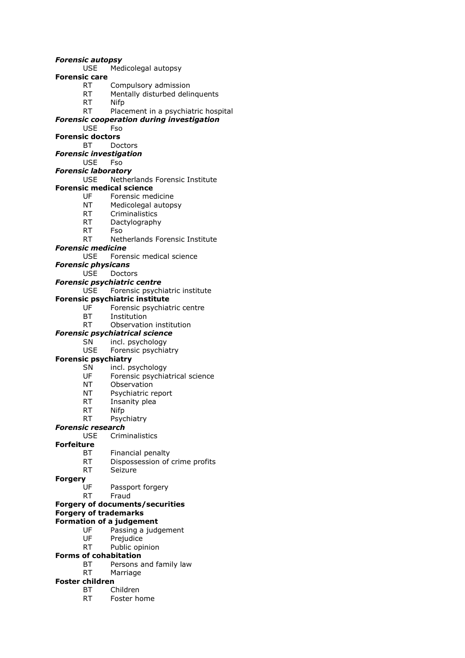#### *Forensic autopsy*

- USE Medicolegal autopsy
- **Forensic care**
	- RT Compulsory admission
	- RT Mentally disturbed delinquents
	- RT Nifp

## RT Placement in a psychiatric hospital

# *Forensic cooperation during investigation*

USE Fso

# **Forensic doctors**

# BT Doctors

# *Forensic investigation*

# USE Fso

# *Forensic laboratory*

# USE Netherlands Forensic Institute

- **Forensic medical science**<br>UF Forensic mere
	- Forensic medicine
	- NT Medicolegal autopsy
	- RT Criminalistics
	- RT Dactylography
	- RT Fso

# RT Netherlands Forensic Institute

### *Forensic medicine*

USE Forensic medical science

### *Forensic physicans*

### USE Doctors

# *Forensic psychiatric centre*

# USE Forensic psychiatric institute

- **Forensic psychiatric institute**
	- UF Forensic psychiatric centre
	- BT Institution
	- RT Observation institution

# *Forensic psychiatrical science*

# SN incl. psychology

USE Forensic psychiatry

# **Forensic psychiatry**

- SN incl. psychology
- UF Forensic psychiatrical science
- 
- NT Observation<br>NT Psychiatric re Psychiatric report
- RT Insanity plea
- RT Nifp
- RT Psychiatry

# *Forensic research*

# USE Criminalistics

# **Forfeiture**

- BT Financial penalty
- RT Dispossession of crime profits
- RT Seizure

## **Forgery**

- UF Passport forgery
- RT Fraud

# **Forgery of documents/securities**

# **Forgery of trademarks**

# **Formation of a judgement**

- UF Passing a judgement<br>UF Preiudice
- Prejudice
- RT Public opinion

# **Forms of cohabitation**

- BT Persons and family law
- RT Marriage

# **Foster children**

- BT Children
- RT Foster home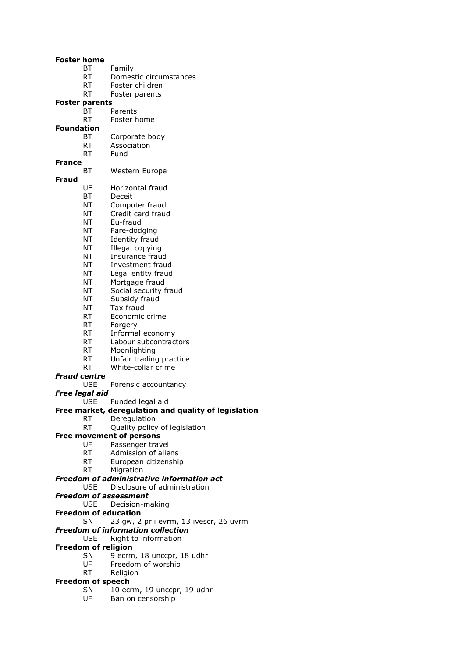#### **Foster home**

- BT Family
	- RT Domestic circumstances
- RT Foster children
- RT Foster parents

#### **Foster parents**

- BT Parents<br>RT Foster h
- Foster home

#### **Foundation**

- BT Corporate body
- RT Association
- RT Fund
- **France**
	- BT Western Europe

#### **Fraud**

- UF Horizontal fraud
- BT Deceit
- NT Computer fraud
- NT Credit card fraud
- NT Eu-fraud
- NT Fare-dodging
- NT Identity fraud
- NT Illegal copying
- NT Insurance fraud
- NT Investment fraud
- NT Legal entity fraud
- NT Mortgage fraud
- NT Social security fraud
- NT Subsidy fraud
- NT Tax fraud
- RT Economic crime
- RT Forgery
- RT Informal economy
- RT Labour subcontractors
- RT Moonlighting
- RT Unfair trading practice
- RT White-collar crime
- 

# *Fraud centre*

- USE Forensic accountancy
- *Free legal aid*
	- USE Funded legal aid

#### **Free market, deregulation and quality of legislation**

- RT Deregulation
- RT Quality policy of legislation

### **Free movement of persons**

- UF Passenger travel<br>RT Admission of alie
- Admission of aliens
- RT European citizenship
- RT Migration

#### *Freedom of administrative information act*

- USE Disclosure of administration
- *Freedom of assessment*
	- USE Decision-making
- **Freedom of education**
- SN 23 gw, 2 pr i evrm, 13 ivescr, 26 uvrm
- *Freedom of information collection*
	- USE Right to information

## **Freedom of religion**

- SN 9 ecrm, 18 unccpr, 18 udhr
- UF Freedom of worship
- RT Religion

#### **Freedom of speech**

- SN 10 ecrm, 19 unccpr, 19 udhr
- UF Ban on censorship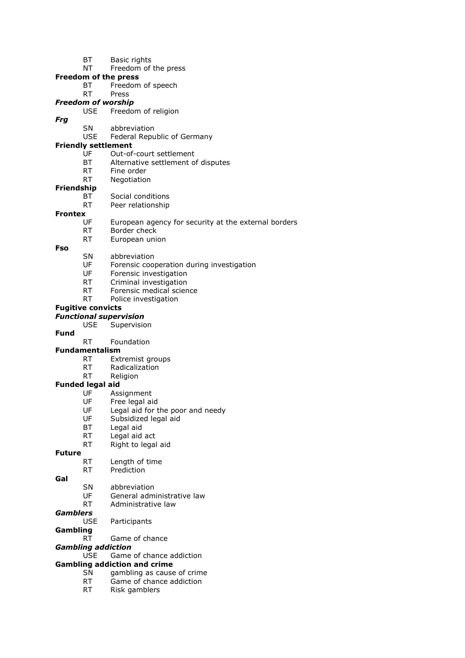- BT Basic rights
- NT Freedom of the press
- **Freedom of the press**
	- BT Freedom of speech

# RT Press

- *Freedom of worship*
	- USE Freedom of religion
	- SN abbreviation
	- USE Federal Republic of Germany

#### **Friendly settlement**

- UF Out-of-court settlement
- BT Alternative settlement of disputes
- RT Fine order
- RT Negotiation
- **Friendship**
	- BT Social conditions
	- RT Peer relationship

# **Frontex**

- UF European agency for security at the external borders
- RT Border check
- RT European union

#### **Fso**

*Frg*

- SN abbreviation
- UF Forensic cooperation during investigation
- UF Forensic investigation
- RT Criminal investigation
- RT Forensic medical science
- RT Police investigation

# **Fugitive convicts**

- *Functional supervision*
	- USE Supervision

# **Fund**

- RT Foundation
- **Fundamentalism**
	- RT Extremist groups
	- RT Radicalization
	- RT Religion

# **Funded legal aid**<br>UF Ass

- Assignment
- UF Free legal aid
- UF Legal aid for the poor and needy
- UF Subsidized legal aid
- BT Legal aid
- RT Legal aid act
- RT Right to legal aid

#### **Future**

- RT Length of time
- RT Prediction
- **Gal**
- SN abbreviation
- 
- UF General administrative law RT Administrative law
- 

# *Gamblers*

- USE Participants
- **Gambling**
	- RT Game of chance
- *Gambling addiction*
	- USE Game of chance addiction

# **Gambling addiction and crime**

- SN gambling as cause of crime
- RT Game of chance addiction
- RT Risk gamblers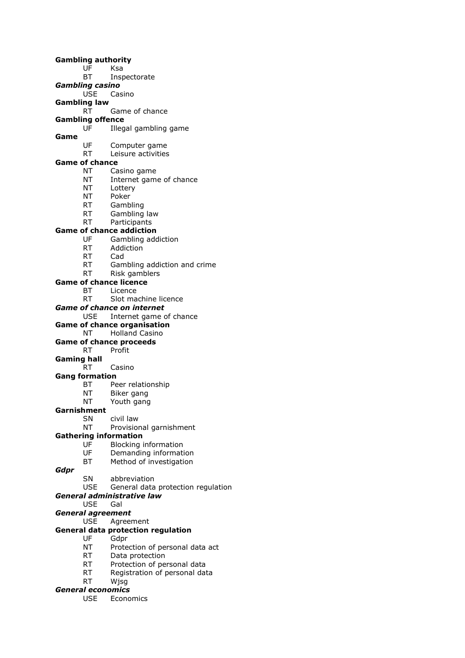**Gambling authority** UF Ksa BT Inspectorate *Gambling casino* USE Casino **Gambling law** RT Game of chance **Gambling offence** UF Illegal gambling game **Game** UF Computer game RT Leisure activities **Game of chance** NT Casino game NT Internet game of chance NT Lottery NT Poker RT Gambling RT Gambling law RT Participants **Game of chance addiction** UF Gambling addiction RT Addiction RT Cad RT Gambling addiction and crime RT Risk gamblers **Game of chance licence** BT Licence RT Slot machine licence *Game of chance on internet* USE Internet game of chance **Game of chance organisation** NT Holland Casino **Game of chance proceeds** RT Profit **Gaming hall** RT Casino **Gang formation** BT Peer relationship NT Biker gang NT Youth gang **Garnishment** SN civil law NT Provisional garnishment **Gathering information** UF Blocking information UF Demanding information BT Method of investigation *Gdpr* SN abbreviation USE General data protection regulation *General administrative law* USE Gal *General agreement* USE Agreement **General data protection regulation** UF Gdpr NT Protection of personal data act RT Data protection RT Protection of personal data

- RT Registration of personal data
- RT Wjsg
- *General economics*
	- USE Economics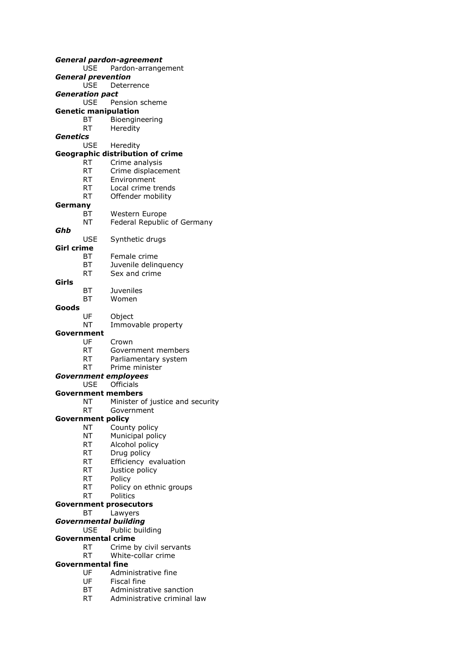| <b>General pardon-agreement</b> |                           |                                         |  |
|---------------------------------|---------------------------|-----------------------------------------|--|
|                                 | USE.                      | Pardon-arrangement                      |  |
|                                 | <b>General prevention</b> |                                         |  |
|                                 | <b>USE</b>                | Deterrence                              |  |
|                                 | <b>Generation pact</b>    |                                         |  |
|                                 | <b>USE</b>                | Pension scheme                          |  |
|                                 |                           | <b>Genetic manipulation</b>             |  |
|                                 | BT                        | Bioengineering                          |  |
|                                 | RT –                      | Heredity                                |  |
| Genetics                        |                           |                                         |  |
|                                 | <b>USE</b>                | Heredity                                |  |
|                                 |                           | <b>Geographic distribution of crime</b> |  |
|                                 | RT                        | Crime analysis                          |  |
|                                 | RT -                      | Crime displacement                      |  |
|                                 | RT                        | Environment                             |  |
|                                 | RT                        | Local crime trends                      |  |
|                                 | RT                        | Offender mobility                       |  |
| Germany                         |                           |                                         |  |
|                                 | ВT                        | Western Europe                          |  |
|                                 | NT                        | Federal Republic of Germany             |  |
| Ghb                             |                           |                                         |  |
|                                 | <b>USE</b>                | Synthetic drugs                         |  |
| <b>Girl crime</b>               |                           |                                         |  |
|                                 | ВT                        | Female crime                            |  |
|                                 | BT                        | Juvenile delinquency                    |  |
|                                 | RT                        | Sex and crime                           |  |
| Girls                           |                           |                                         |  |
|                                 | BT                        | <b>Juveniles</b>                        |  |
|                                 | ВT                        | Women                                   |  |
| Goods                           |                           |                                         |  |
|                                 | UF                        | Object                                  |  |
|                                 | NΤ                        | Immovable property                      |  |
| Government                      |                           |                                         |  |
|                                 | UF                        | Crown                                   |  |
|                                 | RT                        | Government members                      |  |
|                                 | RT -                      | Parliamentary system                    |  |
|                                 | RT                        | Prime minister                          |  |
|                                 |                           | <b>Government employees</b>             |  |
|                                 |                           | USE Officials                           |  |
|                                 |                           | <b>Government members</b>               |  |
|                                 | NΤ                        | Minister of justice and security        |  |
|                                 | RT                        | Government                              |  |
|                                 | <b>Government policy</b>  |                                         |  |
|                                 | NT                        | County policy                           |  |
|                                 | NT                        | Municipal policy                        |  |
|                                 | RT                        | Alcohol policy                          |  |
|                                 | RT                        | Drug policy                             |  |
|                                 | RT                        | Efficiency evaluation                   |  |
|                                 | <b>RT</b>                 | Justice policy                          |  |
|                                 | <b>RT</b>                 | Policy                                  |  |
|                                 | RT                        | Policy on ethnic groups                 |  |
|                                 | RT                        | Politics                                |  |
|                                 |                           | <b>Government prosecutors</b>           |  |
|                                 | ВT                        | Lawyers                                 |  |
|                                 |                           | <b>Governmental building</b>            |  |
|                                 | USE                       | Public building                         |  |
|                                 |                           | <b>Governmental crime</b>               |  |
|                                 | RT                        | Crime by civil servants                 |  |
|                                 | RT                        | White-collar crime                      |  |
|                                 | <b>Governmental fine</b>  |                                         |  |
|                                 | UF                        | Administrative fine                     |  |
|                                 | UF                        | Fiscal fine                             |  |

- BT Administrative sanction<br>RT Administrative criminal
- Administrative criminal law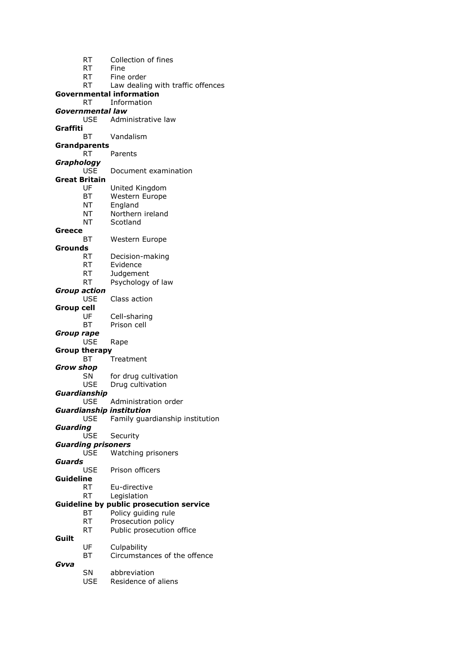| RT | Collection of fines |  |  |
|----|---------------------|--|--|
|----|---------------------|--|--|

RT Fine

RT Fine order

RT Law dealing with traffic offences

| Governmental information |  |
|--------------------------|--|
|                          |  |

- RT Information
- *Governmental law* Administrative law
- **Graffiti**
	- BT Vandalism

**Grandparents**

- RT Parents
- *Graphology*
	- USE Document examination
- **Great Britain**
	- UF United Kingdom
	- BT Western Europe
	- NT England
	- NT Northern ireland
	- NT Scotland

#### **Greece**

- BT Western Europe
- **Grounds**
	- RT Decision-making
	- RT Evidence
	- RT Judgement
	- RT Psychology of law
- *Group action*
	- USE Class action
- **Group cell** UF Cell-sharing
	- BT Prison cell
- *Group rape*
	- USE Rape
- **Group therapy**
	- BT Treatment
- 
- *Grow shop*
	- SN for drug cultivation USE Drug cultivation
- *Guardianship*
	- USE Administration order
- *Guardianship institution*
	- USE Family guardianship institution
- *Guarding*
	- USE Security
- *Guarding prisoners*
	- USE Watching prisoners
- *Guards*
	- Prison officers
- **Guideline**
	- RT Eu-directive
		- RT Legislation

# **Guideline by public prosecution service**

- BT Policy guiding rule
- RT Prosecution policy
- RT Public prosecution office
- **Guilt**
	- UF Culpability
		- BT Circumstances of the offence
- *Gvva*
	- SN abbreviation
		- USE Residence of aliens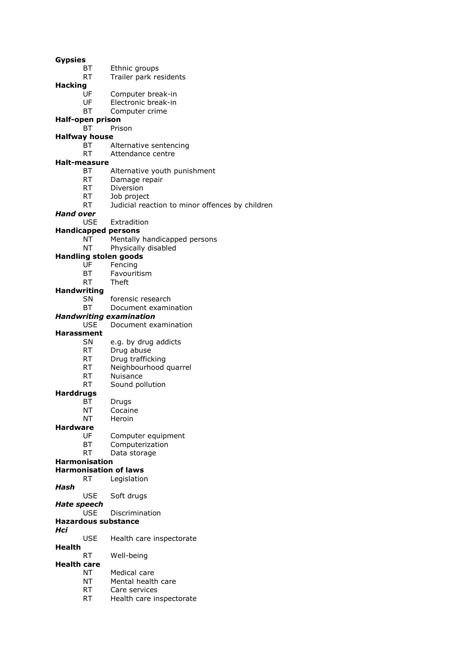- **Gypsies**
	- BT Ethnic groups
	- RT Trailer park residents

**Hacking**

- UF Computer break-in
- UF Electronic break-in
- BT Computer crime

#### **Half-open prison**

BT Prison

#### **Halfway house**

- BT Alternative sentencing
- RT Attendance centre

#### **Halt-measure**

- BT Alternative youth punishment
- RT Damage repair
- RT Diversion
- RT Job project
- RT Judicial reaction to minor offences by children

### *Hand over*

USE Extradition

# **Handicapped persons**

- NT Mentally handicapped persons
- NT Physically disabled

#### **Handling stolen goods**

- UF Fencing
- BT Favouritism
- RT Theft

#### **Handwriting**

- SN forensic research
- BT Document examination

#### *Handwriting examination*

# USE Document examination

## **Harassment**

- SN e.g. by drug addicts
- RT Drug abuse
- RT Drug trafficking
- RT Neighbourhood quarrel
- RT Nuisance
- RT Sound pollution

#### **Harddrugs**

- BT Drugs
- NT Cocaine
- NT Heroin

#### **Hardware**

- UF Computer equipment
- BT Computerization
- RT Data storage

#### **Harmonisation**

#### **Harmonisation of laws**

- RT Legislation
- *Hash*
	- USE Soft drugs
- *Hate speech*
	- USE Discrimination

# **Hazardous substance**

- *Hci*
	- USE Health care inspectorate
- **Health**
	- RT Well-being

# **Health care**

- NT Medical care
- NT Mental health care
- RT Care services
- RT Health care inspectorate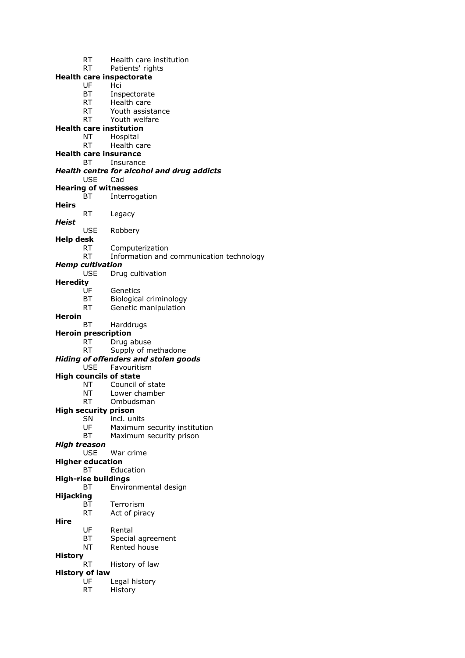- RT Health care institution RT Patients' rights **Health care inspectorate** UF Hci BT Inspectorate RT Health care RT Youth assistance<br>RT Youth welfare Youth welfare **Health care institution** NT Hospital RT Health care **Health care insurance** BT Insurance *Health centre for alcohol and drug addicts* USE Cad **Hearing of witnesses** BT Interrogation **Heirs** RT Legacy *Heist* USE Robbery **Help desk** RT Computerization RT Information and communication technology *Hemp cultivation* USE Drug cultivation **Heredity** Genetics BT Biological criminology RT Genetic manipulation **Heroin** BT Harddrugs **Heroin prescription** RT Drug abuse RT Supply of methadone *Hiding of offenders and stolen goods* USE Favouritism **High councils of state** NT Council of state NT Lower chamber RT Ombudsman **High security prison** SN incl. units UF Maximum security institution BT Maximum security prison *High treason* USE War crime **Higher education** BT Education **High-rise buildings** BT Environmental design **Hijacking** BT Terrorism RT Act of piracy **Hire** UF Rental BT Special agreement NT Rented house **History** RT History of law **History of law** UF Legal history
	- RT History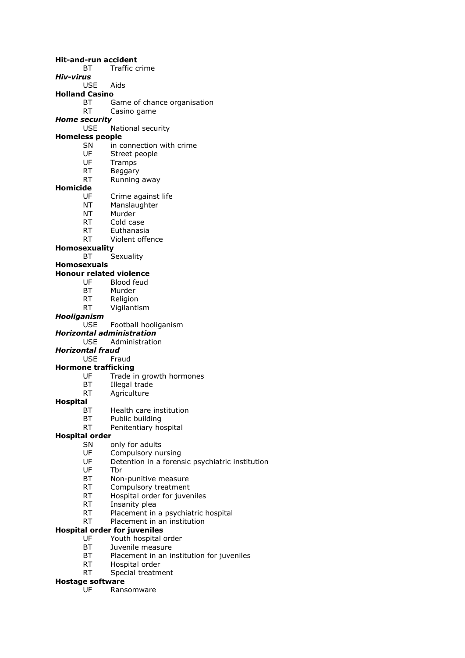**Hit-and-run accident** BT Traffic crime *Hiv-virus* USE Aids **Holland Casino** BT Game of chance organisation<br>RT Casino game Casino game *Home security* USE National security **Homeless people** SN in connection with crime UF Street people UF Tramps RT Beggary RT Running away **Homicide** Crime against life NT Manslaughter NT Murder RT Cold case RT Euthanasia RT Violent offence **Homosexuality** BT Sexuality **Homosexuals Honour related violence** UF Blood feud BT Murder RT Religion RT Vigilantism *Hooliganism* USE Football hooliganism *Horizontal administration* USE Administration *Horizontal fraud* USE Fraud **Hormone trafficking** UF Trade in growth hormones BT Illegal trade<br>RT Agriculture Agriculture **Hospital** BT Health care institution BT Public building RT Penitentiary hospital **Hospital order** SN only for adults<br>UF Compulsory nu Compulsory nursing UF Detention in a forensic psychiatric institution<br>UF Thr Tbr BT Non-punitive measure RT Compulsory treatment RT Hospital order for juveniles RT Insanity plea RT Placement in a psychiatric hospital RT Placement in an institution **Hospital order for juveniles** UF Youth hospital order BT Juvenile measure

- BT Placement in an institution for juveniles
- RT Hospital order
- RT Special treatment

#### **Hostage software**

UF Ransomware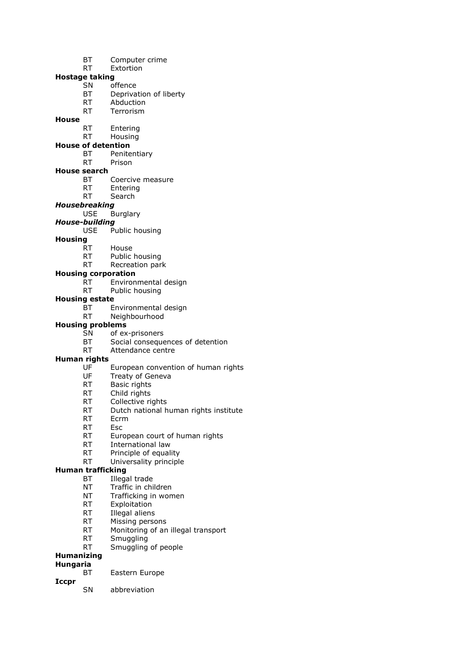- BT Computer crime
- RT Extortion

# **Hostage taking**

- SN offence
	- BT Deprivation of liberty
	- RT Abduction
	- RT Terrorism

# **House**

- RT Entering
- RT Housing

# **House of detention**

- BT Penitentiary
- RT Prison

### **House search**

- BT Coercive measure<br>RT Entering
- Entering
- RT Search

# *Housebreaking*

USE Burglary

### *House-building*

USE Public housing

### **Housing**

- RT House
- RT Public housing
- RT Recreation park

### **Housing corporation**

- RT Environmental design
- RT Public housing

### **Housing estate**

- BT Environmental design
- RT Neighbourhood

# **Housing problems**

- SN of ex-prisoners
- BT Social consequences of detention
- RT Attendance centre

# **Human rights**

- UF European convention of human rights
- UF Treaty of Geneva
- RT Basic rights<br>RT Child rights
- Child rights
- RT Collective rights
- RT Dutch national human rights institute
- RT Ecrm
- RT Esc
- RT European court of human rights
- RT International law
- RT Principle of equality
- RT Universality principle

# **Human trafficking**

- BT Illegal trade
- NT Traffic in children
- NT Trafficking in women
- RT Exploitation
- RT Illegal aliens
- RT Missing persons
- RT Monitoring of an illegal transport
- RT Smuggling
- RT Smuggling of people

# **Humanizing**

- **Hungaria**
	- BT Eastern Europe
- **Iccpr**
- 
- SN abbreviation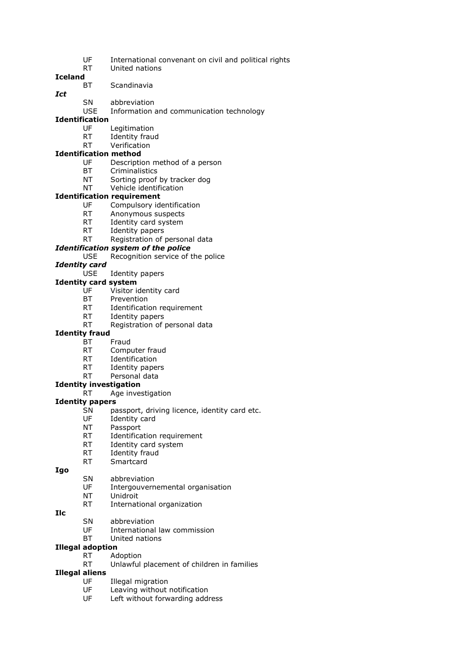- UF International convenant on civil and political rights
- RT United nations

#### **Iceland**

- BT Scandinavia
- *Ict*
- SN abbreviation
- USE Information and communication technology

## **Identification**

- UF Legitimation
- RT Identity fraud
- RT Verification

# **Identification method**

- UF Description method of a person
- BT Criminalistics
- NT Sorting proof by tracker dog
- NT Vehicle identification

### **Identification requirement**

- UF Compulsory identification
- RT Anonymous suspects
- RT Identity card system
- RT Identity papers
- RT Registration of personal data

# *Identification system of the police*

### USE Recognition service of the police

*Identity card*

#### USE Identity papers

#### **Identity card system**

- UF Visitor identity card
- BT Prevention
- RT Identification requirement
- RT Identity papers
- RT Registration of personal data

# **Identity fraud**

- BT Fraud
- RT Computer fraud
- RT Identification
- RT Identity papers
- RT Personal data
- **Identity investigation**
	- RT Age investigation

# **Identity papers**

- SN passport, driving licence, identity card etc.
- UF Identity card
- NT Passport
- RT Identification requirement
- RT Identity card system
- RT Identity fraud
- RT Smartcard

#### **Igo**

- SN abbreviation
- UF Intergouvernemental organisation
- NT Unidroit
- RT International organization
- **Ilc**
- SN abbreviation
- UF International law commission
- BT United nations

# **Illegal adoption**

- RT Adoption
- RT Unlawful placement of children in families

# **Illegal aliens**

- UF Illegal migration
- UF Leaving without notification
- UF Left without forwarding address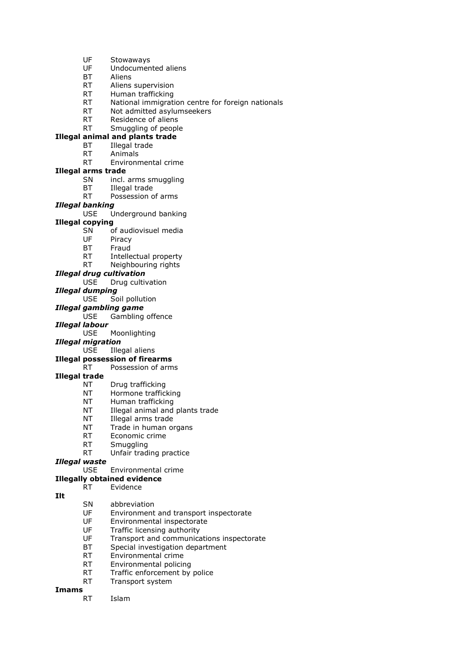- UF Stowaways
- UF Undocumented aliens
- BT Aliens
- RT Aliens supervision
- RT Human trafficking
- RT National immigration centre for foreign nationals
- RT Not admitted asylumseekers<br>RT Residence of aliens
- Residence of aliens
- RT Smuggling of people

### **Illegal animal and plants trade**

- BT Illegal trade
- RT Animals
- RT Environmental crime

#### **Illegal arms trade**

- SN incl. arms smuggling
- BT Illegal trade
- RT Possession of arms

#### *Illegal banking*

### USE Underground banking

#### **Illegal copying**

- SN of audiovisuel media
- UF Piracy
- BT Fraud
- RT Intellectual property
- RT Neighbouring rights
- *Illegal drug cultivation*
	- USE Drug cultivation

# *Illegal dumping*

Soil pollution

#### *Illegal gambling game*

USE Gambling offence

#### *Illegal labour*

USE Moonlighting

#### *Illegal migration*

USE Illegal aliens

### **Illegal possession of firearms**

#### RT Possession of arms

### **Illegal trade**

- NT Drug trafficking
- NT Hormone trafficking
- NT Human trafficking
- NT Illegal animal and plants trade
- NT Illegal arms trade
- NT Trade in human organs
- RT Economic crime
- RT Smuggling
- RT Unfair trading practice

### *Illegal waste*

USE Environmental crime

### **Illegally obtained evidence**

#### RT Evidence

#### **Ilt**

- SN abbreviation
- UF Environment and transport inspectorate
- UF Environmental inspectorate
- UF Traffic licensing authority
- UF Transport and communications inspectorate
- BT Special investigation department
- RT Environmental crime
- RT Environmental policing
- RT Traffic enforcement by police
- RT Transport system

### **Imams**

RT Islam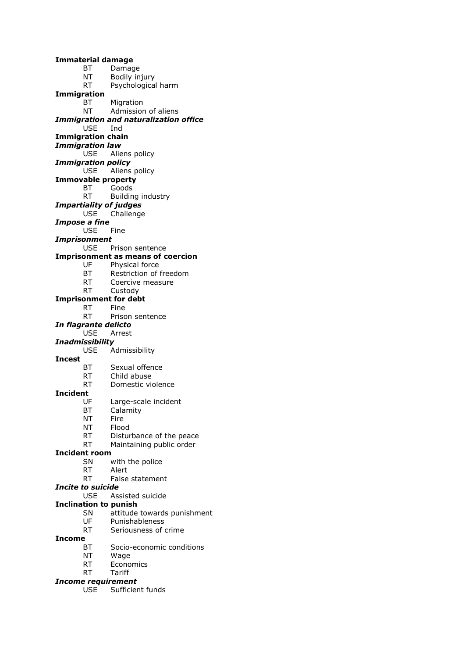**Immaterial damage** BT Damage NT Bodily injury RT Psychological harm **Immigration** BT Migration NT Admission of aliens *Immigration and naturalization office* USE Ind **Immigration chain** *Immigration law* USE Aliens policy *Immigration policy* USE Aliens policy **Immovable property** BT Goods RT Building industry *Impartiality of judges* USE Challenge *Impose a fine* USE Fine *Imprisonment* USE Prison sentence **Imprisonment as means of coercion** UF Physical force BT Restriction of freedom RT Coercive measure RT Custody **Imprisonment for debt** RT Fine RT Prison sentence *In flagrante delicto* USE Arrest *Inadmissibility* USE Admissibility **Incest** BT Sexual offence RT Child abuse RT Domestic violence **Incident** UF Large-scale incident BT Calamity NT Fire NT Flood RT Disturbance of the peace RT Maintaining public order **Incident room** SN with the police RT Alert RT False statement *Incite to suicide* USE Assisted suicide **Inclination to punish** SN attitude towards punishment UF Punishableness RT Seriousness of crime

#### **Income**

- BT Socio-economic conditions
- NT Wage
- RT Economics
- RT Tariff

#### *Income requirement*

USE Sufficient funds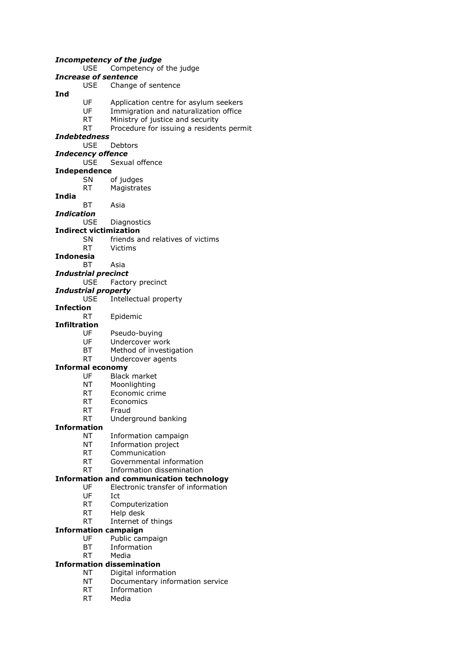#### *Incompetency of the judge* USE Competency of the judge *Increase of sentence* USE Change of sentence **Ind** UF Application centre for asylum seekers UF Immigration and naturalization office<br>RT Ministry of justice and security Ministry of justice and security RT Procedure for issuing a residents permit *Indebtedness* USE Debtors *Indecency offence* USE Sexual offence **Independence** SN of judges RT Magistrates **India** BT Asia *Indication* USE Diagnostics **Indirect victimization** SN friends and relatives of victims RT Victims **Indonesia** BT Asia *Industrial precinct* USE Factory precinct *Industrial property* USE Intellectual property **Infection** RT Epidemic **Infiltration** UF Pseudo-buying UF Undercover work BT Method of investigation RT Undercover agents **Informal economy** UF Black market NT Moonlighting RT Economic crime RT Economics RT Fraud RT Underground banking **Information** NT Information campaign NT Information project RT Communication RT Governmental information RT Information dissemination **Information and communication technology** UF Electronic transfer of information UF Ict RT Computerization RT Help desk RT Internet of things **Information campaign** UF Public campaign BT Information RT Media **Information dissemination** NT Digital information NT Documentary information service RT Information

RT Media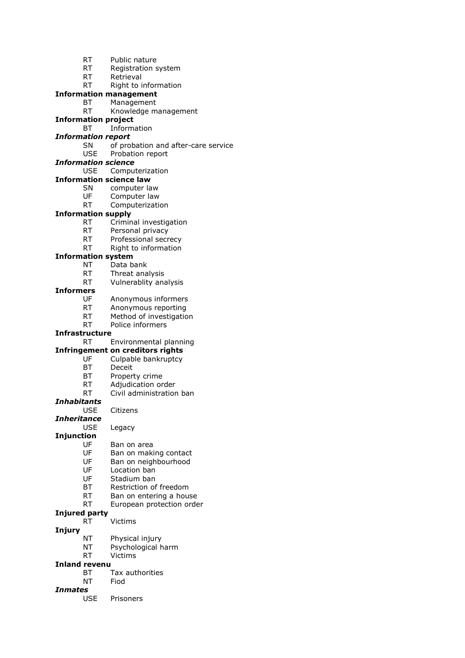- RT Public nature
- RT Registration system
- RT Retrieval
- RT Right to information

### **Information management**

BT Management

### RT Knowledge management

- **Information project**
	- BT Information

### *Information report*

- SN of probation and after-care service
- USE Probation report

#### *Information science*

- USE Computerization
- **Information science law**
	- SN computer law<br>UF Computer law
		- Computer law
	- RT Computerization

### **Information supply**

- RT Criminal investigation
- RT Personal privacy
- RT Professional secrecy
- RT Right to information

#### **Information system**

- NT Data bank
- RT Threat analysis
- RT Vulnerablity analysis

#### **Informers**

- UF Anonymous informers
- RT Anonymous reporting
- RT Method of investigation
- RT Police informers

#### **Infrastructure**

RT Environmental planning

#### **Infringement on creditors rights**

- UF Culpable bankruptcy
- BT Deceit
- BT Property crime
- RT Adjudication order
- RT Civil administration ban

#### *Inhabitants*

USE Citizens

#### *Inheritance*

USE Legacy

#### **Injunction**

- UF Ban on area
- UF Ban on making contact
- UF Ban on neighbourhood
- UF Location ban
- UF Stadium ban
- BT Restriction of freedom
- RT Ban on entering a house
- RT European protection order

#### **Injured party**

RT Victims

#### **Injury**

- NT Physical injury
- NT Psychological harm
- RT Victims

### **Inland revenu**

- BT Tax authorities
- NT Fiod

### *Inmates*

USE Prisoners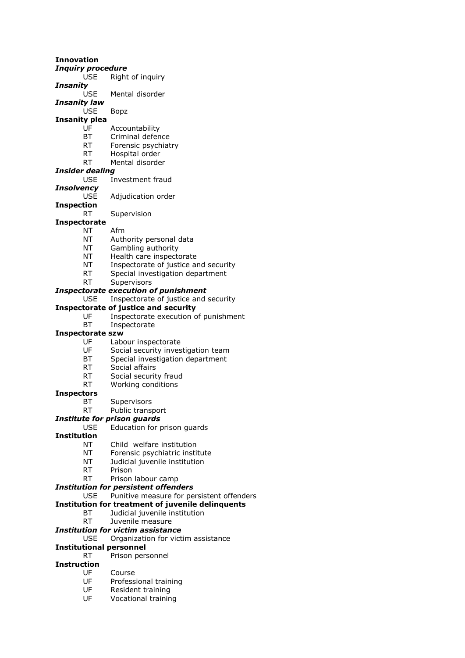**Innovation** *Inquiry procedure* USE Right of inquiry *Insanity* USE Mental disorder *Insanity law* USE Bopz **Insanity plea** UF Accountability BT Criminal defence RT Forensic psychiatry RT Hospital order RT Mental disorder *Insider dealing* USE Investment fraud *Insolvency* Adjudication order **Inspection** RT Supervision **Inspectorate** NT Afm NT Authority personal data NT Gambling authority NT Health care inspectorate NT Inspectorate of justice and security RT Special investigation department RT Supervisors *Inspectorate execution of punishment* Inspectorate of justice and security **Inspectorate of justice and security** UF Inspectorate execution of punishment BT Inspectorate **Inspectorate szw** UF Labour inspectorate UF Social security investigation team BT Special investigation department RT Social affairs RT Social security fraud RT Working conditions **Inspectors** BT Supervisors RT Public transport *Institute for prison guards* USE Education for prison guards **Institution** NT Child welfare institution NT Forensic psychiatric institute NT Judicial juvenile institution RT Prison RT Prison labour camp *Institution for persistent offenders* USE Punitive measure for persistent offenders **Institution for treatment of juvenile delinquents** BT Judicial juvenile institution RT Juvenile measure *Institution for victim assistance* USE Organization for victim assistance **Institutional personnel** RT Prison personnel **Instruction** UF Course UF Professional training UF Resident training UF Vocational training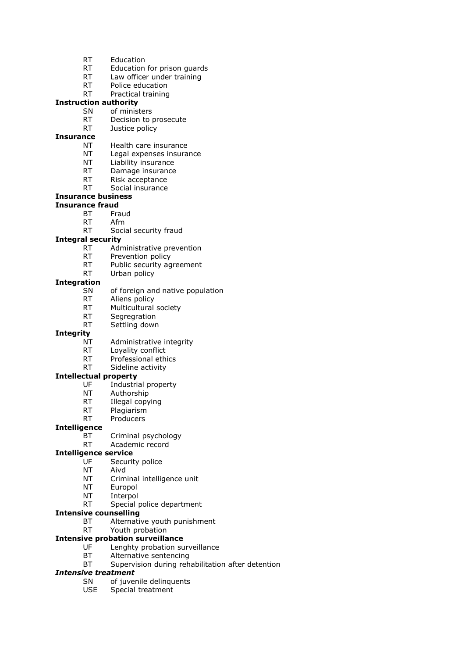- RT Education
- RT Education for prison guards
- RT Law officer under training
- RT Police education
- RT Practical training

### **Instruction authority**

- SN of ministers<br>RT Decision to
	- Decision to prosecute
- RT Justice policy

#### **Insurance**

- NT Health care insurance
- NT Legal expenses insurance
- NT Liability insurance
- RT Damage insurance
- RT Risk acceptance
- RT Social insurance

### **Insurance business**

### **Insurance fraud**

- BT Fraud
- RT Afm
- RT Social security fraud

### **Integral security**

- RT Administrative prevention
- RT Prevention policy
- RT Public security agreement
- RT Urban policy

#### **Integration**

- SN of foreign and native population
- RT Aliens policy
- RT Multicultural society
- RT Segregration
- RT Settling down

#### **Integrity**

- NT Administrative integrity
- RT Loyality conflict
- RT Professional ethics
- RT Sideline activity

#### **Intellectual property**

- UF Industrial property<br>NT Authorshin
- Authorship
- RT Illegal copying
- RT Plagiarism
- RT Producers

#### **Intelligence**

- BT Criminal psychology
- RT Academic record

#### **Intelligence service**

- UF Security police
- NT Aivd
- NT Criminal intelligence unit
- NT Europol
- NT Interpol
- RT Special police department
- **Intensive counselling**
	- BT Alternative youth punishment
	- RT Youth probation

#### **Intensive probation surveillance**

- UF Lenghty probation surveillance
- BT Alternative sentencing
- BT Supervision during rehabilitation after detention

### *Intensive treatment*

- SN of juvenile delinquents
- USE Special treatment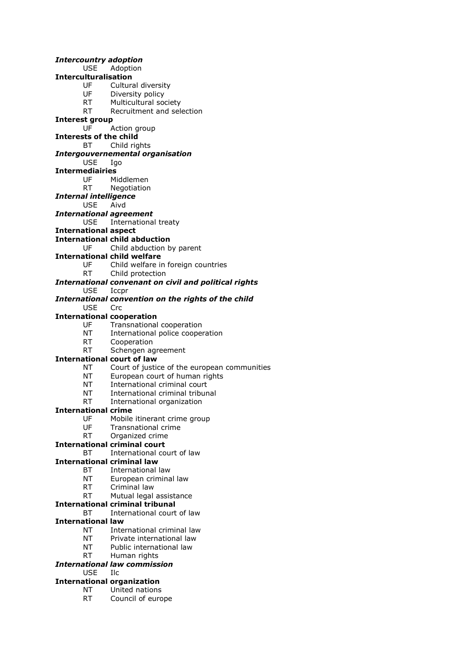*Intercountry adoption* USE Adoption **Interculturalisation** UF Cultural diversity UF Diversity policy RT Multicultural society<br>RT Recruitment and sel Recruitment and selection **Interest group** UF Action group **Interests of the child** BT Child rights *Intergouvernemental organisation* USE Igo **Intermediairies** UF Middlemen RT Negotiation *Internal intelligence* USE Aivd *International agreement* USE International treaty **International aspect International child abduction** UF Child abduction by parent **International child welfare** UF Child welfare in foreign countries RT Child protection *International convenant on civil and political rights* USE Iccpr *International convention on the rights of the child* USE Crc **International cooperation** UF Transnational cooperation NT International police cooperation RT Cooperation RT Schengen agreement **International court of law** NT Court of justice of the european communities NT European court of human rights NT International criminal court NT International criminal tribunal RT International organization **International crime** UF Mobile itinerant crime group UF Transnational crime RT Organized crime **International criminal court** BT International court of law **International criminal law** BT International law NT European criminal law RT Criminal law RT Mutual legal assistance **International criminal tribunal** BT International court of law **International law** NT International criminal law NT Private international law NT Public international law RT Human rights *International law commission* USE Ilc **International organization** NT United nations

RT Council of europe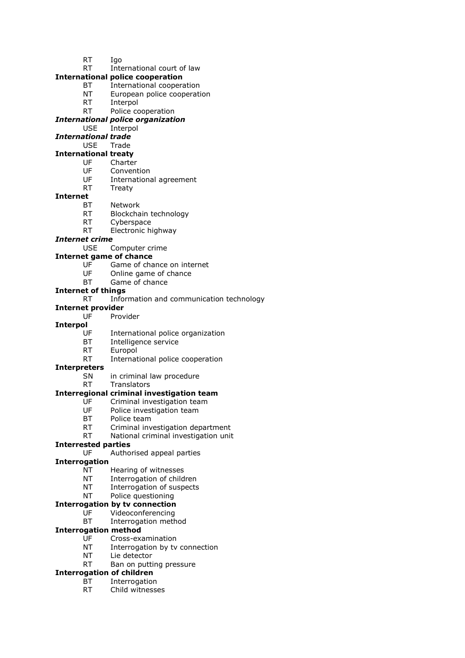- RT Igo
- RT International court of law
- **International police cooperation**
	- BT International cooperation
	- NT European police cooperation
	- RT Interpol
	- RT Police cooperation
- *International police organization*
	- USE Interpol
- *International trade*
- USE Trade

### **International treaty**

- UF Charter
- UF Convention
- UF International agreement<br>RT Treatv Treaty
- 

#### **Internet**

- BT Network
- RT Blockchain technology
- RT Cyberspace
- RT Electronic highway

#### *Internet crime*

USE Computer crime

#### **Internet game of chance**

- UF Game of chance on internet
- UF Online game of chance
- BT Game of chance

#### **Internet of things**

#### RT Information and communication technology

#### **Internet provider**

UF Provider

#### **Interpol**

- UF International police organization
- BT Intelligence service
- RT Europol
	- RT International police cooperation

#### **Interpreters**

- SN in criminal law procedure
- RT Translators

#### **Interregional criminal investigation team**

- UF Criminal investigation team
- UF Police investigation team
- BT Police team
- RT Criminal investigation department
- RT National criminal investigation unit

### **Interrested parties**

UF Authorised appeal parties

#### **Interrogation**

- NT Hearing of witnesses
- NT Interrogation of children
- NT Interrogation of suspects

#### NT Police questioning

- **Interrogation by tv connection**
	- UF Videoconferencing
	- BT Interrogation method

#### **Interrogation method**

- UF Cross-examination
- NT Interrogation by tv connection
- NT Lie detector
- RT Ban on putting pressure

### **Interrogation of children**

- BT Interrogation
- RT Child witnesses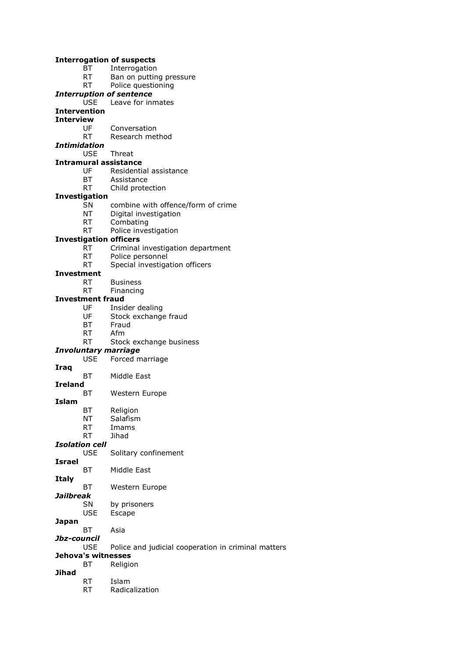#### **Interrogation of suspects**

- BT Interrogation
- RT Ban on putting pressure
- RT Police questioning

#### *Interruption of sentence*

USE Leave for inmates

### **Intervention**

- **Interview**
	- UF Conversation
	- RT Research method

#### *Intimidation*

USE Threat

#### **Intramural assistance**

- UF Residential assistance
- BT Assistance
- RT Child protection

### **Investigation**

- SN combine with offence/form of crime
- NT Digital investigation
- RT Combating
- RT Police investigation

#### **Investigation officers**

- RT Criminal investigation department
- RT Police personnel
- RT Special investigation officers

### **Investment**

- RT Business
- RT Financing

### **Investment fraud**

- UF Insider dealing
- UF Stock exchange fraud
- BT Fraud
- RT Afm
- RT Stock exchange business

#### *Involuntary marriage*

- USE Forced marriage
- **Iraq**
	- BT Middle East
- **Ireland**<br>BT
- Western Europe **Islam**
	-
	- BT Religion NT Salafism
	- RT Imams
	- RT Jihad

#### *Isolation cell*

- USE Solitary confinement
- **Israel** BT Middle East
- **Italy**
- BT Western Europe
- *Jailbreak*
	- SN by prisoners<br>USE Escape Escape
- **Japan**
	- BT Asia
- *Jbz-council*
	- USE Police and judicial cooperation in criminal matters

### **Jehova's witnesses**

- BT Religion
- **Jihad**
	- RT Radicalization
	- RT Islam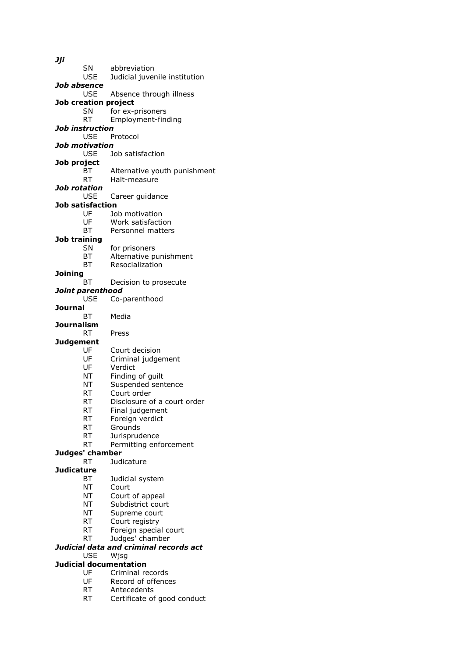*Jji* SN abbreviation USE Judicial juvenile institution *Job absence* USE Absence through illness **Job creation project** SN for ex-prisoners<br>RT Fmployment-fine Employment-finding *Job instruction* USE Protocol *Job motivation* USE Job satisfaction **Job project** BT Alternative youth punishment RT Halt-measure *Job rotation* USE Career guidance **Job satisfaction** UF Job motivation UF Work satisfaction BT Personnel matters **Job training** SN for prisoners BT Alternative punishment BT Resocialization **Joining** BT Decision to prosecute *Joint parenthood* USE Co-parenthood **Journal** BT Media **Journalism** RT Press **Judgement** UF Court decision UF Criminal judgement<br>UF Verdict Verdict NT Finding of guilt NT Suspended sentence<br>RT Court order Court order RT Disclosure of a court order RT Final judgement RT Foreign verdict RT Grounds RT Jurisprudence RT Permitting enforcement **Judges' chamber** RT Judicature **Judicature** BT Judicial system NT Court NT Court of appeal NT Subdistrict court NT Supreme court RT Court registry RT Foreign special court RT Judges' chamber *Judicial data and criminal records act* USE Wjsg **Judicial documentation**

- UF Criminal records
	- UF Record of offences
	- RT Antecedents
	- RT Certificate of good conduct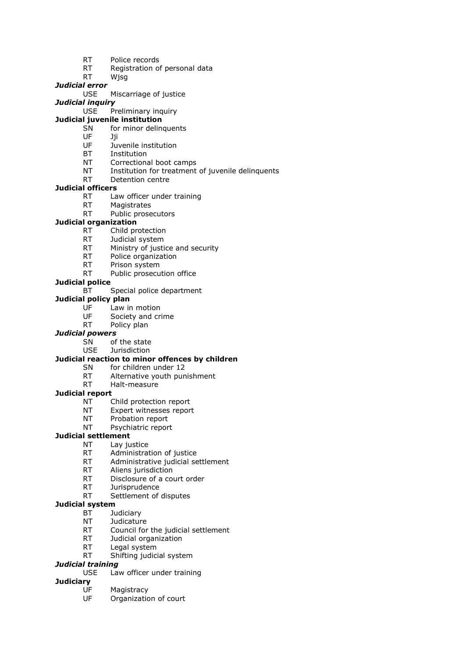- RT Police records
- RT Registration of personal data
- RT Wjsg

### *Judicial error*

USE Miscarriage of justice

### *Judicial inquiry*

USE Preliminary inquiry

### **Judicial juvenile institution**

- SN for minor delinquents
- UF Jji
- UF Juvenile institution
- BT Institution
- NT Correctional boot camps
- NT Institution for treatment of juvenile delinquents
- RT Detention centre

### **Judicial officers**

- RT Law officer under training
- RT Magistrates
- RT Public prosecutors

### **Judicial organization**

- RT Child protection
- RT Judicial system
- RT Ministry of justice and security
- RT Police organization
- RT Prison system
- RT Public prosecution office

### **Judicial police**

BT Special police department

### **Judicial policy plan**

- UF Law in motion
- UF Society and crime
- RT Policy plan

### *Judicial powers*

- SN of the state
- USE Jurisdiction

### **Judicial reaction to minor offences by children**

- SN for children under 12
- RT Alternative youth punishment
- RT Halt-measure

### **Judicial report**

- NT Child protection report
- NT Expert witnesses report
- NT Probation report
- NT Psychiatric report

### **Judicial settlement**

- NT Lay justice
- RT Administration of justice
- RT Administrative judicial settlement
- RT Aliens jurisdiction
- RT Disclosure of a court order
- RT Jurisprudence
- RT Settlement of disputes

#### **Judicial system**

- BT Judiciary
- NT Judicature
- RT Council for the judicial settlement
- RT Judicial organization
- RT Legal system
- RT Shifting judicial system

### *Judicial training*

### USE Law officer under training

- **Judiciary**
	- UF Magistracy
	- UF Organization of court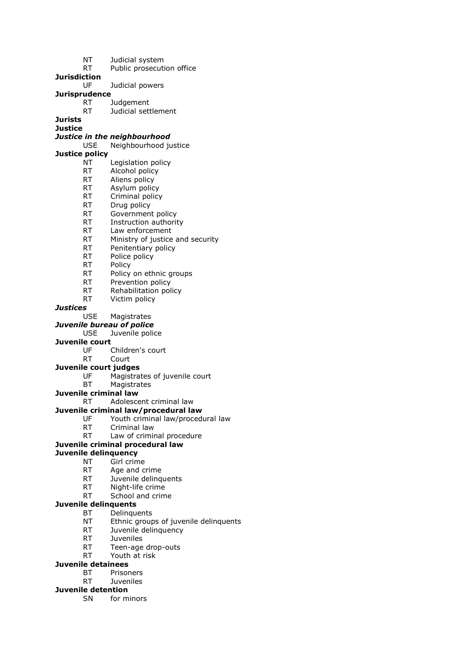- NT Judicial system
- RT Public prosecution office
- **Jurisdiction**
	- UF Judicial powers

### **Jurisprudence**

- RT Judgement
	- RT Judicial settlement

**Jurists Justice**

### *Justice in the neighbourhood*

#### USE Neighbourhood justice

**Justice policy**

- NT Legislation policy
- RT Alcohol policy
- RT Aliens policy
- RT Asylum policy
- RT Criminal policy
- RT Drug policy
- RT Government policy
- RT Instruction authority
- RT Law enforcement
- RT Ministry of justice and security
- RT Penitentiary policy
- RT Police policy
- RT Policy
- RT Policy on ethnic groups
- RT Prevention policy
- RT Rehabilitation policy
- RT Victim policy

### *Justices*

### USE Magistrates

*Juvenile bureau of police*

USE Juvenile police

#### **Juvenile court**

- UF Children's court
- RT Court
- **Juvenile court judges**
	- Magistrates of juvenile court
	- BT Magistrates

#### **Juvenile criminal law**

RT Adolescent criminal law

#### **Juvenile criminal law/procedural law**

- UF Youth criminal law/procedural law
- RT Criminal law<br>RT Law of crimin
- Law of criminal procedure

### **Juvenile criminal procedural law**

### **Juvenile delinquency**

- NT Girl crime
- RT Age and crime
- RT Juvenile delinquents
- RT Night-life crime
- RT School and crime

#### **Juvenile delinquents**

- BT Delinquents
- NT Ethnic groups of juvenile delinquents
- RT Juvenile delinquency
- RT Juveniles
- RT Teen-age drop-outs
- RT Youth at risk

### **Juvenile detainees**

- BT Prisoners
- RT Juveniles

## **Juvenile detention**

SN for minors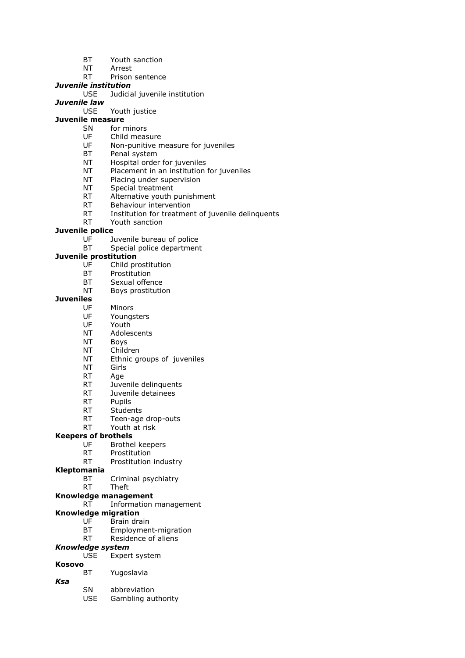- BT Youth sanction
- NT Arrest
- RT Prison sentence

### *Juvenile institution*

USE Judicial juvenile institution

## *Juvenile law*

Youth justice

### **Juvenile measure**

- SN for minors
- UF Child measure
- UF Non-punitive measure for juveniles
- BT Penal system
- NT Hospital order for juveniles
- NT Placement in an institution for juveniles
- NT Placing under supervision
- NT Special treatment
- RT Alternative youth punishment
- RT Behaviour intervention
- RT Institution for treatment of juvenile delinquents
- RT Youth sanction

#### **Juvenile police**

- UF Juvenile bureau of police
- BT Special police department

#### **Juvenile prostitution**

- UF Child prostitution
- BT Prostitution
- BT Sexual offence
- NT Boys prostitution

#### **Juveniles**

- UF Minors
- UF Youngsters
- UF Youth
- NT Adolescents
- NT Boys
- NT Children
- NT Ethnic groups of juveniles
- NT Girls
- RT Age
- RT Juvenile delinquents
- RT Juvenile detainees
- RT Pupils
- RT Students
- RT Teen-age drop-outs
- RT Youth at risk

#### **Keepers of brothels**

- UF Brothel keepers
- RT Prostitution
- RT Prostitution industry
- **Kleptomania**
	- BT Criminal psychiatry
	- RT Theft
- **Knowledge management**
	- RT Information management

#### **Knowledge migration**

- UF Brain drain
- BT Employment-migration
- RT Residence of aliens

### *Knowledge system*

- USE Expert system
- **Kosovo**
	- BT Yugoslavia
- *Ksa*
	- SN abbreviation
	- USE Gambling authority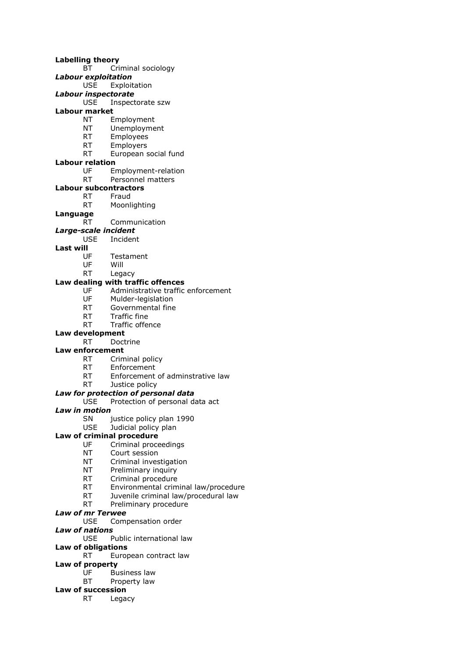- **Labelling theory** BT Criminal sociology *Labour exploitation* USE Exploitation *Labour inspectorate* USE Inspectorate szw **Labour market** NT Employment NT Unemployment RT Employees RT Employers RT European social fund **Labour relation** UF Employment-relation RT Personnel matters **Labour subcontractors** RT Fraud RT Moonlighting **Language** RT Communication *Large-scale incident* USE Incident **Last will** UF Testament UF Will RT Legacy **Law dealing with traffic offences** UF Mulder-legislation RT Governmental fine RT Traffic fine RT Traffic offence **Law development** RT Doctrine
	- UF Administrative traffic enforcement
	- **Law enforcement**
		- RT Criminal policy
		- RT Enforcement
		- RT Enforcement of adminstrative law
		- RT Justice policy

#### *Law for protection of personal data*

USE Protection of personal data act

#### *Law in motion*

- SN iustice policy plan 1990
- USE Judicial policy plan
- **Law of criminal procedure**
	- UF Criminal proceedings
	- NT Court session
	- NT Criminal investigation
	- NT Preliminary inquiry
	- RT Criminal procedure
	- RT Environmental criminal law/procedure
	- RT Juvenile criminal law/procedural law
	- RT Preliminary procedure

#### *Law of mr Terwee*

- USE Compensation order
- *Law of nations*
	- USE Public international law
- **Law of obligations**
	- RT European contract law
- **Law of property**
	- UF Business law
	- BT Property law

### **Law of succession**

RT Legacy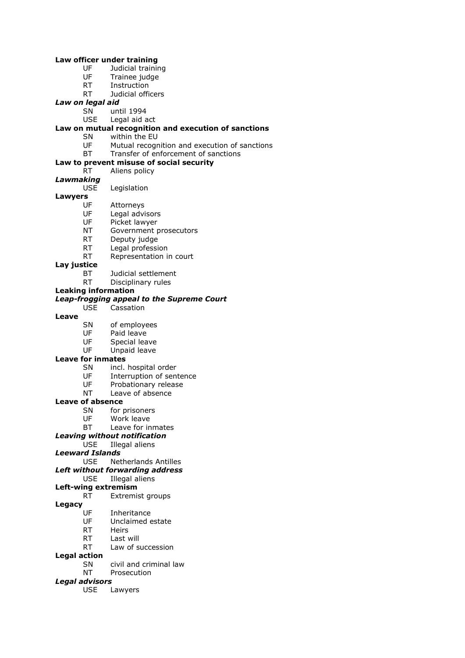#### **Law officer under training**

- UF Judicial training
- UF Trainee judge
- RT Instruction
- RT Judicial officers

#### *Law on legal aid*

- SN until 1994<br>USE Legal aid a
- Legal aid act

## **Law on mutual recognition and execution of sanctions**

- within the EU
- UF Mutual recognition and execution of sanctions
- BT Transfer of enforcement of sanctions

### **Law to prevent misuse of social security**

- RT Aliens policy *Lawmaking*
	- USE Legislation

#### **Lawyers**

- UF Attorneys
- UF Legal advisors
- UF Picket lawyer
- NT Government prosecutors
- RT Deputy judge
- RT Legal profession
- RT Representation in court

#### **Lay justice**

- BT Judicial settlement
- RT Disciplinary rules

#### **Leaking information**

#### *Leap-frogging appeal to the Supreme Court*

USE Cassation

#### **Leave**

- SN of employees
- UF Paid leave
- UF Special leave
- UF Unpaid leave

#### **Leave for inmates**

- SN incl. hospital order
- UF Interruption of sentence
- 
- UF Probationary release<br>NT Leave of absence Leave of absence

#### **Leave of absence**

- SN for prisoners
- UF Work leave
- BT Leave for inmates
- *Leaving without notification*
	- USE Illegal aliens

#### *Leeward Islands*

USE Netherlands Antilles

- *Left without forwarding address*
	- USE Illegal aliens

#### **Left-wing extremism**

RT Extremist groups

#### **Legacy**

- UF Inheritance
- UF Unclaimed estate
- RT Heirs
- RT Last will
- RT Law of succession

#### **Legal action**

- SN civil and criminal law
- NT Prosecution

#### *Legal advisors*

USE Lawyers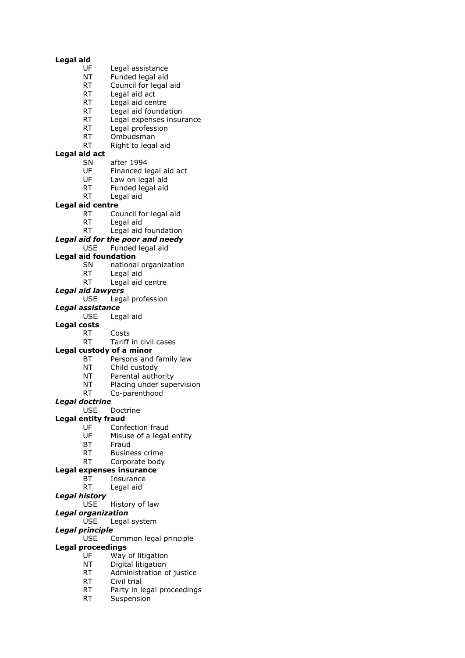#### **Legal aid**

- UF Legal assistance
- NT Funded legal aid
- RT Council for legal aid
- RT Legal aid act
- RT Legal aid centre
- RT Legal aid foundation<br>RT Legal expenses insure
- Legal expenses insurance
- RT Legal profession
- RT Ombudsman
- RT Right to legal aid

### **Legal aid act**

- SN after 1994
- UF Financed legal aid act
- UF Law on legal aid
- RT Funded legal aid
- RT Legal aid

#### **Legal aid centre**

- RT Council for legal aid
- RT Legal aid
- RT Legal aid foundation
- *Legal aid for the poor and needy*
	- USE Funded legal aid

#### **Legal aid foundation**

- SN national organization
- RT Legal aid
- RT Legal aid centre
- *Legal aid lawyers*

#### USE Legal profession

- *Legal assistance*
	- USE Legal aid
- **Legal costs**
	- RT Costs
	- RT Tariff in civil cases
- **Legal custody of a minor**
	- BT Persons and family law
	- NT Child custody
	- NT Parental authority
	- NT Placing under supervision
	- RT Co-parenthood

### *Legal doctrine*

USE Doctrine

#### **Legal entity fraud**

- 
- UF Confection fraud<br>UF Misuse of a legal Misuse of a legal entity
- BT Fraud
- RT Business crime
- RT Corporate body

#### **Legal expenses insurance**

- BT Insurance
- RT Legal aid
- *Legal history*
	- USE History of law

#### *Legal organization*

USE Legal system

#### *Legal principle*

USE Common legal principle

### **Legal proceedings**

- UF Way of litigation
- NT Digital litigation
- RT Administration of justice
- RT Civil trial
- RT Party in legal proceedings
- RT Suspension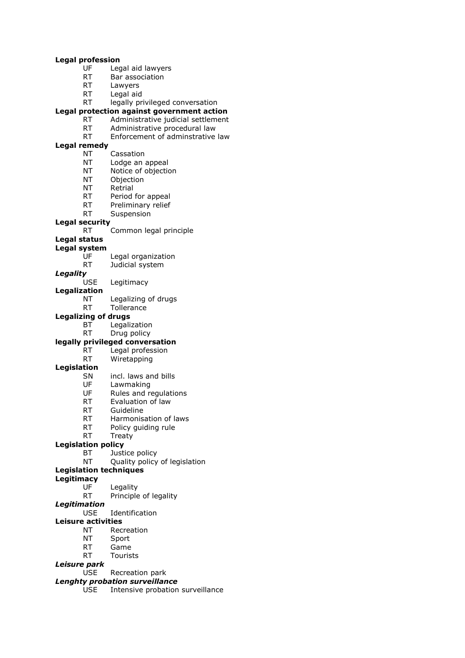#### **Legal profession**

- UF Legal aid lawyers
- RT Bar association
- RT Lawyers
- RT Legal aid
- RT legally privileged conversation

## **Legal protection against government action**

- Administrative judicial settlement
- RT Administrative procedural law
- RT Enforcement of adminstrative law

#### **Legal remedy**

- NT Cassation
- NT Lodge an appeal
- NT Notice of objection
- NT Objection
- NT Retrial
- RT Period for appeal
- RT Preliminary relief
- RT Suspension
- 

### **Legal security**

RT Common legal principle

### **Legal status**

- **Legal system**
	- UF Legal organization
	- RT Judicial system
- *Legality*

Legitimacy

- **Legalization**
	- NT Legalizing of drugs
	- RT Tollerance

#### **Legalizing of drugs**

- BT Legalization
- RT Drug policy

### **legally privileged conversation**

- RT Legal profession RT Wiretapping
- 

### **Legislation**

- SN incl. laws and bills
- UF Lawmaking<br>UF Rules and re
- Rules and regulations
- RT Evaluation of law
- RT Guideline
- RT Harmonisation of laws
- RT Policy guiding rule
- RT Treaty

#### **Legislation policy**

- BT Justice policy
- NT Quality policy of legislation
- **Legislation techniques**
- **Legitimacy**
	- UF Legality
	- RT Principle of legality
- *Legitimation*
	- USE Identification

#### **Leisure activities**

- NT Recreation
- NT Sport
- RT Game
- RT Tourists

### *Leisure park*

USE Recreation park

### *Lenghty probation surveillance*

USE Intensive probation surveillance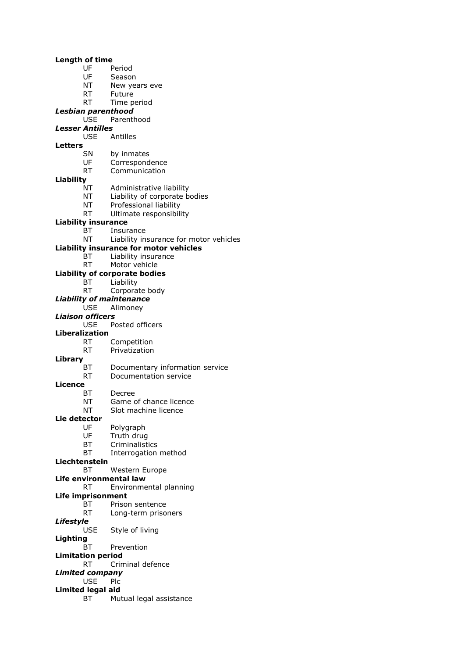#### **Length of time**

- UF Period
- UF Season
- NT New years eve
- RT Future
- RT Time period
- *Lesbian parenthood*
- Parenthood
- *Lesser Antilles*
	- USE Antilles
- **Letters**
- 
- SN by inmates UF Correspondence
- RT Communication
- 
- **Liability**
	- Administrative liability
	- NT Liability of corporate bodies
	- NT Professional liability
	- RT Ultimate responsibility

#### **Liability insurance**

- BT Insurance
- NT Liability insurance for motor vehicles

#### **Liability insurance for motor vehicles**

- BT Liability insurance
- RT Motor vehicle
- **Liability of corporate bodies**
	- BT Liability
	- RT Corporate body
- *Liability of maintenance*
	- Alimoney
- *Liaison officers*
	- USE Posted officers
- **Liberalization**
	- RT Competition
	- RT Privatization
- **Library**
	- BT Documentary information service
	- RT Documentation service
- **Licence**<br>BT
	- Decree
	- NT Game of chance licence
	- NT Slot machine licence

#### **Lie detector**

- 
- UF Polygraph<br>UF Truth druc Truth drug
- BT Criminalistics
- BT Interrogation method

#### **Liechtenstein**

- BT Western Europe
- **Life environmental law**
	- RT Environmental planning
- **Life imprisonment**
	- BT Prison sentence
		- RT Long-term prisoners
- *Lifestyle* USE Style of living
- **Lighting**
	- BT Prevention
- **Limitation period**
- RT Criminal defence
- *Limited company*
	- USE Plc
- **Limited legal aid**
	- BT Mutual legal assistance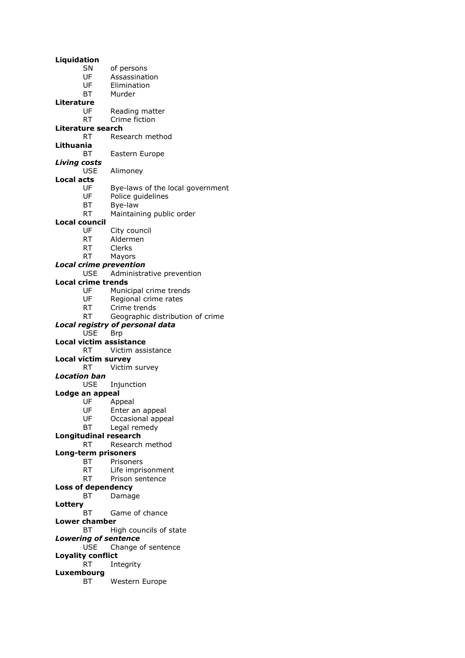**Liquidation** SN of persons UF Assassination UF Elimination BT Murder **Literature**<br>UF UF Reading matter<br>RT Crime fiction Crime fiction **Literature search** RT Research method **Lithuania** BT Eastern Europe *Living costs* USE Alimoney **Local acts** UF Bye-laws of the local government<br>UF Police guidelines Police guidelines BT Bye-law RT Maintaining public order **Local council** UF City council RT Aldermen RT Clerks RT Mayors *Local crime prevention* USE Administrative prevention **Local crime trends** UF Municipal crime trends UF Regional crime rates RT Crime trends RT Geographic distribution of crime *Local registry of personal data* USE Brp **Local victim assistance** RT Victim assistance **Local victim survey** RT Victim survey *Location ban* USE Injunction **Lodge an appeal** UF Appeal UF Enter an appeal<br>UF Occasional appe Occasional appeal BT Legal remedy **Longitudinal research** RT Research method **Long-term prisoners** BT Prisoners RT Life imprisonment RT Prison sentence **Loss of dependency** BT Damage **Lottery** BT Game of chance **Lower chamber** BT High councils of state *Lowering of sentence* USE Change of sentence **Loyality conflict** RT Integrity **Luxembourg**

BT Western Europe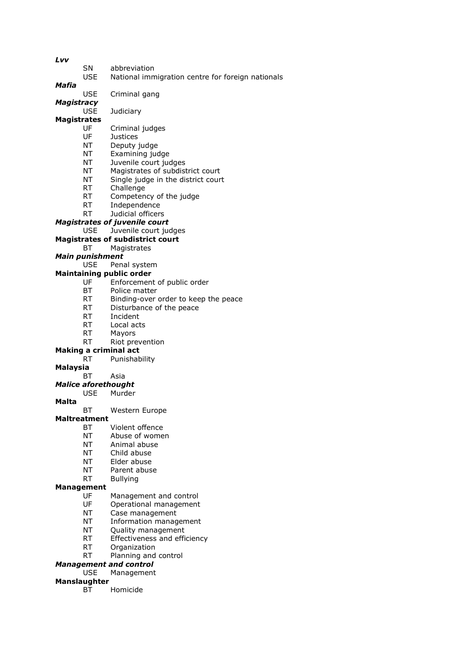*Lvv*

SN abbreviation

USE National immigration centre for foreign nationals

*Mafia*

USE Criminal gang

*Magistracy*

USE Judiciary

### **Magistrates**

- UF Criminal judges
- UF Justices
- NT Deputy judge
- NT Examining judge
- NT Juvenile court judges
- NT Magistrates of subdistrict court
- NT Single judge in the district court
- RT Challenge
- RT Competency of the judge
- RT Independence
- RT Judicial officers
- *Magistrates of juvenile court*
- USE Juvenile court judges
- **Magistrates of subdistrict court**
	- BT Magistrates

#### *Main punishment*

USE Penal system

#### **Maintaining public order**

- UF Enforcement of public order
- BT Police matter
- RT Binding-over order to keep the peace
- RT Disturbance of the peace
- RT Incident
- RT Local acts
- RT Mayors
- RT Riot prevention

### **Making a criminal act**

RT Punishability

#### **Malaysia**

#### BT Asia

*Malice aforethought*

#### USE Murder

**Malta**

#### BT Western Europe

#### **Maltreatment**

- BT Violent offence
- NT Abuse of women
- NT Animal abuse
- NT Child abuse
- NT Elder abuse
- NT Parent abuse
- RT Bullying

### **Management**

- UF Management and control
- UF Operational management
- NT Case management
- NT Information management
- NT Quality management
- RT Effectiveness and efficiency
- RT Organization
	- RT Planning and control

### *Management and control*

### USE Management

### **Manslaughter**

BT Homicide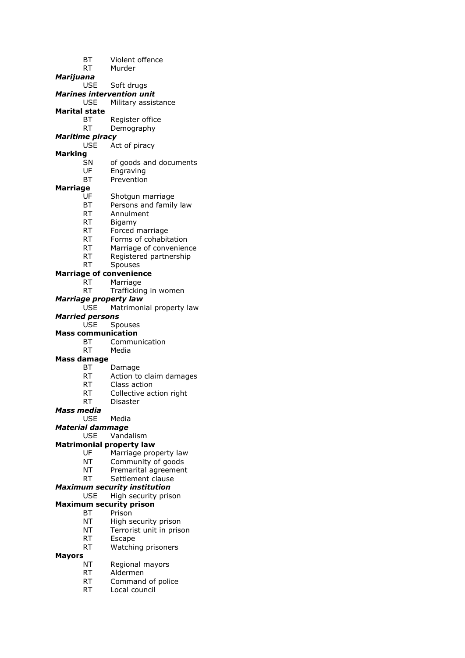- BT Violent offence RT Murder
- *Marijuana*
- USE Soft drugs
- *Marines intervention unit* USE Military assistance
- **Marital state**
	- Register office
	- RT Demography
- *Maritime piracy*
	- USE Act of piracy
- **Marking**
	- SN of goods and documents
	- UF Engraving
	- BT Prevention

### **Marriage**

- UF Shotgun marriage
- BT Persons and family law
- RT Annulment
- RT Bigamy
- RT Forced marriage
- RT Forms of cohabitation
- RT Marriage of convenience
- RT Registered partnership
- RT Spouses
- **Marriage of convenience**
	- RT Marriage
	- RT Trafficking in women

#### *Marriage property law*

- USE Matrimonial property law
- *Married persons*
	- USE Spouses

### **Mass communication**

- BT Communication
- RT Media

#### **Mass damage**

- BT Damage
- RT Action to claim damages
- 
- RT Class action<br>RT Collective ac Collective action right
- RT Disaster

#### *Mass media*

- USE Media
- *Material dammage*

#### USE Vandalism

#### **Matrimonial property law**

- UF Marriage property law
- NT Community of goods
- NT Premarital agreement
- RT Settlement clause

#### *Maximum security institution*

- USE High security prison
- **Maximum security prison**
	- BT Prison
	- NT High security prison
	- NT Terrorist unit in prison
	- RT Escape
	- RT Watching prisoners

#### **Mayors**

- NT Regional mayors
- RT Aldermen
- RT Command of police
- RT Local council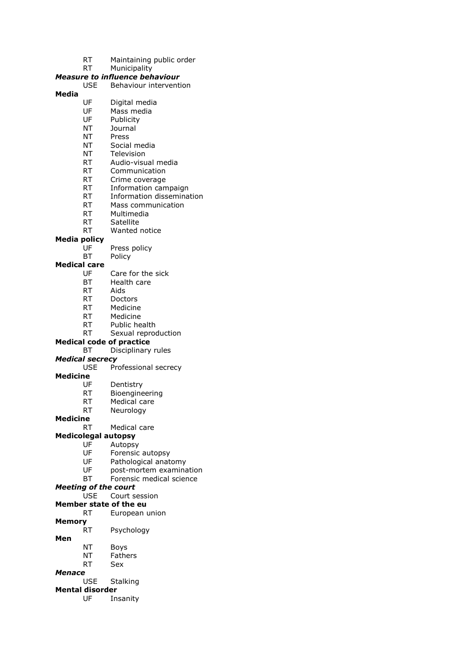- RT Maintaining public order
- RT Municipality

#### *Measure to influence behaviour*

USE Behaviour intervention

#### **Media**

- UF Digital media
- UF Mass media<br>UF Publicity
- Publicity
- NT Journal
- NT Press
- NT Social media
- NT Television
- RT Audio-visual media
- RT Communication
- RT Crime coverage
- RT Information campaign
- RT Information dissemination
- RT Mass communication
- RT Multimedia
- RT Satellite
- RT Wanted notice

#### **Media policy**

- UF Press policy
- BT Policy

#### **Medical care**

- UF Care for the sick
- BT Health care
- RT Aids
- RT Doctors
- RT Medicine
- RT Medicine
- RT Public health
- RT Sexual reproduction

#### **Medical code of practice**

BT Disciplinary rules

#### *Medical secrecy*

- USE Professional secrecy
- **Medicine**
	-
- UF Dentistry<br>RT Bioengine **Bioengineering** 
	- RT Medical care
	- RT Neurology

#### **Medicine**

- RT Medical care
- **Medicolegal autopsy**
	- UF Autopsy
		- UF Forensic autopsy
		- UF Pathological anatomy
	- UF post-mortem examination
	- BT Forensic medical science

#### *Meeting of the court*

USE Court session

#### **Member state of the eu**

- RT European union
- **Memory**
	- RT Psychology

#### **Men**

- NT Boys
- NT Fathers
- RT Sex

#### *Menace*

USE Stalking

### **Mental disorder**

UF Insanity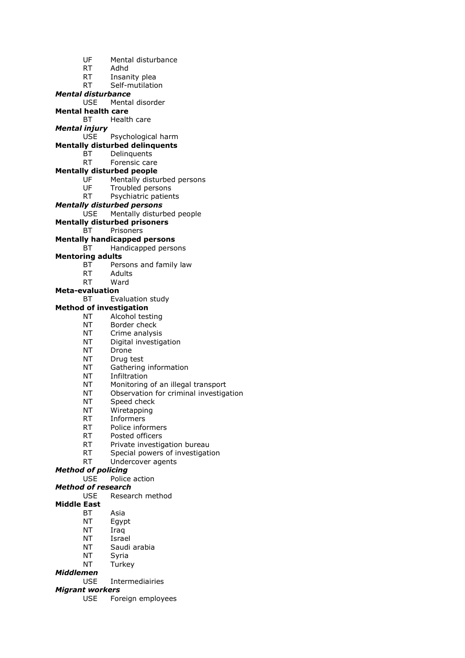UF Mental disturbance RT Adhd RT Insanity plea RT Self-mutilation *Mental disturbance* USE Mental disorder **Mental health care** BT Health care *Mental injury* USE Psychological harm **Mentally disturbed delinquents** BT Delinquents RT Forensic care **Mentally disturbed people** UF Mentally disturbed persons UF Troubled persons RT Psychiatric patients *Mentally disturbed persons* USE Mentally disturbed people **Mentally disturbed prisoners** BT Prisoners **Mentally handicapped persons** BT Handicapped persons **Mentoring adults** BT Persons and family law RT Adults RT Ward **Meta-evaluation** BT Evaluation study **Method of investigation** NT Alcohol testing NT Border check NT Crime analysis NT Digital investigation NT Drone NT Drug test NT Gathering information NT Infiltration NT Monitoring of an illegal transport<br>NT Observation for criminal investiga Observation for criminal investigation NT Speed check NT Wiretapping RT Informers RT Police informers RT Posted officers RT Private investigation bureau RT Special powers of investigation RT Undercover agents *Method of policing* USE Police action *Method of research* USE Research method **Middle East** BT Asia NT Egypt NT Iraq NT Israel NT Saudi arabia NT Syria NT Turkey

- *Middlemen*
	- USE Intermediairies

*Migrant workers*

USE Foreign employees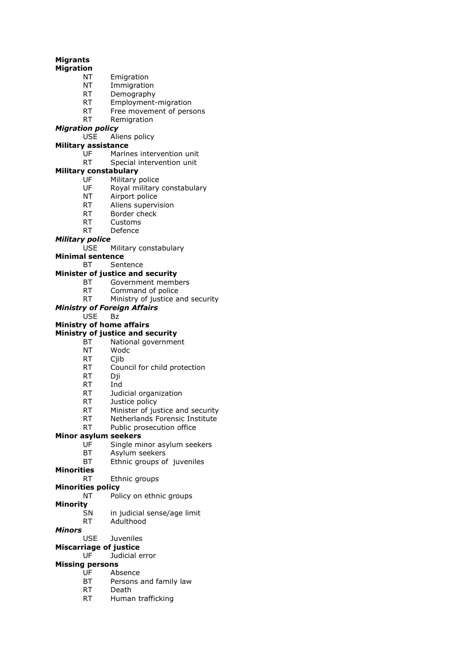### **Migrants**

### **Migration**

- NT Emigration
- NT Immigration
- RT Demography
- RT Employment-migration
- RT Free movement of persons<br>RT Remigration
- Remigration

### *Migration policy*

USE Aliens policy

### **Military assistance**

- UF Marines intervention unit
- RT Special intervention unit

### **Military constabulary**

- UF Military police
- UF Royal military constabulary
- NT Airport police
- RT Aliens supervision
- RT Border check
- RT Customs
- RT Defence

### *Military police*

USE Military constabulary

#### **Minimal sentence**

BT Sentence

#### **Minister of justice and security**

- BT Government members
- RT Command of police
- RT Ministry of justice and security

#### *Ministry of Foreign Affairs*

### USE Bz

### **Ministry of home affairs**

### **Ministry of justice and security**

- BT National government
- NT Wodc
- RT Cjib
- RT Council for child protection
- RT Dji
- RT Ind<br>RT ludi
- Judicial organization
- RT Justice policy
- RT Minister of justice and security
- RT Netherlands Forensic Institute
- RT Public prosecution office

#### **Minor asylum seekers**

- UF Single minor asylum seekers
- BT Asylum seekers
- BT Ethnic groups of juveniles
- **Minorities**

### RT Ethnic groups

### **Minorities policy**

- NT Policy on ethnic groups
- **Minority**
	- SN in judicial sense/age limit
	- RT Adulthood

### *Minors*

- USE Juveniles
- **Miscarriage of justice**
	- UF Judicial error

### **Missing persons**

- UF Absence
- BT Persons and family law
- RT Death
- RT Human trafficking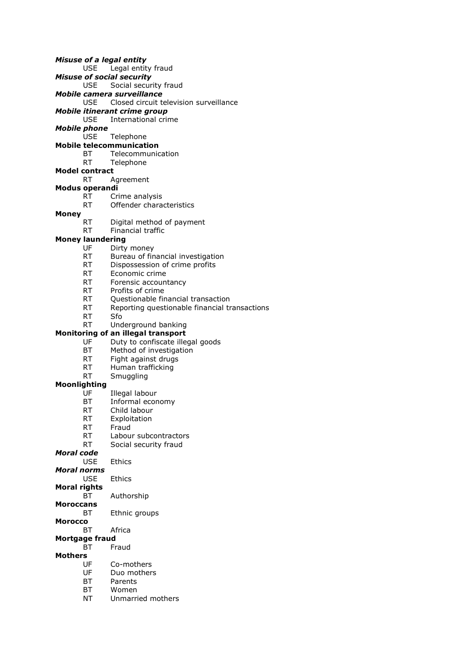- *Misuse of a legal entity*
	- USE Legal entity fraud
- *Misuse of social security*
- USE Social security fraud
- *Mobile camera surveillance*
	- USE Closed circuit television surveillance
- *Mobile itinerant crime group*
- International crime
- *Mobile phone*
	- USE Telephone
- **Mobile telecommunication**
	- BT Telecommunication
	- RT Telephone
- **Model contract**
	- RT Agreement
- **Modus operandi**
	- RT Crime analysis RT Offender characteristics

### **Money**

- RT Digital method of payment
- RT Financial traffic

#### **Money laundering**

- UF Dirty money
- RT Bureau of financial investigation
- RT Dispossession of crime profits
- RT Economic crime
- RT Forensic accountancy
- RT Profits of crime
- RT Questionable financial transaction
- RT Reporting questionable financial transactions
- RT Sfo
- RT Underground banking

#### **Monitoring of an illegal transport**

- UF Duty to confiscate illegal goods
- BT Method of investigation
- RT Fight against drugs
- RT Human trafficking
- RT Smuggling

#### **Moonlighting**

- UF Illegal labour
- BT Informal economy
- RT Child labour
- RT Exploitation
- RT Fraud
- RT Labour subcontractors
- RT Social security fraud
- *Moral code*
	- USE Ethics
- *Moral norms*
	- USE Ethics
- **Moral rights**
	- BT Authorship
- **Moroccans**
	- BT Ethnic groups
- **Morocco**
	- BT Africa

### **Mortgage fraud**

BT Fraud

### **Mothers**

- UF Co-mothers
- UF Duo mothers
- BT Parents
- BT Women
- NT Unmarried mothers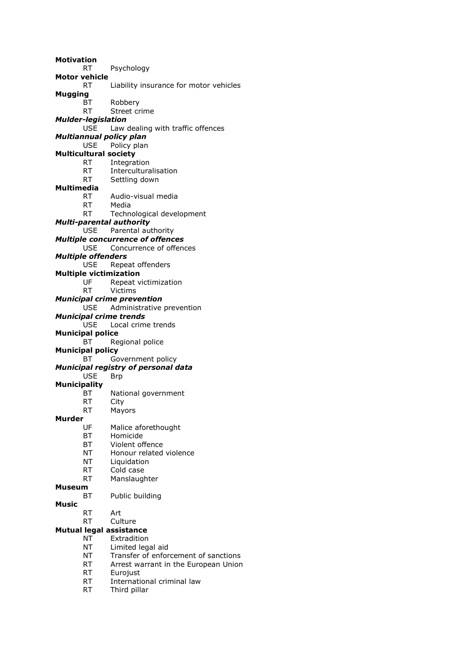**Motivation** RT Psychology **Motor vehicle** RT Liability insurance for motor vehicles **Mugging** BT Robbery RT Street crime *Mulder-legislation* Law dealing with traffic offences *Multiannual policy plan* USE Policy plan **Multicultural society** RT Integration RT Interculturalisation RT Settling down **Multimedia** RT Audio-visual media RT Media RT Technological development *Multi-parental authority* USE Parental authority *Multiple concurrence of offences* USE Concurrence of offences *Multiple offenders* USE Repeat offenders **Multiple victimization** UF Repeat victimization RT Victims *Municipal crime prevention* USE Administrative prevention *Municipal crime trends* USE Local crime trends **Municipal police** BT Regional police **Municipal policy** BT Government policy *Municipal registry of personal data* USE Brp **Municipality** BT National government RT City RT Mayors **Murder** UF Malice aforethought BT Homicide BT Violent offence NT Honour related violence NT Liquidation RT Cold case RT Manslaughter **Museum** BT Public building **Music** RT Art RT Culture **Mutual legal assistance** NT Extradition NT Limited legal aid NT Transfer of enforcement of sanctions RT Arrest warrant in the European Union RT Eurojust RT International criminal law

RT Third pillar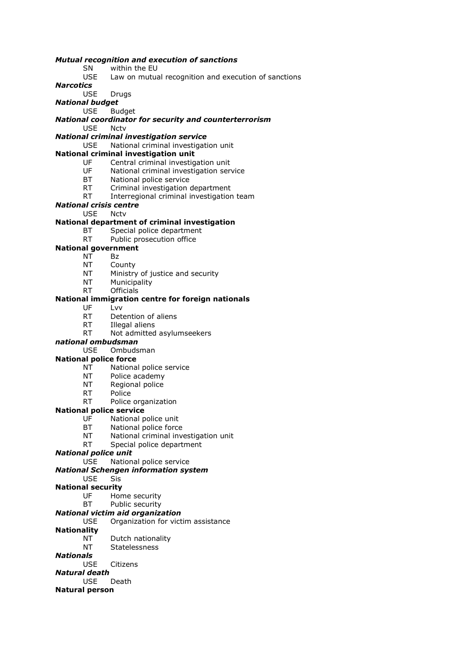#### *Mutual recognition and execution of sanctions*

#### SN within the EU

USE Law on mutual recognition and execution of sanctions

*Narcotics*

### USE Drugs

*National budget*

USE Budget

*National coordinator for security and counterterrorism* USE Nctv

#### *National criminal investigation service*

USE National criminal investigation unit

#### **National criminal investigation unit**

- UF Central criminal investigation unit
- UF National criminal investigation service
- BT National police service
- RT Criminal investigation department
- RT Interregional criminal investigation team
- *National crisis centre*

#### USE Nctv

#### **National department of criminal investigation**

- BT Special police department
- RT Public prosecution office

### **National government**

- NT Bz
	- NT County
	- NT Ministry of justice and security
	- NT Municipality
	- RT Officials

#### **National immigration centre for foreign nationals**

- UF Lvv
- RT Detention of aliens
- RT Illegal aliens
- RT Not admitted asylumseekers

#### *national ombudsman*

USE Ombudsman

#### **National police force**

- NT National police service
- NT Police academy
- NT Regional police
- RT Police
- RT Police organization

#### **National police service**

- UF National police unit
- BT National police force
- NT National criminal investigation unit
- RT Special police department

#### *National police unit*

- USE National police service
- *National Schengen information system*

### USE Sis

### **National security**

- UF Home security
- BT Public security

### *National victim aid organization*

#### USE Organization for victim assistance

#### **Nationality**

- NT Dutch nationality
- NT Statelessness

#### *Nationals*

USE Citizens

### *Natural death*

USE Death

### **Natural person**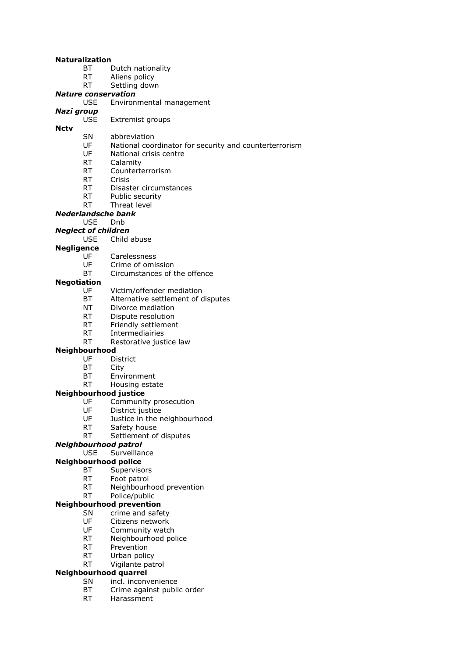#### **Naturalization**

- BT Dutch nationality
- RT Aliens policy
- RT Settling down

#### *Nature conservation*

USE Environmental management

## *Nazi group*

**Nctv**

- Extremist groups
- SN abbreviation
	- UF National coordinator for security and counterterrorism
	- UF National crisis centre
	- RT Calamity
	- RT Counterterrorism
	- RT Crisis
	- RT Disaster circumstances
	- RT Public security
- RT Threat level

#### *Nederlandsche bank*

- USE Dnb
- *Neglect of children*
	- USE Child abuse

#### **Negligence**

- UF Carelessness
- UF Crime of omission
- BT Circumstances of the offence

#### **Negotiation**

- UF Victim/offender mediation
- BT Alternative settlement of disputes
- NT Divorce mediation
- RT Dispute resolution
- RT Friendly settlement
- RT Intermediairies
- RT Restorative justice law

#### **Neighbourhood**

- UF District
- BT City
- BT Environment
- RT Housing estate

#### **Neighbourhood justice**

- UF Community prosecution
- UF District justice
- UF Justice in the neighbourhood
- RT Safety house
- RT Settlement of disputes

### *Neighbourhood patrol*

USE Surveillance

### **Neighbourhood police**

- BT Supervisors
- RT Foot patrol
- RT Neighbourhood prevention

### RT Police/public

### **Neighbourhood prevention**

- SN crime and safety
- UF Citizens network<br>UF Community watc
- Community watch
- RT Neighbourhood police
- RT Prevention
- RT Urban policy
- RT Vigilante patrol

### **Neighbourhood quarrel**

- SN incl. inconvenience
- BT Crime against public order
- RT Harassment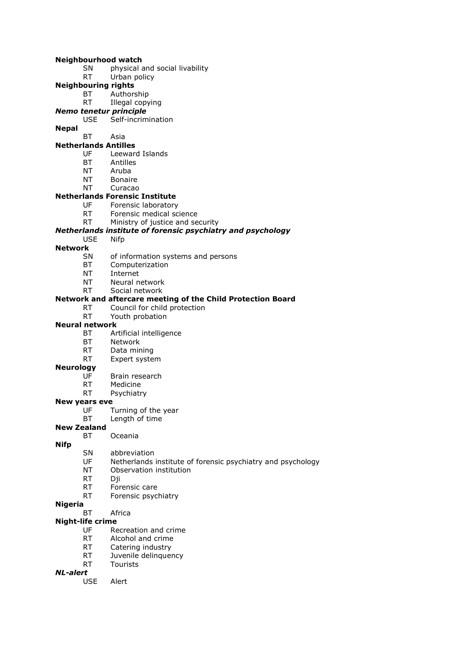#### **Neighbourhood watch**

- SN physical and social livability
- RT Urban policy
- **Neighbouring rights**
	- BT Authorship
	- RT Illegal copying
- *Nemo tenetur principle*
- Self-incrimination
- **Nepal**

#### BT Asia **Netherlands Antilles**

- UF Leeward Islands
- BT Antilles
- NT Aruba
- NT Bonaire
- NT Curacao
- **Netherlands Forensic Institute**
	- UF Forensic laboratory
	- RT Forensic medical science
	- RT Ministry of justice and security

#### *Netherlands institute of forensic psychiatry and psychology*

USE Nifp

#### **Network**

- SN of information systems and persons
- BT Computerization
- NT Internet
- NT Neural network
- RT Social network

#### **Network and aftercare meeting of the Child Protection Board**

- RT Council for child protection
- RT Youth probation

#### **Neural network**

- BT Artificial intelligence
- BT Network
- RT Data mining
- RT Expert system

#### **Neurology**

- UF Brain research
- RT Medicine<br>RT Psychiatr
- Psychiatry

#### **New years eve**

- UF Turning of the year
- BT Length of time

#### **New Zealand** BT Oceania

- **Nifp**
	- SN abbreviation
	- UF Netherlands institute of forensic psychiatry and psychology
	- NT Observation institution
	- RT Dii
	- RT Forensic care
	- RT Forensic psychiatry

#### **Nigeria**

BT Africa

#### **Night-life crime**

- UF Recreation and crime<br>RT Alcohol and crime
- Alcohol and crime
- RT Catering industry
- RT Juvenile delinquency
- RT Tourists

#### *NL-alert*

USE Alert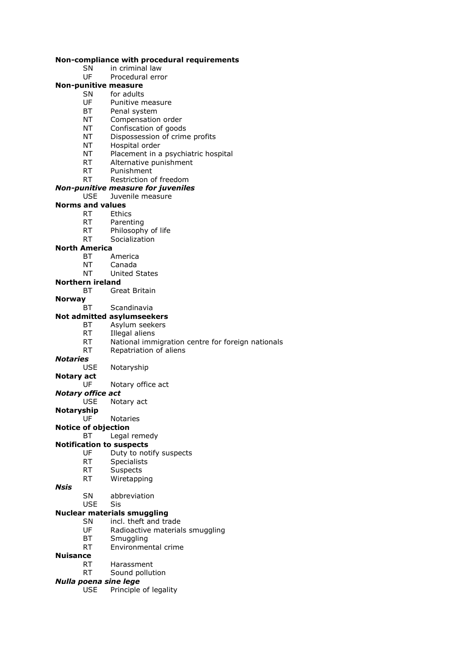#### **Non-compliance with procedural requirements**

- SN in criminal law
- UF Procedural error

### **Non-punitive measure**

- SN for adults
	- UF Punitive measure
	- BT Penal system<br>NT Compensation
	- Compensation order
	- NT Confiscation of goods
	- NT Dispossession of crime profits
	- NT Hospital order
	- NT Placement in a psychiatric hospital
	- RT Alternative punishment
	- RT Punishment

### RT Restriction of freedom

## *Non-punitive measure for juveniles*

Juvenile measure

## **Norms and values**

- RT Ethics
- RT Parenting
- RT Philosophy of life
- RT Socialization

#### **North America**

- BT America
- NT Canada
- NT United States

#### **Northern ireland**

- BT Great Britain
- **Norway**
	- BT Scandinavia

#### **Not admitted asylumseekers**

- BT Asylum seekers
	- RT Illegal aliens
	- RT National immigration centre for foreign nationals
	- RT Repatriation of aliens

#### *Notaries*

USE Notaryship

### **Notary act**

UF Notary office act

#### *Notary office act*

- USE Notary act
- **Notaryship**
	- UF Notaries

#### **Notice of objection**

#### BT Legal remedy

#### **Notification to suspects**

- UF Duty to notify suspects
- RT Specialists
- RT Suspects
- RT Wiretapping

#### *Nsis*

- SN abbreviation
- USE Sis

#### **Nuclear materials smuggling**

- SN incl. theft and trade
- UF Radioactive materials smuggling<br>BT Smuggling
- Smuggling
- RT Environmental crime

#### **Nuisance**

- RT Harassment
- RT Sound pollution

### *Nulla poena sine lege*

USE Principle of legality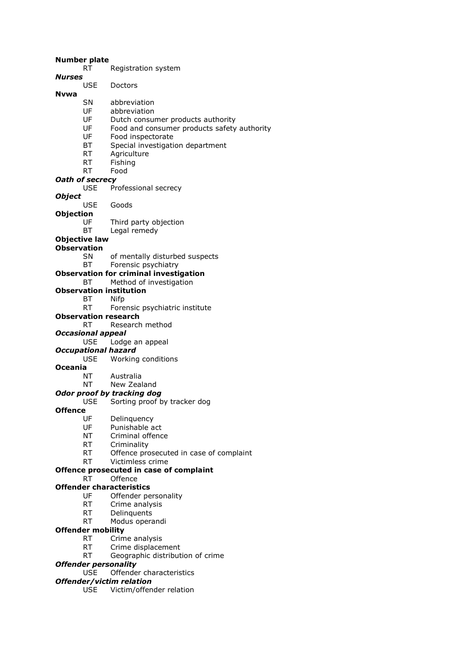#### **Number plate**

- RT Registration system
- *Nurses*
	- Doctors

#### **Nvwa**

- SN abbreviation
- UF abbreviation<br>UF Dutch consul
- Dutch consumer products authority
- UF Food and consumer products safety authority
- UF Food inspectorate
- BT Special investigation department
- RT Agriculture
- RT Fishing
- RT Food

#### *Oath of secrecy*

USE Professional secrecy

#### *Object*

- USE Goods
- **Objection**
	- UF Third party objection
	- BT Legal remedy

#### **Objective law**

#### **Observation**

- SN of mentally disturbed suspects
- BT Forensic psychiatry

#### **Observation for criminal investigation**

#### BT Method of investigation

- **Observation institution**
	- BT Nifp
	- RT Forensic psychiatric institute
- **Observation research**

#### RT Research method

*Occasional appeal*

#### USE Lodge an appeal

- *Occupational hazard*
	- USE Working conditions

#### **Oceania**

NT Australia

### NT New Zealand

#### *Odor proof by tracking dog*

USE Sorting proof by tracker dog

#### **Offence**

- UF Delinquency
- UF Punishable act
- NT Criminal offence
- RT Criminality
- RT Offence prosecuted in case of complaint
- RT Victimless crime

#### **Offence prosecuted in case of complaint**

#### RT Offence

#### **Offender characteristics**

- UF Offender personality
- RT Crime analysis
- RT Delinquents
- RT Modus operandi

#### **Offender mobility**

- RT Crime analysis
- RT Crime displacement
- RT Geographic distribution of crime

#### *Offender personality*

USE Offender characteristics

### *Offender/victim relation*

USE Victim/offender relation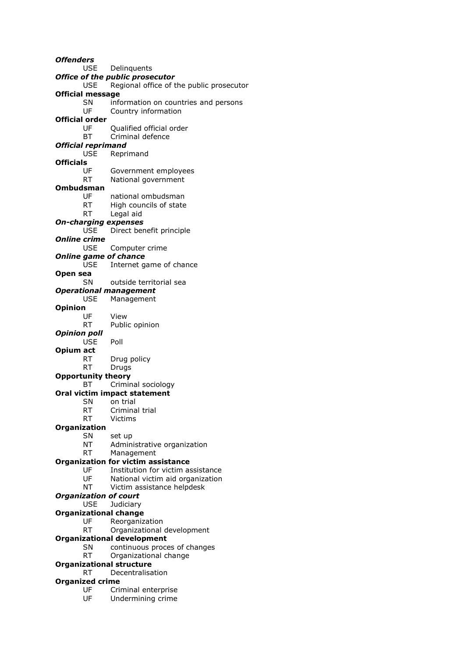*Offenders* USE Delinquents *Office of the public prosecutor* USE Regional office of the public prosecutor **Official message** SN information on countries and persons UF Country information **Official order** UF Qualified official order BT Criminal defence *Official reprimand* USE Reprimand **Officials** Government employees RT National government **Ombudsman** UF national ombudsman RT High councils of state RT Legal aid *On-charging expenses* USE Direct benefit principle *Online crime* USE Computer crime *Online game of chance* USE Internet game of chance **Open sea** SN outside territorial sea *Operational management* USE Management **Opinion** UF View RT Public opinion *Opinion poll* USE Poll **Opium act** RT Drug policy RT Drugs **Opportunity theory** BT Criminal sociology **Oral victim impact statement** SN on trial RT Criminal trial RT Victims **Organization** SN set up NT Administrative organization RT Management **Organization for victim assistance** UF Institution for victim assistance UF National victim aid organization NT Victim assistance helpdesk *Organization of court* USE Judiciary **Organizational change** UF Reorganization RT Organizational development **Organizational development** SN continuous proces of changes RT Organizational change **Organizational structure** RT Decentralisation **Organized crime** UF Criminal enterprise UF Undermining crime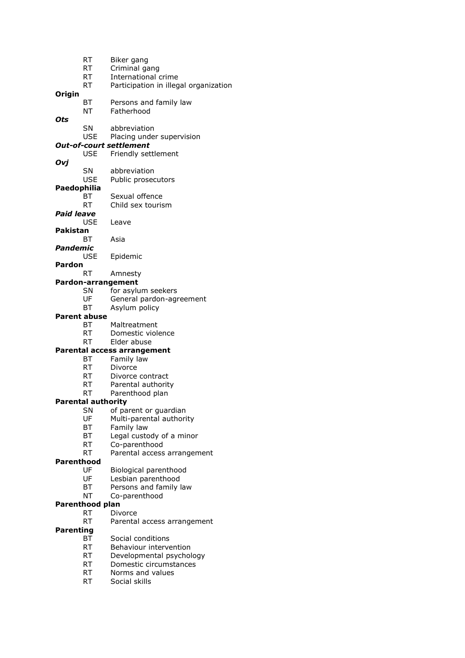|                   | RT                  | Biker gang                            |
|-------------------|---------------------|---------------------------------------|
|                   | RT                  | Criminal gang                         |
|                   | <b>RT</b>           | International crime                   |
|                   | <b>RT</b>           | Participation in illegal organization |
| Origin            |                     |                                       |
|                   | BT                  | Persons and family law                |
|                   | ΝT                  | Fatherhood                            |
| Ots               |                     |                                       |
|                   | <b>SN</b>           | abbreviation                          |
|                   | <b>USE</b>          | Placing under supervision             |
|                   |                     | <b>Out-of-court settlement</b>        |
|                   | <b>USE</b>          | Friendly settlement                   |
| Ovj               |                     |                                       |
|                   | SN                  | abbreviation                          |
|                   | <b>USE</b>          | Public prosecutors                    |
| Paedophilia       |                     |                                       |
|                   | ВT                  | Sexual offence                        |
|                   | RT                  | Child sex tourism                     |
| <b>Paid leave</b> |                     |                                       |
|                   | <b>USE</b>          | Leave                                 |
| <b>Pakistan</b>   |                     |                                       |
|                   | BТ                  | Asia                                  |
| Pandemic          |                     |                                       |
|                   | <b>USE</b>          | Epidemic                              |
| Pardon            |                     |                                       |
|                   | <b>RT</b>           | Amnesty                               |
|                   |                     | Pardon-arrangement                    |
|                   | SΝ                  | for asylum seekers                    |
|                   | UF                  | General pardon-agreement              |
|                   | BT                  | Asylum policy                         |
|                   | <b>Parent abuse</b> |                                       |
|                   | ВT                  | Maltreatment                          |
|                   | <b>RT</b>           | Domestic violence                     |
|                   | RT                  | Elder abuse                           |
|                   |                     | Parental access arrangement           |
|                   | ВT                  | Family law                            |
|                   | <b>RT</b>           | Divorce                               |
|                   | RT.                 | Divorce contract                      |
|                   | RT                  | Parental authority                    |
|                   | RT                  | Parenthood plan                       |
|                   | Parental authority  |                                       |
|                   | SΝ                  | of parent or guardian                 |
|                   | UF                  | Multi-parental authority              |
|                   | ВT                  | Family law                            |
|                   | ВT                  | Legal custody of a minor              |
|                   | RT                  | Co-parenthood                         |
|                   | <b>RT</b>           | Parental access arrangement           |
| <b>Parenthood</b> |                     |                                       |
|                   | UF                  | Biological parenthood                 |
|                   | UF                  | Lesbian parenthood                    |
|                   | ВT                  | Persons and family law                |
|                   | <b>NT</b>           | Co-parenthood                         |
|                   | Parenthood plan     |                                       |
|                   | <b>RT</b>           | Divorce                               |
|                   | <b>RT</b>           | Parental access arrangement           |
| <b>Parenting</b>  |                     |                                       |
|                   | BT                  | Social conditions                     |
|                   | RT.                 | Behaviour intervention                |
|                   | RT                  | Developmental psychology              |
|                   | <b>RT</b>           | Domestic circumstances                |
|                   | RT                  | Norms and values                      |
|                   | RT                  | Social skills                         |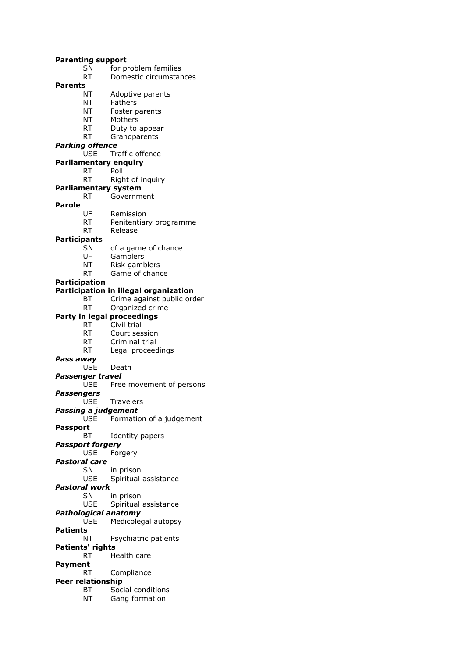**Parenting support** SN for problem families RT Domestic circumstances **Parents** NT Adoptive parents NT Fathers NT Foster parents<br>NT Mothers Mothers RT Duty to appear RT Grandparents *Parking offence* USE Traffic offence **Parliamentary enquiry** RT Poll RT Right of inquiry **Parliamentary system** RT Government **Parole** UF Remission RT Penitentiary programme RT Release **Participants** SN of a game of chance UF Gamblers NT Risk gamblers RT Game of chance **Participation Participation in illegal organization** BT Crime against public order RT Organized crime **Party in legal proceedings** RT Civil trial RT Court session RT Criminal trial RT Legal proceedings *Pass away* USE Death *Passenger travel* USE Free movement of persons *Passengers* USE Travelers *Passing a judgement* USE Formation of a judgement **Passport** BT Identity papers *Passport forgery* USE Forgery *Pastoral care* SN in prison USE Spiritual assistance *Pastoral work* SN in prison USE Spiritual assistance *Pathological anatomy* USE Medicolegal autopsy **Patients** NT Psychiatric patients **Patients' rights** RT Health care **Payment** RT Compliance **Peer relationship** BT Social conditions NT Gang formation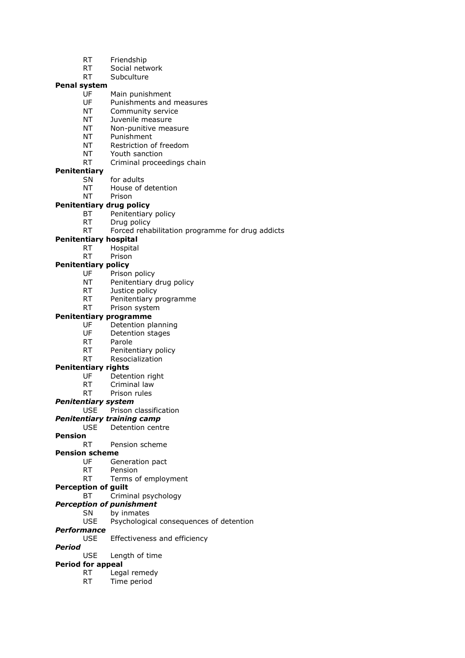- RT Friendship
- RT Social network
- RT Subculture

#### **Penal system**

- UF Main punishment
- UF Punishments and measures
- NT Community service<br>NT luvenile measure
- Juvenile measure
- NT Non-punitive measure
- NT Punishment
- NT Restriction of freedom
- NT Youth sanction
- RT Criminal proceedings chain

#### **Penitentiary**

- SN for adults
- NT House of detention
- NT Prison

#### **Penitentiary drug policy**

- BT Penitentiary policy
- RT Drug policy
- RT Forced rehabilitation programme for drug addicts

#### **Penitentiary hospital**

- RT Hospital
- RT Prison

#### **Penitentiary policy**

- UF Prison policy
- NT Penitentiary drug policy
- RT Justice policy
- RT Penitentiary programme
- RT Prison system

### **Penitentiary programme**

- UF Detention planning<br>UF Detention stages
- Detention stages
- RT Parole
- RT Penitentiary policy
- RT Resocialization

#### **Penitentiary rights**

- UF Detention right
- RT Criminal law
- RT Prison rules

#### *Penitentiary system*

USE Prison classification

#### *Penitentiary training camp*

#### USE Detention centre

**Pension**

#### RT Pension scheme

#### **Pension scheme**

- UF Generation pact
- RT Pension
- RT Terms of employment

#### **Perception of guilt**

- BT Criminal psychology
- *Perception of punishment*
	- SN by inmates

#### USE Psychological consequences of detention

#### *Performance*

USE Effectiveness and efficiency

### *Period*

USE Length of time

#### **Period for appeal**

- RT Legal remedy
- RT Time period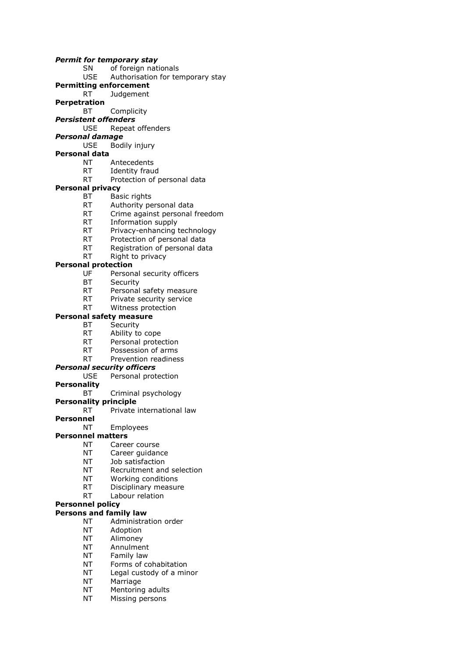#### *Permit for temporary stay*

- SN of foreign nationals
- USE Authorisation for temporary stay
- **Permitting enforcement**
- RT Judgement
- **Perpetration**
	- BT Complicity
- *Persistent offenders*
	- USE Repeat offenders
- *Personal damage* USE Bodily injury
- **Personal data**
	- NT Antecedents
		- RT Identity fraud
		- RT Protection of personal data

#### **Personal privacy**

- BT Basic rights
	- RT Authority personal data
	- RT Crime against personal freedom
	- RT Information supply
	- RT Privacy-enhancing technology
	- RT Protection of personal data
	- RT Registration of personal data
	- RT Right to privacy

#### **Personal protection**

- UF Personal security officers
- BT Security
- RT Personal safety measure
- RT Private security service
- RT Witness protection

#### **Personal safety measure**

- BT Security
	- RT Ability to cope
	- RT Personal protection
	- RT Possession of arms
	- RT Prevention readiness

#### *Personal security officers*

- USE Personal protection
- **Personality**
	- BT Criminal psychology

#### **Personality principle**

- RT Private international law
- **Personnel**
	- NT Employees

#### **Personnel matters**

- NT Career course
- NT Career guidance
- NT Job satisfaction
- NT Recruitment and selection
- NT Working conditions
- RT Disciplinary measure
- RT Labour relation
- **Personnel policy**

#### **Persons and family law**

- NT Administration order
- NT Adoption
- NT Alimoney
- NT Annulment
- NT Family law
- NT Forms of cohabitation
- NT Legal custody of a minor
- NT Marriage
- NT Mentoring adults
- NT Missing persons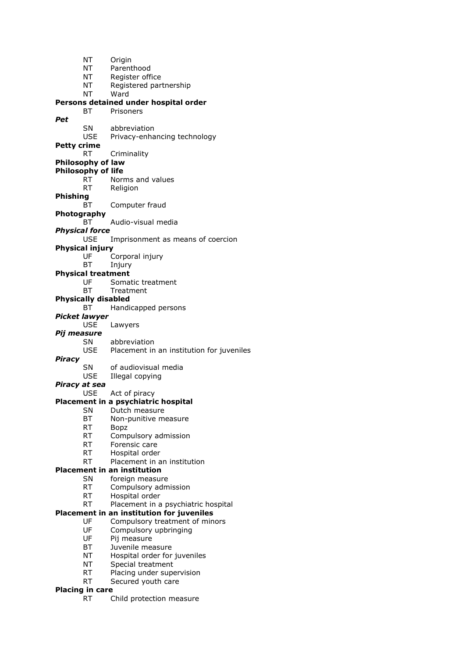NT Origin NT Parenthood NT Register office NT Registered partnership NT Ward **Persons detained under hospital order** BT Prisoners *Pet* SN abbreviation USE Privacy-enhancing technology **Petty crime** RT Criminality **Philosophy of law Philosophy of life** RT Norms and values RT Religion **Phishing** BT Computer fraud **Photography** BT Audio-visual media *Physical force* USE Imprisonment as means of coercion **Physical injury** UF Corporal injury BT Injury **Physical treatment** UF Somatic treatment BT Treatment **Physically disabled** BT Handicapped persons *Picket lawyer* USE Lawyers *Pij measure* SN abbreviation USE Placement in an institution for juveniles *Piracy* SN of audiovisual media USE Illegal copying *Piracy at sea* USE Act of piracy **Placement in a psychiatric hospital** SN Dutch measure BT Non-punitive measure RT Bopz RT Compulsory admission RT Forensic care RT Hospital order RT Placement in an institution **Placement in an institution** SN foreign measure RT Compulsory admission RT Hospital order RT Placement in a psychiatric hospital **Placement in an institution for juveniles** UF Compulsory treatment of minors UF Compulsory upbringing UF Pij measure BT Juvenile measure NT Hospital order for juveniles NT Special treatment RT Placing under supervision RT Secured youth care **Placing in care** RT Child protection measure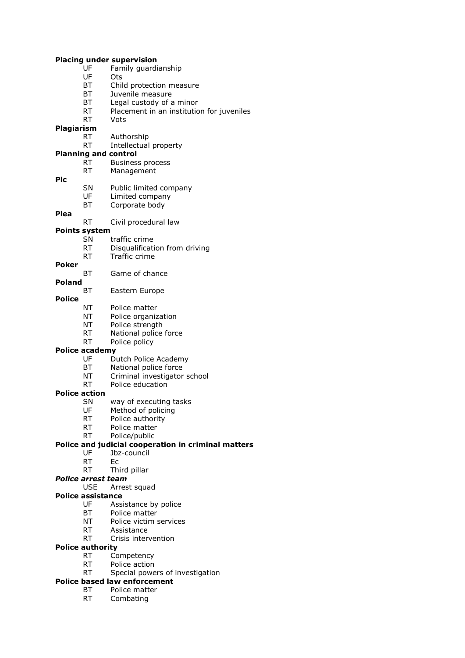#### **Placing under supervision**

- UF Family guardianship
- UF Ots
- BT Child protection measure
- BT Juvenile measure
- BT Legal custody of a minor
- RT Placement in an institution for juveniles<br>RT Vots Vots
- 

## **Plagiarism**

- Authorship RT Intellectual property
- 
- **Planning and control**
	- RT Business process RT Management
- **Plc**
- SN Public limited company<br>UF Limited company
- Limited company
- BT Corporate body

#### **Plea**

RT Civil procedural law

### **Points system**

- SN traffic crime
- RT Disqualification from driving
- RT Traffic crime
- **Poker**

BT Game of chance

- **Poland**
	- BT Eastern Europe
- **Police**
	- NT Police matter
	- NT Police organization
	- NT Police strength
	- RT National police force
	- RT Police policy

#### **Police academy**

- UF Dutch Police Academy
- BT National police force
- NT Criminal investigator school
- RT Police education

#### **Police action**

- SN way of executing tasks
- UF Method of policing
- RT Police authority
- RT Police matter
- RT Police/public

#### **Police and judicial cooperation in criminal matters**

- UF Jbz-council
- RT Ec
- RT Third pillar

### *Police arrest team*

USE Arrest squad

#### **Police assistance**

- UF Assistance by police
- BT Police matter
- NT Police victim services
- RT Assistance
- RT Crisis intervention

### **Police authority**

- RT Competency
- RT Police action
- RT Special powers of investigation

### **Police based law enforcement**

- BT Police matter
- RT Combating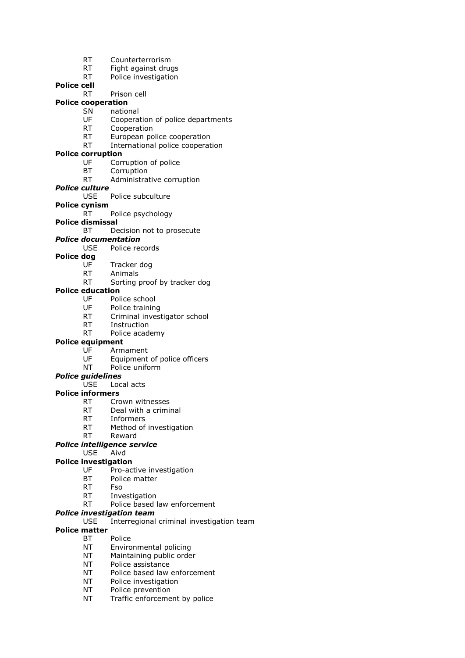- RT Counterterrorism
- RT Fight against drugs
- RT Police investigation

### **Police cell**

- RT Prison cell
- **Police cooperation**
	- SN national<br>UF Coopera Cooperation of police departments
	- RT Cooperation
	- RT European police cooperation
	- RT International police cooperation

#### **Police corruption**

- UF Corruption of police
- BT Corruption
- RT Administrative corruption
- *Police culture*
	- USE Police subculture
- **Police cynism**
	- RT Police psychology
- **Police dismissal**

### BT Decision not to prosecute

### *Police documentation*

USE Police records

### **Police dog**

- UF Tracker dog
- RT Animals RT Sorting proof by tracker dog

### **Police education**

- UF Police school
- UF Police training
- RT Criminal investigator school
- RT Instruction
- RT Police academy

#### **Police equipment**

- UF Armament
- UF Equipment of police officers
- NT Police uniform

### *Police guidelines*

USE Local acts

### **Police informers**

- RT Crown witnesses
- RT Deal with a criminal
- RT Informers
- RT Method of investigation
- RT Reward

### *Police intelligence service*

### USE Aivd

- **Police investigation**
	- UF Pro-active investigation
	- BT Police matter
	- RT Fso
	- RT Investigation
	- RT Police based law enforcement

#### *Police investigation team*

USE Interregional criminal investigation team

#### **Police matter**

- BT Police
- NT Environmental policing
- NT Maintaining public order
- NT Police assistance
- NT Police based law enforcement
- NT Police investigation
- NT Police prevention
- NT Traffic enforcement by police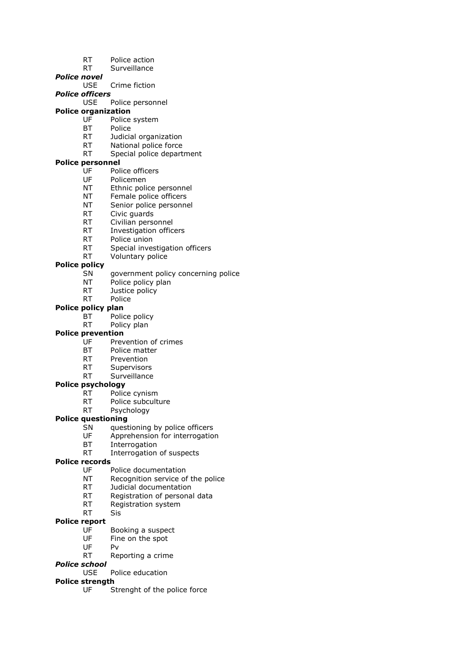- RT Police action
- RT Surveillance
- *Police novel*
	- USE Crime fiction
- *Police officers*
	- USE Police personnel

## **Police organization**<br>UE Police

- Police system
- BT Police
- RT Judicial organization
- RT National police force
- RT Special police department

### **Police personnel**

- UF Police officers
- UF Policemen
- NT Ethnic police personnel
- NT Female police officers
- NT Senior police personnel
- RT Civic guards
- RT Civilian personnel
- RT Investigation officers
- RT Police union
- RT Special investigation officers
- RT Voluntary police

#### **Police policy**

- SN government policy concerning police
- NT Police policy plan
- RT Justice policy
- RT Police

#### **Police policy plan**

- BT Police policy
- RT Policy plan

#### **Police prevention**

- UF Prevention of crimes
- BT Police matter
- RT Prevention
- RT Supervisors
- RT Surveillance

#### **Police psychology**

- RT Police cynism
- RT Police subculture
- RT Psychology

#### **Police questioning**

- SN questioning by police officers<br>UF Apprehension for interrogatio
- Apprehension for interrogation
- BT Interrogation
- RT Interrogation of suspects

### **Police records**

- UF Police documentation
- NT Recognition service of the police
- RT Judicial documentation
- RT Registration of personal data
- RT Registration system
- RT Sis

#### **Police report**

- UF Booking a suspect<br>UF Fine on the spot
- Fine on the spot
- UF Pv
- RT Reporting a crime

#### *Police school*

USE Police education

#### **Police strength**

UF Strenght of the police force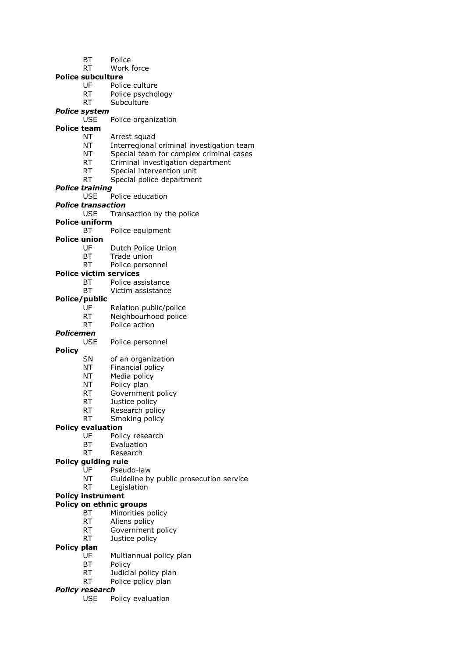- BT Police
- RT Work force
- **Police subculture**
	- UF Police culture
	- RT Police psychology
	- RT Subculture
- *Police system*
	- Police organization
- **Police team**
	- NT Arrest squad
	- NT Interregional criminal investigation team
	- NT Special team for complex criminal cases
	- RT Criminal investigation department
	- RT Special intervention unit
	- RT Special police department
- *Police training*
	- USE Police education
- *Police transaction*
	- USE Transaction by the police
- **Police uniform**
	- BT Police equipment
- **Police union**
	- UF Dutch Police Union
	- BT Trade union
	- RT Police personnel
- **Police victim services**
	- BT Police assistance
	- BT Victim assistance

#### **Police/public**

- UF Relation public/police
- RT Neighbourhood police
- RT Police action

#### *Policemen*

- USE Police personnel
- **Policy**
	- SN of an organization
	- NT Financial policy
	- NT Media policy
	- NT Policy plan
	- RT Government policy
	- RT Justice policy
	- RT Research policy
	- RT Smoking policy

#### **Policy evaluation**

- UF Policy research
- BT Evaluation
- RT Research

#### **Policy guiding rule**

- UF Pseudo-law
- NT Guideline by public prosecution service
- RT Legislation

### **Policy instrument**

- **Policy on ethnic groups**
	- BT Minorities policy
	- RT Aliens policy
	- RT Government policy
	- RT Justice policy
- **Policy plan**
	- UF Multiannual policy plan
	- BT Policy
		- RT Judicial policy plan
		- RT Police policy plan

#### *Policy research*

USE Policy evaluation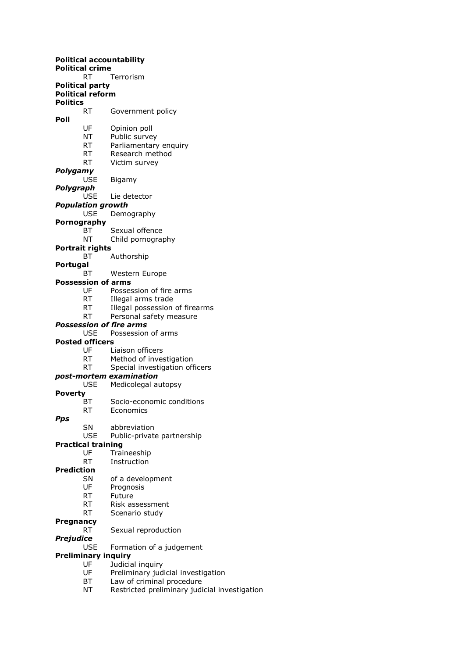**Political accountability Political crime** RT Terrorism **Political party Political reform Politics** RT Government policy **Poll** UF Opinion poll NT Public survey RT Parliamentary enquiry RT Research method RT Victim survey *Polygamy* USE Bigamy *Polygraph* USE Lie detector *Population growth* USE Demography **Pornography** BT Sexual offence NT Child pornography **Portrait rights** BT Authorship **Portugal** BT Western Europe **Possession of arms** UF Possession of fire arms RT Illegal arms trade RT Illegal possession of firearms RT Personal safety measure *Possession of fire arms* USE Possession of arms **Posted officers** UF Liaison officers RT Method of investigation RT Special investigation officers *post-mortem examination* USE Medicolegal autopsy **Poverty** BT Socio-economic conditions RT Economics *Pps* SN abbreviation USE Public-private partnership **Practical training** UF Traineeship RT Instruction **Prediction** SN of a development UF Prognosis RT Future RT Risk assessment RT Scenario study **Pregnancy** RT Sexual reproduction *Prejudice* Formation of a judgement **Preliminary inquiry** UF Judicial inquiry UF Preliminary judicial investigation

- BT Law of criminal procedure
- NT Restricted preliminary judicial investigation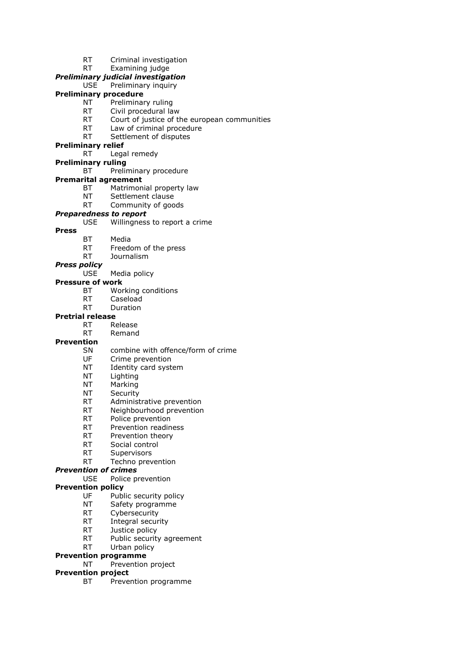- RT Criminal investigation
- RT Examining judge

#### *Preliminary judicial investigation*

USE Preliminary inquiry

#### **Preliminary procedure**

- NT Preliminary ruling
- RT Civil procedural law<br>RT Court of justice of the
- Court of justice of the european communities
- RT Law of criminal procedure
- RT Settlement of disputes

#### **Preliminary relief**

- RT Legal remedy
- **Preliminary ruling**
	- BT Preliminary procedure
- **Premarital agreement**
	- BT Matrimonial property law
	- NT Settlement clause
	- RT Community of goods

#### *Preparedness to report*

- USE Willingness to report a crime
- **Press**
- BT Media
- RT Freedom of the press
- RT Journalism

#### *Press policy*

USE Media policy

#### **Pressure of work**

- BT Working conditions
- RT Caseload
- RT Duration

#### **Pretrial release**

- RT Release
- RT Remand

#### **Prevention**

- SN combine with offence/form of crime
- UF Crime prevention
- NT Identity card system
- NT Lighting
- 
- NT Marking<br>NT Security **Security**
- RT Administrative prevention
- RT Neighbourhood prevention
- RT Police prevention
- RT Prevention readiness
- RT Prevention theory
- RT Social control
- RT Supervisors
- RT Techno prevention

#### *Prevention of crimes*

- USE Police prevention
- **Prevention policy**
	- UF Public security policy
	- NT Safety programme
	- RT Cybersecurity
	- RT Integral security
	- RT Justice policy
	- RT Public security agreement

### RT Urban policy

### **Prevention programme**

NT Prevention project

### **Prevention project**

BT Prevention programme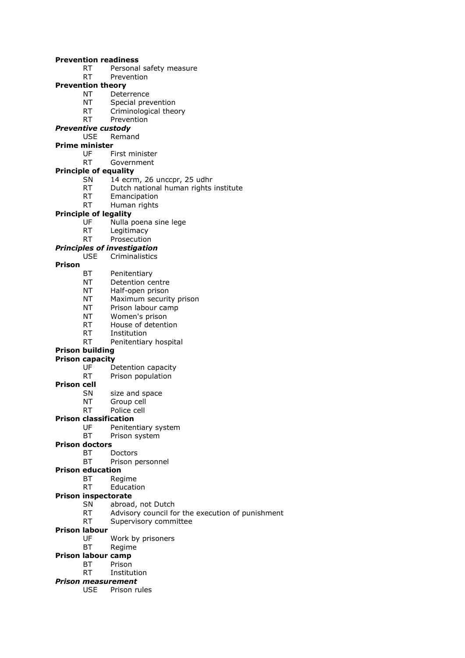#### **Prevention readiness**

- RT Personal safety measure
- RT Prevention

### **Prevention theory**

- NT Deterrence
- NT Special prevention
- RT Criminological theory<br>RT Prevention
- Prevention

### *Preventive custody*

USE Remand

### **Prime minister**

- UF First minister
- RT Government

#### **Principle of equality**

- SN 14 ecrm, 26 unccpr, 25 udhr
- RT Dutch national human rights institute
- RT Emancipation
- RT Human rights

#### **Principle of legality**

- UF Nulla poena sine lege
- RT Legitimacy
- RT Prosecution

#### *Principles of investigation*

#### USE Criminalistics

#### **Prison**

- BT Penitentiary
- NT Detention centre
- NT Half-open prison
- NT Maximum security prison
- NT Prison labour camp
- NT Women's prison
- RT House of detention
- RT Institution
- RT Penitentiary hospital

#### **Prison building**

## **Prison capacity**<br>UF D

- Detention capacity
- RT Prison population

#### **Prison cell**

- SN size and space
- NT Group cell
- RT Police cell

#### **Prison classification**

- UF Penitentiary system
- BT Prison system

#### **Prison doctors**

- BT Doctors
	- BT Prison personnel

#### **Prison education**

- BT Regime
	- RT Education

#### **Prison inspectorate**

- SN abroad, not Dutch
- RT Advisory council for the execution of punishment
- RT Supervisory committee

#### **Prison labour**

- UF Work by prisoners
- BT Regime

#### **Prison labour camp**

- BT Prison
- RT Institution

#### *Prison measurement*

USE Prison rules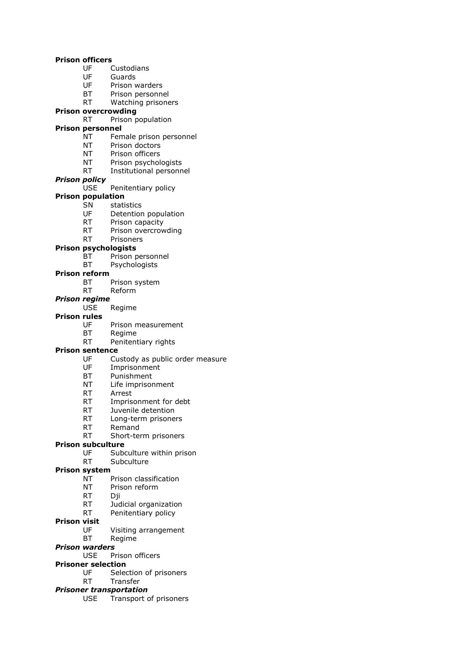#### **Prison officers**

- UF Custodians
- UF Guards
- UF Prison warders
- BT Prison personnel
- RT Watching prisoners

### **Prison overcrowding**

RT Prison population

### **Prison personnel**

- NT Female prison personnel
- NT Prison doctors
- NT Prison officers
- NT Prison psychologists
- RT Institutional personnel

#### *Prison policy*

USE Penitentiary policy

#### **Prison population**

- SN statistics
- UF Detention population
- RT Prison capacity
- RT Prison overcrowding
- RT Prisoners

#### **Prison psychologists**

- BT Prison personnel
- BT Psychologists

#### **Prison reform**

- BT Prison system
- RT Reform

#### *Prison regime*

USE Regime

#### **Prison rules**

- UF Prison measurement
- BT Regime
- RT Penitentiary rights

#### **Prison sentence**

- UF Custody as public order measure
- UF Imprisonment
- BT Punishment
- NT Life imprisonment
- RT Arrest
- RT Imprisonment for debt
- RT Juvenile detention
- RT Long-term prisoners
- RT Remand
- RT Short-term prisoners

## **Prison subculture**<br>UF Sub

- Subculture within prison
- RT Subculture

#### **Prison system**

- NT Prison classification
- NT Prison reform
- RT Dji
- RT Judicial organization
- RT Penitentiary policy
- **Prison visit**
	- UF Visiting arrangement
	- BT Regime
- *Prison warders*
	- USE Prison officers
- **Prisoner selection**
	- UF Selection of prisoners
	- RT Transfer
- *Prisoner transportation*
	- USE Transport of prisoners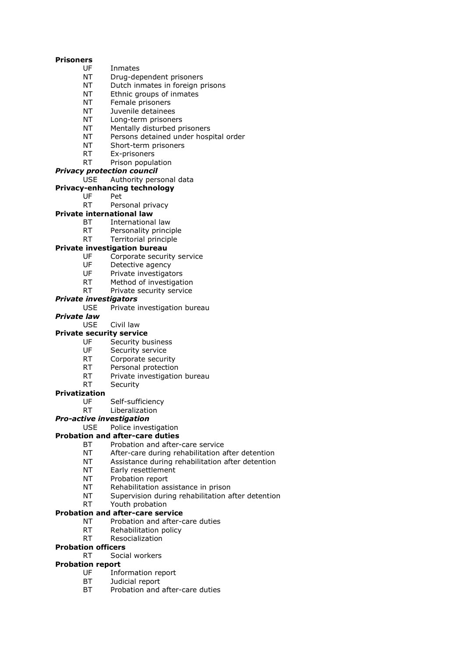#### **Prisoners**

- UF Inmates
- NT Drug-dependent prisoners
- NT Dutch inmates in foreign prisons
- NT Ethnic groups of inmates
- NT Female prisoners
- NT Juvenile detainees
- Long-term prisoners
- NT Mentally disturbed prisoners
- NT Persons detained under hospital order
- NT Short-term prisoners
- RT Ex-prisoners
- RT Prison population

#### *Privacy protection council*

#### USE Authority personal data

- **Privacy-enhancing technology**
	- UF Pet
	- RT Personal privacy

### **Private international law**

- BT International law
- RT Personality principle
- RT Territorial principle

#### **Private investigation bureau**

- UF Corporate security service
- UF Detective agency<br>UF Private investigate
- Private investigators
- RT Method of investigation
- RT Private security service

#### *Private investigators*

- USE Private investigation bureau
- *Private law*
	- USE Civil law

#### **Private security service**

- UF Security business
- 
- UF Security service<br>RT Corporate securi Corporate security
- RT Personal protection
- RT Private investigation bureau
- RT Security

#### **Privatization**

- UF Self-sufficiency
- RT Liberalization

#### *Pro-active investigation*

USE Police investigation

#### **Probation and after-care duties**

- BT Probation and after-care service
- NT After-care during rehabilitation after detention
- NT Assistance during rehabilitation after detention
- NT Early resettlement
- NT Probation report
- NT Rehabilitation assistance in prison
- NT Supervision during rehabilitation after detention
- RT Youth probation

#### **Probation and after-care service**

- NT Probation and after-care duties
- RT Rehabilitation policy
- RT Resocialization

#### **Probation officers**

RT Social workers

#### **Probation report**

- UF Information report
- BT Judicial report
- BT Probation and after-care duties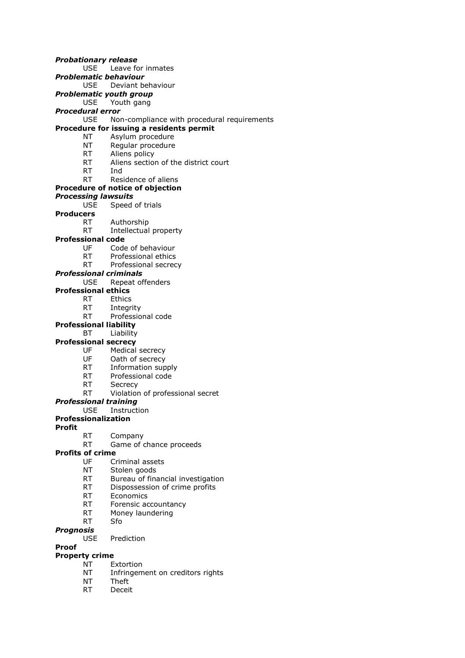#### *Probationary release*

USE Leave for inmates

### *Problematic behaviour*

USE Deviant behaviour

*Problematic youth group*

USE Youth gang

## *Procedural error*

Non-compliance with procedural requirements

### **Procedure for issuing a residents permit**

- NT Asylum procedure
- NT Regular procedure
- RT Aliens policy
- RT Aliens section of the district court
- RT Ind

#### RT Residence of aliens

#### **Procedure of notice of objection**

#### *Processing lawsuits*

- USE Speed of trials
- **Producers**
	- RT Authorship
	- RT Intellectual property

#### **Professional code**

- UF Code of behaviour
- RT Professional ethics
- RT Professional secrecy

#### *Professional criminals*

USE Repeat offenders

#### **Professional ethics**

- RT Ethics
	- RT Integrity
	- RT Professional code

#### **Professional liability**

BT Liability

#### **Professional secrecy**

- UF Medical secrecy
- UF Oath of secrecy
- RT Information supply
- RT Professional code
- RT Secrecy
- RT Violation of professional secret

#### *Professional training*

USE Instruction

#### **Professionalization**

#### **Profit**

- RT Company
- RT Game of chance proceeds

#### **Profits of crime**

- UF Criminal assets
- NT Stolen goods
- RT Bureau of financial investigation
- RT Dispossession of crime profits
- RT Economics
- RT Forensic accountancy
- RT Money laundering
- RT Sfo

#### *Prognosis*

USE Prediction

#### **Proof**

#### **Property crime**

- NT Extortion
- NT Infringement on creditors rights
- NT Theft
- RT Deceit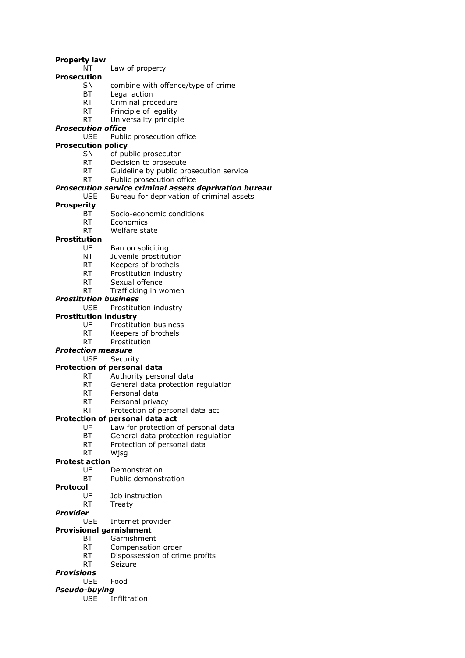#### **Property law**

- NT Law of property
- **Prosecution**
	- SN combine with offence/type of crime
	- BT Legal action
		- RT Criminal procedure
		- RT Principle of legality<br>RT Universality principl
		- Universality principle

#### *Prosecution office*

USE Public prosecution office

#### **Prosecution policy**

- SN of public prosecutor
- RT Decision to prosecute
- RT Guideline by public prosecution service
- RT Public prosecution office

### *Prosecution service criminal assets deprivation bureau*

USE Bureau for deprivation of criminal assets

#### **Prosperity**

- BT Socio-economic conditions
- RT Economics
- RT Welfare state

#### **Prostitution**

- UF Ban on soliciting
- NT Juvenile prostitution
- RT Keepers of brothels
- RT Prostitution industry
- RT Sexual offence
- RT Trafficking in women
- *Prostitution business*
	- Prostitution industry

#### **Prostitution industry**

- UF Prostitution business
- RT Keepers of brothels
- RT Prostitution

#### *Protection measure*

USE Security

#### **Protection of personal data**

- RT Authority personal data
- RT General data protection regulation
- RT Personal data
- RT Personal privacy
- RT Protection of personal data act

#### **Protection of personal data act**

- UF Law for protection of personal data
- BT General data protection regulation
- RT Protection of personal data
- RT Wjsg

#### **Protest action**

- UF Demonstration
- BT Public demonstration

#### **Protocol**

- UF Job instruction
- RT Treaty

#### *Provider*

USE Internet provider

### **Provisional garnishment**

- BT Garnishment
- RT Compensation order
- RT Dispossession of crime profits
- RT Seizure

### *Provisions*

USE Food

### *Pseudo-buying*

USE Infiltration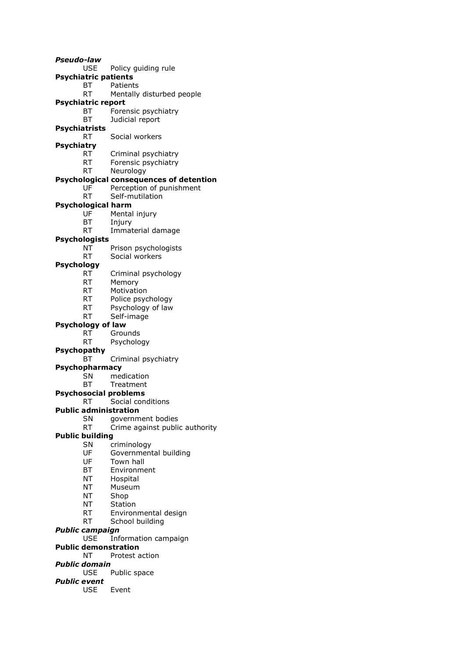*Pseudo-law* USE Policy guiding rule **Psychiatric patients** BT Patients RT Mentally disturbed people **Psychiatric report** BT Forensic psychiatry<br>BT Budicial report Judicial report **Psychiatrists** RT Social workers **Psychiatry** RT Criminal psychiatry RT Forensic psychiatry RT Neurology **Psychological consequences of detention** UF Perception of punishment RT Self-mutilation **Psychological harm** UF Mental injury BT Injury RT Immaterial damage **Psychologists** NT Prison psychologists RT Social workers **Psychology** RT Criminal psychology RT Memory RT Motivation RT Police psychology RT Psychology of law RT Self-image **Psychology of law** RT Grounds RT Psychology **Psychopathy** BT Criminal psychiatry **Psychopharmacy** SN medication BT Treatment **Psychosocial problems** RT Social conditions **Public administration** SN government bodies RT Crime against public authority **Public building** SN criminology UF Governmental building UF Town hall BT Environment NT Hospital NT Museum NT Shop NT Station RT Environmental design RT School building *Public campaign* Information campaign **Public demonstration** NT Protest action *Public domain* USE Public space *Public event* USE Event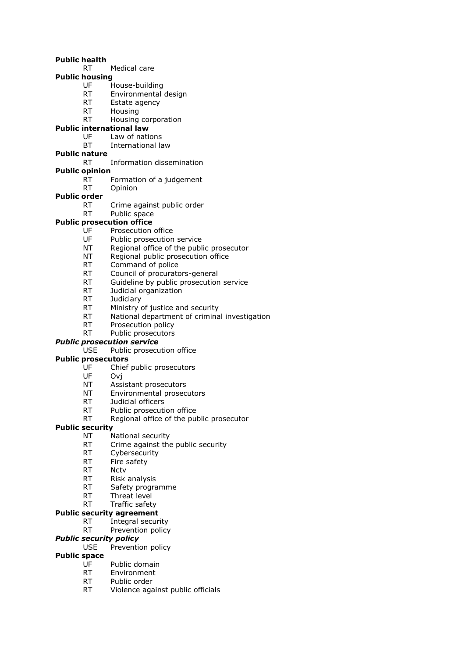#### **Public health**

RT Medical care

### **Public housing**

- UF House-building
- RT Environmental design
- RT Estate agency
- RT Housing<br>RT Housing
- Housing corporation
- **Public international law**
	- UF Law of nations
	- BT International law

### **Public nature**

#### RT Information dissemination

- **Public opinion**
	- RT Formation of a judgement
	- RT Opinion

#### **Public order**

- RT Crime against public order
- RT Public space

#### **Public prosecution office**

- UF Prosecution office
- UF Public prosecution service
- NT Regional office of the public prosecutor
- NT Regional public prosecution office
- RT Command of police
- RT Council of procurators-general
- RT Guideline by public prosecution service
- RT Judicial organization
- RT Judiciary
- RT Ministry of justice and security
- RT National department of criminal investigation
- RT Prosecution policy
- RT Public prosecutors

#### *Public prosecution service*

USE Public prosecution office

#### **Public prosecutors**

- UF Chief public prosecutors
- UF Ovj
- NT Assistant prosecutors
- NT Environmental prosecutors
- RT Judicial officers
- RT Public prosecution office
- RT Regional office of the public prosecutor

### **Public security**

- NT National security
- RT Crime against the public security
- RT Cybersecurity
- RT Fire safety
- RT Nctv
- RT Risk analysis
- RT Safety programme
- RT Threat level
- RT Traffic safety

#### **Public security agreement**

- RT Integral security
- RT Prevention policy

### *Public security policy*

USE Prevention policy

### **Public space**

- UF Public domain
- RT Environment
- RT Public order
- RT Violence against public officials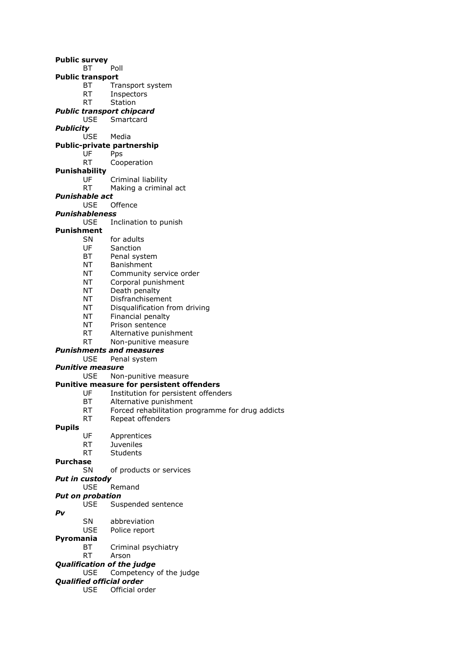**Public survey** BT Poll **Public transport** BT Transport system RT Inspectors RT Station *Public transport chipcard* Smartcard *Publicity* Media **Public-private partnership** UF Pps RT Cooperation **Punishability** UF Criminal liability RT Making a criminal act *Punishable act* USE Offence *Punishableness* USE Inclination to punish **Punishment** SN for adults UF Sanction BT Penal system NT Banishment NT Community service order NT Corporal punishment NT Death penalty NT Disfranchisement NT Disqualification from driving NT Financial penalty NT Prison sentence RT Alternative punishment RT Non-punitive measure *Punishments and measures* USE Penal system *Punitive measure* USE Non-punitive measure **Punitive measure for persistent offenders** UF Institution for persistent offenders BT Alternative punishment RT Forced rehabilitation programme for drug addicts RT Repeat offenders **Pupils** UF Apprentices RT Juveniles RT Students **Purchase** SN of products or services *Put in custody* USE Remand *Put on probation* USE Suspended sentence *Pv* SN abbreviation USE Police report **Pyromania** BT Criminal psychiatry RT Arson *Qualification of the judge* USE Competency of the judge *Qualified official order*

- - USE Official order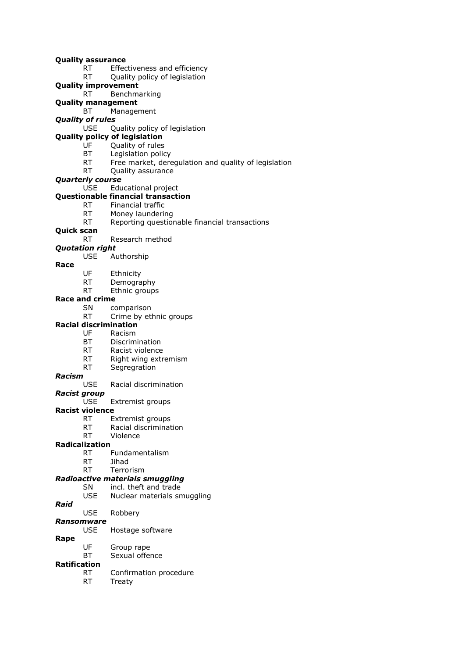#### **Quality assurance**

- RT Effectiveness and efficiency
- RT Quality policy of legislation
- **Quality improvement**
	- RT Benchmarking
- **Quality management**
	- BT Management
- *Quality of rules*
	- USE Quality policy of legislation
- **Quality policy of legislation**
	- UF Quality of rules
	- BT Legislation policy
	- RT Free market, deregulation and quality of legislation
	- RT Quality assurance
- *Quarterly course*
	- USE Educational project

#### **Questionable financial transaction**

- RT Financial traffic
- RT Money laundering
- RT Reporting questionable financial transactions
- **Quick scan**
	- RT Research method

#### *Quotation right*

- USE Authorship
- **Race**
- UF Ethnicity
- RT Demography
- RT Ethnic groups

#### **Race and crime**

- SN comparison
- RT Crime by ethnic groups
- **Racial discrimination**
	- UF Racism
		- BT Discrimination
		- RT Racist violence
		- RT Right wing extremism<br>RT Segregration
		- Segregration

## *Racism*

- Racial discrimination
- *Racist group*
	- USE Extremist groups

#### **Racist violence**

- RT Extremist groups
- RT Racial discrimination<br>RT Violence
- Violence

#### **Radicalization**

- RT Fundamentalism
- RT Jihad
- RT Terrorism

### *Radioactive materials smuggling*

- SN incl. theft and trade
- USE Nuclear materials smuggling
- *Raid*

#### USE Robbery

#### *Ransomware*

- USE Hostage software
- **Rape**
	- UF Group rape
	- BT Sexual offence

### **Ratification**

- RT Confirmation procedure
	- RT Treaty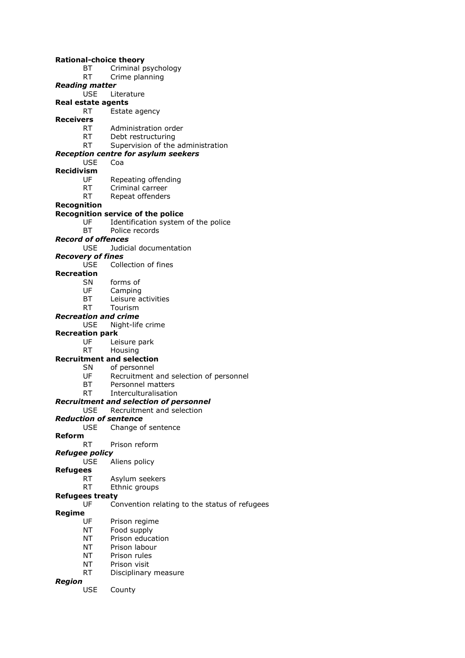#### **Rational-choice theory**

- BT Criminal psychology
- RT Crime planning
- *Reading matter*

#### USE Literature

- **Real estate agents**
	- RT Estate agency
- **Receivers**
	- RT Administration order
	- RT Debt restructuring
	- RT Supervision of the administration

### *Reception centre for asylum seekers*

- USE Coa
- **Recidivism**
	- UF Repeating offending<br>RT Criminal carreer
	- Criminal carreer
	- RT Repeat offenders
- **Recognition**

#### **Recognition service of the police**

- UF Identification system of the police
- BT Police records

#### *Record of offences*

USE Judicial documentation

#### *Recovery of fines*

USE Collection of fines

#### **Recreation**

- SN forms of
- UF Camping
- BT Leisure activities
- RT Tourism

#### *Recreation and crime*

#### USE Night-life crime

#### **Recreation park**

- UF Leisure park
- RT Housing

#### **Recruitment and selection**

- SN of personnel
	- UF Recruitment and selection of personnel
	- BT Personnel matters
	- RT Interculturalisation

#### *Recruitment and selection of personnel*

#### USE Recruitment and selection

#### *Reduction of sentence*

- USE Change of sentence
- **Reform**

#### RT Prison reform

#### *Refugee policy*

- USE Aliens policy
- **Refugees**

#### RT Asylum seekers

RT Ethnic groups

### **Refugees treaty**

UF Convention relating to the status of refugees

#### **Regime**

- UF Prison regime
- NT Food supply
- NT Prison education
- NT Prison labour
- NT Prison rules
- NT Prison visit
- RT Disciplinary measure

#### *Region*

USE County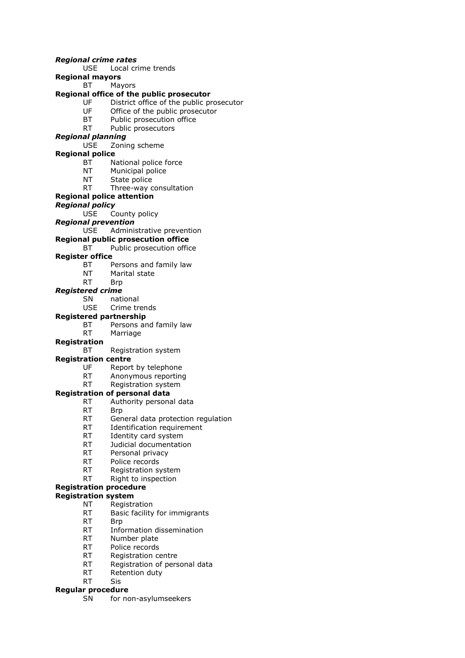#### *Regional crime rates*

- USE Local crime trends
- **Regional mayors**

BT Mayors

#### **Regional office of the public prosecutor**

- UF District office of the public prosecutor
- UF Office of the public prosecutor<br>BT Public prosecution office
- Public prosecution office
- RT Public prosecutors

### *Regional planning*

USE Zoning scheme

#### **Regional police**

- BT National police force
- NT Municipal police
- NT State police
- RT Three-way consultation

#### **Regional police attention**

#### *Regional policy*

USE County policy

*Regional prevention*

USE Administrative prevention

#### **Regional public prosecution office**

#### BT Public prosecution office

#### **Register office**

- BT Persons and family law
- NT Marital state
- RT Brp

#### *Registered crime*

- SN national
- USE Crime trends

#### **Registered partnership**

- BT Persons and family law
- RT Marriage

#### **Registration**

BT Registration system

#### **Registration centre**

- UF Report by telephone
- RT Anonymous reporting
- RT Registration system

#### **Registration of personal data**

- RT Authority personal data
- RT Brp
- RT General data protection regulation
- RT Identification requirement
- RT Identity card system
- RT Judicial documentation
- RT Personal privacy
- RT Police records
- RT Registration system
- RT Right to inspection

### **Registration procedure**

### **Registration system**

- NT Registration
- RT Basic facility for immigrants
- RT Brp
- RT Information dissemination
- RT Number plate
- RT Police records
- RT Registration centre
- RT Registration of personal data
- RT Retention duty
- RT Sis

#### **Regular procedure**

SN for non-asylumseekers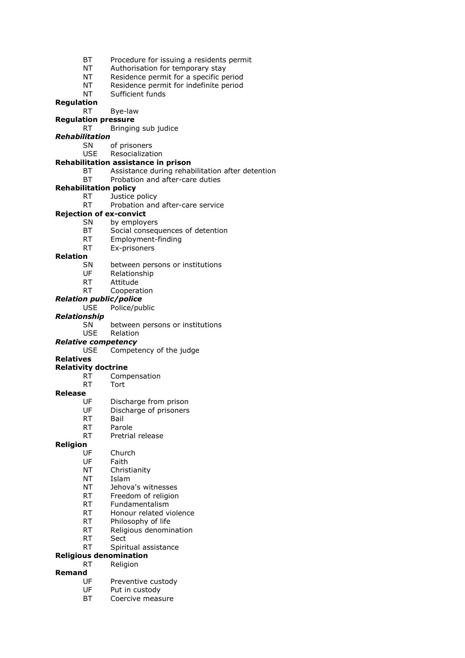- BT Procedure for issuing a residents permit
- NT Authorisation for temporary stay
- NT Residence permit for a specific period
- NT Residence permit for indefinite period
- NT Sufficient funds

#### **Regulation**

RT Bye-law

### **Regulation pressure**

RT Bringing sub judice

### *Rehabilitation*

SN of prisoners

USE Resocialization

#### **Rehabilitation assistance in prison**

- BT Assistance during rehabilitation after detention
- BT Probation and after-care duties

### **Rehabilitation policy**

- RT Justice policy
- RT Probation and after-care service

#### **Rejection of ex-convict**

- SN by employers
	- BT Social consequences of detention
	- RT Employment-finding
	- RT Ex-prisoners

#### **Relation**

- SN between persons or institutions
- UF Relationship
- RT Attitude
- RT Cooperation
- *Relation public/police*
	- USE Police/public

#### *Relationship*

SN between persons or institutions

USE Relation

#### *Relative competency*

USE Competency of the judge

#### **Relatives**

#### **Relativity doctrine**

- RT Compensation
- RT Tort

#### **Release**

- UF Discharge from prison
- UF Discharge of prisoners
- RT Bail
- RT Parole
- RT Pretrial release

#### **Religion**

- UF Church
- UF Faith
- NT Christianity
- NT Islam
- NT Jehova's witnesses
- RT Freedom of religion
- RT Fundamentalism
- RT Honour related violence
- RT Philosophy of life
- RT Religious denomination
- RT Sect
- RT Spiritual assistance

#### **Religious denomination**

RT Religion

### **Remand**

- UF Preventive custody
- UF Put in custody
- BT Coercive measure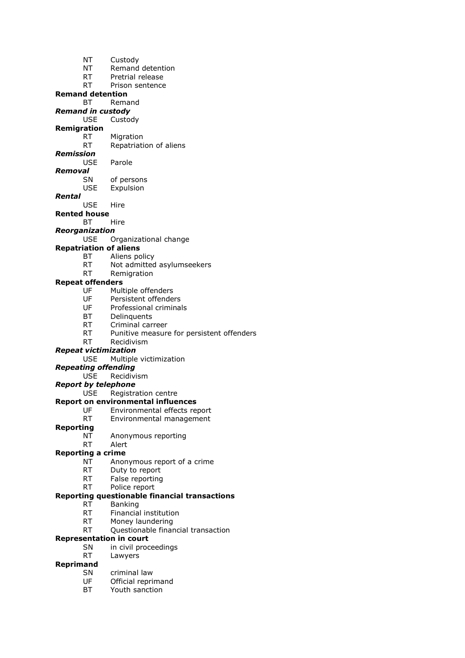- NT Custody
- NT Remand detention
- RT Pretrial release
- RT Prison sentence

**Remand detention**

- BT Remand
- *Remand in custody* Custody
- **Remigration**
- RT Migration
	- RT Repatriation of aliens
- *Remission*
	- USE Parole
- *Removal*
	- SN of persons USE Expulsion
- *Rental*
	- USE Hire
- **Rented house**
	- BT Hire
- *Reorganization*
	- USE Organizational change

#### **Repatriation of aliens**

- BT Aliens policy
- RT Not admitted asylumseekers
- RT Remigration

## **Repeat offenders**<br>UF Mult

- Multiple offenders
- UF Persistent offenders
- UF Professional criminals
- BT Delinquents
- RT Criminal carreer
- RT Punitive measure for persistent offenders
- RT Recidivism

#### *Repeat victimization*

USE Multiple victimization

#### *Repeating offending*

- USE Recidivism
- *Report by telephone*

#### USE Registration centre

- **Report on environmental influences**
	- UF Environmental effects report
	- RT Environmental management

#### **Reporting**

- NT Anonymous reporting
- RT Alert

#### **Reporting a crime**

- NT Anonymous report of a crime
- RT Duty to report
- RT False reporting
- RT Police report

#### **Reporting questionable financial transactions**

- RT Banking
- RT Financial institution
- RT Money laundering
- RT Questionable financial transaction

### **Representation in court**

- SN in civil proceedings
- RT Lawyers

### **Reprimand**

- SN criminal law
- UF Official reprimand
- BT Youth sanction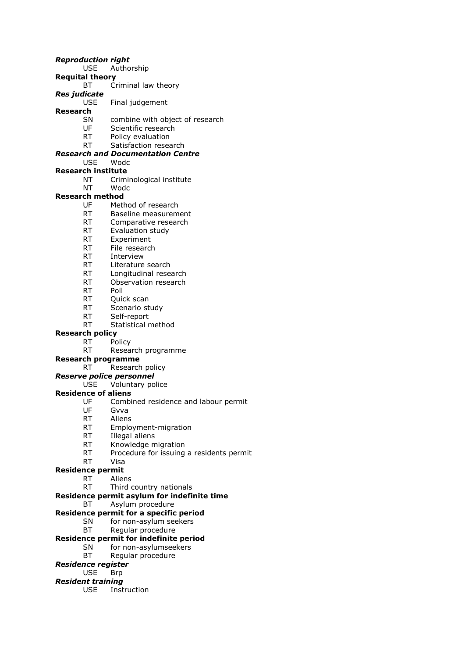#### *Reproduction right*

- USE Authorship
- **Requital theory**
	- BT Criminal law theory
- *Res judicate*
	- USE Final judgement

## **Research**

- combine with object of research
- UF Scientific research
- RT Policy evaluation
- RT Satisfaction research

### *Research and Documentation Centre*

- USE Wodc
- **Research institute**
	- NT Criminological institute
	- NT Wodc

### **Research method**

- UF Method of research
- RT Baseline measurement
- RT Comparative research
- RT Evaluation study
- RT Experiment
- RT File research
- RT Interview
- RT Literature search
- RT Longitudinal research
- RT Observation research
- RT Poll
- RT Quick scan
- RT Scenario study
- RT Self-report
- RT Statistical method

#### **Research policy**

- RT Policy
	- RT Research programme

#### **Research programme**

#### RT Research policy

- *Reserve police personnel*
	- USE Voluntary police

#### **Residence of aliens**

- UF Combined residence and labour permit
- UF Gvva
- RT Aliens
- RT Employment-migration
- RT Illegal aliens
- RT Knowledge migration
- RT Procedure for issuing a residents permit
- RT Visa

#### **Residence permit**

- RT Aliens
	- RT Third country nationals

#### **Residence permit asylum for indefinite time**

BT Asylum procedure

#### **Residence permit for a specific period**

- SN for non-asylum seekers
- BT Regular procedure

### **Residence permit for indefinite period**

- SN for non-asylumseekers
- BT Regular procedure

### *Residence register*

### USE Brp

- *Resident training*
	- USE Instruction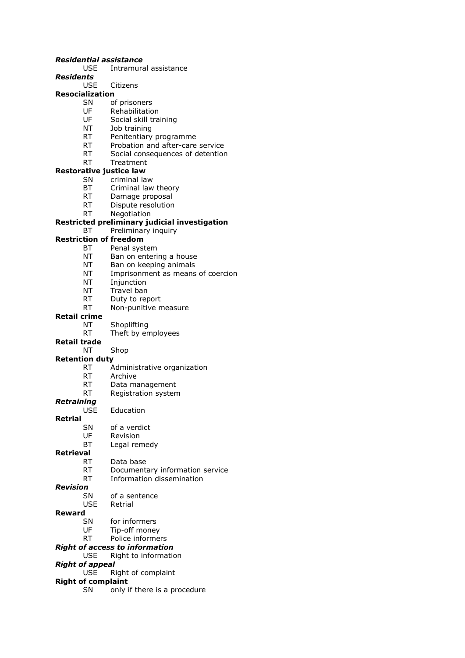#### *Residential assistance*

- USE Intramural assistance
- *Residents*
	- USE Citizens

### **Resocialization**

- SN of prisoners
- UF Rehabilitation<br>UF Social skill tra
- Social skill training
- NT Job training
- RT Penitentiary programme
- RT Probation and after-care service
- RT Social consequences of detention
- RT Treatment

#### **Restorative justice law**

- SN criminal law
- BT Criminal law theory
- RT Damage proposal
- RT Dispute resolution
- RT Negotiation

#### **Restricted preliminary judicial investigation**

#### BT Preliminary inquiry

### **Restriction of freedom**

- BT Penal system
- NT Ban on entering a house
- NT Ban on keeping animals
- NT Imprisonment as means of coercion
- NT Injunction
- NT Travel ban
- RT Duty to report
- RT Non-punitive measure

#### **Retail crime**

- NT Shoplifting
- RT Theft by employees

#### **Retail trade**

NT Shop

#### **Retention duty**

- RT Administrative organization
- RT Archive
- RT Data management<br>RT Registration system
- Registration system

### *Retraining*

- USE Education
- **Retrial**
	- SN of a verdict
	- UF Revision
	- BT Legal remedy

#### **Retrieval**

- RT Data base
	- RT Documentary information service
- RT Information dissemination

### *Revision*

- SN of a sentence
- USE Retrial

#### **Reward**

- SN for informers
- UF Tip-off money<br>RT Police informe
- Police informers
- *Right of access to information*
- USE Right to information

#### *Right of appeal*

USE Right of complaint

#### **Right of complaint**

SN only if there is a procedure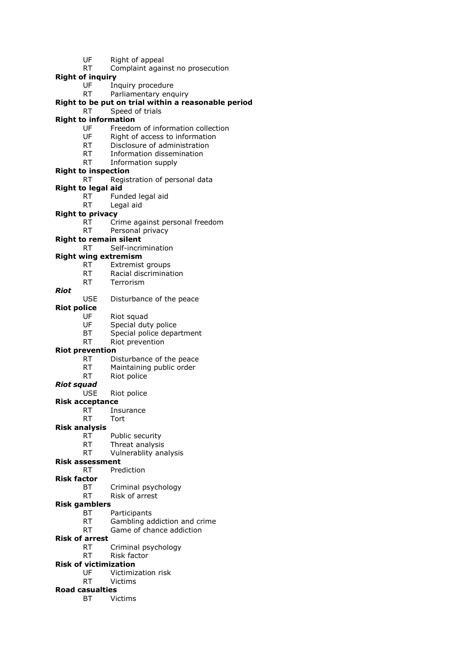- UF Right of appeal
- RT Complaint against no prosecution
- **Right of inquiry**
	- UF Inquiry procedure
	- RT Parliamentary enquiry

### **Right to be put on trial within a reasonable period**

RT Speed of trials

### **Right to information**

- UF Freedom of information collection
- UF Right of access to information
- RT Disclosure of administration
- RT Information dissemination
- RT Information supply

### **Right to inspection**

- RT Registration of personal data
- **Right to legal aid**
	- RT Funded legal aid
	- RT Legal aid

### **Right to privacy**

- RT Crime against personal freedom
- RT Personal privacy

### **Right to remain silent**

RT Self-incrimination

### **Right wing extremism**

- RT Extremist groups
- RT Racial discrimination
- RT Terrorism

#### *Riot*

#### USE Disturbance of the peace

#### **Riot police**

- UF Riot squad
- UF Special duty police
- BT Special police department
- RT Riot prevention

#### **Riot prevention**

- RT Disturbance of the peace
- RT Maintaining public order
- RT Riot police
- *Riot squad*
	- USE Riot police

#### **Risk acceptance**

- RT Insurance
- RT Tort

#### **Risk analysis**

- RT Public security
- RT Threat analysis
- RT Vulnerablity analysis

#### **Risk assessment**

- RT Prediction
- **Risk factor**
	- BT Criminal psychology
	- RT Risk of arrest

### **Risk gamblers**

- BT Participants
- RT Gambling addiction and crime
- RT Game of chance addiction
- **Risk of arrest**
	- RT Criminal psychology
	- RT Risk factor

### **Risk of victimization**

- UF Victimization risk
- RT Victims

### **Road casualties**

BT Victims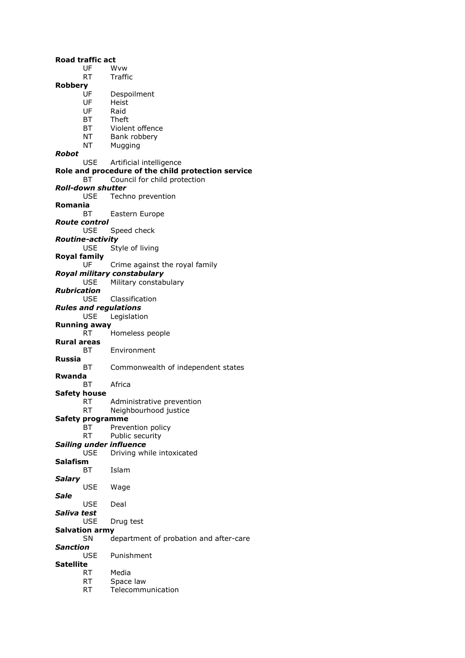**Road traffic act** UF Wvw RT Traffic **Robbery** Despoilment UF Heist UF Raid<br>BT Theft **Theft** BT Violent offence NT Bank robbery NT Mugging *Robot* USE Artificial intelligence **Role and procedure of the child protection service** BT Council for child protection *Roll-down shutter* USE Techno prevention **Romania** BT Eastern Europe *Route control* USE Speed check *Routine-activity* USE Style of living **Royal family** UF Crime against the royal family *Royal military constabulary* USE Military constabulary *Rubrication* USE Classification *Rules and regulations* USE Legislation **Running away** RT Homeless people **Rural areas** BT Environment **Russia** BT Commonwealth of independent states **Rwanda** BT Africa **Safety house** RT Administrative prevention RT Neighbourhood justice **Safety programme** BT Prevention policy RT Public security *Sailing under influence* USE Driving while intoxicated **Salafism** BT Islam *Salary* USE Wage *Sale* USE Deal *Saliva test* USE Drug test **Salvation army** SN department of probation and after-care *Sanction* USE Punishment **Satellite** RT Media RT Space law RT Telecommunication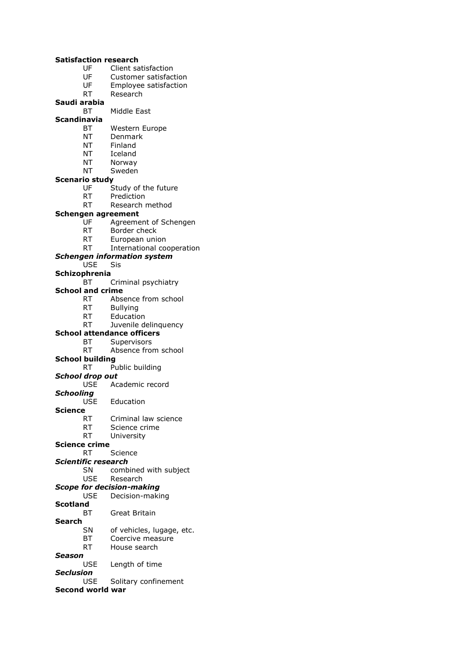#### **Satisfaction research**

- UF Client satisfaction
- UF Customer satisfaction
- UF Employee satisfaction
- RT Research
- **Saudi arabia**
	- BT Middle East

#### **Scandinavia**

- BT Western Europe
- NT Denmark
- NT Finland
- NT Iceland
- NT Norway
- NT Sweden

#### **Scenario study**

- UF Study of the future
- RT Prediction
- RT Research method

#### **Schengen agreement**

- UF Agreement of Schengen
- RT Border check
- RT European union
- RT International cooperation
- *Schengen information system*
	- USE Sis
- **Schizophrenia**
	- BT Criminal psychiatry

## **School and crime**<br>RT Abse

- Absence from school
- RT Bullying
- RT Education
- RT Juvenile delinquency

#### **School attendance officers**

- BT Supervisors
- RT Absence from school

### **School building**

RT Public building

#### *School drop out*

- USE Academic record
- *Schooling*
	- USE Education

#### **Science**

- RT Criminal law science
- RT Science crime
- RT University

#### **Science crime**

- RT Science
- *Scientific research*
	- SN combined with subject
	- USE Research

### *Scope for decision-making*

USE Decision-making

### **Scotland**

BT Great Britain

## **Search**

- of vehicles, lugage, etc.
- BT Coercive measure
- RT House search

### *Season*

USE Length of time

### *Seclusion*

USE Solitary confinement

### **Second world war**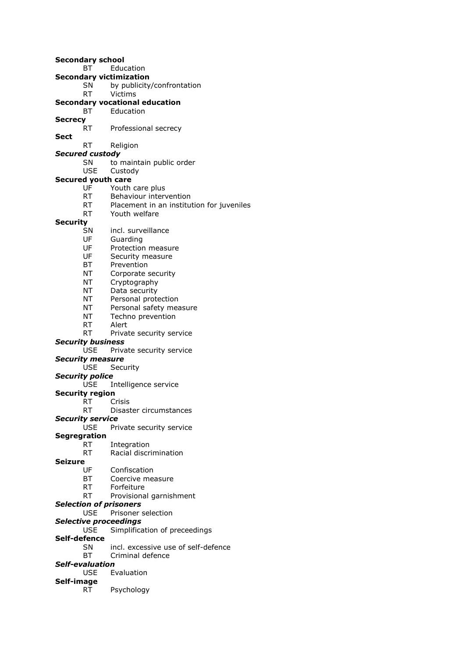**Secondary school** BT Education **Secondary victimization** SN by publicity/confrontation RT Victims **Secondary vocational education** BT Education **Secrecy** RT Professional secrecy **Sect** RT Religion *Secured custody* SN to maintain public order USE Custody **Secured youth care** UF Youth care plus RT Behaviour intervention RT Placement in an institution for juveniles RT Youth welfare **Security** SN incl. surveillance UF Guarding UF Protection measure UF Security measure BT Prevention NT Corporate security NT Cryptography NT Data security NT Personal protection NT Personal safety measure NT Techno prevention RT Alert RT Private security service *Security business* USE Private security service *Security measure* USE Security *Security police* USE Intelligence service **Security region** RT Crisis RT Disaster circumstances *Security service* USE Private security service **Segregration** Integration RT Racial discrimination **Seizure** UF Confiscation BT Coercive measure RT Forfeiture RT Provisional garnishment *Selection of prisoners* USE Prisoner selection *Selective proceedings* USE Simplification of preceedings **Self-defence** SN incl. excessive use of self-defence

BT Criminal defence

### *Self-evaluation*

USE Evaluation

#### **Self-image**

RT Psychology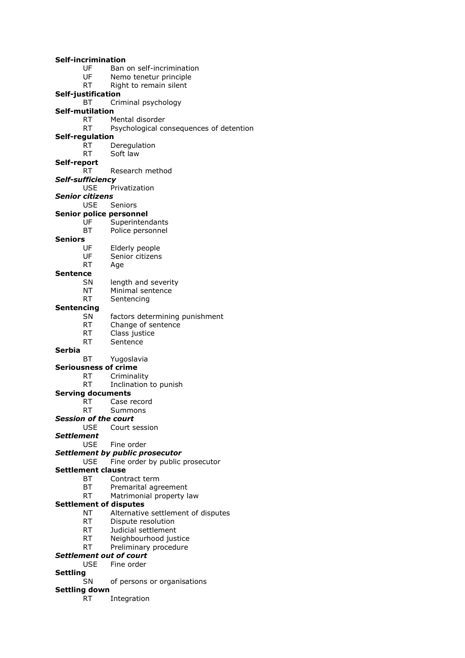| <b>Self-incrimination</b><br>UF      | Ban on self-incrimination               |  |
|--------------------------------------|-----------------------------------------|--|
| UF                                   |                                         |  |
| RT                                   | Nemo tenetur principle                  |  |
|                                      | Right to remain silent                  |  |
| Self-justification<br>ВT             |                                         |  |
| <b>Self-mutilation</b>               | Criminal psychology                     |  |
| RT.                                  | Mental disorder                         |  |
| RT                                   |                                         |  |
|                                      | Psychological consequences of detention |  |
| Self-regulation<br>RT                |                                         |  |
| RT                                   | Deregulation<br>Soft law                |  |
|                                      |                                         |  |
| Self-report<br>RT                    | Research method                         |  |
|                                      |                                         |  |
| Self-sufficiency                     |                                         |  |
| <b>USE</b><br>Privatization          |                                         |  |
| <b>Senior citizens</b><br>USE.       | Seniors                                 |  |
|                                      |                                         |  |
| <b>Senior police personnel</b><br>UF |                                         |  |
|                                      | Superintendants                         |  |
| ВT<br><b>Seniors</b>                 | Police personnel                        |  |
| UF                                   |                                         |  |
| UF                                   | Elderly people<br>Senior citizens       |  |
| RT                                   |                                         |  |
|                                      | Age                                     |  |
| Sentence<br>SN                       |                                         |  |
| NΤ                                   | length and severity<br>Minimal sentence |  |
| RT                                   | Sentencing                              |  |
| <b>Sentencing</b>                    |                                         |  |
| SΝ                                   | factors determining punishment          |  |
| RT                                   | Change of sentence                      |  |
| RT                                   | Class justice                           |  |
| RT                                   | Sentence                                |  |
| <b>Serbia</b>                        |                                         |  |
| BT                                   | Yugoslavia                              |  |
| <b>Seriousness of crime</b>          |                                         |  |
| RT                                   | Criminality                             |  |
| RT                                   | Inclination to punish                   |  |
| <b>Serving documents</b>             |                                         |  |
| RT                                   | Case record                             |  |
| RT.                                  | Summons                                 |  |
| <b>Session of the court</b>          |                                         |  |
| USE.                                 | Court session                           |  |
| <b>Settlement</b>                    |                                         |  |
| USE.                                 | Fine order                              |  |
|                                      | <b>Settlement by public prosecutor</b>  |  |
| USE                                  | Fine order by public prosecutor         |  |
| <b>Settlement clause</b>             |                                         |  |
| BТ                                   | Contract term                           |  |
| BT                                   | Premarital agreement                    |  |
| RT                                   | Matrimonial property law                |  |
| <b>Settlement of disputes</b>        |                                         |  |
| NΤ                                   | Alternative settlement of disputes      |  |
| RT a                                 | Dispute resolution                      |  |
| RT.                                  | Judicial settlement                     |  |
| RT                                   | Neighbourhood justice                   |  |
| RT                                   | Preliminary procedure                   |  |
| <b>Settlement out of court</b>       |                                         |  |
| USE                                  | Fine order                              |  |
| <b>Settling</b>                      |                                         |  |
| SN<br>of persons or organisations    |                                         |  |
| <b>Settling down</b>                 |                                         |  |
| RT                                   | Integration                             |  |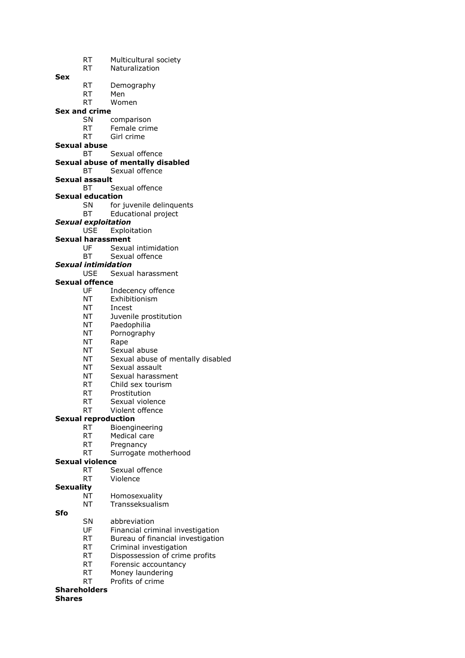- RT Multicultural society
- RT Naturalization

**Sex**

- RT Demography
- RT Men
- RT Women

#### **Sex and crime**

- SN comparison
- RT Female crime
- RT Girl crime
- **Sexual abuse**
	- BT Sexual offence

#### **Sexual abuse of mentally disabled**

- BT Sexual offence
- **Sexual assault**
	- BT Sexual offence
- **Sexual education**
	- SN for juvenile delinquents
	- BT Educational project
- *Sexual exploitation*
	- USE Exploitation
- **Sexual harassment**
	- UF Sexual intimidation
	- BT Sexual offence
- *Sexual intimidation*

### USE Sexual harassment

### **Sexual offence**

- UF Indecency offence
- NT Exhibitionism
- NT Incest
- NT Juvenile prostitution
- NT Paedophilia
- NT Pornography
- NT Rape
- NT Sexual abuse
- NT Sexual abuse of mentally disabled
- NT Sexual assault
- NT Sexual harassment
- RT Child sex tourism
- RT Prostitution
- RT Sexual violence
- RT Violent offence

#### **Sexual reproduction**

- RT Bioengineering
- RT Medical care
- RT Pregnancy
- RT Surrogate motherhood

#### **Sexual violence**

- RT Sexual offence
- RT Violence
- **Sexuality**
	- NT Homosexuality
	- NT Transseksualism

#### **Sfo**

- SN abbreviation
- UF Financial criminal investigation
- RT Bureau of financial investigation
- RT Criminal investigation
- RT Dispossession of crime profits
- 
- 
- RT Profits of crime

#### **Shareholders**

#### **Shares**

- 
- 
- 
- 
- 
- RT Forensic accountancy
- RT Money laundering
-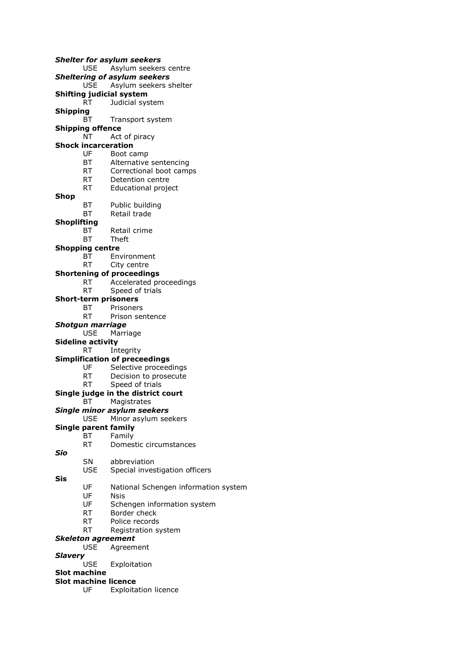*Shelter for asylum seekers* USE Asylum seekers centre *Sheltering of asylum seekers* USE Asylum seekers shelter **Shifting judicial system** RT Judicial system **Shipping** BT Transport system **Shipping offence** NT Act of piracy **Shock incarceration** UF Boot camp BT Alternative sentencing RT Correctional boot camps RT Detention centre RT Educational project **Shop** BT Public building BT Retail trade **Shoplifting** BT Retail crime BT Theft **Shopping centre** BT Environment RT City centre **Shortening of proceedings** RT Accelerated proceedings RT Speed of trials **Short-term prisoners** BT Prisoners RT Prison sentence *Shotgun marriage* USE Marriage **Sideline activity** RT Integrity **Simplification of preceedings** UF Selective proceedings RT Decision to prosecute RT Speed of trials **Single judge in the district court** BT Magistrates *Single minor asylum seekers* USE Minor asylum seekers **Single parent family** BT Family RT Domestic circumstances *Sio* SN abbreviation USE Special investigation officers **Sis** UF National Schengen information system UF Nsis UF Schengen information system RT Border check RT Police records RT Registration system *Skeleton agreement* USE Agreement *Slavery* Exploitation **Slot machine Slot machine licence**

- - UF Exploitation licence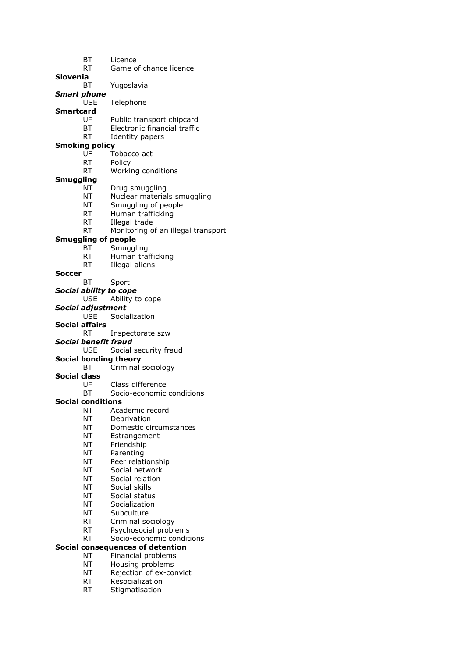- BT Licence
- RT Game of chance licence
- **Slovenia**
	- BT Yugoslavia

*Smart phone* USE Telephone

**Smartcard** 

- Public transport chipcard
- BT Electronic financial traffic
- RT Identity papers

### **Smoking policy**

- UF Tobacco act
- RT Policy
- RT Working conditions

#### **Smuggling**

- NT Drug smuggling
- NT Nuclear materials smuggling
- NT Smuggling of people
- RT Human trafficking
- RT Illegal trade
- RT Monitoring of an illegal transport

### **Smuggling of people**

- BT Smuggling
- RT Human trafficking
- RT Illegal aliens
- **Soccer**

BT Sport

*Social ability to cope*

USE Ability to cope

#### *Social adjustment*

USE Socialization

#### **Social affairs**

- RT Inspectorate szw
- *Social benefit fraud*
	- USE Social security fraud

#### **Social bonding theory**

- BT Criminal sociology
- **Social class**
	- UF Class difference<br>BT Socio-economic
	- Socio-economic conditions

#### **Social conditions**

- NT Academic record
- NT Deprivation
- NT Domestic circumstances
- NT Estrangement
- NT Friendship
- NT Parenting
- NT Peer relationship
- NT Social network
- NT Social relation
- NT Social skills
- NT Social status
- NT Socialization
- NT Subculture
- RT Criminal sociology
- RT Psychosocial problems
- RT Socio-economic conditions

### **Social consequences of detention**

- NT Financial problems
- NT Housing problems
- NT Rejection of ex-convict
- RT Resocialization
- RT Stigmatisation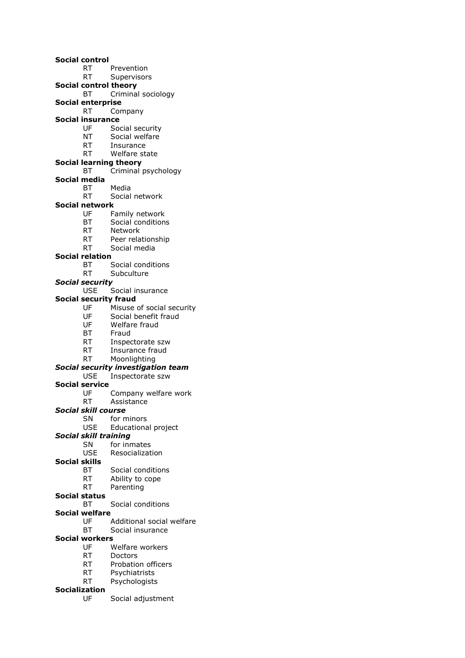#### **Social control**

- RT Prevention
- RT Supervisors
- **Social control theory**
- BT Criminal sociology
- **Social enterprise**
	- RT Company

### **Social insurance**

- UF Social security
- NT Social welfare
- RT Insurance
- RT Welfare state
- **Social learning theory**
	- BT Criminal psychology
- **Social media**
	- BT Media
	- RT Social network

### **Social network**

- UF Family network
- BT Social conditions
- RT Network
- RT Peer relationship
- RT Social media

#### **Social relation**

- BT Social conditions
- RT Subculture

#### *Social security*

USE Social insurance

#### **Social security fraud**

- UF Misuse of social security
- UF Social benefit fraud
- UF Welfare fraud
- BT Fraud
- RT Inspectorate szw
- RT Insurance fraud
- RT Moonlighting

#### *Social security investigation team*

- USE Inspectorate szw
- **Social service**
	- UF Company welfare work
	- RT Assistance

#### *Social skill course*

- SN for minors
- USE Educational project

#### *Social skill training*

- SN for inmates
- USE Resocialization
- **Social skills**
	- BT Social conditions
	- RT Ability to cope
	- RT Parenting

#### **Social status**

- BT Social conditions
- **Social welfare**
	- UF Additional social welfare
	- BT Social insurance

### **Social workers**

- UF Welfare workers
- RT Doctors
- RT Probation officers
- RT Psychiatrists
- RT Psychologists

### **Socialization**

UF Social adjustment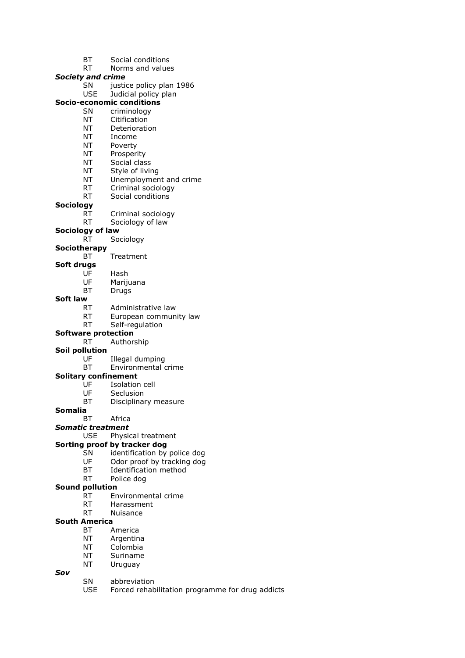- BT Social conditions
- RT Norms and values

### *Society and crime*

SN justice policy plan 1986

### USE Judicial policy plan

- **Socio-economic conditions**
	- SN criminology<br>NT Citification Citification
	- NT Deterioration
	- NT Income
	-
	- NT Poverty
	- NT Prosperity
	- NT Social class
	- NT Style of living
	- NT Unemployment and crime
	- RT Criminal sociology
	- RT Social conditions

### **Sociology**

- RT Criminal sociology
- RT Sociology of law
- **Sociology of law**
	- RT Sociology

### **Sociotherapy**

- BT Treatment
- **Soft drugs**
	- UF Hash<br>UF Mariji
		- Marijuana
	- BT Drugs

#### **Soft law**

- RT Administrative law
- RT European community law
- RT Self-regulation

#### **Software protection**

- RT Authorship
- **Soil pollution**
	- UF Illegal dumping
	- BT Environmental crime

#### **Solitary confinement**

- UF Isolation cell<br>UF Seclusion
- **Seclusion**
- BT Disciplinary measure
- **Somalia**
	- BT Africa
- *Somatic treatment*
	- USE Physical treatment

#### **Sorting proof by tracker dog**

- SN identification by police dog
- UF Odor proof by tracking dog
- BT Identification method
- RT Police dog

#### **Sound pollution**

- RT Environmental crime
- RT Harassment
- RT Nuisance

#### **South America**

- BT America
- NT Argentina
- NT Colombia
- NT Suriname
- NT Uruguay

#### *Sov*

- SN abbreviation
	- USE Forced rehabilitation programme for drug addicts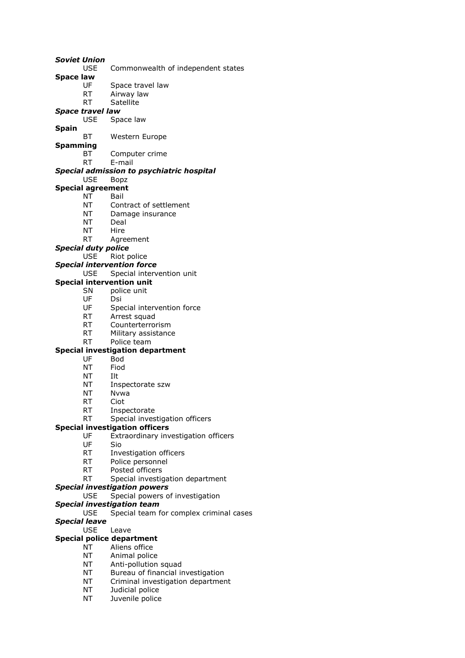USE Commonwealth of independent states **Space law** UF Space travel law RT Airway law RT Satellite *Space travel law* Space law **Spain** BT Western Europe **Spamming** BT Computer crime RT E-mail *Special admission to psychiatric hospital* USE Bopz **Special agreement** NT Bail NT Contract of settlement NT Damage insurance NT Deal NT Hire RT Agreement *Special duty police* USE Riot police *Special intervention force* USE Special intervention unit **Special intervention unit** SN police unit UF Dsi UF Special intervention force RT Arrest squad RT Counterterrorism RT Military assistance RT Police team **Special investigation department** UF Bod NT Fiod NT Ilt NT Inspectorate szw NT Nvwa RT Ciot RT Inspectorate RT Special investigation officers **Special investigation officers** UF Extraordinary investigation officers UF Sio RT Investigation officers RT Police personnel RT Posted officers RT Special investigation department *Special investigation powers* USE Special powers of investigation *Special investigation team* USE Special team for complex criminal cases *Special leave* USE Leave **Special police department** NT Aliens office NT Animal police NT Anti-pollution squad NT Bureau of financial investigation NT Criminal investigation department NT Judicial police

*Soviet Union*

NT Juvenile police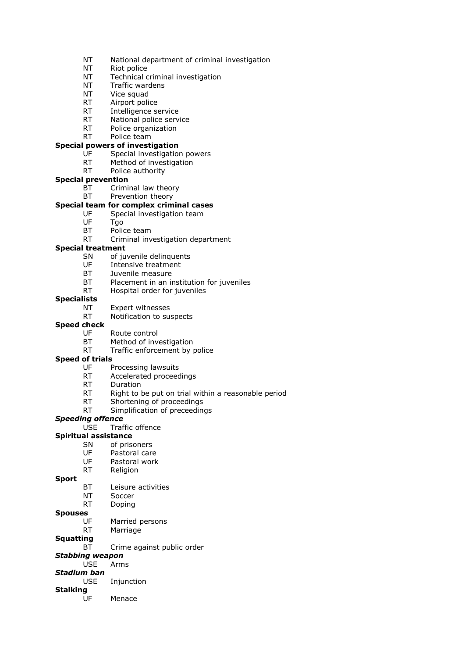- NT National department of criminal investigation
- NT Riot police
- NT Technical criminal investigation
- NT Traffic wardens
- NT Vice squad
- RT Airport police
- RT Intelligence service<br>RT National police serv
- National police service
- RT Police organization
- RT Police team

### **Special powers of investigation**

- UF Special investigation powers
- RT Method of investigation
- RT Police authority

#### **Special prevention**

- BT Criminal law theory
- BT Prevention theory

### **Special team for complex criminal cases**

- UF Special investigation team
- UF Tgo
- BT Police team
- RT Criminal investigation department

#### **Special treatment**

- SN of juvenile delinquents
- UF Intensive treatment
- BT Juvenile measure
- BT Placement in an institution for juveniles
- RT Hospital order for juveniles
- **Specialists**
	- NT Expert witnesses
	- RT Notification to suspects

#### **Speed check**

- UF Route control
- BT Method of investigation
- RT Traffic enforcement by police

#### **Speed of trials**

- UF Processing lawsuits
- RT Accelerated proceedings
- RT Duration
- RT Right to be put on trial within a reasonable period
- RT Shortening of proceedings
- RT Simplification of preceedings

#### *Speeding offence*

USE Traffic offence

### **Spiritual assistance**

- SN of prisoners
- UF Pastoral care
- UF Pastoral work
- RT Religion

#### **Sport**

- BT Leisure activities
	- NT Soccer
	- RT Doping

#### **Spouses**

- UF Married persons
- RT Marriage

#### **Squatting**

BT Crime against public order

#### *Stabbing weapon*

- USE Arms
- *Stadium ban*
	- USE Injunction

### **Stalking**

UF Menace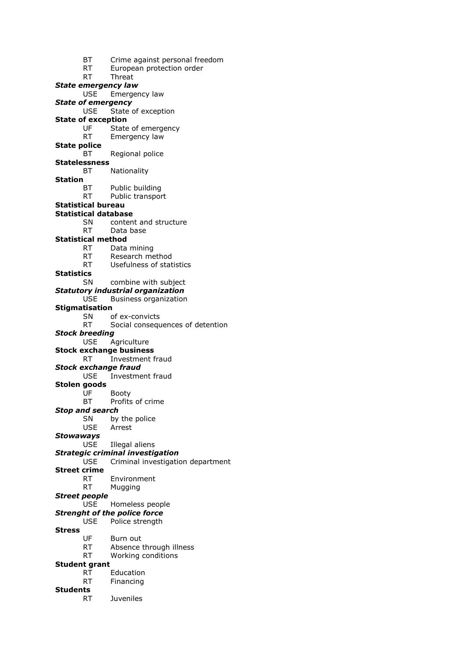BT Crime against personal freedom RT European protection order RT Threat *State emergency law* USE Emergency law *State of emergency* USE State of exception **State of exception** UF State of emergency RT Emergency law **State police** BT Regional police **Statelessness** BT Nationality **Station** BT Public building RT Public transport **Statistical bureau Statistical database** SN content and structure RT Data base **Statistical method** RT Data mining RT Research method RT Usefulness of statistics **Statistics** SN combine with subject *Statutory industrial organization* USE Business organization **Stigmatisation** SN of ex-convicts RT Social consequences of detention *Stock breeding* USE Agriculture **Stock exchange business** RT Investment fraud *Stock exchange fraud* USE Investment fraud **Stolen goods** UF Booty BT Profits of crime *Stop and search* SN by the police USE Arrest *Stowaways* USE Illegal aliens *Strategic criminal investigation* USE Criminal investigation department **Street crime** RT Environment RT Mugging *Street people* USE Homeless people *Strenght of the police force* USE Police strength **Stress** UF Burn out RT Absence through illness RT Working conditions **Student grant** RT Education RT Financing **Students** RT Juveniles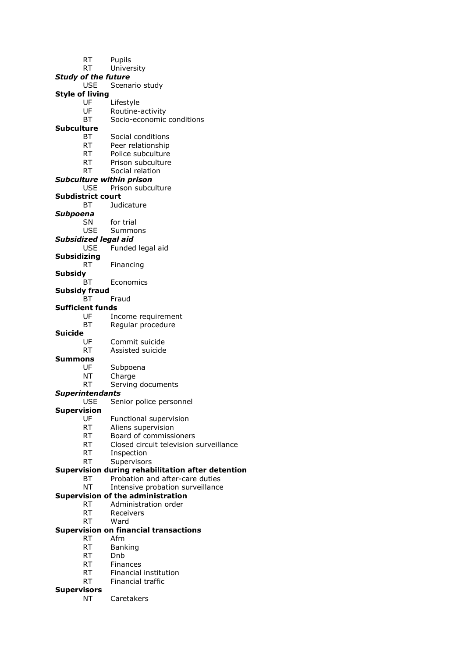|                    | RT                          | Pupils                                            |
|--------------------|-----------------------------|---------------------------------------------------|
|                    | <b>RT</b>                   | University                                        |
|                    | <b>Study of the future</b>  |                                                   |
|                    | <b>USE</b>                  | Scenario study                                    |
|                    | <b>Style of living</b>      |                                                   |
|                    | UF                          | Lifestyle                                         |
|                    | UF                          | Routine-activity                                  |
|                    | ВT                          | Socio-economic conditions                         |
| Subculture         |                             |                                                   |
|                    | ВT                          | Social conditions                                 |
|                    | <b>RT</b>                   | Peer relationship                                 |
|                    | RT.                         | Police subculture                                 |
|                    | RT                          | Prison subculture                                 |
|                    | RT                          | Social relation                                   |
|                    |                             | <b>Subculture within prison</b>                   |
|                    | <b>USE</b>                  | Prison subculture                                 |
|                    | <b>Subdistrict court</b>    |                                                   |
|                    | ВT                          | Judicature                                        |
| Subpoena           |                             |                                                   |
|                    | <b>SN</b>                   | for trial                                         |
|                    | <b>USE</b>                  | Summons                                           |
|                    | <b>Subsidized legal aid</b> |                                                   |
|                    | <b>USE</b>                  | Funded legal aid                                  |
| <b>Subsidizing</b> |                             |                                                   |
|                    | RT                          | Financing                                         |
| <b>Subsidy</b>     |                             |                                                   |
|                    | ВT                          | Economics                                         |
|                    | <b>Subsidy fraud</b>        |                                                   |
|                    | ВT                          | Fraud                                             |
|                    | <b>Sufficient funds</b>     |                                                   |
|                    | UF                          | Income requirement                                |
|                    | ВT                          | Regular procedure                                 |
| <b>Suicide</b>     |                             |                                                   |
|                    | UF                          | Commit suicide                                    |
|                    | RT                          | Assisted suicide                                  |
| Summons            |                             |                                                   |
|                    | UF                          | Subpoena                                          |
|                    | ΝT                          | Charge                                            |
|                    | RT                          | Serving documents                                 |
|                    | <b>Superintendants</b>      |                                                   |
|                    | <b>USE</b>                  | Senior police personnel                           |
| <b>Supervision</b> |                             |                                                   |
|                    | UF                          | Functional supervision                            |
|                    | <b>RT</b>                   | Aliens supervision                                |
|                    | RT.                         | Board of commissioners                            |
|                    | <b>RT</b>                   | Closed circuit television surveillance            |
|                    | <b>RT</b>                   | Inspection                                        |
|                    | RT                          | Supervisors                                       |
|                    |                             | Supervision during rehabilitation after detention |
|                    | <b>BT</b>                   | Probation and after-care duties                   |
|                    | <b>NT</b>                   | Intensive probation surveillance                  |
|                    |                             | <b>Supervision of the administration</b>          |
|                    | <b>RT</b>                   | Administration order                              |
|                    | RT                          | Receivers                                         |
|                    | RT                          | Ward                                              |
|                    |                             | <b>Supervision on financial transactions</b>      |
|                    | <b>RT</b>                   | Afm                                               |
|                    | <b>RT</b>                   | <b>Banking</b>                                    |
|                    | RT.                         | Dnb                                               |
|                    | <b>RT</b>                   | Finances                                          |
|                    |                             |                                                   |

- RT Financial institution
- Financial traffic

# **Supervisors**<br>**Supervisors**<br>NT

Caretakers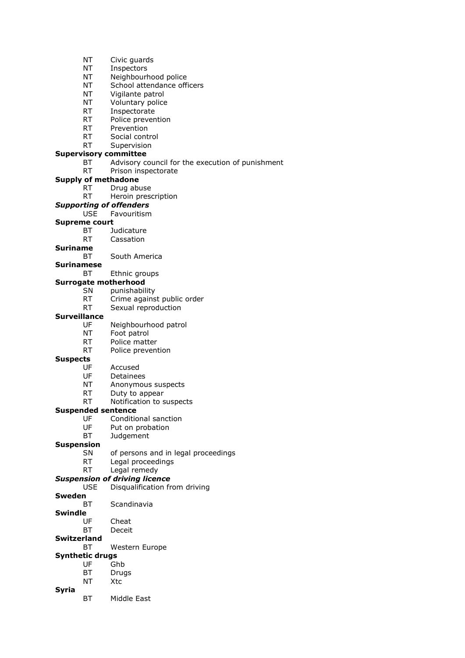- NT Civic guards
- NT Inspectors
- NT Neighbourhood police
- NT School attendance officers
- NT Vigilante patrol
- NT Voluntary police
- RT Inspectorate<br>RT Police preven
- Police prevention
- RT Prevention
- RT Social control
- RT Supervision

# **Supervisory committee**

- BT Advisory council for the execution of punishment
- RT Prison inspectorate

#### **Supply of methadone**

- RT Drug abuse
- RT Heroin prescription
- *Supporting of offenders*
	- USE Favouritism

# **Supreme court**

- BT Judicature
- RT Cassation

#### **Suriname**

- BT South America
- **Surinamese**
	- BT Ethnic groups

#### **Surrogate motherhood**

- SN punishability
- RT Crime against public order
- RT Sexual reproduction

#### **Surveillance**

- UF Neighbourhood patrol
- NT Foot patrol
- RT Police matter
- RT Police prevention

#### **Suspects**

#### UF Accused

- UF Detainees
- NT Anonymous suspects
- RT Duty to appear
- RT Notification to suspects

#### **Suspended sentence**

- UF Conditional sanction
- UF Put on probation
- BT Judgement

#### **Suspension**

- SN of persons and in legal proceedings
- RT Legal proceedings
- RT Legal remedy
- *Suspension of driving licence*
	- USE Disqualification from driving
- **Sweden**
- BT Scandinavia

# **Swindle**

- UF Cheat
- BT Deceit
- **Switzerland**
	- BT Western Europe

# **Synthetic drugs**

- UF Ghb
- BT Drugs NT Xtc
- **Syria**
	- BT Middle East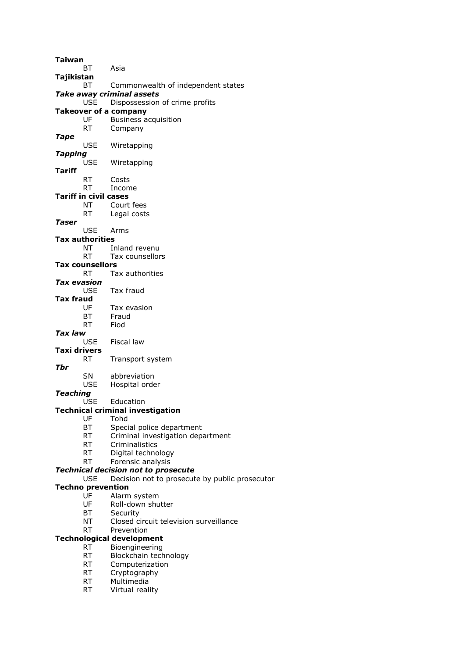| Taiwan          |                                                                                                                                                                                                                                                                                                             |
|-----------------|-------------------------------------------------------------------------------------------------------------------------------------------------------------------------------------------------------------------------------------------------------------------------------------------------------------|
| ВT              | Asia                                                                                                                                                                                                                                                                                                        |
| Tajikistan      |                                                                                                                                                                                                                                                                                                             |
| ВT              | Commonwealth of independent states                                                                                                                                                                                                                                                                          |
|                 | Take away criminal assets                                                                                                                                                                                                                                                                                   |
| <b>USE</b>      | Dispossession of crime profits                                                                                                                                                                                                                                                                              |
|                 | <b>Takeover of a company</b>                                                                                                                                                                                                                                                                                |
| UF              | <b>Business acquisition</b>                                                                                                                                                                                                                                                                                 |
| <b>RT</b>       | Company                                                                                                                                                                                                                                                                                                     |
|                 |                                                                                                                                                                                                                                                                                                             |
|                 | Wiretapping                                                                                                                                                                                                                                                                                                 |
|                 |                                                                                                                                                                                                                                                                                                             |
|                 | Wiretapping                                                                                                                                                                                                                                                                                                 |
|                 |                                                                                                                                                                                                                                                                                                             |
|                 | Costs                                                                                                                                                                                                                                                                                                       |
|                 | Income                                                                                                                                                                                                                                                                                                      |
|                 |                                                                                                                                                                                                                                                                                                             |
|                 | Court fees                                                                                                                                                                                                                                                                                                  |
|                 | Legal costs                                                                                                                                                                                                                                                                                                 |
|                 |                                                                                                                                                                                                                                                                                                             |
|                 | Arms                                                                                                                                                                                                                                                                                                        |
|                 |                                                                                                                                                                                                                                                                                                             |
|                 |                                                                                                                                                                                                                                                                                                             |
|                 | Inland revenu                                                                                                                                                                                                                                                                                               |
|                 | Tax counsellors                                                                                                                                                                                                                                                                                             |
|                 |                                                                                                                                                                                                                                                                                                             |
|                 | Tax authorities                                                                                                                                                                                                                                                                                             |
|                 |                                                                                                                                                                                                                                                                                                             |
|                 | Tax fraud                                                                                                                                                                                                                                                                                                   |
|                 |                                                                                                                                                                                                                                                                                                             |
|                 | Tax evasion                                                                                                                                                                                                                                                                                                 |
|                 | Fraud                                                                                                                                                                                                                                                                                                       |
|                 | Fiod                                                                                                                                                                                                                                                                                                        |
| Tax law         |                                                                                                                                                                                                                                                                                                             |
|                 | Fiscal law                                                                                                                                                                                                                                                                                                  |
|                 |                                                                                                                                                                                                                                                                                                             |
| RT              | Transport system                                                                                                                                                                                                                                                                                            |
|                 |                                                                                                                                                                                                                                                                                                             |
| SΝ              | abbreviation                                                                                                                                                                                                                                                                                                |
| <b>USE</b>      | Hospital order                                                                                                                                                                                                                                                                                              |
| Teaching        |                                                                                                                                                                                                                                                                                                             |
| <b>USE</b>      | Education                                                                                                                                                                                                                                                                                                   |
|                 | Technical criminal investigation                                                                                                                                                                                                                                                                            |
| UF              | Tohd                                                                                                                                                                                                                                                                                                        |
| BT              | Special police department                                                                                                                                                                                                                                                                                   |
| RT              | Criminal investigation department                                                                                                                                                                                                                                                                           |
| <b>RT</b>       | Criminalistics                                                                                                                                                                                                                                                                                              |
| <b>RT</b>       | Digital technology                                                                                                                                                                                                                                                                                          |
| <b>RT</b>       | Forensic analysis                                                                                                                                                                                                                                                                                           |
|                 | <b>Technical decision not to prosecute</b>                                                                                                                                                                                                                                                                  |
| <b>USE</b>      | Decision not to prosecute by public prosecutor                                                                                                                                                                                                                                                              |
|                 |                                                                                                                                                                                                                                                                                                             |
| UF              | Alarm system                                                                                                                                                                                                                                                                                                |
| UF              | Roll-down shutter                                                                                                                                                                                                                                                                                           |
|                 | Security                                                                                                                                                                                                                                                                                                    |
| NΤ              | Closed circuit television surveillance                                                                                                                                                                                                                                                                      |
|                 |                                                                                                                                                                                                                                                                                                             |
|                 | Prevention                                                                                                                                                                                                                                                                                                  |
| <b>RT</b>       |                                                                                                                                                                                                                                                                                                             |
| <b>RT</b>       | Technological development                                                                                                                                                                                                                                                                                   |
|                 | Bioengineering                                                                                                                                                                                                                                                                                              |
| <b>RT</b>       | Blockchain technology                                                                                                                                                                                                                                                                                       |
| RT              | Computerization                                                                                                                                                                                                                                                                                             |
| <b>RT</b>       | Cryptography                                                                                                                                                                                                                                                                                                |
| RT<br><b>RT</b> | Multimedia<br>Virtual reality                                                                                                                                                                                                                                                                               |
|                 | <b>USE</b><br>Tapping<br><b>USE</b><br>RT<br><b>RT</b><br>Tariff in civil cases<br>ΝT<br><b>RT</b><br><b>USE</b><br><b>Tax authorities</b><br>NT<br>RT<br><b>Tax counsellors</b><br>RT<br>Tax evasion<br>USE<br>Tax fraud<br>UF<br>BТ<br>RT<br><b>USE</b><br>Taxi drivers<br><b>Techno prevention</b><br>ВT |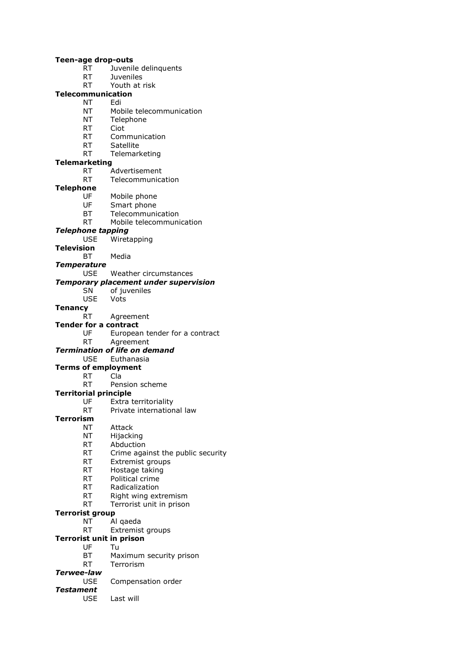#### **Teen-age drop-outs**

- RT Juvenile delinquents
- RT Juveniles
- RT Youth at risk

## **Telecommunication**

#### NT Edi

- NT Mobile telecommunication<br>NT Telephone
- Telephone
- RT Ciot
- RT Communication
- RT Satellite
- RT Telemarketing

# **Telemarketing**

- RT Advertisement
- RT Telecommunication

# **Telephone**

- UF Mobile phone
- UF Smart phone
- BT Telecommunication
- RT Mobile telecommunication

#### *Telephone tapping*

- USE Wiretapping
- **Television**
	- BT Media

#### *Temperature*

USE Weather circumstances

#### *Temporary placement under supervision*

SN of juveniles<br>USE Vots Vots

# **Tenancy**

RT Agreement

#### **Tender for a contract**

- UF European tender for a contract
- RT Agreement

# *Termination of life on demand*

# USE Euthanasia

# **Terms of employment**

RT Cla RT Pension scheme

# **Territorial principle**

- - UF Extra territoriality
	- RT Private international law

## **Terrorism**

- NT Attack
- NT Hijacking
- RT Abduction
- RT Crime against the public security
- RT Extremist groups
- RT Hostage taking
- RT Political crime
- RT Radicalization
- RT Right wing extremism
- RT Terrorist unit in prison

## **Terrorist group**

- NT Al qaeda
- RT Extremist groups

#### **Terrorist unit in prison**

- UF Tu
- BT Maximum security prison
- RT Terrorism

#### *Terwee-law*

- USE Compensation order
- *Testament*
	- USE Last will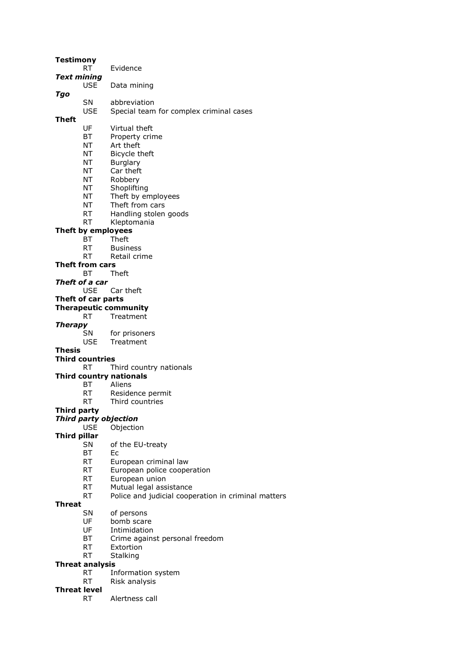| Testimony           | RT                              | Evidence                                            |
|---------------------|---------------------------------|-----------------------------------------------------|
| <b>Text mining</b>  |                                 |                                                     |
|                     | <b>USE</b>                      | Data mining                                         |
| Tgo                 |                                 |                                                     |
|                     | SN                              | abbreviation                                        |
|                     | <b>USE</b>                      | Special team for complex criminal cases             |
| Theft               | UF                              | Virtual theft                                       |
|                     | ВT                              | Property crime                                      |
|                     | NT                              | Art theft                                           |
|                     | NΤ                              | Bicycle theft                                       |
|                     | NT                              | Burglary                                            |
|                     | NT                              | Car theft                                           |
|                     | NT                              | Robbery                                             |
|                     | NT                              | Shoplifting                                         |
|                     | NT                              | Theft by employees                                  |
|                     | NT                              | Theft from cars                                     |
|                     | RT                              | Handling stolen goods                               |
|                     | RT                              | Kleptomania                                         |
|                     | Theft by employees<br><b>BT</b> | Theft                                               |
|                     | RT.                             | <b>Business</b>                                     |
|                     | RT                              | Retail crime                                        |
|                     | Theft from cars                 |                                                     |
|                     | BТ                              | Theft                                               |
|                     | Theft of a car                  |                                                     |
|                     |                                 | USE Car theft                                       |
|                     | Theft of car parts              | <b>Therapeutic community</b>                        |
|                     | RT                              | Treatment                                           |
| <b>Therapy</b>      |                                 |                                                     |
|                     | SN                              | for prisoners                                       |
|                     | <b>USE</b>                      | Treatment                                           |
| Thesis              |                                 |                                                     |
|                     | <b>Third countries</b><br>RT.   | Third country nationals                             |
|                     |                                 | <b>Third country nationals</b>                      |
|                     | BT                              | Aliens                                              |
|                     | RT                              | Residence permit                                    |
|                     | RT                              | Third countries                                     |
| <b>Third party</b>  |                                 |                                                     |
|                     |                                 | <b>Third party objection</b>                        |
| <b>Third pillar</b> | <b>USE</b>                      | Objection                                           |
|                     | <b>SN</b>                       | of the EU-treaty                                    |
|                     | ВT                              | Ec                                                  |
|                     | RT                              | European criminal law                               |
|                     | RT                              | European police cooperation                         |
|                     | RT                              | European union                                      |
|                     | <b>RT</b>                       | Mutual legal assistance                             |
| Threat              | RT                              | Police and judicial cooperation in criminal matters |
|                     | SΝ                              | of persons                                          |
|                     | UF                              | bomb scare                                          |
|                     | UF                              | Intimidation                                        |
|                     | ВT                              | Crime against personal freedom                      |
|                     | RT                              | Extortion                                           |
|                     | RT                              | Stalking                                            |
|                     | <b>Threat analysis</b><br>RT    |                                                     |
|                     | RT                              | Information system<br>Risk analysis                 |
| <b>Threat level</b> |                                 |                                                     |
|                     | RT.                             | Alertness call                                      |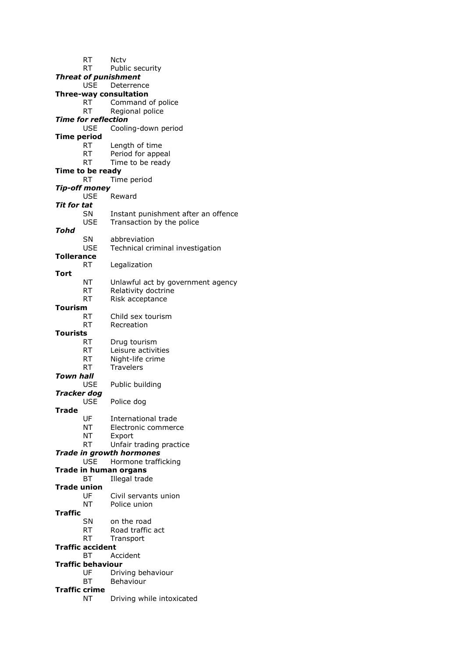RT Nctv RT Public security *Threat of punishment* USE Deterrence **Three-way consultation** RT Command of police RT Regional police *Time for reflection* USE Cooling-down period **Time period** RT Length of time RT Period for appeal RT Time to be ready **Time to be ready** RT Time period *Tip-off money* USE Reward *Tit for tat* SN Instant punishment after an offence USE Transaction by the police *Tohd* SN abbreviation USE Technical criminal investigation **Tollerance** RT Legalization **Tort** NT Unlawful act by government agency RT Relativity doctrine RT Risk acceptance **Tourism** RT Child sex tourism RT Recreation **Tourists** RT Drug tourism RT Leisure activities RT Night-life crime RT Travelers *Town hall* USE Public building *Tracker dog* USE Police dog **Trade** UF International trade NT Electronic commerce NT Export RT Unfair trading practice *Trade in growth hormones* USE Hormone trafficking **Trade in human organs** BT Illegal trade **Trade union** UF Civil servants union NT Police union **Traffic** SN on the road RT Road traffic act RT Transport **Traffic accident** BT Accident **Traffic behaviour** UF Driving behaviour BT Behaviour **Traffic crime** NT Driving while intoxicated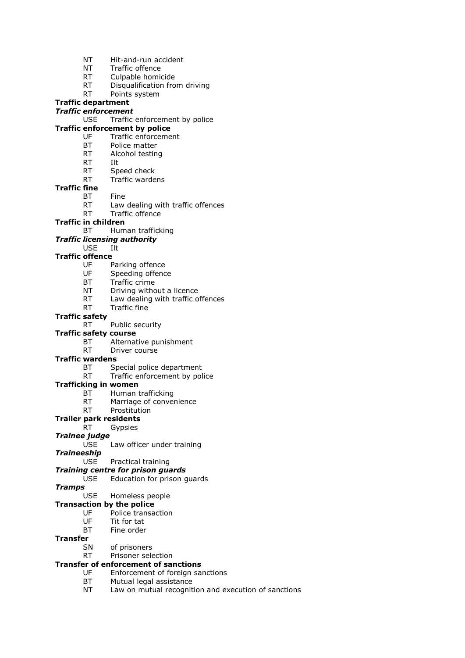- NT Hit-and-run accident
- NT Traffic offence
- RT Culpable homicide
- RT Disqualification from driving
- RT Points system

# **Traffic department**

## *Traffic enforcement*

USE Traffic enforcement by police

# **Traffic enforcement by police**

- UF Traffic enforcement
- BT Police matter
- RT Alcohol testing
- RT Ilt
	- RT Speed check
	- RT Traffic wardens
- **Traffic fine**
	- BT Fine
	- RT Law dealing with traffic offences
	- RT Traffic offence
- **Traffic in children**
	- BT Human trafficking

## *Traffic licensing authority*

USE Ilt

#### **Traffic offence**

- UF Parking offence
- UF Speeding offence
- BT Traffic crime
- NT Driving without a licence
- RT Law dealing with traffic offences
- RT Traffic fine

#### **Traffic safety**

RT Public security

#### **Traffic safety course**

- BT Alternative punishment
- RT Driver course

#### **Traffic wardens**

- BT Special police department
- RT Traffic enforcement by police

#### **Trafficking in women**

- BT Human trafficking
- RT Marriage of convenience

## RT Prostitution

## **Trailer park residents**

- RT Gypsies
- *Trainee judge*
	- USE Law officer under training
- *Traineeship*
	- USE Practical training

#### *Training centre for prison guards*

USE Education for prison guards

#### *Tramps*

#### USE Homeless people

#### **Transaction by the police**

- UF Police transaction
- UF Tit for tat
- BT Fine order

# **Transfer**

- SN of prisoners
- RT Prisoner selection

## **Transfer of enforcement of sanctions**

- UF Enforcement of foreign sanctions
	- BT Mutual legal assistance
	- NT Law on mutual recognition and execution of sanctions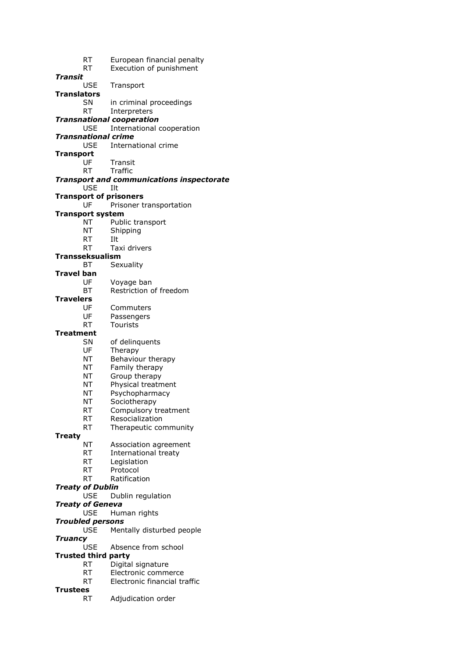| RT<br>RT                      | European financial penalty<br>Execution of punishment         |
|-------------------------------|---------------------------------------------------------------|
| Transit                       |                                                               |
| USE                           | Transport                                                     |
| <b>Translators</b>            |                                                               |
| SN                            | in criminal proceedings                                       |
| RT                            | Interpreters                                                  |
| <b>USE</b>                    | <b>Transnational cooperation</b><br>International cooperation |
| <b>Transnational crime</b>    |                                                               |
| USE                           | International crime                                           |
| <b>Transport</b>              |                                                               |
| UF                            | Transit                                                       |
| RT                            | Traffic                                                       |
| <b>USE</b>                    | <b>Transport and communications inspectorate</b><br>Ilt       |
| <b>Transport of prisoners</b> |                                                               |
| UF                            | Prisoner transportation                                       |
| <b>Transport system</b>       |                                                               |
| NT                            | Public transport                                              |
| NT                            | Shipping                                                      |
| RT                            | Ilt                                                           |
| RT                            | Taxi drivers                                                  |
| <b>Transseksualism</b><br>ВT  | Sexuality                                                     |
| Travel ban                    |                                                               |
| UF                            | Voyage ban                                                    |
| ВT                            | Restriction of freedom                                        |
| <b>Travelers</b>              |                                                               |
| UF                            | Commuters                                                     |
| UF                            | Passengers                                                    |
| RT<br><b>Treatment</b>        | <b>Tourists</b>                                               |
| SN                            | of delinquents                                                |
| UF                            | Therapy                                                       |
| ΝT                            | Behaviour therapy                                             |
| ΝT                            | Family therapy                                                |
| ΝT                            | Group therapy                                                 |
| ΝT                            | Physical treatment                                            |
| ΝT                            | Psychopharmacy                                                |
| NΤ                            | Sociotherapy                                                  |
| RT<br>RT.                     | Compulsory treatment<br>Resocialization                       |
| RT                            | Therapeutic community                                         |
| <b>Treaty</b>                 |                                                               |
| ΝT                            | Association agreement                                         |
| RT                            | International treaty                                          |
| RT                            | Legislation                                                   |
| RT                            | Protocol                                                      |
| RT<br><b>Treaty of Dublin</b> | Ratification                                                  |
| <b>USE</b>                    | Dublin regulation                                             |
| <b>Treaty of Geneva</b>       |                                                               |
| <b>USE</b>                    | Human rights                                                  |
| <b>Troubled persons</b>       |                                                               |
| USE                           | Mentally disturbed people                                     |
| <b>Truancy</b><br><b>USE</b>  | Absence from school                                           |
| <b>Trusted third party</b>    |                                                               |
| RT                            | Digital signature                                             |
| RT                            | Electronic commerce                                           |
| RT                            | Electronic financial traffic                                  |
| Trustees                      |                                                               |
| RT                            | Adjudication order                                            |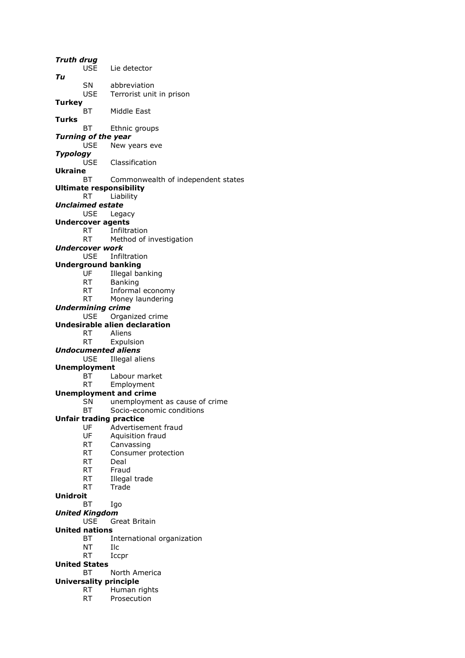*Truth drug* USE Lie detector *Tu* SN abbreviation<br>USE Terrorist unit Terrorist unit in prison **Turkey** BT Middle East **Turks** BT Ethnic groups *Turning of the year* USE New years eve *Typology* USE Classification **Ukraine** BT Commonwealth of independent states **Ultimate responsibility** RT Liability *Unclaimed estate* USE Legacy **Undercover agents** RT Infiltration RT Method of investigation *Undercover work* USE Infiltration **Underground banking** UF Illegal banking RT Banking RT Informal economy RT Money laundering *Undermining crime* USE Organized crime **Undesirable alien declaration** RT Aliens RT Expulsion *Undocumented aliens* USE Illegal aliens **Unemployment** BT Labour market RT Employment **Unemployment and crime** SN unemployment as cause of crime BT Socio-economic conditions **Unfair trading practice** UF Advertisement fraud UF Aquisition fraud RT Canvassing RT Consumer protection RT Deal RT Fraud RT Illegal trade RT Trade **Unidroit** BT Igo *United Kingdom* USE Great Britain **United nations** BT International organization NT Ilc RT Iccpr **United States** BT North America **Universality principle** RT Human rights RT Prosecution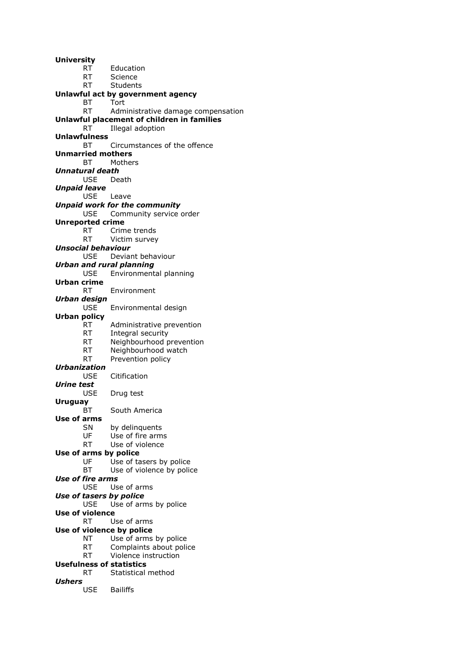**University** RT Education RT Science RT Students **Unlawful act by government agency** BT Tort<br>RT Adm Administrative damage compensation **Unlawful placement of children in families** RT Illegal adoption **Unlawfulness** BT Circumstances of the offence **Unmarried mothers** BT Mothers *Unnatural death* USE Death *Unpaid leave* USE Leave *Unpaid work for the community* USE Community service order **Unreported crime** RT Crime trends RT Victim survey *Unsocial behaviour* USE Deviant behaviour *Urban and rural planning* USE Environmental planning **Urban crime** RT Environment *Urban design* USE Environmental design **Urban policy** RT Administrative prevention RT Integral security RT Neighbourhood prevention RT Neighbourhood watch RT Prevention policy *Urbanization* USE Citification *Urine test* USE Drug test **Uruguay** BT South America **Use of arms** SN by delinquents UF Use of fire arms RT Use of violence **Use of arms by police** UF Use of tasers by police BT Use of violence by police *Use of fire arms* USE Use of arms *Use of tasers by police* USE Use of arms by police **Use of violence** RT Use of arms **Use of violence by police** NT Use of arms by police RT Complaints about police RT Violence instruction **Usefulness of statistics** RT Statistical method *Ushers* USE Bailiffs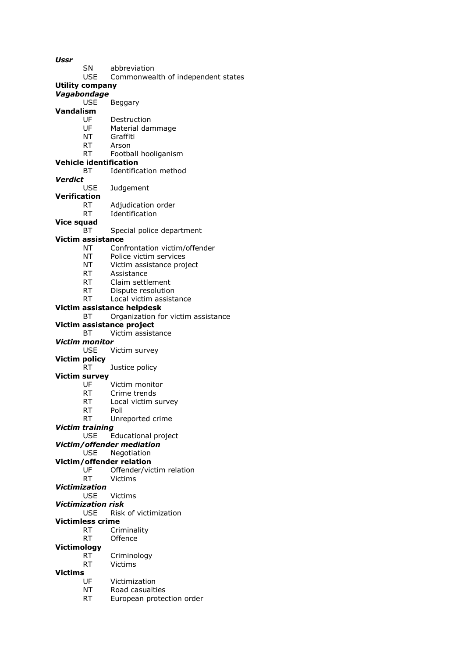*Ussr* SN abbreviation USE Commonwealth of independent states **Utility company** *Vagabondage* USE Beggary **Vandalism** Destruction UF Material dammage NT Graffiti RT Arson RT Football hooliganism **Vehicle identification** BT Identification method *Verdict* **Judgement Verification** RT Adjudication order RT Identification **Vice squad** BT Special police department **Victim assistance** NT Confrontation victim/offender NT Police victim services NT Victim assistance project RT Assistance RT Claim settlement RT Dispute resolution RT Local victim assistance **Victim assistance helpdesk** BT Organization for victim assistance **Victim assistance project** BT Victim assistance *Victim monitor* USE Victim survey **Victim policy** RT Justice policy **Victim survey** UF Victim monitor RT Crime trends RT Local victim survey RT Poll RT Unreported crime *Victim training* USE Educational project *Victim/offender mediation* USE Negotiation **Victim/offender relation** UF Offender/victim relation RT Victims *Victimization* USE Victims *Victimization risk* USE Risk of victimization **Victimless crime** RT Criminality RT Offence **Victimology** RT Criminology RT Victims

- **Victims**
	- UF Victimization
	- NT Road casualties
	- RT European protection order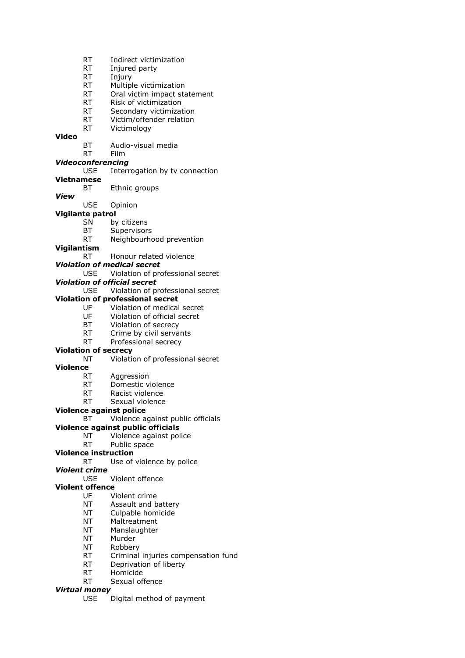- RT Indirect victimization
- RT Injured party
- RT Injury
- RT Multiple victimization
- RT Oral victim impact statement
- RT Risk of victimization
- RT Secondary victimization<br>RT Victim/offender relation
- Victim/offender relation
- RT Victimology

#### **Video**

- BT Audio-visual media
- RT Film

# *Videoconferencing*

#### USE Interrogation by tv connection

**Vietnamese**

BT Ethnic groups

#### *View*

- USE Opinion
- **Vigilante patrol**
	- SN by citizens
	- BT Supervisors
	- RT Neighbourhood prevention

#### **Vigilantism**

- RT Honour related violence
- *Violation of medical secret*
	- USE Violation of professional secret

## *Violation of official secret*

USE Violation of professional secret

#### **Violation of professional secret**

- UF Violation of medical secret
- UF Violation of official secret
- BT Violation of secrecy
- RT Crime by civil servants
- RT Professional secrecy

## **Violation of secrecy**

NT Violation of professional secret

#### **Violence**

- RT Aggression
- RT Domestic violence
- RT Racist violence
- RT Sexual violence

#### **Violence against police**

BT Violence against public officials

# **Violence against public officials**

- NT Violence against police
- RT Public space

# **Violence instruction**

RT Use of violence by police

# *Violent crime*

USE Violent offence

# **Violent offence**

- UF Violent crime
- NT Assault and battery
- NT Culpable homicide
- NT Maltreatment
- NT Manslaughter
- NT Murder
- NT Robbery
- RT Criminal injuries compensation fund
- RT Deprivation of liberty
- RT Homicide
- RT Sexual offence

#### *Virtual money*

USE Digital method of payment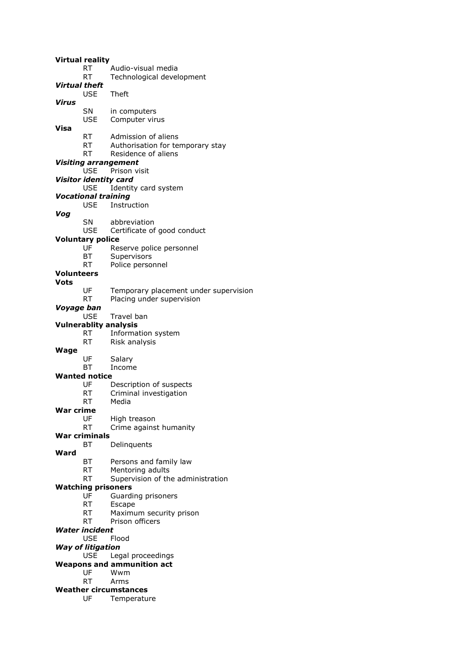|               | <b>Virtual reality</b>       |                                       |
|---------------|------------------------------|---------------------------------------|
|               | RT                           | Audio-visual media                    |
|               | RT                           | Technological development             |
| Virtual theft |                              |                                       |
|               | <b>USE</b>                   | Theft                                 |
| Virus         |                              |                                       |
|               | SN                           | in computers                          |
|               | <b>USE</b>                   | Computer virus                        |
| Visa          |                              |                                       |
|               | RT                           | Admission of aliens                   |
|               | RT                           | Authorisation for temporary stay      |
|               | RT                           | Residence of aliens                   |
|               |                              | <b>Visiting arrangement</b>           |
|               | <b>USE</b>                   | Prison visit                          |
|               | <b>Visitor identity card</b> |                                       |
|               | <b>USE</b>                   | Identity card system                  |
|               | <b>Vocational training</b>   |                                       |
|               | USE.                         | Instruction                           |
| Vog           |                              |                                       |
|               | SN                           | abbreviation                          |
|               | USE.                         | Certificate of good conduct           |
|               | <b>Voluntary police</b>      |                                       |
|               | UF                           | Reserve police personnel              |
|               | ВT                           | Supervisors                           |
|               | RT                           | Police personnel                      |
| Volunteers    |                              |                                       |
| Vots          |                              |                                       |
|               | UF                           | Temporary placement under supervision |
|               | <b>RT</b>                    | Placing under supervision             |
| Voyage ban    |                              |                                       |
|               | <b>USE</b>                   | Travel ban                            |
|               |                              | <b>Vulnerablity analysis</b>          |
|               | <b>RT</b>                    | Information system                    |
|               | RT                           | Risk analysis                         |
| <b>Wage</b>   |                              |                                       |
|               | UF                           | Salary                                |
|               | BT                           | Income                                |
|               | <b>Wanted notice</b>         |                                       |
|               | UF                           | Description of suspects               |
|               | RT                           | Criminal investigation                |
|               | RT                           | Media                                 |
| War crime     |                              |                                       |
|               | UF                           | High treason                          |
|               | RT                           | Crime against humanity                |
|               | <b>War criminals</b>         |                                       |
|               | ВT                           | Delinquents                           |
| Ward          |                              |                                       |
|               | ВT                           | Persons and family law                |
|               | RT                           | Mentoring adults                      |
|               | RT                           | Supervision of the administration     |
|               | <b>Watching prisoners</b>    |                                       |
|               | UF                           | Guarding prisoners                    |
|               | RT                           | Escape                                |
|               | RT                           | Maximum security prison               |
|               | RT                           | Prison officers                       |
|               | <b>Water incident</b>        |                                       |
|               | <b>USE</b>                   | Flood                                 |
|               | <b>Way of litigation</b>     |                                       |
|               | <b>USE</b>                   | Legal proceedings                     |
|               |                              | <b>Weapons and ammunition act</b>     |
|               | UF                           | Wwm                                   |
|               | <b>RT</b>                    | Arms                                  |
|               |                              | <b>Weather circumstances</b>          |
|               | UF                           | Temperature                           |
|               |                              |                                       |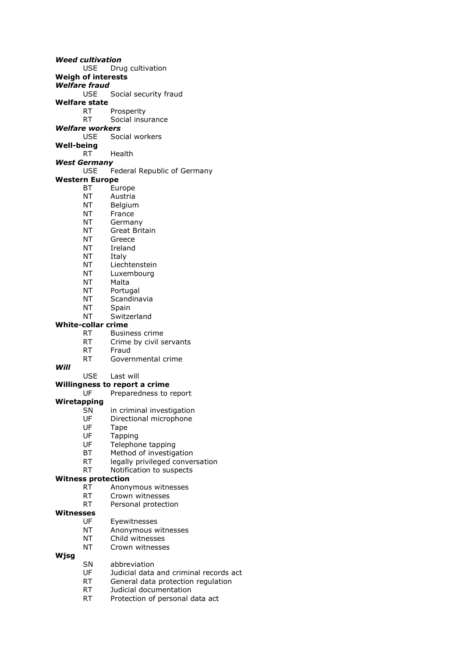*Weed cultivation* USE Drug cultivation **Weigh of interests** *Welfare fraud* USE Social security fraud **Welfare state** RT Prosperity<br>RT Social insul Social insurance *Welfare workers* USE Social workers **Well-being** RT Health *West Germany* USE Federal Republic of Germany **Western Europe** BT Europe NT Austria NT Belgium NT France NT Germany NT Great Britain NT Greece NT Ireland NT Italy NT Liechtenstein NT Luxembourg NT Malta NT Portugal NT Scandinavia NT Spain NT Switzerland **White-collar crime** RT Business crime RT Crime by civil servants RT Fraud RT Governmental crime *Will* USE Last will **Willingness to report a crime**<br>UE Preparedness to u Preparedness to report **Wiretapping** SN in criminal investigation UF Directional microphone UF Tape<br>UF Tappi **Tapping** UF Telephone tapping BT Method of investigation RT legally privileged conversation RT Notification to suspects **Witness protection** RT Anonymous witnesses RT Crown witnesses RT Personal protection **Witnesses** UF Eyewitnesses

- NT Anonymous witnesses
- NT Child witnesses
- NT Crown witnesses

#### **Wjsg**

- SN abbreviation
- UF Judicial data and criminal records act
- RT General data protection regulation
- RT Judicial documentation
- RT Protection of personal data act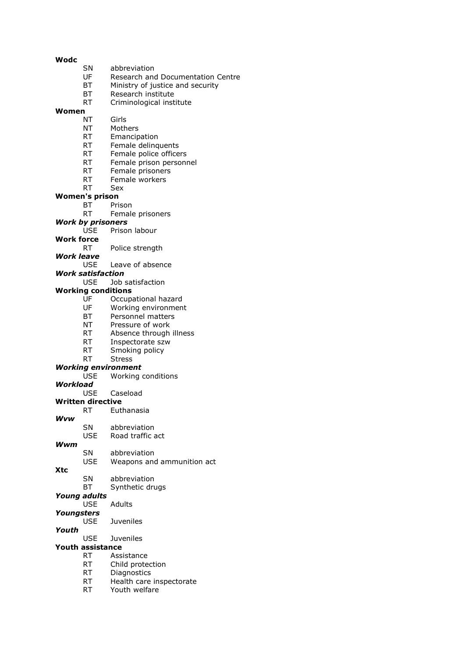#### **Wodc**

- SN abbreviation
- UF Research and Documentation Centre
- BT Ministry of justice and security
- BT Research institute
- RT Criminological institute

# **Women**

- Girls
- NT Mothers
- RT Emancipation
- RT Female delinquents
- RT Female police officers
- RT Female prison personnel
- RT Female prisoners
- RT Female workers
- RT Sex

#### **Women's prison**

- BT Prison
	- RT Female prisoners
- *Work by prisoners*
	- USE Prison labour
- **Work force**

RT Police strength

- *Work leave*
	- USE Leave of absence
- *Work satisfaction*
	- USE Job satisfaction

#### **Working conditions**

- UF Occupational hazard
- UF Working environment
- BT Personnel matters
- NT Pressure of work
- RT Absence through illness
- RT Inspectorate szw
- RT Smoking policy
- RT Stress

## *Working environment*

- USE Working conditions
- *Workload*
	- Caseload

#### **Written directive**

- RT Euthanasia
- *Wvw*

#### SN abbreviation

USE Road traffic act

#### *Wwm*

**Xtc**

SN abbreviation

# USE Weapons and ammunition act

- SN abbreviation
- BT Synthetic drugs

# *Young adults*

- USE Adults
- *Youngsters*
	- USE Juveniles

#### *Youth*

USE Juveniles

#### **Youth assistance**

- RT Assistance
- RT Child protection
- RT Diagnostics
- RT Health care inspectorate
- RT Youth welfare